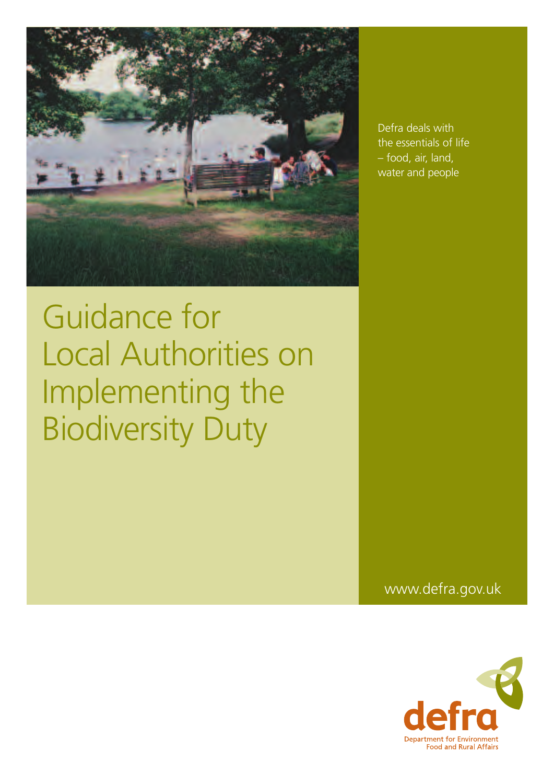

Guidance for Local Authorities on Implementing the Biodiversity Duty

Defra deals with the essentials of life – food, air, land, water and people

www.defra.gov.uk

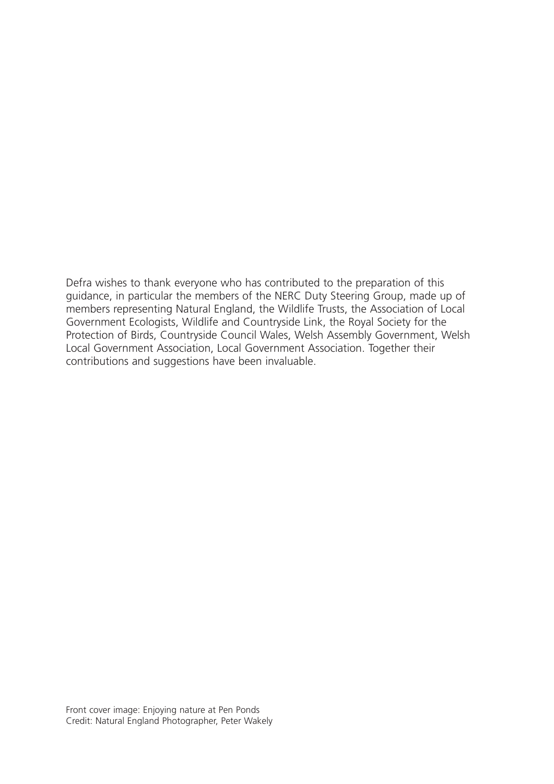Defra wishes to thank everyone who has contributed to the preparation of this guidance, in particular the members of the NERC Duty Steering Group, made up of members representing Natural England, the Wildlife Trusts, the Association of Local Government Ecologists, Wildlife and Countryside Link, the Royal Society for the Protection of Birds, Countryside Council Wales, Welsh Assembly Government, Welsh Local Government Association, Local Government Association. Together their contributions and suggestions have been invaluable.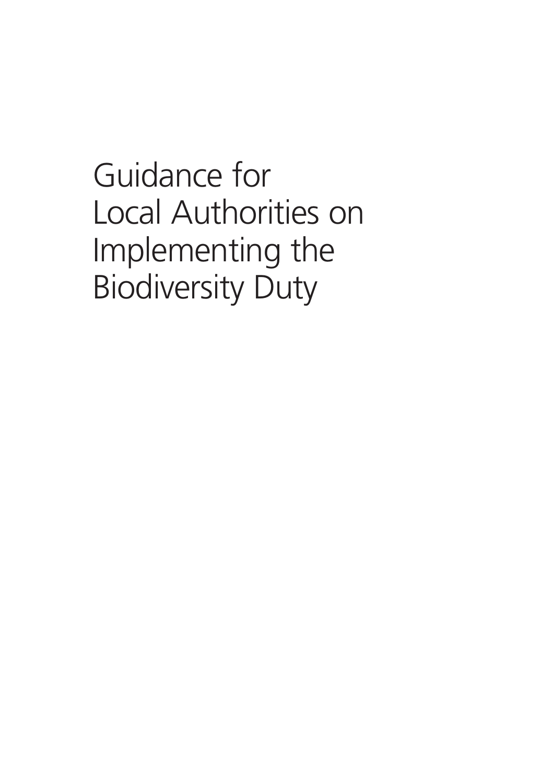Guidance for Local Authorities on Implementing the Biodiversity Duty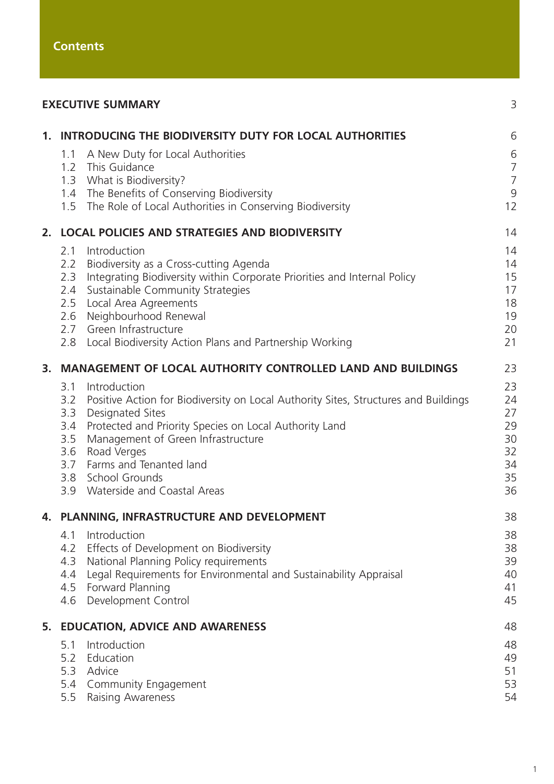|    |                                                                              | <b>EXECUTIVE SUMMARY</b>                                                                                                                                                                                                                                                                                                                 | 3                                                     |
|----|------------------------------------------------------------------------------|------------------------------------------------------------------------------------------------------------------------------------------------------------------------------------------------------------------------------------------------------------------------------------------------------------------------------------------|-------------------------------------------------------|
|    | 1.1                                                                          | 1. INTRODUCING THE BIODIVERSITY DUTY FOR LOCAL AUTHORITIES<br>A New Duty for Local Authorities<br>1.2 This Guidance<br>1.3 What is Biodiversity?<br>1.4 The Benefits of Conserving Biodiversity<br>1.5 The Role of Local Authorities in Conserving Biodiversity                                                                          | 6<br>6<br>$\overline{7}$<br>$\overline{7}$<br>9<br>12 |
| 2. | <b>LOCAL POLICIES AND STRATEGIES AND BIODIVERSITY</b><br>2.1<br>Introduction |                                                                                                                                                                                                                                                                                                                                          |                                                       |
|    | 2.2<br>2.3<br>2.6<br>2.8                                                     | Biodiversity as a Cross-cutting Agenda<br>Integrating Biodiversity within Corporate Priorities and Internal Policy<br>2.4 Sustainable Community Strategies<br>2.5 Local Area Agreements<br>Neighbourhood Renewal<br>2.7 Green Infrastructure<br>Local Biodiversity Action Plans and Partnership Working                                  | 14<br>14<br>15<br>17<br>18<br>19<br>20<br>21          |
| 3. | <b>MANAGEMENT OF LOCAL AUTHORITY CONTROLLED LAND AND BUILDINGS</b>           |                                                                                                                                                                                                                                                                                                                                          |                                                       |
|    | 3.1<br>3.2<br>3.3<br>3.4<br>3.5<br>3.6<br>3.9                                | Introduction<br>Positive Action for Biodiversity on Local Authority Sites, Structures and Buildings<br><b>Designated Sites</b><br>Protected and Priority Species on Local Authority Land<br>Management of Green Infrastructure<br>Road Verges<br>3.7 Farms and Tenanted land<br>3.8 School Grounds<br><b>Waterside and Coastal Areas</b> | 23<br>24<br>27<br>29<br>30<br>32<br>34<br>35<br>36    |
| 4. | <b>PLANNING, INFRASTRUCTURE AND DEVELOPMENT</b>                              |                                                                                                                                                                                                                                                                                                                                          |                                                       |
|    | 4.1<br>4.2<br>4.3<br>4.4<br>4.6                                              | Introduction<br>Effects of Development on Biodiversity<br>National Planning Policy requirements<br>Legal Requirements for Environmental and Sustainability Appraisal<br>4.5 Forward Planning<br>Development Control                                                                                                                      | 38<br>38<br>39<br>40<br>41<br>45                      |
|    | 5. EDUCATION, ADVICE AND AWARENESS                                           |                                                                                                                                                                                                                                                                                                                                          |                                                       |
|    | 5.1<br>5.3<br>5.5                                                            | Introduction<br>5.2 Education<br>Advice<br>5.4 Community Engagement<br><b>Raising Awareness</b>                                                                                                                                                                                                                                          | 48<br>49<br>51<br>53<br>54                            |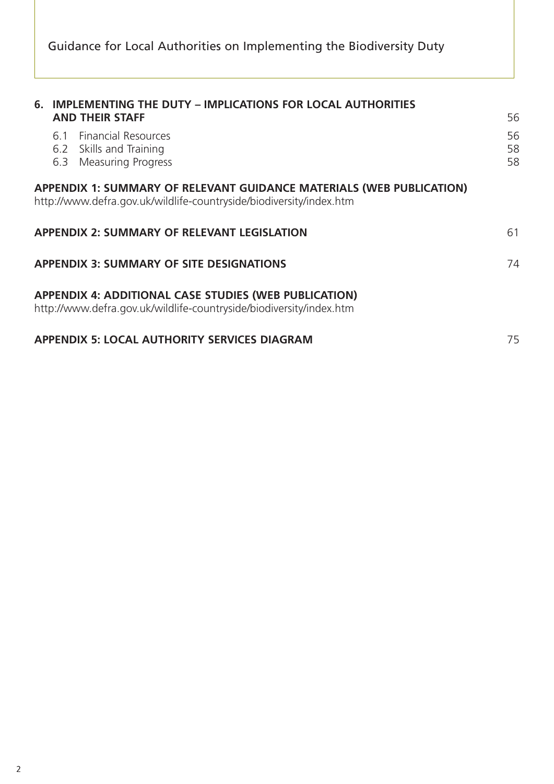| 6. IMPLEMENTING THE DUTY - IMPLICATIONS FOR LOCAL AUTHORITIES<br><b>AND THEIR STAFF</b>                                                            |                |  |  |  |
|----------------------------------------------------------------------------------------------------------------------------------------------------|----------------|--|--|--|
| <b>Financial Resources</b><br>6.1<br>6.2 Skills and Training<br><b>Measuring Progress</b><br>6.3                                                   | 56<br>58<br>58 |  |  |  |
| <b>APPENDIX 1: SUMMARY OF RELEVANT GUIDANCE MATERIALS (WEB PUBLICATION)</b><br>http://www.defra.gov.uk/wildlife-countryside/biodiversity/index.htm |                |  |  |  |
| <b>APPENDIX 2: SUMMARY OF RELEVANT LEGISLATION</b>                                                                                                 |                |  |  |  |
| <b>APPENDIX 3: SUMMARY OF SITE DESIGNATIONS</b>                                                                                                    |                |  |  |  |
| <b>APPENDIX 4: ADDITIONAL CASE STUDIES (WEB PUBLICATION)</b><br>http://www.defra.gov.uk/wildlife-countryside/biodiversity/index.htm                |                |  |  |  |
| <b>APPENDIX 5: LOCAL AUTHORITY SERVICES DIAGRAM</b>                                                                                                |                |  |  |  |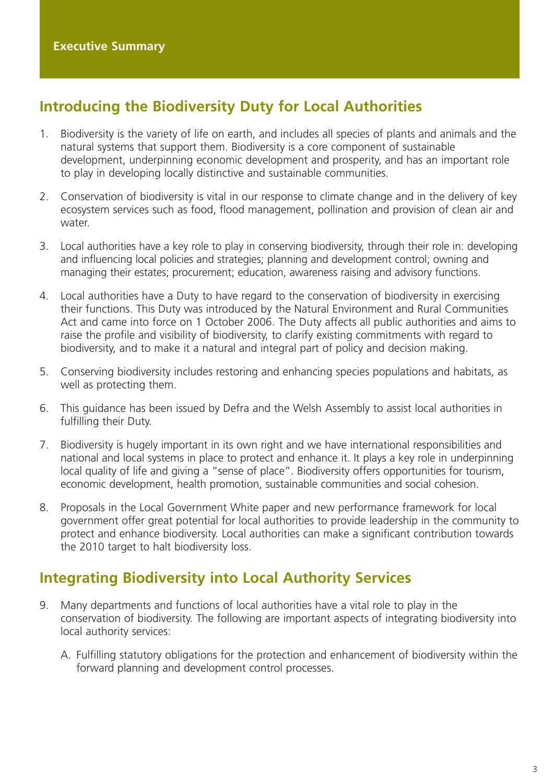# **Introducing the Biodiversity Duty for Local Authorities**

- 1. Biodiversity is the variety of life on earth, and includes all species of plants and animals and the natural systems that support them. Biodiversity is a core component of sustainable development, underpinning economic development and prosperity, and has an important role to play in developing locally distinctive and sustainable communities.
- 2. Conservation of biodiversity is vital in our response to climate change and in the delivery of key ecosystem services such as food, flood management, pollination and provision of clean air and water
- 3. Local authorities have a key role to play in conserving biodiversity, through their role in: developing and influencing local policies and strategies; planning and development control; owning and managing their estates; procurement; education, awareness raising and advisory functions.
- 4. Local authorities have a Duty to have regard to the conservation of biodiversity in exercising their functions. This Duty was introduced by the Natural Environment and Rural Communities Act and came into force on 1 October 2006. The Duty affects all public authorities and aims to raise the profile and visibility of biodiversity, to clarify existing commitments with regard to biodiversity, and to make it a natural and integral part of policy and decision making.
- 5. Conserving biodiversity includes restoring and enhancing species populations and habitats, as well as protecting them.
- 6. This guidance has been issued by Defra and the Welsh Assembly to assist local authorities in fulfilling their Duty.
- 7. Biodiversity is hugely important in its own right and we have international responsibilities and national and local systems in place to protect and enhance it. It plays a key role in underpinning local quality of life and giving a "sense of place". Biodiversity offers opportunities for tourism, economic development, health promotion, sustainable communities and social cohesion.
- 8. Proposals in the Local Government White paper and new performance framework for local government offer great potential for local authorities to provide leadership in the community to protect and enhance biodiversity. Local authorities can make a significant contribution towards the 2010 target to halt biodiversity loss.

## **Integrating Biodiversity into Local Authority Services**

- 9. Many departments and functions of local authorities have a vital role to play in the conservation of biodiversity. The following are important aspects of integrating biodiversity into local authority services:
	- A. Fulfilling statutory obligations for the protection and enhancement of biodiversity within the forward planning and development control processes.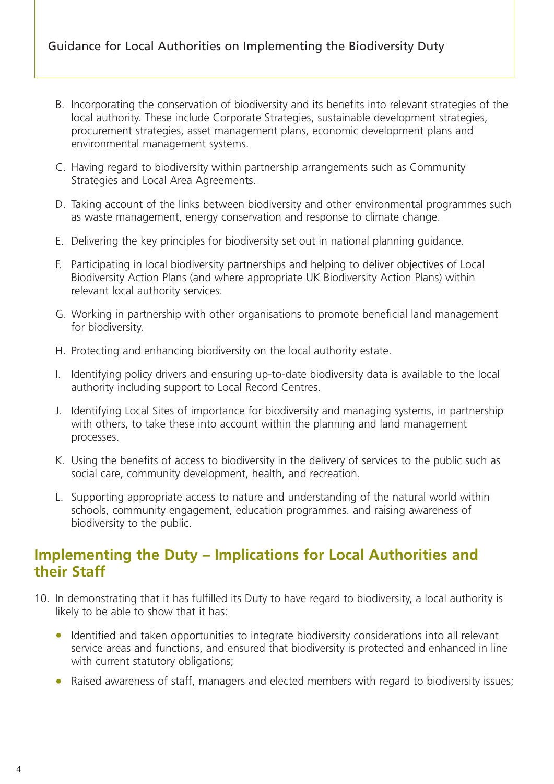- B. Incorporating the conservation of biodiversity and its benefits into relevant strategies of the local authority. These include Corporate Strategies, sustainable development strategies, procurement strategies, asset management plans, economic development plans and environmental management systems.
- C. Having regard to biodiversity within partnership arrangements such as Community Strategies and Local Area Agreements.
- D. Taking account of the links between biodiversity and other environmental programmes such as waste management, energy conservation and response to climate change.
- E. Delivering the key principles for biodiversity set out in national planning guidance.
- F. Participating in local biodiversity partnerships and helping to deliver objectives of Local Biodiversity Action Plans (and where appropriate UK Biodiversity Action Plans) within relevant local authority services.
- G. Working in partnership with other organisations to promote beneficial land management for biodiversity.
- H. Protecting and enhancing biodiversity on the local authority estate.
- I. Identifying policy drivers and ensuring up-to-date biodiversity data is available to the local authority including support to Local Record Centres.
- J. Identifying Local Sites of importance for biodiversity and managing systems, in partnership with others, to take these into account within the planning and land management processes.
- K. Using the benefits of access to biodiversity in the delivery of services to the public such as social care, community development, health, and recreation.
- L. Supporting appropriate access to nature and understanding of the natural world within schools, community engagement, education programmes. and raising awareness of biodiversity to the public.

## **Implementing the Duty – Implications for Local Authorities and their Staff**

- 10. In demonstrating that it has fulfilled its Duty to have regard to biodiversity, a local authority is likely to be able to show that it has:
	- Identified and taken opportunities to integrate biodiversity considerations into all relevant service areas and functions, and ensured that biodiversity is protected and enhanced in line with current statutory obligations;
	- Raised awareness of staff, managers and elected members with regard to biodiversity issues;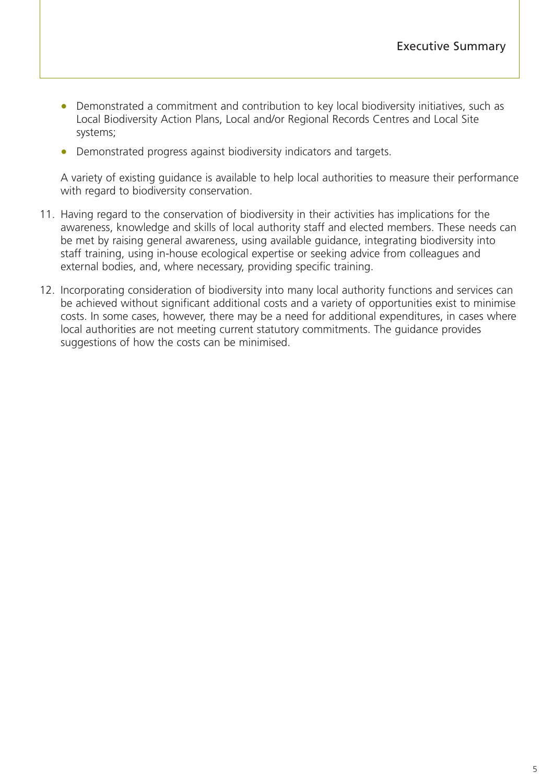- Demonstrated a commitment and contribution to key local biodiversity initiatives, such as Local Biodiversity Action Plans, Local and/or Regional Records Centres and Local Site systems;
- Demonstrated progress against biodiversity indicators and targets.

A variety of existing guidance is available to help local authorities to measure their performance with regard to biodiversity conservation.

- 11. Having regard to the conservation of biodiversity in their activities has implications for the awareness, knowledge and skills of local authority staff and elected members. These needs can be met by raising general awareness, using available guidance, integrating biodiversity into staff training, using in-house ecological expertise or seeking advice from colleagues and external bodies, and, where necessary, providing specific training.
- 12. Incorporating consideration of biodiversity into many local authority functions and services can be achieved without significant additional costs and a variety of opportunities exist to minimise costs. In some cases, however, there may be a need for additional expenditures, in cases where local authorities are not meeting current statutory commitments. The guidance provides suggestions of how the costs can be minimised.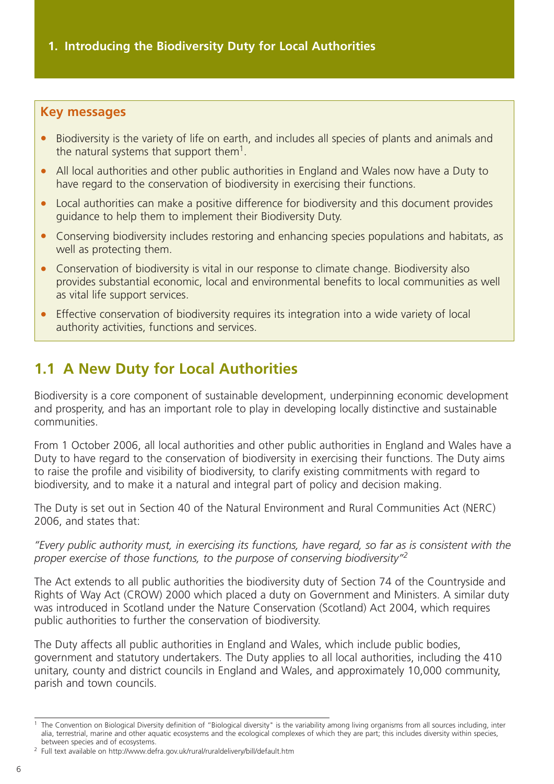#### <span id="page-8-0"></span>**Key messages**

- Biodiversity is the variety of life on earth, and includes all species of plants and animals and the natural systems that support them1.
- All local authorities and other public authorities in England and Wales now have a Duty to have regard to the conservation of biodiversity in exercising their functions.
- Local authorities can make a positive difference for biodiversity and this document provides guidance to help them to implement their Biodiversity Duty.
- Conserving biodiversity includes restoring and enhancing species populations and habitats, as well as protecting them.
- Conservation of biodiversity is vital in our response to climate change. Biodiversity also provides substantial economic, local and environmental benefits to local communities as well as vital life support services.
- Effective conservation of biodiversity requires its integration into a wide variety of local authority activities, functions and services.

# **1.1 A New Duty for Local Authorities**

Biodiversity is a core component of sustainable development, underpinning economic development and prosperity, and has an important role to play in developing locally distinctive and sustainable communities.

From 1 October 2006, all local authorities and other public authorities in England and Wales have a Duty to have regard to the conservation of biodiversity in exercising their functions. The Duty aims to raise the profile and visibility of biodiversity, to clarify existing commitments with regard to biodiversity, and to make it a natural and integral part of policy and decision making.

The Duty is set out in Section 40 of the Natural Environment and Rural Communities Act (NERC) 2006, and states that:

*"Every public authority must, in exercising its functions, have regard, so far as is consistent with the proper exercise of those functions, to the purpose of conserving biodiversity"2*

The Act extends to all public authorities the biodiversity duty of Section 74 of the Countryside and Rights of Way Act (CROW) 2000 which placed a duty on Government and Ministers. A similar duty was introduced in Scotland under the Nature Conservation (Scotland) Act 2004, which requires public authorities to further the conservation of biodiversity.

The Duty affects all public authorities in England and Wales, which include public bodies, government and statutory undertakers. The Duty applies to all local authorities, including the 410 unitary, county and district councils in England and Wales, and approximately 10,000 community, parish and town councils.

<sup>&</sup>lt;sup>1</sup> The Convention on Biological Diversity definition of "Biological diversity" is the variability among living organisms from all sources including, inter alia, terrestrial, marine and other aquatic ecosystems and the ecological complexes of which they are part; this includes diversity within species, between species and of ecosystems.

<sup>2</sup> Full text available on http://www.defra.gov.uk/rural/ruraldelivery/bill/default.htm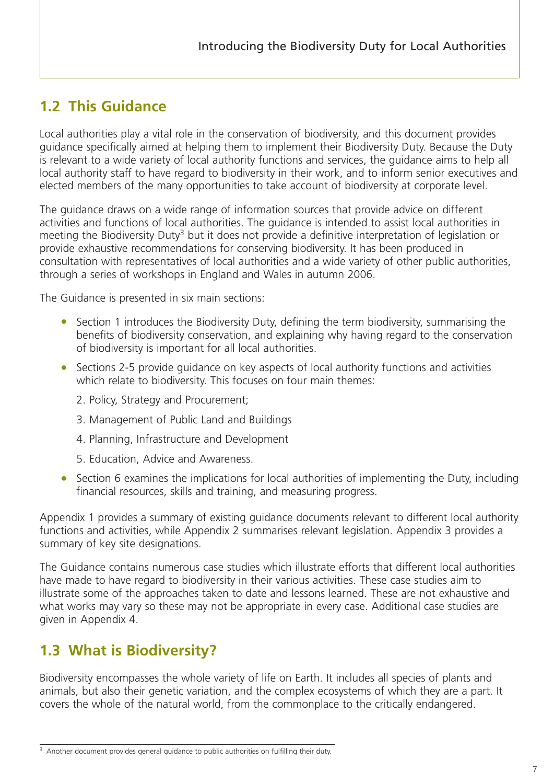# <span id="page-9-0"></span>**1.2 This Guidance**

Local authorities play a vital role in the conservation of biodiversity, and this document provides guidance specifically aimed at helping them to implement their Biodiversity Duty. Because the Duty is relevant to a wide variety of local authority functions and services, the guidance aims to help all local authority staff to have regard to biodiversity in their work, and to inform senior executives and elected members of the many opportunities to take account of biodiversity at corporate level.

The guidance draws on a wide range of information sources that provide advice on different activities and functions of local authorities. The guidance is intended to assist local authorities in meeting the Biodiversity Duty<sup>3</sup> but it does not provide a definitive interpretation of legislation or provide exhaustive recommendations for conserving biodiversity. It has been produced in consultation with representatives of local authorities and a wide variety of other public authorities, through a series of workshops in England and Wales in autumn 2006.

The Guidance is presented in six main sections:

- Section 1 introduces the Biodiversity Duty, defining the term biodiversity, summarising the benefits of biodiversity conservation, and explaining why having regard to the conservation of biodiversity is important for all local authorities.
- Sections 2-5 provide guidance on key aspects of local authority functions and activities which relate to biodiversity. This focuses on four main themes:
	- 2. Policy, Strategy and Procurement;
	- 3. Management of Public Land and Buildings
	- 4. Planning, Infrastructure and Development
	- 5. Education, Advice and Awareness.
- Section 6 examines the implications for local authorities of implementing the Duty, including financial resources, skills and training, and measuring progress.

Appendix 1 provides a summary of existing guidance documents relevant to different local authority functions and activities, while Appendix 2 summarises relevant legislation. Appendix 3 provides a summary of key site designations.

The Guidance contains numerous case studies which illustrate efforts that different local authorities have made to have regard to biodiversity in their various activities. These case studies aim to illustrate some of the approaches taken to date and lessons learned. These are not exhaustive and what works may vary so these may not be appropriate in every case. Additional case studies are given in Appendix 4.

## **1.3 What is Biodiversity?**

Biodiversity encompasses the whole variety of life on Earth. It includes all species of plants and animals, but also their genetic variation, and the complex ecosystems of which they are a part. It covers the whole of the natural world, from the commonplace to the critically endangered.

<sup>&</sup>lt;sup>3</sup> Another document provides general guidance to public authorities on fulfilling their duty.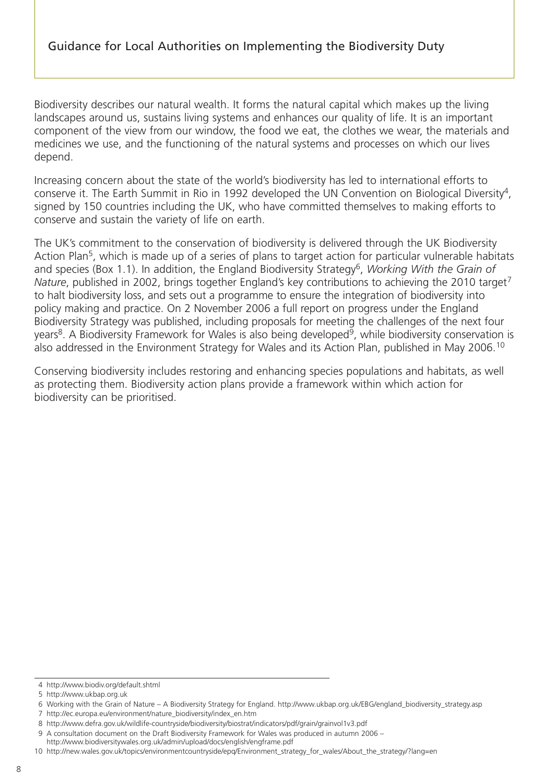Biodiversity describes our natural wealth. It forms the natural capital which makes up the living landscapes around us, sustains living systems and enhances our quality of life. It is an important component of the view from our window, the food we eat, the clothes we wear, the materials and medicines we use, and the functioning of the natural systems and processes on which our lives depend.

Increasing concern about the state of the world's biodiversity has led to international efforts to conserve it. The Earth Summit in Rio in 1992 developed the UN Convention on Biological Diversity<sup>4</sup>, signed by 150 countries including the UK, who have committed themselves to making efforts to conserve and sustain the variety of life on earth.

The UK's commitment to the conservation of biodiversity is delivered through the UK Biodiversity Action Plan<sup>5</sup>, which is made up of a series of plans to target action for particular vulnerable habitats and species (Box 1.1). In addition, the England Biodiversity Strategy<sup>6</sup>, *Working With the Grain of Nature*, published in 2002, brings together England's key contributions to achieving the 2010 target<sup>7</sup> to halt biodiversity loss, and sets out a programme to ensure the integration of biodiversity into policy making and practice. On 2 November 2006 a full report on progress under the England Biodiversity Strategy was published, including proposals for meeting the challenges of the next four years<sup>8</sup>. A Biodiversity Framework for Wales is also being developed<sup>9</sup>, while biodiversity conservation is also addressed in the Environment Strategy for Wales and its Action Plan, published in May 2006.10

Conserving biodiversity includes restoring and enhancing species populations and habitats, as well as protecting them. Biodiversity action plans provide a framework within which action for biodiversity can be prioritised.

<sup>4</sup> http://www.biodiv.org/default.shtml

<sup>5</sup> http://www.ukbap.org.uk

<sup>6</sup> Working with the Grain of Nature – A Biodiversity Strategy for England. http://www.ukbap.org.uk/EBG/england\_biodiversity\_strategy.asp

<sup>7</sup> http://ec.europa.eu/environment/nature\_biodiversity/index\_en.htm

<sup>8</sup> http://www.defra.gov.uk/wildlife-countryside/biodiversity/biostrat/indicators/pdf/grain/grainvol1v3.pdf

<sup>9</sup> A consultation document on the Draft Biodiversity Framework for Wales was produced in autumn 2006 –

http://www.biodiversitywales.org.uk/admin/upload/docs/english/engframe.pdf

<sup>10</sup> http://new.wales.gov.uk/topics/environmentcountryside/epq/Environment\_strategy\_for\_wales/About\_the\_strategy/?lang=en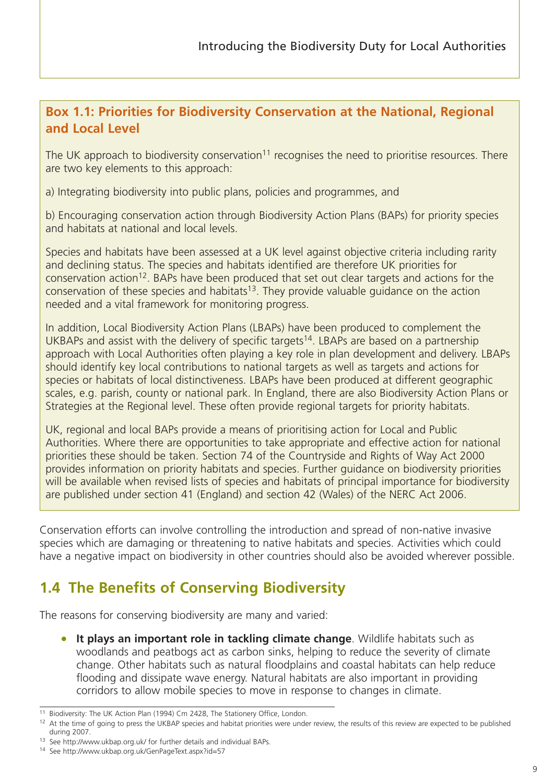### <span id="page-11-0"></span>**Box 1.1: Priorities for Biodiversity Conservation at the National, Regional and Local Level**

The UK approach to biodiversity conservation<sup>11</sup> recognises the need to prioritise resources. There are two key elements to this approach:

a) Integrating biodiversity into public plans, policies and programmes, and

b) Encouraging conservation action through Biodiversity Action Plans (BAPs) for priority species and habitats at national and local levels.

Species and habitats have been assessed at a UK level against objective criteria including rarity and declining status. The species and habitats identified are therefore UK priorities for conservation action<sup>12</sup>. BAPs have been produced that set out clear targets and actions for the conservation of these species and habitats<sup>13</sup>. They provide valuable quidance on the action needed and a vital framework for monitoring progress.

In addition, Local Biodiversity Action Plans (LBAPs) have been produced to complement the UKBAPs and assist with the delivery of specific targets<sup>14</sup>. LBAPs are based on a partnership approach with Local Authorities often playing a key role in plan development and delivery. LBAPs should identify key local contributions to national targets as well as targets and actions for species or habitats of local distinctiveness. LBAPs have been produced at different geographic scales, e.g. parish, county or national park. In England, there are also Biodiversity Action Plans or Strategies at the Regional level. These often provide regional targets for priority habitats.

UK, regional and local BAPs provide a means of prioritising action for Local and Public Authorities. Where there are opportunities to take appropriate and effective action for national priorities these should be taken. Section 74 of the Countryside and Rights of Way Act 2000 provides information on priority habitats and species. Further guidance on biodiversity priorities will be available when revised lists of species and habitats of principal importance for biodiversity are published under section 41 (England) and section 42 (Wales) of the NERC Act 2006.

Conservation efforts can involve controlling the introduction and spread of non-native invasive species which are damaging or threatening to native habitats and species. Activities which could have a negative impact on biodiversity in other countries should also be avoided wherever possible.

# **1.4 The Benefits of Conserving Biodiversity**

The reasons for conserving biodiversity are many and varied:

• **It plays an important role in tackling climate change**. Wildlife habitats such as woodlands and peatbogs act as carbon sinks, helping to reduce the severity of climate change. Other habitats such as natural floodplains and coastal habitats can help reduce flooding and dissipate wave energy. Natural habitats are also important in providing corridors to allow mobile species to move in response to changes in climate.

<sup>&</sup>lt;sup>11</sup> Biodiversity: The UK Action Plan (1994) Cm 2428, The Stationery Office, London.

<sup>&</sup>lt;sup>12</sup> At the time of going to press the UKBAP species and habitat priorities were under review, the results of this review are expected to be published during 2007.

<sup>13</sup> See http://www.ukbap.org.uk/ for further details and individual BAPs.

<sup>14</sup> See http://www.ukbap.org.uk/GenPageText.aspx?id=57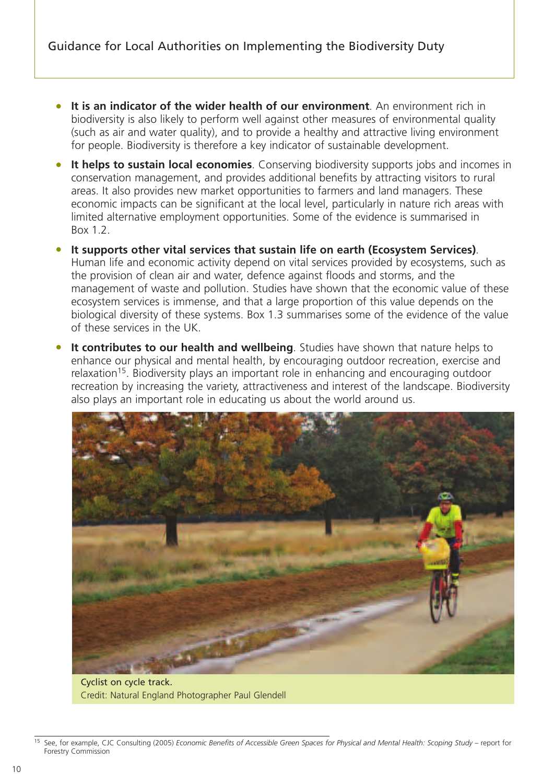- **It is an indicator of the wider health of our environment**. An environment rich in biodiversity is also likely to perform well against other measures of environmental quality (such as air and water quality), and to provide a healthy and attractive living environment for people. Biodiversity is therefore a key indicator of sustainable development.
- **It helps to sustain local economies**. Conserving biodiversity supports jobs and incomes in conservation management, and provides additional benefits by attracting visitors to rural areas. It also provides new market opportunities to farmers and land managers. These economic impacts can be significant at the local level, particularly in nature rich areas with limited alternative employment opportunities. Some of the evidence is summarised in Box 1.2.
- **It supports other vital services that sustain life on earth (Ecosystem Services)**. Human life and economic activity depend on vital services provided by ecosystems, such as the provision of clean air and water, defence against floods and storms, and the management of waste and pollution. Studies have shown that the economic value of these ecosystem services is immense, and that a large proportion of this value depends on the biological diversity of these systems. Box 1.3 summarises some of the evidence of the value of these services in the UK.
- **It contributes to our health and wellbeing**. Studies have shown that nature helps to enhance our physical and mental health, by encouraging outdoor recreation, exercise and relaxation<sup>15</sup>. Biodiversity plays an important role in enhancing and encouraging outdoor recreation by increasing the variety, attractiveness and interest of the landscape. Biodiversity also plays an important role in educating us about the world around us.



Cyclist on cycle track. Credit: Natural England Photographer Paul Glendell

<sup>15</sup> See, for example, CJC Consulting (2005) *Economic Benefits of Accessible Green Spaces for Physical and Mental Health: Scoping Study* – report for Forestry Commission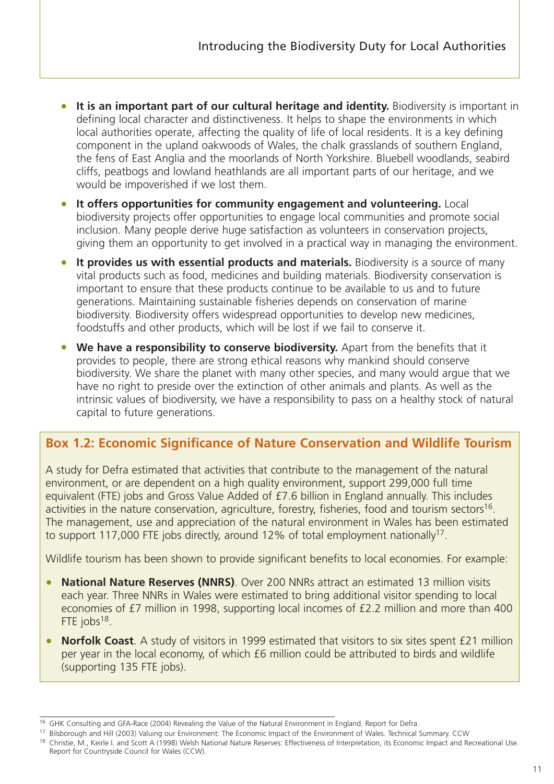- **It is an important part of our cultural heritage and identity.** Biodiversity is important in defining local character and distinctiveness. It helps to shape the environments in which local authorities operate, affecting the quality of life of local residents. It is a key defining component in the upland oakwoods of Wales, the chalk grasslands of southern England, the fens of East Anglia and the moorlands of North Yorkshire. Bluebell woodlands, seabird cliffs, peatbogs and lowland heathlands are all important parts of our heritage, and we would be impoverished if we lost them.
- **It offers opportunities for community engagement and volunteering.** Local biodiversity projects offer opportunities to engage local communities and promote social inclusion. Many people derive huge satisfaction as volunteers in conservation projects, giving them an opportunity to get involved in a practical way in managing the environment.
- **It provides us with essential products and materials.** Biodiversity is a source of many vital products such as food, medicines and building materials. Biodiversity conservation is important to ensure that these products continue to be available to us and to future generations. Maintaining sustainable fisheries depends on conservation of marine biodiversity. Biodiversity offers widespread opportunities to develop new medicines, foodstuffs and other products, which will be lost if we fail to conserve it.
- **We have a responsibility to conserve biodiversity.** Apart from the benefits that it provides to people, there are strong ethical reasons why mankind should conserve biodiversity. We share the planet with many other species, and many would argue that we have no right to preside over the extinction of other animals and plants. As well as the intrinsic values of biodiversity, we have a responsibility to pass on a healthy stock of natural capital to future generations.

### **Box 1.2: Economic Significance of Nature Conservation and Wildlife Tourism**

A study for Defra estimated that activities that contribute to the management of the natural environment, or are dependent on a high quality environment, support 299,000 full time equivalent (FTE) jobs and Gross Value Added of £7.6 billion in England annually. This includes activities in the nature conservation, agriculture, forestry, fisheries, food and tourism sectors<sup>16</sup>. The management, use and appreciation of the natural environment in Wales has been estimated to support 117,000 FTE jobs directly, around 12% of total employment nationally<sup>17</sup>.

Wildlife tourism has been shown to provide significant benefits to local economies. For example:

- **National Nature Reserves (NNRS)**. Over 200 NNRs attract an estimated 13 million visits each year. Three NNRs in Wales were estimated to bring additional visitor spending to local economies of £7 million in 1998, supporting local incomes of £2.2 million and more than 400 FTE jobs<sup>18</sup>.
- **Norfolk Coast**. A study of visitors in 1999 estimated that visitors to six sites spent £21 million per year in the local economy, of which £6 million could be attributed to birds and wildlife (supporting 135 FTE jobs).

<sup>&</sup>lt;sup>16</sup> GHK Consulting and GFA-Race (2004) Revealing the Value of the Natural Environment in England. Report for Defra.<br><sup>17</sup> Bilsborough and Hill (2003) Valuing our Environment: The Economic Impact of the Environment of Wales

<sup>&</sup>lt;sup>18</sup> Christie, M., Keirle I. and Scott A (1998) Welsh National Nature Reserves: Effectiveness of Interpretation, its Economic Impact and Recreational Use. Report for Countryside Council for Wales (CCW).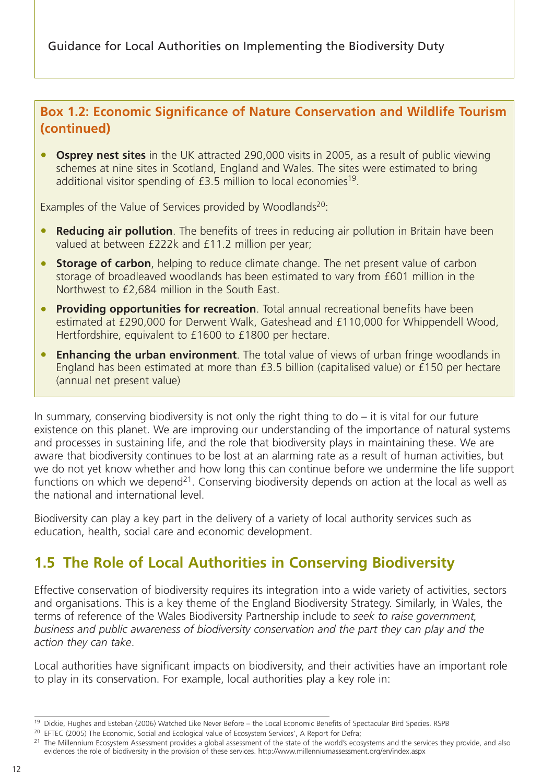<span id="page-14-0"></span>Guidance for Local Authorities on Implementing the Biodiversity Duty

### **Box 1.2: Economic Significance of Nature Conservation and Wildlife Tourism (continued)**

• **Osprey nest sites** in the UK attracted 290,000 visits in 2005, as a result of public viewing schemes at nine sites in Scotland, England and Wales. The sites were estimated to bring additional visitor spending of £3.5 million to local economies<sup>19</sup>.

Examples of the Value of Services provided by Woodlands<sup>20</sup>:

- **Reducing air pollution**. The benefits of trees in reducing air pollution in Britain have been valued at between £222k and £11.2 million per year;
- **Storage of carbon**, helping to reduce climate change. The net present value of carbon storage of broadleaved woodlands has been estimated to vary from £601 million in the Northwest to £2,684 million in the South East.
- **Providing opportunities for recreation**. Total annual recreational benefits have been estimated at £290,000 for Derwent Walk, Gateshead and £110,000 for Whippendell Wood, Hertfordshire, equivalent to £1600 to £1800 per hectare.
- **Enhancing the urban environment**. The total value of views of urban fringe woodlands in England has been estimated at more than £3.5 billion (capitalised value) or £150 per hectare (annual net present value)

In summary, conserving biodiversity is not only the right thing to  $d\sigma$  – it is vital for our future existence on this planet. We are improving our understanding of the importance of natural systems and processes in sustaining life, and the role that biodiversity plays in maintaining these. We are aware that biodiversity continues to be lost at an alarming rate as a result of human activities, but we do not yet know whether and how long this can continue before we undermine the life support functions on which we depend<sup>21</sup>. Conserving biodiversity depends on action at the local as well as the national and international level.

Biodiversity can play a key part in the delivery of a variety of local authority services such as education, health, social care and economic development.

# **1.5 The Role of Local Authorities in Conserving Biodiversity**

Effective conservation of biodiversity requires its integration into a wide variety of activities, sectors and organisations. This is a key theme of the England Biodiversity Strategy. Similarly, in Wales, the terms of reference of the Wales Biodiversity Partnership include to *seek to raise government, business and public awareness of biodiversity conservation and the part they can play and the action they can take*.

Local authorities have significant impacts on biodiversity, and their activities have an important role to play in its conservation. For example, local authorities play a key role in:

<sup>19</sup> Dickie, Hughes and Esteban (2006) Watched Like Never Before – the Local Economic Benefits of Spectacular Bird Species. RSPB

<sup>&</sup>lt;sup>20</sup> EFTEC (2005) The Economic, Social and Ecological value of Ecosystem Services', A Report for Defra;

<sup>&</sup>lt;sup>21</sup> The Millennium Ecosystem Assessment provides a global assessment of the state of the world's ecosystems and the services they provide, and also evidences the role of biodiversity in the provision of these services. http://www.millenniumassessment.org/en/index.aspx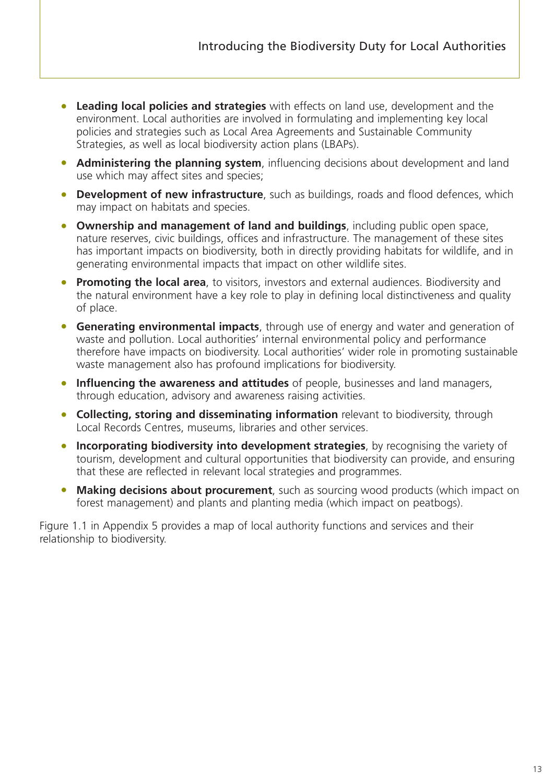- **Leading local policies and strategies** with effects on land use, development and the environment. Local authorities are involved in formulating and implementing key local policies and strategies such as Local Area Agreements and Sustainable Community Strategies, as well as local biodiversity action plans (LBAPs).
- **Administering the planning system**, influencing decisions about development and land use which may affect sites and species;
- **Development of new infrastructure**, such as buildings, roads and flood defences, which may impact on habitats and species.
- **Ownership and management of land and buildings**, including public open space, nature reserves, civic buildings, offices and infrastructure. The management of these sites has important impacts on biodiversity, both in directly providing habitats for wildlife, and in generating environmental impacts that impact on other wildlife sites.
- **Promoting the local area**, to visitors, investors and external audiences. Biodiversity and the natural environment have a key role to play in defining local distinctiveness and quality of place.
- **Generating environmental impacts**, through use of energy and water and generation of waste and pollution. Local authorities' internal environmental policy and performance therefore have impacts on biodiversity. Local authorities' wider role in promoting sustainable waste management also has profound implications for biodiversity.
- **Influencing the awareness and attitudes** of people, businesses and land managers, through education, advisory and awareness raising activities.
- **Collecting, storing and disseminating information** relevant to biodiversity, through Local Records Centres, museums, libraries and other services.
- **Incorporating biodiversity into development strategies**, by recognising the variety of tourism, development and cultural opportunities that biodiversity can provide, and ensuring that these are reflected in relevant local strategies and programmes.
- **Making decisions about procurement**, such as sourcing wood products (which impact on forest management) and plants and planting media (which impact on peatbogs).

Figure 1.1 in Appendix 5 provides a map of local authority functions and services and their relationship to biodiversity.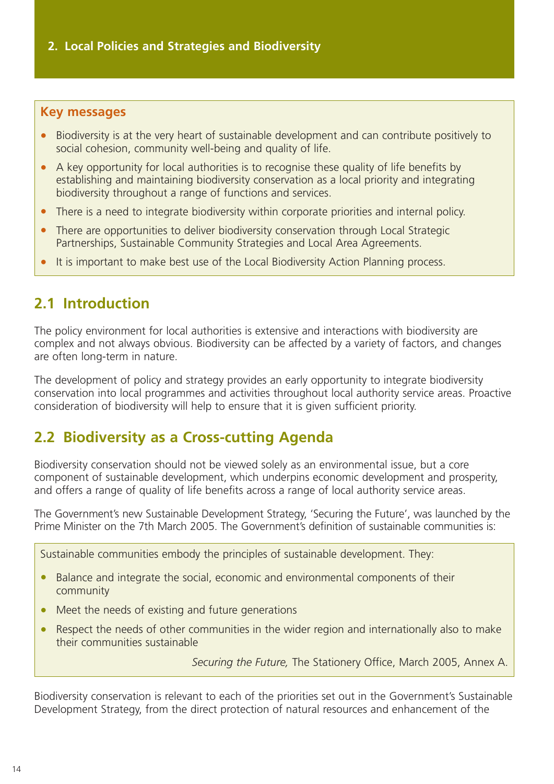#### <span id="page-16-0"></span>**Key messages**

- Biodiversity is at the very heart of sustainable development and can contribute positively to social cohesion, community well-being and quality of life.
- A key opportunity for local authorities is to recognise these quality of life benefits by establishing and maintaining biodiversity conservation as a local priority and integrating biodiversity throughout a range of functions and services.
- There is a need to integrate biodiversity within corporate priorities and internal policy.
- There are opportunities to deliver biodiversity conservation through Local Strategic Partnerships, Sustainable Community Strategies and Local Area Agreements.
- It is important to make best use of the Local Biodiversity Action Planning process.

## **2.1 Introduction**

The policy environment for local authorities is extensive and interactions with biodiversity are complex and not always obvious. Biodiversity can be affected by a variety of factors, and changes are often long-term in nature.

The development of policy and strategy provides an early opportunity to integrate biodiversity conservation into local programmes and activities throughout local authority service areas. Proactive consideration of biodiversity will help to ensure that it is given sufficient priority.

## **2.2 Biodiversity as a Cross-cutting Agenda**

Biodiversity conservation should not be viewed solely as an environmental issue, but a core component of sustainable development, which underpins economic development and prosperity, and offers a range of quality of life benefits across a range of local authority service areas.

The Government's new Sustainable Development Strategy, 'Securing the Future', was launched by the Prime Minister on the 7th March 2005. The Government's definition of sustainable communities is:

Sustainable communities embody the principles of sustainable development. They:

- Balance and integrate the social, economic and environmental components of their community
- Meet the needs of existing and future generations
- Respect the needs of other communities in the wider region and internationally also to make their communities sustainable

*Securing the Future,* The Stationery Office, March 2005, Annex A.

Biodiversity conservation is relevant to each of the priorities set out in the Government's Sustainable Development Strategy, from the direct protection of natural resources and enhancement of the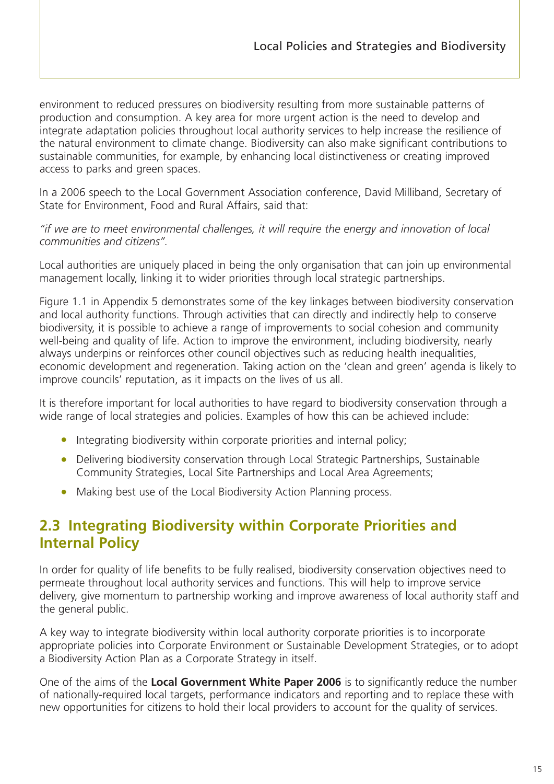<span id="page-17-0"></span>environment to reduced pressures on biodiversity resulting from more sustainable patterns of production and consumption. A key area for more urgent action is the need to develop and integrate adaptation policies throughout local authority services to help increase the resilience of the natural environment to climate change. Biodiversity can also make significant contributions to sustainable communities, for example, by enhancing local distinctiveness or creating improved access to parks and green spaces.

In a 2006 speech to the Local Government Association conference, David Milliband, Secretary of State for Environment, Food and Rural Affairs, said that:

#### *"if we are to meet environmental challenges, it will require the energy and innovation of local communities and citizens".*

Local authorities are uniquely placed in being the only organisation that can join up environmental management locally, linking it to wider priorities through local strategic partnerships.

Figure 1.1 in Appendix 5 demonstrates some of the key linkages between biodiversity conservation and local authority functions. Through activities that can directly and indirectly help to conserve biodiversity, it is possible to achieve a range of improvements to social cohesion and community well-being and quality of life. Action to improve the environment, including biodiversity, nearly always underpins or reinforces other council objectives such as reducing health inequalities, economic development and regeneration. Taking action on the 'clean and green' agenda is likely to improve councils' reputation, as it impacts on the lives of us all.

It is therefore important for local authorities to have regard to biodiversity conservation through a wide range of local strategies and policies. Examples of how this can be achieved include:

- Integrating biodiversity within corporate priorities and internal policy;
- Delivering biodiversity conservation through Local Strategic Partnerships, Sustainable Community Strategies, Local Site Partnerships and Local Area Agreements;
- Making best use of the Local Biodiversity Action Planning process.

## **2.3 Integrating Biodiversity within Corporate Priorities and Internal Policy**

In order for quality of life benefits to be fully realised, biodiversity conservation objectives need to permeate throughout local authority services and functions. This will help to improve service delivery, give momentum to partnership working and improve awareness of local authority staff and the general public.

A key way to integrate biodiversity within local authority corporate priorities is to incorporate appropriate policies into Corporate Environment or Sustainable Development Strategies, or to adopt a Biodiversity Action Plan as a Corporate Strategy in itself.

One of the aims of the **Local Government White Paper 2006** is to significantly reduce the number of nationally-required local targets, performance indicators and reporting and to replace these with new opportunities for citizens to hold their local providers to account for the quality of services.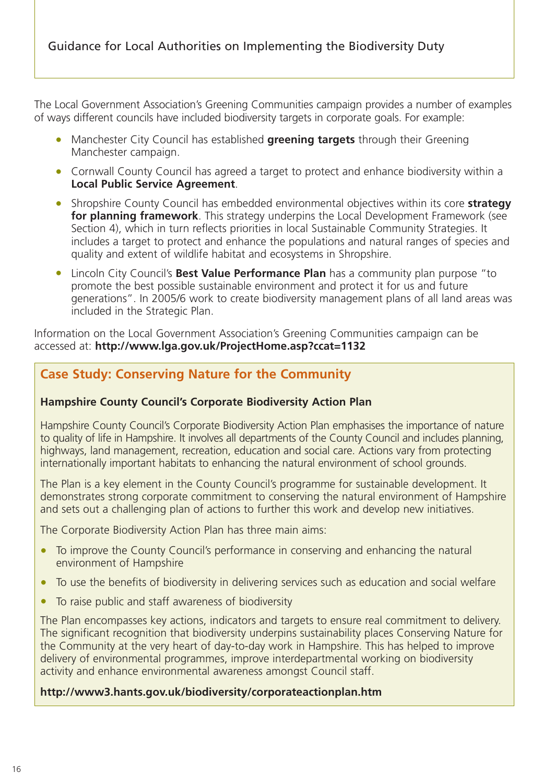The Local Government Association's Greening Communities campaign provides a number of examples of ways different councils have included biodiversity targets in corporate goals. For example:

- Manchester City Council has established **greening targets** through their Greening Manchester campaign.
- Cornwall County Council has agreed a target to protect and enhance biodiversity within a **Local Public Service Agreement**.
- Shropshire County Council has embedded environmental objectives within its core **strategy for planning framework**. This strategy underpins the Local Development Framework (see Section 4), which in turn reflects priorities in local Sustainable Community Strategies. It includes a target to protect and enhance the populations and natural ranges of species and quality and extent of wildlife habitat and ecosystems in Shropshire.
- Lincoln City Council's **Best Value Performance Plan** has a community plan purpose "to promote the best possible sustainable environment and protect it for us and future generations". In 2005/6 work to create biodiversity management plans of all land areas was included in the Strategic Plan.

Information on the Local Government Association's Greening Communities campaign can be accessed at: **http://www.lga.gov.uk/ProjectHome.asp?ccat=1132**

### **Case Study: Conserving Nature for the Community**

#### **Hampshire County Council's Corporate Biodiversity Action Plan**

Hampshire County Council's Corporate Biodiversity Action Plan emphasises the importance of nature to quality of life in Hampshire. It involves all departments of the County Council and includes planning, highways, land management, recreation, education and social care. Actions vary from protecting internationally important habitats to enhancing the natural environment of school grounds.

The Plan is a key element in the County Council's programme for sustainable development. It demonstrates strong corporate commitment to conserving the natural environment of Hampshire and sets out a challenging plan of actions to further this work and develop new initiatives.

The Corporate Biodiversity Action Plan has three main aims:

- To improve the County Council's performance in conserving and enhancing the natural environment of Hampshire
- To use the benefits of biodiversity in delivering services such as education and social welfare
- To raise public and staff awareness of biodiversity

The Plan encompasses key actions, indicators and targets to ensure real commitment to delivery. The significant recognition that biodiversity underpins sustainability places Conserving Nature for the Community at the very heart of day-to-day work in Hampshire. This has helped to improve delivery of environmental programmes, improve interdepartmental working on biodiversity activity and enhance environmental awareness amongst Council staff.

#### **http://www3.hants.gov.uk/biodiversity/corporateactionplan.htm**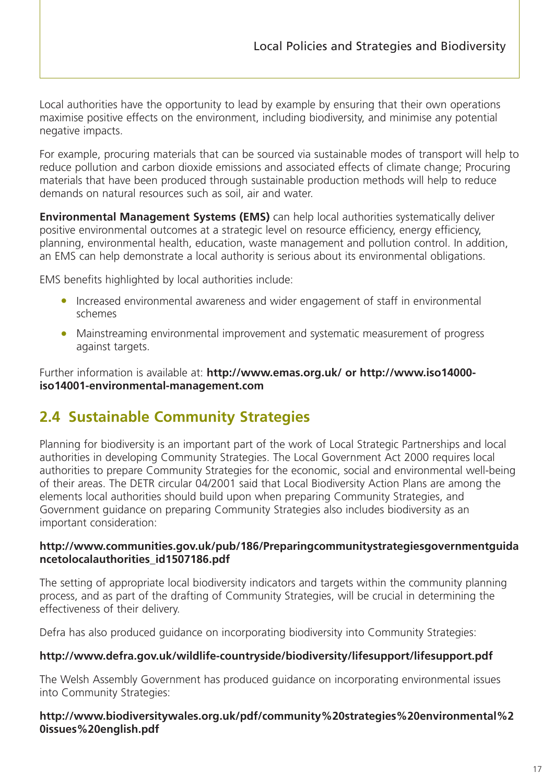<span id="page-19-0"></span>Local authorities have the opportunity to lead by example by ensuring that their own operations maximise positive effects on the environment, including biodiversity, and minimise any potential negative impacts.

For example, procuring materials that can be sourced via sustainable modes of transport will help to reduce pollution and carbon dioxide emissions and associated effects of climate change; Procuring materials that have been produced through sustainable production methods will help to reduce demands on natural resources such as soil, air and water.

**Environmental Management Systems (EMS)** can help local authorities systematically deliver positive environmental outcomes at a strategic level on resource efficiency, energy efficiency, planning, environmental health, education, waste management and pollution control. In addition, an EMS can help demonstrate a local authority is serious about its environmental obligations.

EMS benefits highlighted by local authorities include:

- Increased environmental awareness and wider engagement of staff in environmental schemes
- Mainstreaming environmental improvement and systematic measurement of progress against targets.

Further information is available at: **http://www.emas.org.uk/ or http://www.iso14000 iso14001-environmental-management.com**

# **2.4 Sustainable Community Strategies**

Planning for biodiversity is an important part of the work of Local Strategic Partnerships and local authorities in developing Community Strategies. The Local Government Act 2000 requires local authorities to prepare Community Strategies for the economic, social and environmental well-being of their areas. The DETR circular 04/2001 said that Local Biodiversity Action Plans are among the elements local authorities should build upon when preparing Community Strategies, and Government guidance on preparing Community Strategies also includes biodiversity as an important consideration:

#### **http://www.communities.gov.uk/pub/186/Preparingcommunitystrategiesgovernmentguida ncetolocalauthorities\_id1507186.pdf**

The setting of appropriate local biodiversity indicators and targets within the community planning process, and as part of the drafting of Community Strategies, will be crucial in determining the effectiveness of their delivery.

Defra has also produced guidance on incorporating biodiversity into Community Strategies:

#### **http://www.defra.gov.uk/wildlife-countryside/biodiversity/lifesupport/lifesupport.pdf**

The Welsh Assembly Government has produced guidance on incorporating environmental issues into Community Strategies:

#### **http://www.biodiversitywales.org.uk/pdf/community%20strategies%20environmental%2 0issues%20english.pdf**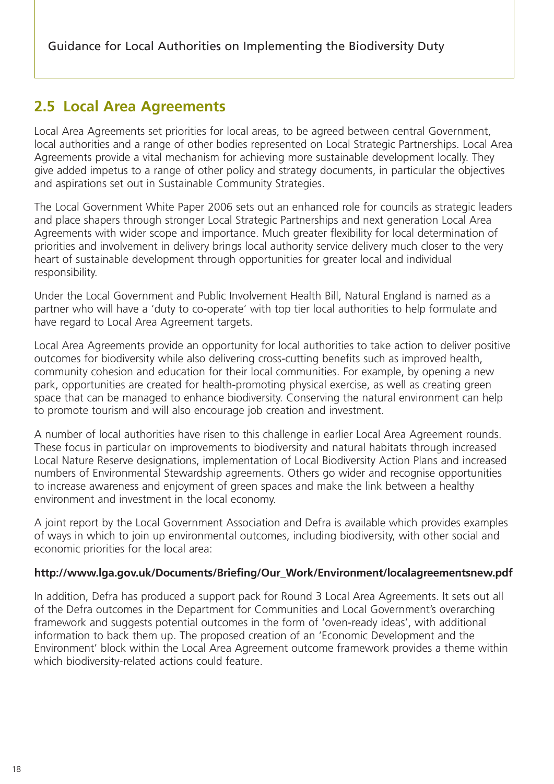## <span id="page-20-0"></span>**2.5 Local Area Agreements**

Local Area Agreements set priorities for local areas, to be agreed between central Government, local authorities and a range of other bodies represented on Local Strategic Partnerships. Local Area Agreements provide a vital mechanism for achieving more sustainable development locally. They give added impetus to a range of other policy and strategy documents, in particular the objectives and aspirations set out in Sustainable Community Strategies.

The Local Government White Paper 2006 sets out an enhanced role for councils as strategic leaders and place shapers through stronger Local Strategic Partnerships and next generation Local Area Agreements with wider scope and importance. Much greater flexibility for local determination of priorities and involvement in delivery brings local authority service delivery much closer to the very heart of sustainable development through opportunities for greater local and individual responsibility.

Under the Local Government and Public Involvement Health Bill, Natural England is named as a partner who will have a 'duty to co-operate' with top tier local authorities to help formulate and have regard to Local Area Agreement targets.

Local Area Agreements provide an opportunity for local authorities to take action to deliver positive outcomes for biodiversity while also delivering cross-cutting benefits such as improved health, community cohesion and education for their local communities. For example, by opening a new park, opportunities are created for health-promoting physical exercise, as well as creating green space that can be managed to enhance biodiversity. Conserving the natural environment can help to promote tourism and will also encourage job creation and investment.

A number of local authorities have risen to this challenge in earlier Local Area Agreement rounds. These focus in particular on improvements to biodiversity and natural habitats through increased Local Nature Reserve designations, implementation of Local Biodiversity Action Plans and increased numbers of Environmental Stewardship agreements. Others go wider and recognise opportunities to increase awareness and enjoyment of green spaces and make the link between a healthy environment and investment in the local economy.

A joint report by the Local Government Association and Defra is available which provides examples of ways in which to join up environmental outcomes, including biodiversity, with other social and economic priorities for the local area:

#### **http://www.lga.gov.uk/Documents/Briefing/Our\_Work/Environment/localagreementsnew.pdf**

In addition, Defra has produced a support pack for Round 3 Local Area Agreements. It sets out all of the Defra outcomes in the Department for Communities and Local Government's overarching framework and suggests potential outcomes in the form of 'oven-ready ideas', with additional information to back them up. The proposed creation of an 'Economic Development and the Environment' block within the Local Area Agreement outcome framework provides a theme within which biodiversity-related actions could feature.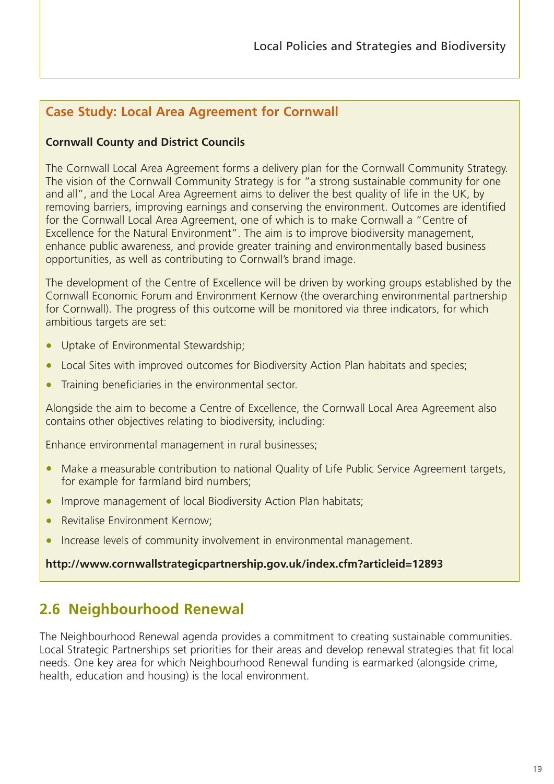### <span id="page-21-0"></span>**Case Study: Local Area Agreement for Cornwall**

#### **Cornwall County and District Councils**

The Cornwall Local Area Agreement forms a delivery plan for the Cornwall Community Strategy. The vision of the Cornwall Community Strategy is for "a strong sustainable community for one and all", and the Local Area Agreement aims to deliver the best quality of life in the UK, by removing barriers, improving earnings and conserving the environment. Outcomes are identified for the Cornwall Local Area Agreement, one of which is to make Cornwall a "Centre of Excellence for the Natural Environment". The aim is to improve biodiversity management, enhance public awareness, and provide greater training and environmentally based business opportunities, as well as contributing to Cornwall's brand image.

The development of the Centre of Excellence will be driven by working groups established by the Cornwall Economic Forum and Environment Kernow (the overarching environmental partnership for Cornwall). The progress of this outcome will be monitored via three indicators, for which ambitious targets are set:

- Uptake of Environmental Stewardship;
- Local Sites with improved outcomes for Biodiversity Action Plan habitats and species;
- Training beneficiaries in the environmental sector.

Alongside the aim to become a Centre of Excellence, the Cornwall Local Area Agreement also contains other objectives relating to biodiversity, including:

Enhance environmental management in rural businesses;

- Make a measurable contribution to national Quality of Life Public Service Agreement targets, for example for farmland bird numbers;
- Improve management of local Biodiversity Action Plan habitats;
- Revitalise Environment Kernow:
- Increase levels of community involvement in environmental management.

#### **http://www.cornwallstrategicpartnership.gov.uk/index.cfm?articleid=12893**

## **2.6 Neighbourhood Renewal**

The Neighbourhood Renewal agenda provides a commitment to creating sustainable communities. Local Strategic Partnerships set priorities for their areas and develop renewal strategies that fit local needs. One key area for which Neighbourhood Renewal funding is earmarked (alongside crime, health, education and housing) is the local environment.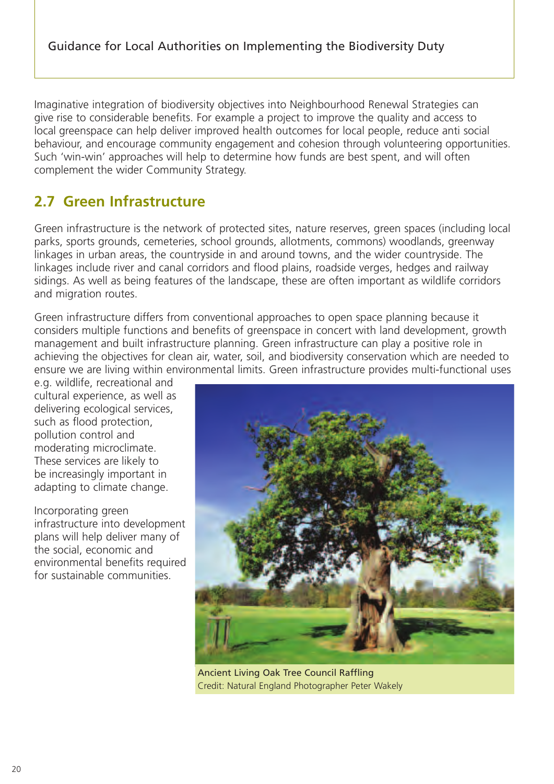<span id="page-22-0"></span>Imaginative integration of biodiversity objectives into Neighbourhood Renewal Strategies can give rise to considerable benefits. For example a project to improve the quality and access to local greenspace can help deliver improved health outcomes for local people, reduce anti social behaviour, and encourage community engagement and cohesion through volunteering opportunities. Such 'win-win' approaches will help to determine how funds are best spent, and will often complement the wider Community Strategy.

# **2.7 Green Infrastructure**

Green infrastructure is the network of protected sites, nature reserves, green spaces (including local parks, sports grounds, cemeteries, school grounds, allotments, commons) woodlands, greenway linkages in urban areas, the countryside in and around towns, and the wider countryside. The linkages include river and canal corridors and flood plains, roadside verges, hedges and railway sidings. As well as being features of the landscape, these are often important as wildlife corridors and migration routes.

Green infrastructure differs from conventional approaches to open space planning because it considers multiple functions and benefits of greenspace in concert with land development, growth management and built infrastructure planning. Green infrastructure can play a positive role in achieving the objectives for clean air, water, soil, and biodiversity conservation which are needed to ensure we are living within environmental limits. Green infrastructure provides multi-functional uses

e.g. wildlife, recreational and cultural experience, as well as delivering ecological services, such as flood protection, pollution control and moderating microclimate. These services are likely to be increasingly important in adapting to climate change.

Incorporating green infrastructure into development plans will help deliver many of the social, economic and environmental benefits required for sustainable communities.



Ancient Living Oak Tree Council Raffling Credit: Natural England Photographer Peter Wakely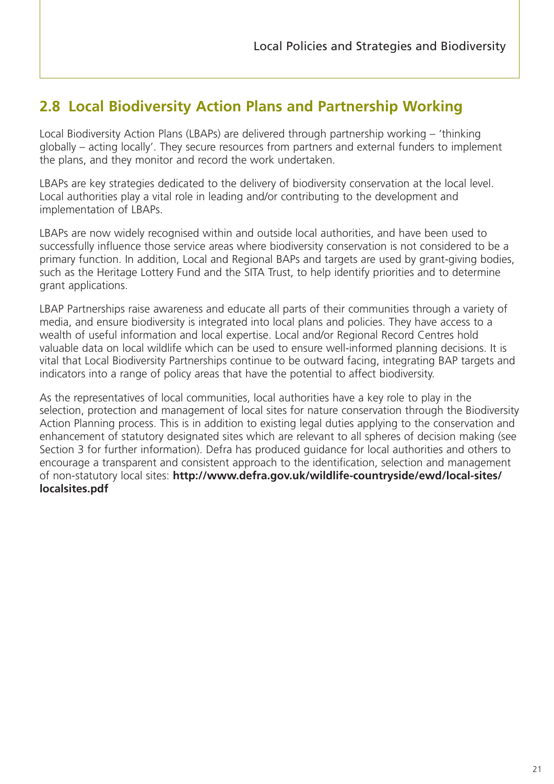# <span id="page-23-0"></span>**2.8 Local Biodiversity Action Plans and Partnership Working**

Local Biodiversity Action Plans (LBAPs) are delivered through partnership working – 'thinking globally – acting locally'. They secure resources from partners and external funders to implement the plans, and they monitor and record the work undertaken.

LBAPs are key strategies dedicated to the delivery of biodiversity conservation at the local level. Local authorities play a vital role in leading and/or contributing to the development and implementation of LBAPs.

LBAPs are now widely recognised within and outside local authorities, and have been used to successfully influence those service areas where biodiversity conservation is not considered to be a primary function. In addition, Local and Regional BAPs and targets are used by grant-giving bodies, such as the Heritage Lottery Fund and the SITA Trust, to help identify priorities and to determine grant applications.

LBAP Partnerships raise awareness and educate all parts of their communities through a variety of media, and ensure biodiversity is integrated into local plans and policies. They have access to a wealth of useful information and local expertise. Local and/or Regional Record Centres hold valuable data on local wildlife which can be used to ensure well-informed planning decisions. It is vital that Local Biodiversity Partnerships continue to be outward facing, integrating BAP targets and indicators into a range of policy areas that have the potential to affect biodiversity.

As the representatives of local communities, local authorities have a key role to play in the selection, protection and management of local sites for nature conservation through the Biodiversity Action Planning process. This is in addition to existing legal duties applying to the conservation and enhancement of statutory designated sites which are relevant to all spheres of decision making (see Section 3 for further information). Defra has produced guidance for local authorities and others to encourage a transparent and consistent approach to the identification, selection and management of non-statutory local sites: **http://www.defra.gov.uk/wildlife-countryside/ewd/local-sites/ localsites.pdf**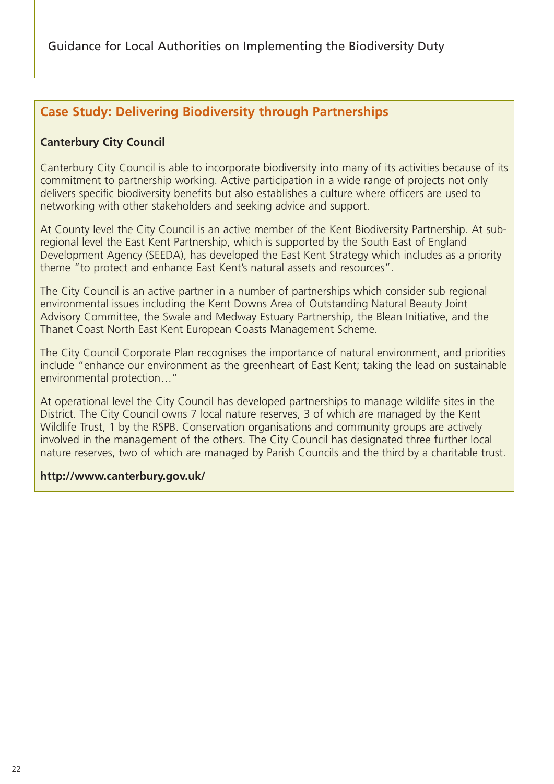### **Case Study: Delivering Biodiversity through Partnerships**

#### **Canterbury City Council**

Canterbury City Council is able to incorporate biodiversity into many of its activities because of its commitment to partnership working. Active participation in a wide range of projects not only delivers specific biodiversity benefits but also establishes a culture where officers are used to networking with other stakeholders and seeking advice and support.

At County level the City Council is an active member of the Kent Biodiversity Partnership. At subregional level the East Kent Partnership, which is supported by the South East of England Development Agency (SEEDA), has developed the East Kent Strategy which includes as a priority theme "to protect and enhance East Kent's natural assets and resources".

The City Council is an active partner in a number of partnerships which consider sub regional environmental issues including the Kent Downs Area of Outstanding Natural Beauty Joint Advisory Committee, the Swale and Medway Estuary Partnership, the Blean Initiative, and the Thanet Coast North East Kent European Coasts Management Scheme.

The City Council Corporate Plan recognises the importance of natural environment, and priorities include "enhance our environment as the greenheart of East Kent; taking the lead on sustainable environmental protection…"

At operational level the City Council has developed partnerships to manage wildlife sites in the District. The City Council owns 7 local nature reserves, 3 of which are managed by the Kent Wildlife Trust, 1 by the RSPB. Conservation organisations and community groups are actively involved in the management of the others. The City Council has designated three further local nature reserves, two of which are managed by Parish Councils and the third by a charitable trust.

#### **http://www.canterbury.gov.uk/**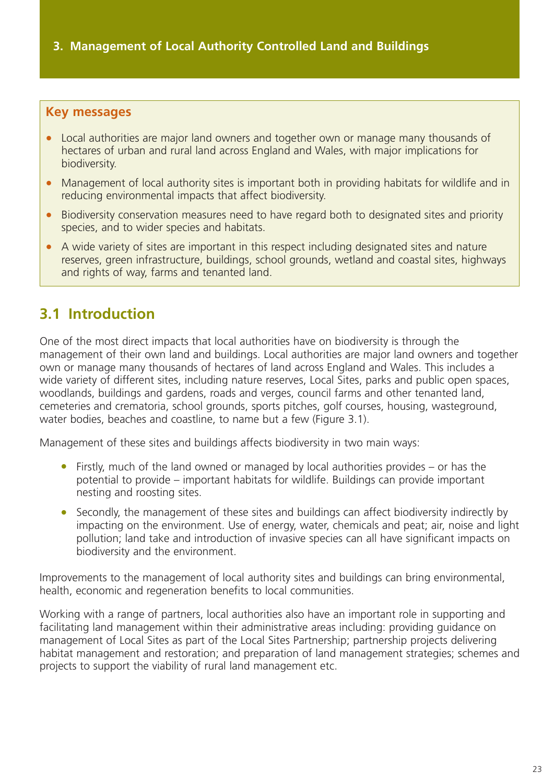#### <span id="page-25-0"></span>**Key messages**

- Local authorities are major land owners and together own or manage many thousands of hectares of urban and rural land across England and Wales, with major implications for biodiversity.
- Management of local authority sites is important both in providing habitats for wildlife and in reducing environmental impacts that affect biodiversity.
- Biodiversity conservation measures need to have regard both to designated sites and priority species, and to wider species and habitats.
- A wide variety of sites are important in this respect including designated sites and nature reserves, green infrastructure, buildings, school grounds, wetland and coastal sites, highways and rights of way, farms and tenanted land.

# **3.1 Introduction**

One of the most direct impacts that local authorities have on biodiversity is through the management of their own land and buildings. Local authorities are major land owners and together own or manage many thousands of hectares of land across England and Wales. This includes a wide variety of different sites, including nature reserves, Local Sites, parks and public open spaces, woodlands, buildings and gardens, roads and verges, council farms and other tenanted land, cemeteries and crematoria, school grounds, sports pitches, golf courses, housing, wasteground, water bodies, beaches and coastline, to name but a few (Figure 3.1).

Management of these sites and buildings affects biodiversity in two main ways:

- Firstly, much of the land owned or managed by local authorities provides or has the potential to provide – important habitats for wildlife. Buildings can provide important nesting and roosting sites.
- Secondly, the management of these sites and buildings can affect biodiversity indirectly by impacting on the environment. Use of energy, water, chemicals and peat; air, noise and light pollution; land take and introduction of invasive species can all have significant impacts on biodiversity and the environment.

Improvements to the management of local authority sites and buildings can bring environmental, health, economic and regeneration benefits to local communities.

Working with a range of partners, local authorities also have an important role in supporting and facilitating land management within their administrative areas including: providing guidance on management of Local Sites as part of the Local Sites Partnership; partnership projects delivering habitat management and restoration; and preparation of land management strategies; schemes and projects to support the viability of rural land management etc.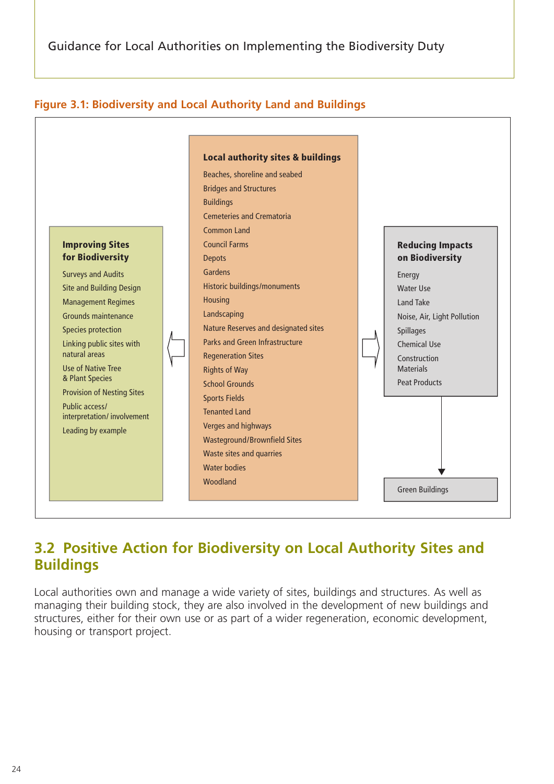<span id="page-26-0"></span>



## **3.2 Positive Action for Biodiversity on Local Authority Sites and Buildings**

Local authorities own and manage a wide variety of sites, buildings and structures. As well as **F** managing their building stock, they are also involved in the development of new buildings and structures, either for their own use or as part of a wider regeneration, economic development, housing or transport project.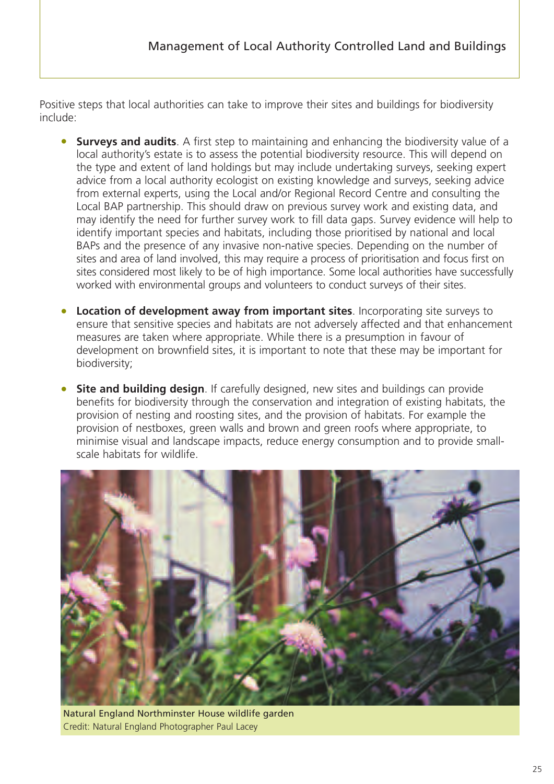Positive steps that local authorities can take to improve their sites and buildings for biodiversity include:

- **Surveys and audits**. A first step to maintaining and enhancing the biodiversity value of a local authority's estate is to assess the potential biodiversity resource. This will depend on the type and extent of land holdings but may include undertaking surveys, seeking expert advice from a local authority ecologist on existing knowledge and surveys, seeking advice from external experts, using the Local and/or Regional Record Centre and consulting the Local BAP partnership. This should draw on previous survey work and existing data, and may identify the need for further survey work to fill data gaps. Survey evidence will help to identify important species and habitats, including those prioritised by national and local BAPs and the presence of any invasive non-native species. Depending on the number of sites and area of land involved, this may require a process of prioritisation and focus first on sites considered most likely to be of high importance. Some local authorities have successfully worked with environmental groups and volunteers to conduct surveys of their sites.
- **Location of development away from important sites**. Incorporating site surveys to ensure that sensitive species and habitats are not adversely affected and that enhancement measures are taken where appropriate. While there is a presumption in favour of development on brownfield sites, it is important to note that these may be important for biodiversity;
- **Site and building design**. If carefully designed, new sites and buildings can provide benefits for biodiversity through the conservation and integration of existing habitats, the provision of nesting and roosting sites, and the provision of habitats. For example the provision of nestboxes, green walls and brown and green roofs where appropriate, to minimise visual and landscape impacts, reduce energy consumption and to provide smallscale habitats for wildlife.



Natural England Northminster House wildlife garden Credit: Natural England Photographer Paul Lacey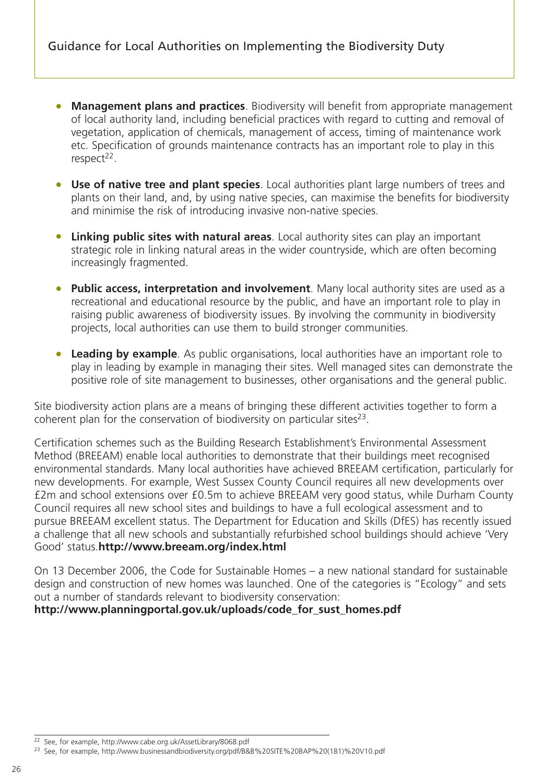- **Management plans and practices**. Biodiversity will benefit from appropriate management of local authority land, including beneficial practices with regard to cutting and removal of vegetation, application of chemicals, management of access, timing of maintenance work etc. Specification of grounds maintenance contracts has an important role to play in this  $respect<sup>22</sup>$ .
- **Use of native tree and plant species**. Local authorities plant large numbers of trees and plants on their land, and, by using native species, can maximise the benefits for biodiversity and minimise the risk of introducing invasive non-native species.
- **Linking public sites with natural areas**. Local authority sites can play an important strategic role in linking natural areas in the wider countryside, which are often becoming increasingly fragmented.
- **Public access, interpretation and involvement**. Many local authority sites are used as a recreational and educational resource by the public, and have an important role to play in raising public awareness of biodiversity issues. By involving the community in biodiversity projects, local authorities can use them to build stronger communities.
- **Leading by example**. As public organisations, local authorities have an important role to play in leading by example in managing their sites. Well managed sites can demonstrate the positive role of site management to businesses, other organisations and the general public.

Site biodiversity action plans are a means of bringing these different activities together to form a coherent plan for the conservation of biodiversity on particular sites $2^3$ .

Certification schemes such as the Building Research Establishment's Environmental Assessment Method (BREEAM) enable local authorities to demonstrate that their buildings meet recognised environmental standards. Many local authorities have achieved BREEAM certification, particularly for new developments. For example, West Sussex County Council requires all new developments over £2m and school extensions over £0.5m to achieve BREEAM very good status, while Durham County Council requires all new school sites and buildings to have a full ecological assessment and to pursue BREEAM excellent status. The Department for Education and Skills (DfES) has recently issued a challenge that all new schools and substantially refurbished school buildings should achieve 'Very Good' status.**http://www.breeam.org/index.html**

On 13 December 2006, the Code for Sustainable Homes – a new national standard for sustainable design and construction of new homes was launched. One of the categories is "Ecology" and sets out a number of standards relevant to biodiversity conservation:

#### **http://www.planningportal.gov.uk/uploads/code\_for\_sust\_homes.pdf**

<sup>22</sup> See, for example, http://www.cabe.org.uk/AssetLibrary/8068.pdf

<sup>23</sup> See, for example, http://www.businessandbiodiversity.org/pdf/B&B%20SITE%20BAP%20(181)%20V10.pdf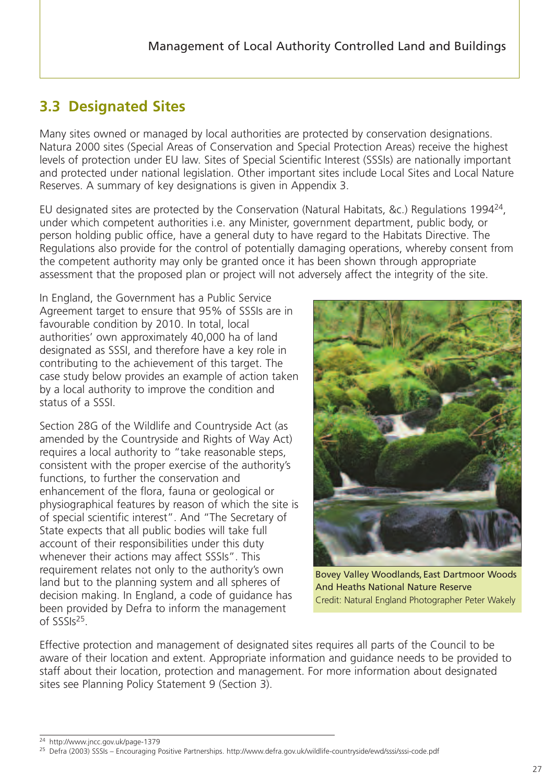# <span id="page-29-0"></span>**3.3 Designated Sites**

Many sites owned or managed by local authorities are protected by conservation designations. Natura 2000 sites (Special Areas of Conservation and Special Protection Areas) receive the highest levels of protection under EU law. Sites of Special Scientific Interest (SSSIs) are nationally important and protected under national legislation. Other important sites include Local Sites and Local Nature Reserves. A summary of key designations is given in Appendix 3.

EU designated sites are protected by the Conservation (Natural Habitats, &c.) Regulations 199424, under which competent authorities i.e. any Minister, government department, public body, or person holding public office, have a general duty to have regard to the Habitats Directive. The Regulations also provide for the control of potentially damaging operations, whereby consent from the competent authority may only be granted once it has been shown through appropriate assessment that the proposed plan or project will not adversely affect the integrity of the site.

In England, the Government has a Public Service Agreement target to ensure that 95% of SSSIs are in favourable condition by 2010. In total, local authorities' own approximately 40,000 ha of land designated as SSSI, and therefore have a key role in contributing to the achievement of this target. The case study below provides an example of action taken by a local authority to improve the condition and status of a SSSI.

Section 28G of the Wildlife and Countryside Act (as amended by the Countryside and Rights of Way Act) requires a local authority to "take reasonable steps, consistent with the proper exercise of the authority's functions, to further the conservation and enhancement of the flora, fauna or geological or physiographical features by reason of which the site is of special scientific interest". And "The Secretary of State expects that all public bodies will take full account of their responsibilities under this duty whenever their actions may affect SSSIs". This requirement relates not only to the authority's own land but to the planning system and all spheres of decision making. In England, a code of guidance has been provided by Defra to inform the management of SSSIs25.



Bovey Valley Woodlands,East Dartmoor Woods And Heaths National Nature Reserve Credit: Natural England Photographer Peter Wakely

Effective protection and management of designated sites requires all parts of the Council to be aware of their location and extent. Appropriate information and guidance needs to be provided to staff about their location, protection and management. For more information about designated sites see Planning Policy Statement 9 (Section 3).

<sup>24</sup> http://www.jncc.gov.uk/page-1379

<sup>25</sup> Defra (2003) SSSIs – Encouraging Positive Partnerships. http://www.defra.gov.uk/wildlife-countryside/ewd/sssi/sssi-code.pdf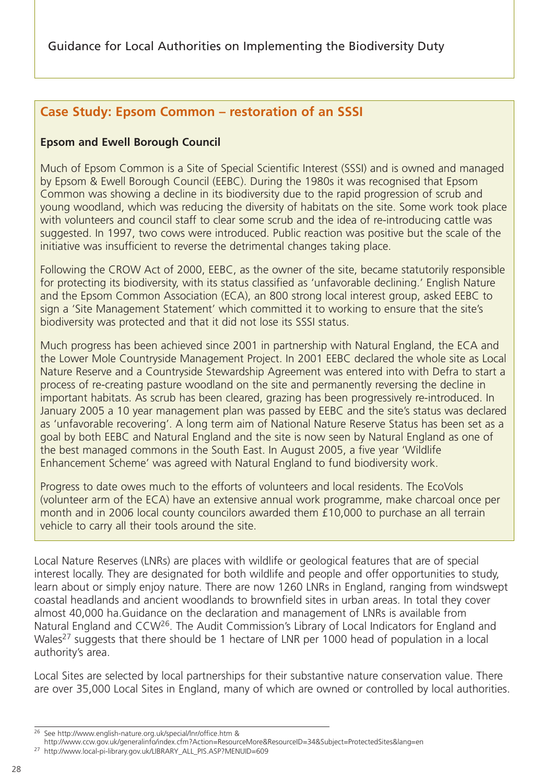### **Case Study: Epsom Common – restoration of an SSSI**

#### **Epsom and Ewell Borough Council**

Much of Epsom Common is a Site of Special Scientific Interest (SSSI) and is owned and managed by Epsom & Ewell Borough Council (EEBC). During the 1980s it was recognised that Epsom Common was showing a decline in its biodiversity due to the rapid progression of scrub and young woodland, which was reducing the diversity of habitats on the site. Some work took place with volunteers and council staff to clear some scrub and the idea of re-introducing cattle was suggested. In 1997, two cows were introduced. Public reaction was positive but the scale of the initiative was insufficient to reverse the detrimental changes taking place.

Following the CROW Act of 2000, EEBC, as the owner of the site, became statutorily responsible for protecting its biodiversity, with its status classified as 'unfavorable declining.' English Nature and the Epsom Common Association (ECA), an 800 strong local interest group, asked EEBC to sign a 'Site Management Statement' which committed it to working to ensure that the site's biodiversity was protected and that it did not lose its SSSI status.

Much progress has been achieved since 2001 in partnership with Natural England, the ECA and the Lower Mole Countryside Management Project. In 2001 EEBC declared the whole site as Local Nature Reserve and a Countryside Stewardship Agreement was entered into with Defra to start a process of re-creating pasture woodland on the site and permanently reversing the decline in important habitats. As scrub has been cleared, grazing has been progressively re-introduced. In January 2005 a 10 year management plan was passed by EEBC and the site's status was declared as 'unfavorable recovering'. A long term aim of National Nature Reserve Status has been set as a goal by both EEBC and Natural England and the site is now seen by Natural England as one of the best managed commons in the South East. In August 2005, a five year 'Wildlife Enhancement Scheme' was agreed with Natural England to fund biodiversity work.

Progress to date owes much to the efforts of volunteers and local residents. The EcoVols (volunteer arm of the ECA) have an extensive annual work programme, make charcoal once per month and in 2006 local county councilors awarded them £10,000 to purchase an all terrain vehicle to carry all their tools around the site.

Local Nature Reserves (LNRs) are places with wildlife or geological features that are of special interest locally. They are designated for both wildlife and people and offer opportunities to study, learn about or simply enjoy nature. There are now 1260 LNRs in England, ranging from windswept coastal headlands and ancient woodlands to brownfield sites in urban areas. In total they cover almost 40,000 ha.Guidance on the declaration and management of LNRs is available from Natural England and CCW<sup>26</sup>. The Audit Commission's Library of Local Indicators for England and Wales<sup>27</sup> suggests that there should be 1 hectare of LNR per 1000 head of population in a local authority's area.

Local Sites are selected by local partnerships for their substantive nature conservation value. There are over 35,000 Local Sites in England, many of which are owned or controlled by local authorities.

<sup>26</sup> See http://www.english-nature.org.uk/special/lnr/office.htm &

http://www.ccw.gov.uk/generalinfo/index.cfm?Action=ResourceMore&ResourceID=34&Subject=ProtectedSites&lang=en

<sup>27</sup> http://www.local-pi-library.gov.uk/LIBRARY\_ALL\_PIS.ASP?MENUID=609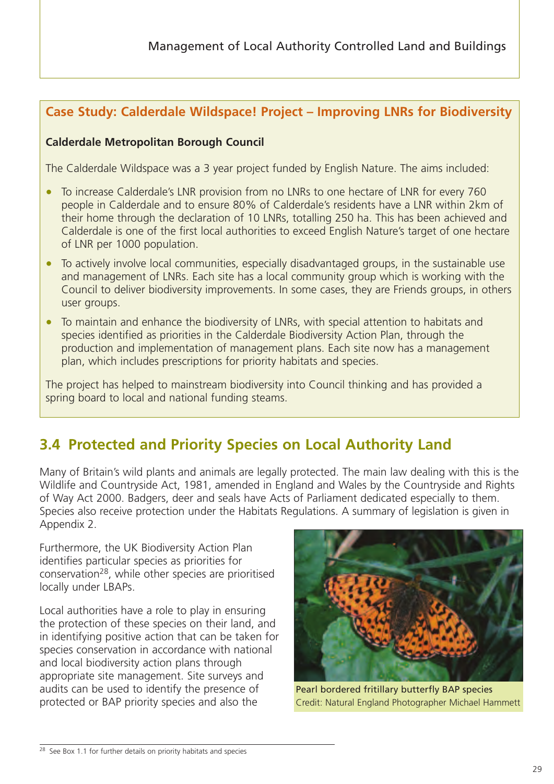## <span id="page-31-0"></span>**Case Study: Calderdale Wildspace! Project – Improving LNRs for Biodiversity**

#### **Calderdale Metropolitan Borough Council**

The Calderdale Wildspace was a 3 year project funded by English Nature. The aims included:

- To increase Calderdale's LNR provision from no LNRs to one hectare of LNR for every 760 people in Calderdale and to ensure 80% of Calderdale's residents have a LNR within 2km of their home through the declaration of 10 LNRs, totalling 250 ha. This has been achieved and Calderdale is one of the first local authorities to exceed English Nature's target of one hectare of LNR per 1000 population.
- To actively involve local communities, especially disadvantaged groups, in the sustainable use and management of LNRs. Each site has a local community group which is working with the Council to deliver biodiversity improvements. In some cases, they are Friends groups, in others user groups.
- To maintain and enhance the biodiversity of LNRs, with special attention to habitats and species identified as priorities in the Calderdale Biodiversity Action Plan, through the production and implementation of management plans. Each site now has a management plan, which includes prescriptions for priority habitats and species.

The project has helped to mainstream biodiversity into Council thinking and has provided a spring board to local and national funding steams.

# **3.4 Protected and Priority Species on Local Authority Land**

Many of Britain's wild plants and animals are legally protected. The main law dealing with this is the Wildlife and Countryside Act, 1981, amended in England and Wales by the Countryside and Rights of Way Act 2000. Badgers, deer and seals have Acts of Parliament dedicated especially to them. Species also receive protection under the Habitats Regulations. A summary of legislation is given in Appendix 2.

Furthermore, the UK Biodiversity Action Plan identifies particular species as priorities for conservation28, while other species are prioritised locally under LBAPs.

Local authorities have a role to play in ensuring the protection of these species on their land, and in identifying positive action that can be taken for species conservation in accordance with national and local biodiversity action plans through appropriate site management. Site surveys and audits can be used to identify the presence of protected or BAP priority species and also the



Pearl bordered fritillary butterfly BAP species Credit: Natural England Photographer Michael Hammett

<sup>28</sup> See Box 1.1 for further details on priority habitats and species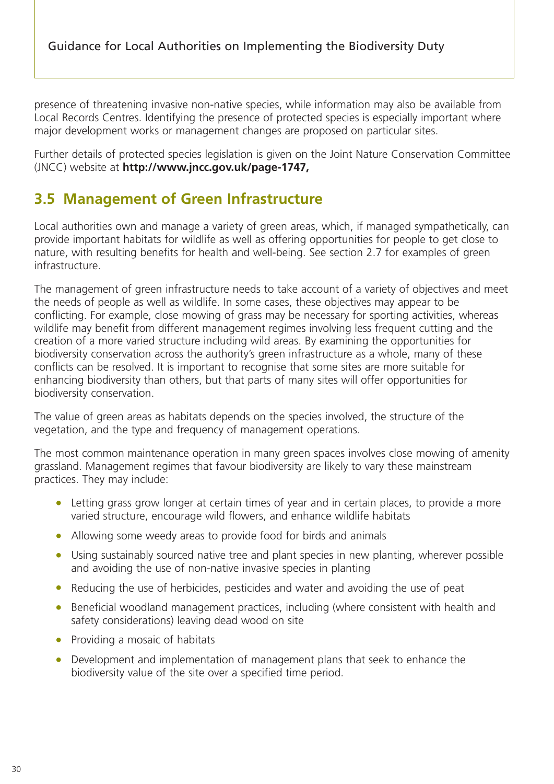<span id="page-32-0"></span>presence of threatening invasive non-native species, while information may also be available from Local Records Centres. Identifying the presence of protected species is especially important where major development works or management changes are proposed on particular sites.

Further details of protected species legislation is given on the Joint Nature Conservation Committee (JNCC) website at **http://www.jncc.gov.uk/page-1747,**

## **3.5 Management of Green Infrastructure**

Local authorities own and manage a variety of green areas, which, if managed sympathetically, can provide important habitats for wildlife as well as offering opportunities for people to get close to nature, with resulting benefits for health and well-being. See section 2.7 for examples of green infrastructure.

The management of green infrastructure needs to take account of a variety of objectives and meet the needs of people as well as wildlife. In some cases, these objectives may appear to be conflicting. For example, close mowing of grass may be necessary for sporting activities, whereas wildlife may benefit from different management regimes involving less frequent cutting and the creation of a more varied structure including wild areas. By examining the opportunities for biodiversity conservation across the authority's green infrastructure as a whole, many of these conflicts can be resolved. It is important to recognise that some sites are more suitable for enhancing biodiversity than others, but that parts of many sites will offer opportunities for biodiversity conservation.

The value of green areas as habitats depends on the species involved, the structure of the vegetation, and the type and frequency of management operations.

The most common maintenance operation in many green spaces involves close mowing of amenity grassland. Management regimes that favour biodiversity are likely to vary these mainstream practices. They may include:

- Letting grass grow longer at certain times of year and in certain places, to provide a more varied structure, encourage wild flowers, and enhance wildlife habitats
- Allowing some weedy areas to provide food for birds and animals
- Using sustainably sourced native tree and plant species in new planting, wherever possible and avoiding the use of non-native invasive species in planting
- Reducing the use of herbicides, pesticides and water and avoiding the use of peat
- Beneficial woodland management practices, including (where consistent with health and safety considerations) leaving dead wood on site
- Providing a mosaic of habitats
- Development and implementation of management plans that seek to enhance the biodiversity value of the site over a specified time period.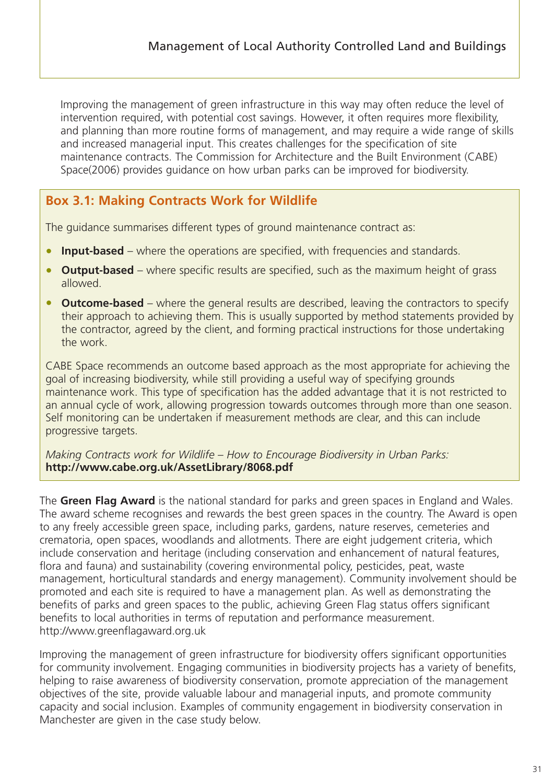Improving the management of green infrastructure in this way may often reduce the level of intervention required, with potential cost savings. However, it often requires more flexibility, and planning than more routine forms of management, and may require a wide range of skills and increased managerial input. This creates challenges for the specification of site maintenance contracts. The Commission for Architecture and the Built Environment (CABE) Space(2006) provides guidance on how urban parks can be improved for biodiversity.

### **Box 3.1: Making Contracts Work for Wildlife**

The guidance summarises different types of ground maintenance contract as:

- **Input-based** where the operations are specified, with frequencies and standards.
- **Output-based** where specific results are specified, such as the maximum height of grass allowed.
- **Outcome-based** where the general results are described, leaving the contractors to specify their approach to achieving them. This is usually supported by method statements provided by the contractor, agreed by the client, and forming practical instructions for those undertaking the work.

CABE Space recommends an outcome based approach as the most appropriate for achieving the goal of increasing biodiversity, while still providing a useful way of specifying grounds maintenance work. This type of specification has the added advantage that it is not restricted to an annual cycle of work, allowing progression towards outcomes through more than one season. Self monitoring can be undertaken if measurement methods are clear, and this can include progressive targets.

*Making Contracts work for Wildlife – How to Encourage Biodiversity in Urban Parks:* **http://www.cabe.org.uk/AssetLibrary/8068.pdf**

The **Green Flag Award** is the national standard for parks and green spaces in England and Wales. The award scheme recognises and rewards the best green spaces in the country. The Award is open to any freely accessible green space, including parks, gardens, nature reserves, cemeteries and crematoria, open spaces, woodlands and allotments. There are eight judgement criteria, which include conservation and heritage (including conservation and enhancement of natural features, flora and fauna) and sustainability (covering environmental policy, pesticides, peat, waste management, horticultural standards and energy management). Community involvement should be promoted and each site is required to have a management plan. As well as demonstrating the benefits of parks and green spaces to the public, achieving Green Flag status offers significant benefits to local authorities in terms of reputation and performance measurement. http://www.greenflagaward.org.uk

Improving the management of green infrastructure for biodiversity offers significant opportunities for community involvement. Engaging communities in biodiversity projects has a variety of benefits, helping to raise awareness of biodiversity conservation, promote appreciation of the management objectives of the site, provide valuable labour and managerial inputs, and promote community capacity and social inclusion. Examples of community engagement in biodiversity conservation in Manchester are given in the case study below.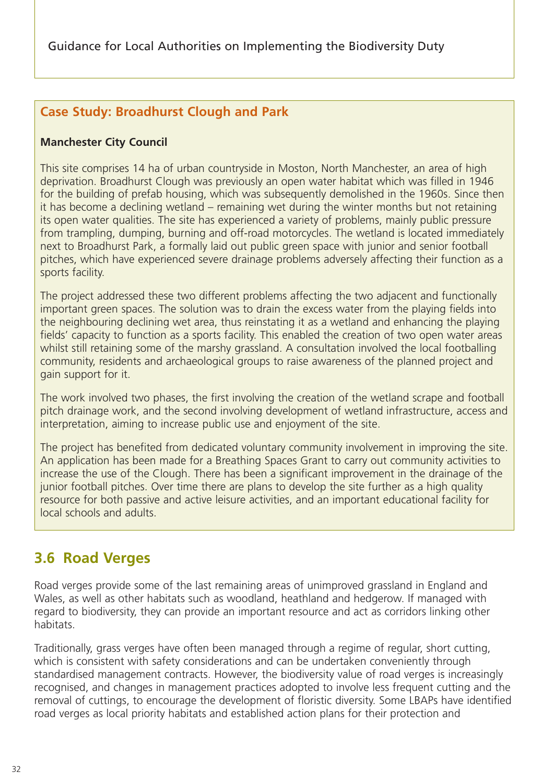### <span id="page-34-0"></span>**Case Study: Broadhurst Clough and Park**

### **Manchester City Council**

This site comprises 14 ha of urban countryside in Moston, North Manchester, an area of high deprivation. Broadhurst Clough was previously an open water habitat which was filled in 1946 for the building of prefab housing, which was subsequently demolished in the 1960s. Since then it has become a declining wetland – remaining wet during the winter months but not retaining its open water qualities. The site has experienced a variety of problems, mainly public pressure from trampling, dumping, burning and off-road motorcycles. The wetland is located immediately next to Broadhurst Park, a formally laid out public green space with junior and senior football pitches, which have experienced severe drainage problems adversely affecting their function as a sports facility.

The project addressed these two different problems affecting the two adjacent and functionally important green spaces. The solution was to drain the excess water from the playing fields into the neighbouring declining wet area, thus reinstating it as a wetland and enhancing the playing fields' capacity to function as a sports facility. This enabled the creation of two open water areas whilst still retaining some of the marshy grassland. A consultation involved the local footballing community, residents and archaeological groups to raise awareness of the planned project and gain support for it.

The work involved two phases, the first involving the creation of the wetland scrape and football pitch drainage work, and the second involving development of wetland infrastructure, access and interpretation, aiming to increase public use and enjoyment of the site.

The project has benefited from dedicated voluntary community involvement in improving the site. An application has been made for a Breathing Spaces Grant to carry out community activities to increase the use of the Clough. There has been a significant improvement in the drainage of the junior football pitches. Over time there are plans to develop the site further as a high quality resource for both passive and active leisure activities, and an important educational facility for local schools and adults.

# **3.6 Road Verges**

Road verges provide some of the last remaining areas of unimproved grassland in England and Wales, as well as other habitats such as woodland, heathland and hedgerow. If managed with regard to biodiversity, they can provide an important resource and act as corridors linking other habitats.

Traditionally, grass verges have often been managed through a regime of regular, short cutting, which is consistent with safety considerations and can be undertaken conveniently through standardised management contracts. However, the biodiversity value of road verges is increasingly recognised, and changes in management practices adopted to involve less frequent cutting and the removal of cuttings, to encourage the development of floristic diversity. Some LBAPs have identified road verges as local priority habitats and established action plans for their protection and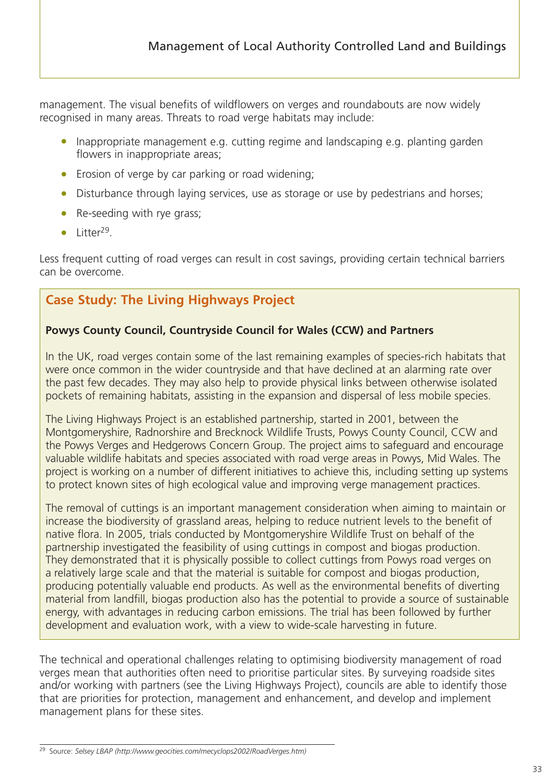management. The visual benefits of wildflowers on verges and roundabouts are now widely recognised in many areas. Threats to road verge habitats may include:

- Inappropriate management e.g. cutting regime and landscaping e.g. planting garden flowers in inappropriate areas;
- Erosion of verge by car parking or road widening;
- Disturbance through laying services, use as storage or use by pedestrians and horses;
- Re-seeding with rye grass;
- Litter<sup>29</sup>.

Less frequent cutting of road verges can result in cost savings, providing certain technical barriers can be overcome.

## **Case Study: The Living Highways Project**

#### **Powys County Council, Countryside Council for Wales (CCW) and Partners**

In the UK, road verges contain some of the last remaining examples of species-rich habitats that were once common in the wider countryside and that have declined at an alarming rate over the past few decades. They may also help to provide physical links between otherwise isolated pockets of remaining habitats, assisting in the expansion and dispersal of less mobile species.

The Living Highways Project is an established partnership, started in 2001, between the Montgomeryshire, Radnorshire and Brecknock Wildlife Trusts, Powys County Council, CCW and the Powys Verges and Hedgerows Concern Group. The project aims to safeguard and encourage valuable wildlife habitats and species associated with road verge areas in Powys, Mid Wales. The project is working on a number of different initiatives to achieve this, including setting up systems to protect known sites of high ecological value and improving verge management practices.

The removal of cuttings is an important management consideration when aiming to maintain or increase the biodiversity of grassland areas, helping to reduce nutrient levels to the benefit of native flora. In 2005, trials conducted by Montgomeryshire Wildlife Trust on behalf of the partnership investigated the feasibility of using cuttings in compost and biogas production. They demonstrated that it is physically possible to collect cuttings from Powys road verges on a relatively large scale and that the material is suitable for compost and biogas production, producing potentially valuable end products. As well as the environmental benefits of diverting material from landfill, biogas production also has the potential to provide a source of sustainable energy, with advantages in reducing carbon emissions. The trial has been followed by further development and evaluation work, with a view to wide-scale harvesting in future.

The technical and operational challenges relating to optimising biodiversity management of road verges mean that authorities often need to prioritise particular sites. By surveying roadside sites and/or working with partners (see the Living Highways Project), councils are able to identify those that are priorities for protection, management and enhancement, and develop and implement management plans for these sites.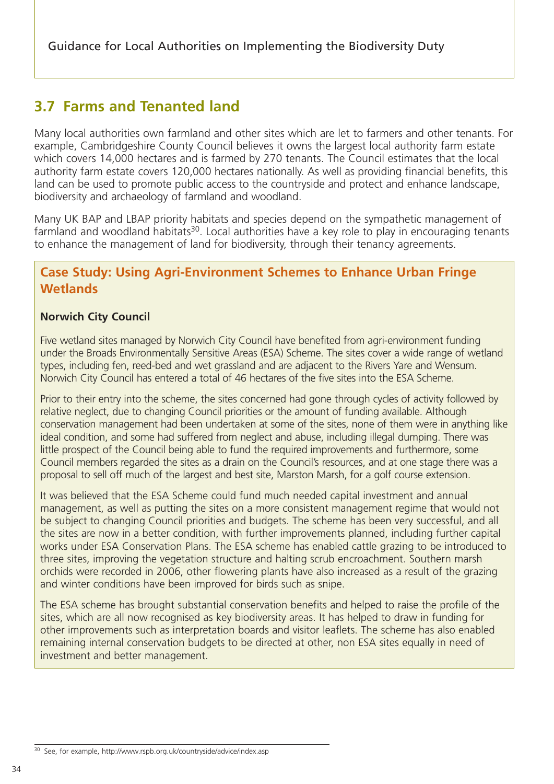# **3.7 Farms and Tenanted land**

Many local authorities own farmland and other sites which are let to farmers and other tenants. For example, Cambridgeshire County Council believes it owns the largest local authority farm estate which covers 14,000 hectares and is farmed by 270 tenants. The Council estimates that the local authority farm estate covers 120,000 hectares nationally. As well as providing financial benefits, this land can be used to promote public access to the countryside and protect and enhance landscape, biodiversity and archaeology of farmland and woodland.

Many UK BAP and LBAP priority habitats and species depend on the sympathetic management of farmland and woodland habitats<sup>30</sup>. Local authorities have a key role to play in encouraging tenants to enhance the management of land for biodiversity, through their tenancy agreements.

### **Case Study: Using Agri-Environment Schemes to Enhance Urban Fringe Wetlands**

#### **Norwich City Council**

Five wetland sites managed by Norwich City Council have benefited from agri-environment funding under the Broads Environmentally Sensitive Areas (ESA) Scheme. The sites cover a wide range of wetland types, including fen, reed-bed and wet grassland and are adjacent to the Rivers Yare and Wensum. Norwich City Council has entered a total of 46 hectares of the five sites into the ESA Scheme.

Prior to their entry into the scheme, the sites concerned had gone through cycles of activity followed by relative neglect, due to changing Council priorities or the amount of funding available. Although conservation management had been undertaken at some of the sites, none of them were in anything like ideal condition, and some had suffered from neglect and abuse, including illegal dumping. There was little prospect of the Council being able to fund the required improvements and furthermore, some Council members regarded the sites as a drain on the Council's resources, and at one stage there was a proposal to sell off much of the largest and best site, Marston Marsh, for a golf course extension.

It was believed that the ESA Scheme could fund much needed capital investment and annual management, as well as putting the sites on a more consistent management regime that would not be subject to changing Council priorities and budgets. The scheme has been very successful, and all the sites are now in a better condition, with further improvements planned, including further capital works under ESA Conservation Plans. The ESA scheme has enabled cattle grazing to be introduced to three sites, improving the vegetation structure and halting scrub encroachment. Southern marsh orchids were recorded in 2006, other flowering plants have also increased as a result of the grazing and winter conditions have been improved for birds such as snipe.

The ESA scheme has brought substantial conservation benefits and helped to raise the profile of the sites, which are all now recognised as key biodiversity areas. It has helped to draw in funding for other improvements such as interpretation boards and visitor leaflets. The scheme has also enabled remaining internal conservation budgets to be directed at other, non ESA sites equally in need of investment and better management.

<sup>30</sup> See, for example, http://www.rspb.org.uk/countryside/advice/index.asp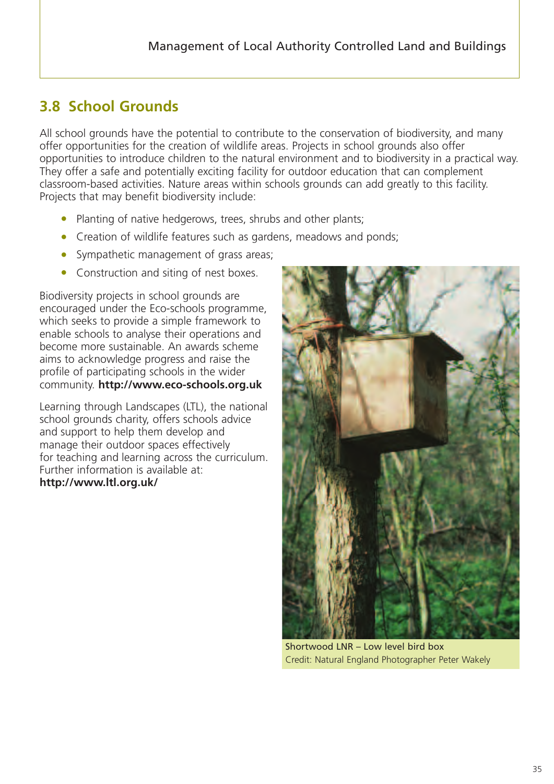# **3.8 School Grounds**

All school grounds have the potential to contribute to the conservation of biodiversity, and many offer opportunities for the creation of wildlife areas. Projects in school grounds also offer opportunities to introduce children to the natural environment and to biodiversity in a practical way. They offer a safe and potentially exciting facility for outdoor education that can complement classroom-based activities. Nature areas within schools grounds can add greatly to this facility. Projects that may benefit biodiversity include:

- Planting of native hedgerows, trees, shrubs and other plants;
- Creation of wildlife features such as gardens, meadows and ponds;
- Sympathetic management of grass areas;
- Construction and siting of nest boxes.

Biodiversity projects in school grounds are encouraged under the Eco-schools programme, which seeks to provide a simple framework to enable schools to analyse their operations and become more sustainable. An awards scheme aims to acknowledge progress and raise the profile of participating schools in the wider community. **http://www.eco-schools.org.uk**

Learning through Landscapes (LTL), the national school grounds charity, offers schools advice and support to help them develop and manage their outdoor spaces effectively for teaching and learning across the curriculum. Further information is available at: **http://www.ltl.org.uk/**



Shortwood LNR – Low level bird box Credit: Natural England Photographer Peter Wakely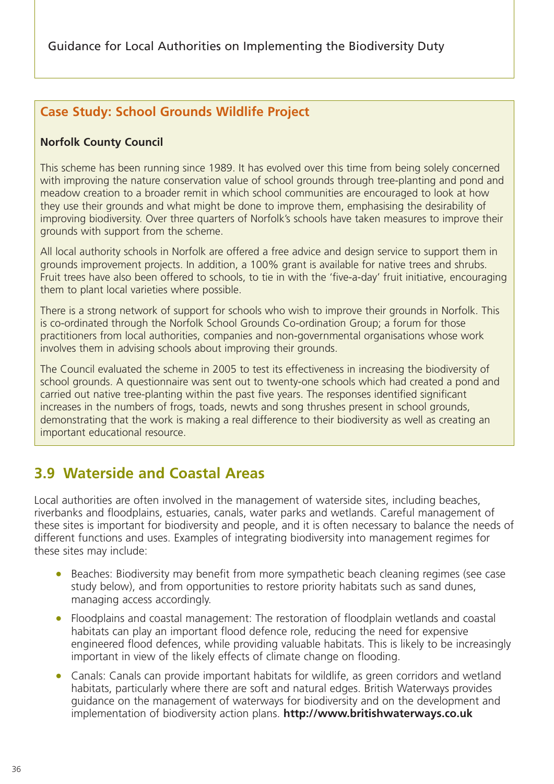# **Case Study: School Grounds Wildlife Project**

#### **Norfolk County Council**

This scheme has been running since 1989. It has evolved over this time from being solely concerned with improving the nature conservation value of school grounds through tree-planting and pond and meadow creation to a broader remit in which school communities are encouraged to look at how they use their grounds and what might be done to improve them, emphasising the desirability of improving biodiversity. Over three quarters of Norfolk's schools have taken measures to improve their grounds with support from the scheme.

All local authority schools in Norfolk are offered a free advice and design service to support them in grounds improvement projects. In addition, a 100% grant is available for native trees and shrubs. Fruit trees have also been offered to schools, to tie in with the 'five-a-day' fruit initiative, encouraging them to plant local varieties where possible.

There is a strong network of support for schools who wish to improve their grounds in Norfolk. This is co-ordinated through the Norfolk School Grounds Co-ordination Group; a forum for those practitioners from local authorities, companies and non-governmental organisations whose work involves them in advising schools about improving their grounds.

The Council evaluated the scheme in 2005 to test its effectiveness in increasing the biodiversity of school grounds. A questionnaire was sent out to twenty-one schools which had created a pond and carried out native tree-planting within the past five years. The responses identified significant increases in the numbers of frogs, toads, newts and song thrushes present in school grounds, demonstrating that the work is making a real difference to their biodiversity as well as creating an important educational resource.

# **3.9 Waterside and Coastal Areas**

Local authorities are often involved in the management of waterside sites, including beaches, riverbanks and floodplains, estuaries, canals, water parks and wetlands. Careful management of these sites is important for biodiversity and people, and it is often necessary to balance the needs of different functions and uses. Examples of integrating biodiversity into management regimes for these sites may include:

- Beaches: Biodiversity may benefit from more sympathetic beach cleaning regimes (see case study below), and from opportunities to restore priority habitats such as sand dunes, managing access accordingly.
- Floodplains and coastal management: The restoration of floodplain wetlands and coastal habitats can play an important flood defence role, reducing the need for expensive engineered flood defences, while providing valuable habitats. This is likely to be increasingly important in view of the likely effects of climate change on flooding.
- Canals: Canals can provide important habitats for wildlife, as green corridors and wetland habitats, particularly where there are soft and natural edges. British Waterways provides guidance on the management of waterways for biodiversity and on the development and implementation of biodiversity action plans. **http://www.britishwaterways.co.uk**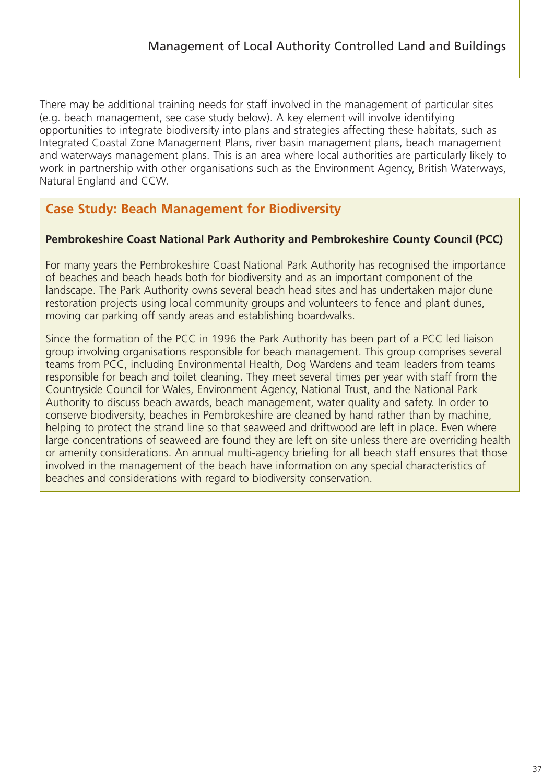There may be additional training needs for staff involved in the management of particular sites (e.g. beach management, see case study below). A key element will involve identifying opportunities to integrate biodiversity into plans and strategies affecting these habitats, such as Integrated Coastal Zone Management Plans, river basin management plans, beach management and waterways management plans. This is an area where local authorities are particularly likely to work in partnership with other organisations such as the Environment Agency, British Waterways, Natural England and CCW.

# **Case Study: Beach Management for Biodiversity**

#### **Pembrokeshire Coast National Park Authority and Pembrokeshire County Council (PCC)**

For many years the Pembrokeshire Coast National Park Authority has recognised the importance of beaches and beach heads both for biodiversity and as an important component of the landscape. The Park Authority owns several beach head sites and has undertaken major dune restoration projects using local community groups and volunteers to fence and plant dunes, moving car parking off sandy areas and establishing boardwalks.

Since the formation of the PCC in 1996 the Park Authority has been part of a PCC led liaison group involving organisations responsible for beach management. This group comprises several teams from PCC, including Environmental Health, Dog Wardens and team leaders from teams responsible for beach and toilet cleaning. They meet several times per year with staff from the Countryside Council for Wales, Environment Agency, National Trust, and the National Park Authority to discuss beach awards, beach management, water quality and safety. In order to conserve biodiversity, beaches in Pembrokeshire are cleaned by hand rather than by machine, helping to protect the strand line so that seaweed and driftwood are left in place. Even where large concentrations of seaweed are found they are left on site unless there are overriding health or amenity considerations. An annual multi-agency briefing for all beach staff ensures that those involved in the management of the beach have information on any special characteristics of beaches and considerations with regard to biodiversity conservation.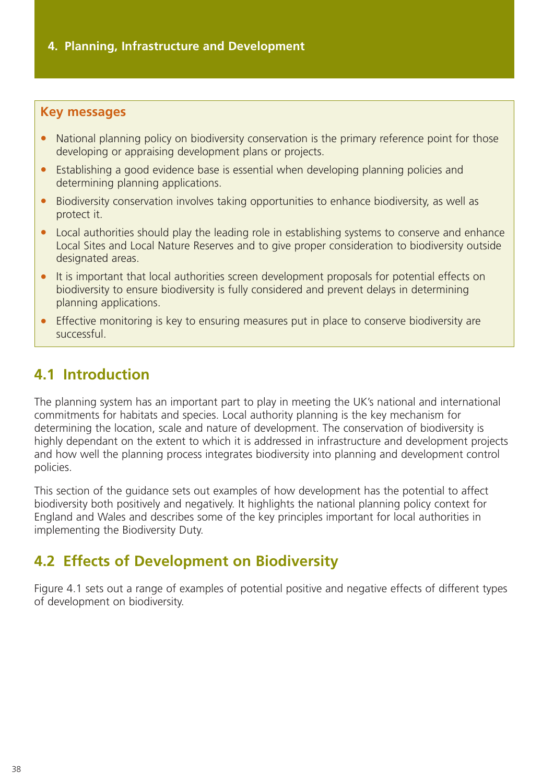#### **Key messages**

- National planning policy on biodiversity conservation is the primary reference point for those developing or appraising development plans or projects.
- Establishing a good evidence base is essential when developing planning policies and determining planning applications.
- Biodiversity conservation involves taking opportunities to enhance biodiversity, as well as protect it.
- Local authorities should play the leading role in establishing systems to conserve and enhance Local Sites and Local Nature Reserves and to give proper consideration to biodiversity outside designated areas.
- It is important that local authorities screen development proposals for potential effects on biodiversity to ensure biodiversity is fully considered and prevent delays in determining planning applications.
- Effective monitoring is key to ensuring measures put in place to conserve biodiversity are successful.

# **4.1 Introduction**

The planning system has an important part to play in meeting the UK's national and international commitments for habitats and species. Local authority planning is the key mechanism for determining the location, scale and nature of development. The conservation of biodiversity is highly dependant on the extent to which it is addressed in infrastructure and development projects and how well the planning process integrates biodiversity into planning and development control policies.

This section of the guidance sets out examples of how development has the potential to affect biodiversity both positively and negatively. It highlights the national planning policy context for England and Wales and describes some of the key principles important for local authorities in implementing the Biodiversity Duty.

# **4.2 Effects of Development on Biodiversity**

Figure 4.1 sets out a range of examples of potential positive and negative effects of different types of development on biodiversity.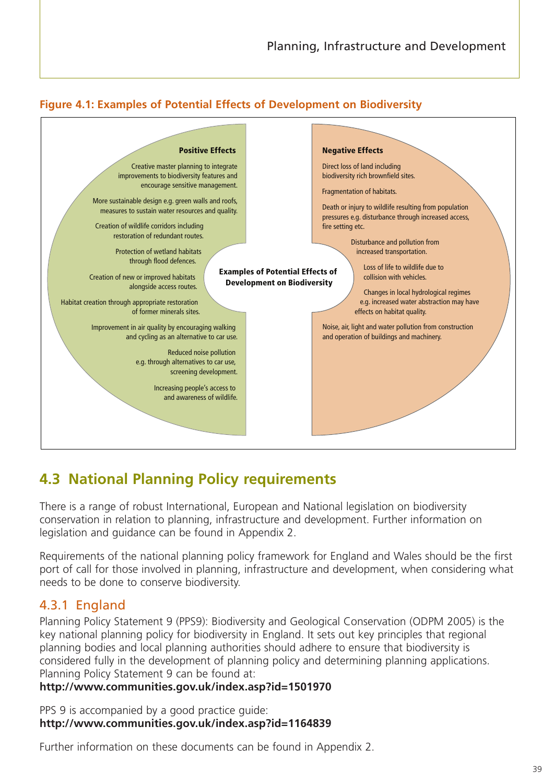



# **4.3 National Planning Policy requirements**

There is a range of robust International, European and National legislation on biodiversity conservation in relation to planning, infrastructure and development. Further information on legislation and guidance can be found in Appendix 2.

Requirements of the national planning policy framework for England and Wales should be the first port of call for those involved in planning, infrastructure and development, when considering what needs to be done to conserve biodiversity.

### 4.3.1 England

Planning Policy Statement 9 (PPS9): Biodiversity and Geological Conservation (ODPM 2005) is the key national planning policy for biodiversity in England. It sets out key principles that regional planning bodies and local planning authorities should adhere to ensure that biodiversity is considered fully in the development of planning policy and determining planning applications. Planning Policy Statement 9 can be found at:

#### **http://www.communities.gov.uk/index.asp?id=1501970**

PPS 9 is accompanied by a good practice guide: **http://www.communities.gov.uk/index.asp?id=1164839**

Further information on these documents can be found in Appendix 2.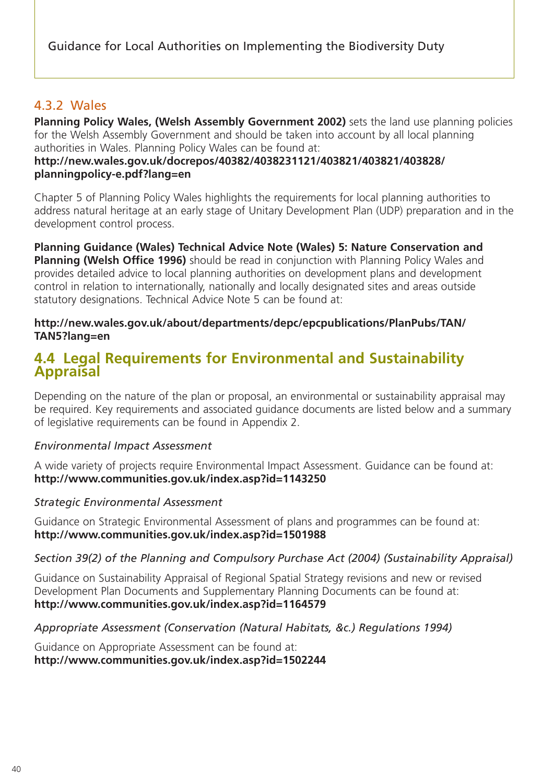### 4.3.2 Wales

**Planning Policy Wales, (Welsh Assembly Government 2002)** sets the land use planning policies for the Welsh Assembly Government and should be taken into account by all local planning authorities in Wales. Planning Policy Wales can be found at:

#### **http://new.wales.gov.uk/docrepos/40382/4038231121/403821/403821/403828/ planningpolicy-e.pdf?lang=en**

Chapter 5 of Planning Policy Wales highlights the requirements for local planning authorities to address natural heritage at an early stage of Unitary Development Plan (UDP) preparation and in the development control process.

**Planning Guidance (Wales) Technical Advice Note (Wales) 5: Nature Conservation and Planning (Welsh Office 1996)** should be read in conjunction with Planning Policy Wales and provides detailed advice to local planning authorities on development plans and development control in relation to internationally, nationally and locally designated sites and areas outside statutory designations. Technical Advice Note 5 can be found at:

#### **http://new.wales.gov.uk/about/departments/depc/epcpublications/PlanPubs/TAN/ TAN5?lang=en**

# **4.4 Legal Requirements for Environmental and Sustainability Appraisal**

Depending on the nature of the plan or proposal, an environmental or sustainability appraisal may be required. Key requirements and associated guidance documents are listed below and a summary of legislative requirements can be found in Appendix 2.

#### *Environmental Impact Assessment*

A wide variety of projects require Environmental Impact Assessment. Guidance can be found at: **http://www.communities.gov.uk/index.asp?id=1143250**

#### *Strategic Environmental Assessment*

Guidance on Strategic Environmental Assessment of plans and programmes can be found at: **http://www.communities.gov.uk/index.asp?id=1501988**

#### *Section 39(2) of the Planning and Compulsory Purchase Act (2004) (Sustainability Appraisal)*

Guidance on Sustainability Appraisal of Regional Spatial Strategy revisions and new or revised Development Plan Documents and Supplementary Planning Documents can be found at: **http://www.communities.gov.uk/index.asp?id=1164579**

#### *Appropriate Assessment (Conservation (Natural Habitats, &c.) Regulations 1994)*

Guidance on Appropriate Assessment can be found at: **http://www.communities.gov.uk/index.asp?id=1502244**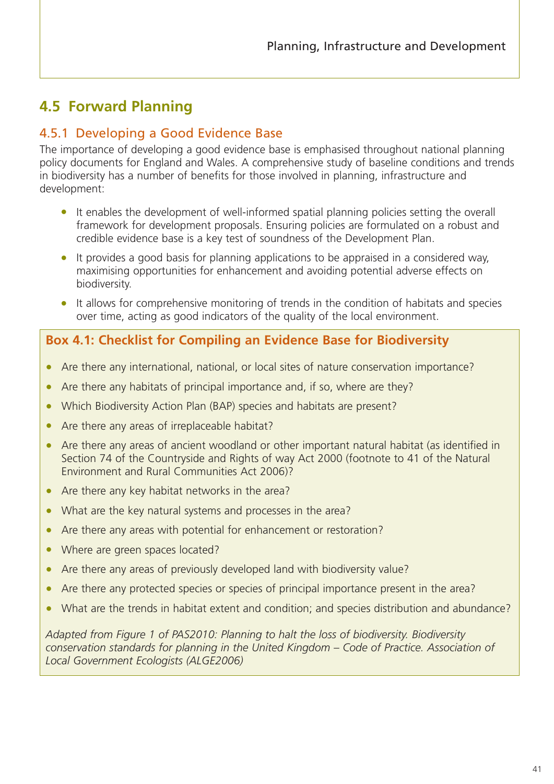# **4.5 Forward Planning**

# 4.5.1 Developing a Good Evidence Base

The importance of developing a good evidence base is emphasised throughout national planning policy documents for England and Wales. A comprehensive study of baseline conditions and trends in biodiversity has a number of benefits for those involved in planning, infrastructure and development:

- It enables the development of well-informed spatial planning policies setting the overall framework for development proposals. Ensuring policies are formulated on a robust and credible evidence base is a key test of soundness of the Development Plan.
- It provides a good basis for planning applications to be appraised in a considered way, maximising opportunities for enhancement and avoiding potential adverse effects on biodiversity.
- It allows for comprehensive monitoring of trends in the condition of habitats and species over time, acting as good indicators of the quality of the local environment.

# **Box 4.1: Checklist for Compiling an Evidence Base for Biodiversity**

- Are there any international, national, or local sites of nature conservation importance?
- Are there any habitats of principal importance and, if so, where are they?
- Which Biodiversity Action Plan (BAP) species and habitats are present?
- Are there any areas of irreplaceable habitat?
- Are there any areas of ancient woodland or other important natural habitat (as identified in Section 74 of the Countryside and Rights of way Act 2000 (footnote to 41 of the Natural Environment and Rural Communities Act 2006)?
- Are there any key habitat networks in the area?
- What are the key natural systems and processes in the area?
- Are there any areas with potential for enhancement or restoration?
- Where are green spaces located?
- Are there any areas of previously developed land with biodiversity value?
- Are there any protected species or species of principal importance present in the area?
- What are the trends in habitat extent and condition; and species distribution and abundance?

*Adapted from Figure 1 of PAS2010: Planning to halt the loss of biodiversity. Biodiversity conservation standards for planning in the United Kingdom – Code of Practice. Association of Local Government Ecologists (ALGE2006)*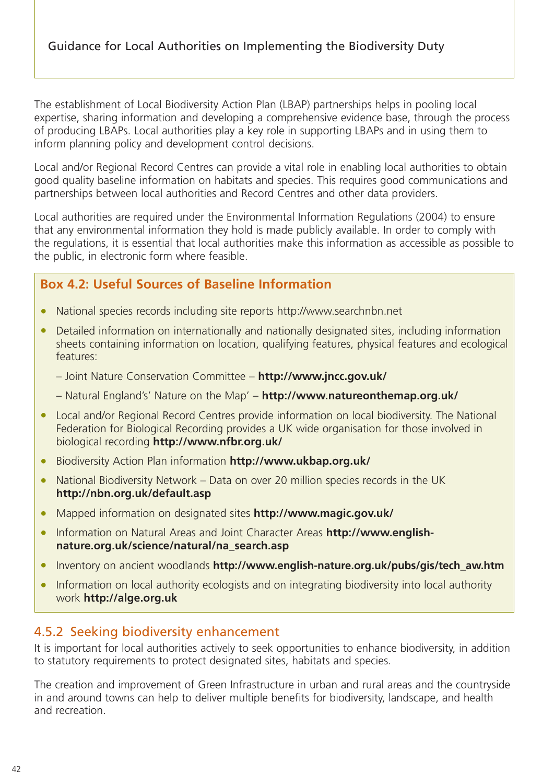The establishment of Local Biodiversity Action Plan (LBAP) partnerships helps in pooling local expertise, sharing information and developing a comprehensive evidence base, through the process of producing LBAPs. Local authorities play a key role in supporting LBAPs and in using them to inform planning policy and development control decisions.

Local and/or Regional Record Centres can provide a vital role in enabling local authorities to obtain good quality baseline information on habitats and species. This requires good communications and partnerships between local authorities and Record Centres and other data providers.

Local authorities are required under the Environmental Information Regulations (2004) to ensure that any environmental information they hold is made publicly available. In order to comply with the regulations, it is essential that local authorities make this information as accessible as possible to the public, in electronic form where feasible.

# **Box 4.2: Useful Sources of Baseline Information**

- National species records including site reports http://www.searchnbn.net
- Detailed information on internationally and nationally designated sites, including information sheets containing information on location, qualifying features, physical features and ecological features:
	- Joint Nature Conservation Committee **http://www.jncc.gov.uk/**
	- Natural England's' Nature on the Map' **http://www.natureonthemap.org.uk/**
- Local and/or Regional Record Centres provide information on local biodiversity. The National Federation for Biological Recording provides a UK wide organisation for those involved in biological recording **http://www.nfbr.org.uk/**
- Biodiversity Action Plan information **http://www.ukbap.org.uk/**
- National Biodiversity Network Data on over 20 million species records in the UK **http://nbn.org.uk/default.asp**
- Mapped information on designated sites **http://www.magic.gov.uk/**
- Information on Natural Areas and Joint Character Areas **http://www.englishnature.org.uk/science/natural/na\_search.asp**
- Inventory on ancient woodlands **http://www.english-nature.org.uk/pubs/gis/tech\_aw.htm**
- Information on local authority ecologists and on integrating biodiversity into local authority work **http://alge.org.uk**

### 4.5.2 Seeking biodiversity enhancement

It is important for local authorities actively to seek opportunities to enhance biodiversity, in addition to statutory requirements to protect designated sites, habitats and species.

The creation and improvement of Green Infrastructure in urban and rural areas and the countryside in and around towns can help to deliver multiple benefits for biodiversity, landscape, and health and recreation.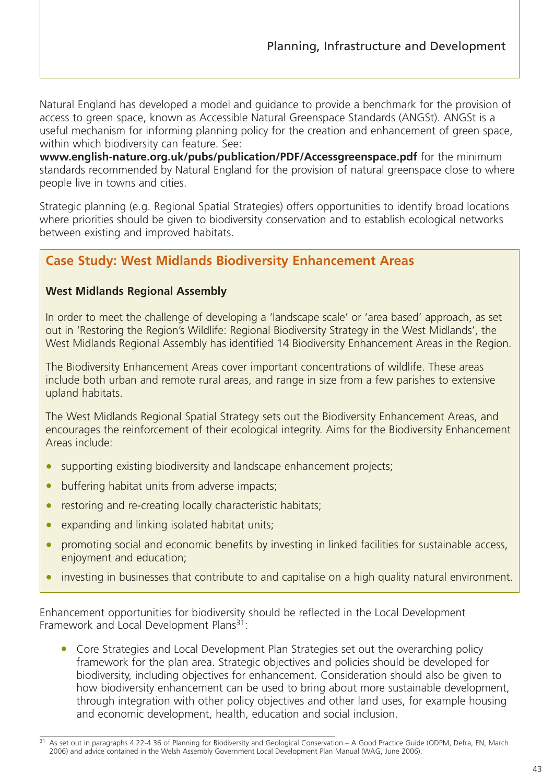Natural England has developed a model and guidance to provide a benchmark for the provision of access to green space, known as Accessible Natural Greenspace Standards (ANGSt). ANGSt is a useful mechanism for informing planning policy for the creation and enhancement of green space, within which biodiversity can feature. See:

**www.english-nature.org.uk/pubs/publication/PDF/Accessgreenspace.pdf** for the minimum standards recommended by Natural England for the provision of natural greenspace close to where people live in towns and cities.

Strategic planning (e.g. Regional Spatial Strategies) offers opportunities to identify broad locations where priorities should be given to biodiversity conservation and to establish ecological networks between existing and improved habitats.

### **Case Study: West Midlands Biodiversity Enhancement Areas**

#### **West Midlands Regional Assembly**

In order to meet the challenge of developing a 'landscape scale' or 'area based' approach, as set out in 'Restoring the Region's Wildlife: Regional Biodiversity Strategy in the West Midlands', the West Midlands Regional Assembly has identified 14 Biodiversity Enhancement Areas in the Region.

The Biodiversity Enhancement Areas cover important concentrations of wildlife. These areas include both urban and remote rural areas, and range in size from a few parishes to extensive upland habitats.

The West Midlands Regional Spatial Strategy sets out the Biodiversity Enhancement Areas, and encourages the reinforcement of their ecological integrity. Aims for the Biodiversity Enhancement Areas include:

- supporting existing biodiversity and landscape enhancement projects;
- buffering habitat units from adverse impacts;
- restoring and re-creating locally characteristic habitats;
- expanding and linking isolated habitat units;
- promoting social and economic benefits by investing in linked facilities for sustainable access, enjoyment and education;
- investing in businesses that contribute to and capitalise on a high quality natural environment.

Enhancement opportunities for biodiversity should be reflected in the Local Development Framework and Local Development Plans<sup>31</sup>:

• Core Strategies and Local Development Plan Strategies set out the overarching policy framework for the plan area. Strategic objectives and policies should be developed for biodiversity, including objectives for enhancement. Consideration should also be given to how biodiversity enhancement can be used to bring about more sustainable development, through integration with other policy objectives and other land uses, for example housing and economic development, health, education and social inclusion.

<sup>31</sup> As set out in paragraphs 4.22-4.36 of Planning for Biodiversity and Geological Conservation – A Good Practice Guide (ODPM, Defra, EN, March 2006) and advice contained in the Welsh Assembly Government Local Development Plan Manual (WAG, June 2006).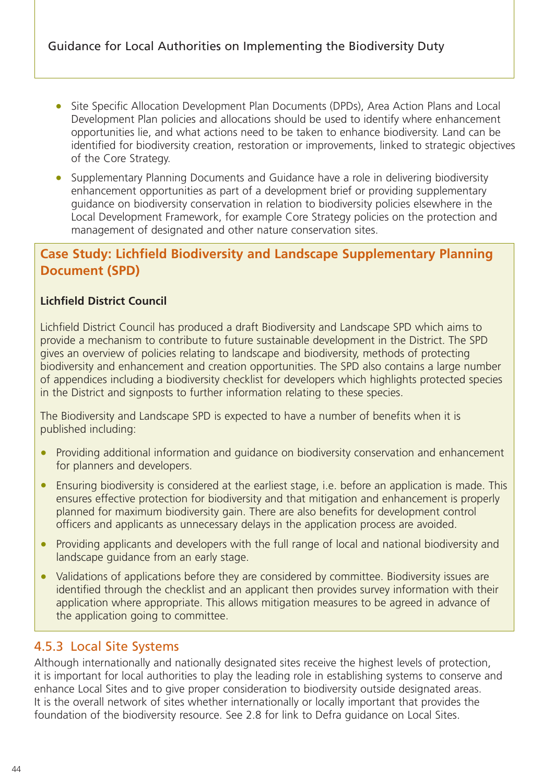- Site Specific Allocation Development Plan Documents (DPDs), Area Action Plans and Local Development Plan policies and allocations should be used to identify where enhancement opportunities lie, and what actions need to be taken to enhance biodiversity. Land can be identified for biodiversity creation, restoration or improvements, linked to strategic objectives of the Core Strategy.
- Supplementary Planning Documents and Guidance have a role in delivering biodiversity enhancement opportunities as part of a development brief or providing supplementary guidance on biodiversity conservation in relation to biodiversity policies elsewhere in the Local Development Framework, for example Core Strategy policies on the protection and management of designated and other nature conservation sites.

# **Case Study: Lichfield Biodiversity and Landscape Supplementary Planning Document (SPD)**

#### **Lichfield District Council**

Lichfield District Council has produced a draft Biodiversity and Landscape SPD which aims to provide a mechanism to contribute to future sustainable development in the District. The SPD gives an overview of policies relating to landscape and biodiversity, methods of protecting biodiversity and enhancement and creation opportunities. The SPD also contains a large number of appendices including a biodiversity checklist for developers which highlights protected species in the District and signposts to further information relating to these species.

The Biodiversity and Landscape SPD is expected to have a number of benefits when it is published including:

- Providing additional information and quidance on biodiversity conservation and enhancement for planners and developers.
- Ensuring biodiversity is considered at the earliest stage, i.e. before an application is made. This ensures effective protection for biodiversity and that mitigation and enhancement is properly planned for maximum biodiversity gain. There are also benefits for development control officers and applicants as unnecessary delays in the application process are avoided.
- Providing applicants and developers with the full range of local and national biodiversity and landscape guidance from an early stage.
- Validations of applications before they are considered by committee. Biodiversity issues are identified through the checklist and an applicant then provides survey information with their application where appropriate. This allows mitigation measures to be agreed in advance of the application going to committee.

#### 4.5.3 Local Site Systems

Although internationally and nationally designated sites receive the highest levels of protection, it is important for local authorities to play the leading role in establishing systems to conserve and enhance Local Sites and to give proper consideration to biodiversity outside designated areas. It is the overall network of sites whether internationally or locally important that provides the foundation of the biodiversity resource. See 2.8 for link to Defra guidance on Local Sites.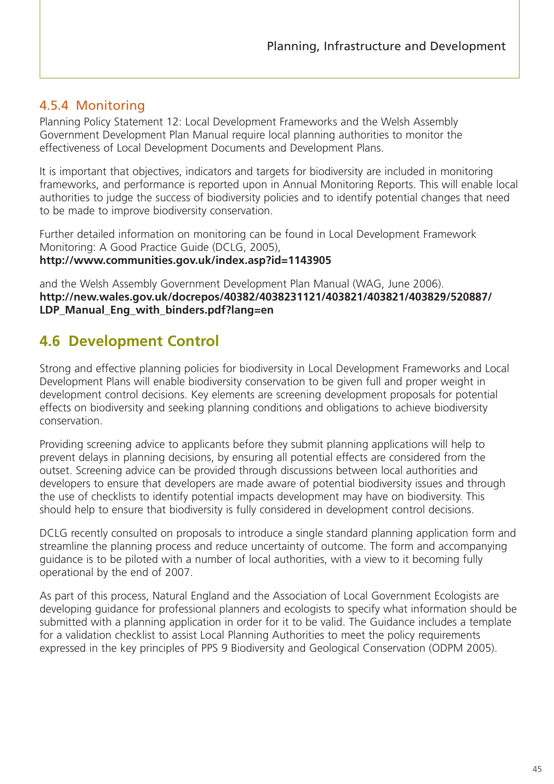# 4.5.4 Monitoring

Planning Policy Statement 12: Local Development Frameworks and the Welsh Assembly Government Development Plan Manual require local planning authorities to monitor the effectiveness of Local Development Documents and Development Plans.

It is important that objectives, indicators and targets for biodiversity are included in monitoring frameworks, and performance is reported upon in Annual Monitoring Reports. This will enable local authorities to judge the success of biodiversity policies and to identify potential changes that need to be made to improve biodiversity conservation.

Further detailed information on monitoring can be found in Local Development Framework Monitoring: A Good Practice Guide (DCLG, 2005), **http://www.communities.gov.uk/index.asp?id=1143905**

and the Welsh Assembly Government Development Plan Manual (WAG, June 2006). **http://new.wales.gov.uk/docrepos/40382/4038231121/403821/403821/403829/520887/ LDP\_Manual\_Eng\_with\_binders.pdf?lang=en**

# **4.6 Development Control**

Strong and effective planning policies for biodiversity in Local Development Frameworks and Local Development Plans will enable biodiversity conservation to be given full and proper weight in development control decisions. Key elements are screening development proposals for potential effects on biodiversity and seeking planning conditions and obligations to achieve biodiversity conservation.

Providing screening advice to applicants before they submit planning applications will help to prevent delays in planning decisions, by ensuring all potential effects are considered from the outset. Screening advice can be provided through discussions between local authorities and developers to ensure that developers are made aware of potential biodiversity issues and through the use of checklists to identify potential impacts development may have on biodiversity. This should help to ensure that biodiversity is fully considered in development control decisions.

DCLG recently consulted on proposals to introduce a single standard planning application form and streamline the planning process and reduce uncertainty of outcome. The form and accompanying guidance is to be piloted with a number of local authorities, with a view to it becoming fully operational by the end of 2007.

As part of this process, Natural England and the Association of Local Government Ecologists are developing guidance for professional planners and ecologists to specify what information should be submitted with a planning application in order for it to be valid. The Guidance includes a template for a validation checklist to assist Local Planning Authorities to meet the policy requirements expressed in the key principles of PPS 9 Biodiversity and Geological Conservation (ODPM 2005).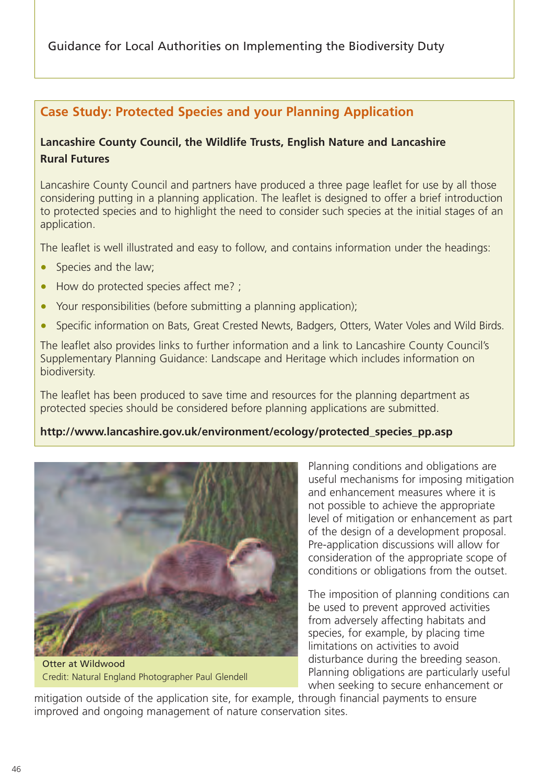# **Case Study: Protected Species and your Planning Application**

### **Lancashire County Council, the Wildlife Trusts, English Nature and Lancashire Rural Futures**

Lancashire County Council and partners have produced a three page leaflet for use by all those considering putting in a planning application. The leaflet is designed to offer a brief introduction to protected species and to highlight the need to consider such species at the initial stages of an application.

The leaflet is well illustrated and easy to follow, and contains information under the headings:

- Species and the law;
- How do protected species affect me? ;
- Your responsibilities (before submitting a planning application);
- Specific information on Bats, Great Crested Newts, Badgers, Otters, Water Voles and Wild Birds.

The leaflet also provides links to further information and a link to Lancashire County Council's Supplementary Planning Guidance: Landscape and Heritage which includes information on biodiversity.

The leaflet has been produced to save time and resources for the planning department as protected species should be considered before planning applications are submitted.

#### **http://www.lancashire.gov.uk/environment/ecology/protected\_species\_pp.asp**



Otter at Wildwood Credit: Natural England Photographer Paul Glendell

Planning conditions and obligations are useful mechanisms for imposing mitigation and enhancement measures where it is not possible to achieve the appropriate level of mitigation or enhancement as part of the design of a development proposal. Pre-application discussions will allow for consideration of the appropriate scope of conditions or obligations from the outset.

The imposition of planning conditions can be used to prevent approved activities from adversely affecting habitats and species, for example, by placing time limitations on activities to avoid disturbance during the breeding season. Planning obligations are particularly useful when seeking to secure enhancement or

mitigation outside of the application site, for example, through financial payments to ensure improved and ongoing management of nature conservation sites.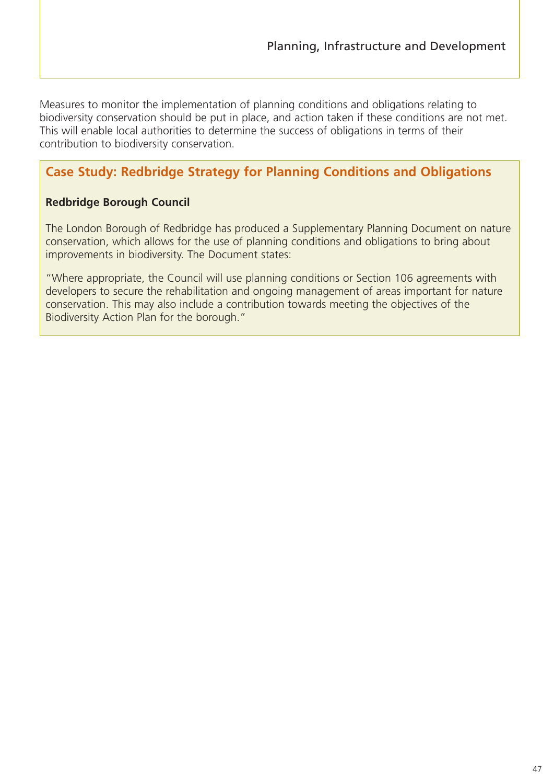Measures to monitor the implementation of planning conditions and obligations relating to biodiversity conservation should be put in place, and action taken if these conditions are not met. This will enable local authorities to determine the success of obligations in terms of their contribution to biodiversity conservation.

# **Case Study: Redbridge Strategy for Planning Conditions and Obligations**

#### **Redbridge Borough Council**

The London Borough of Redbridge has produced a Supplementary Planning Document on nature conservation, which allows for the use of planning conditions and obligations to bring about improvements in biodiversity. The Document states:

"Where appropriate, the Council will use planning conditions or Section 106 agreements with developers to secure the rehabilitation and ongoing management of areas important for nature conservation. This may also include a contribution towards meeting the objectives of the Biodiversity Action Plan for the borough."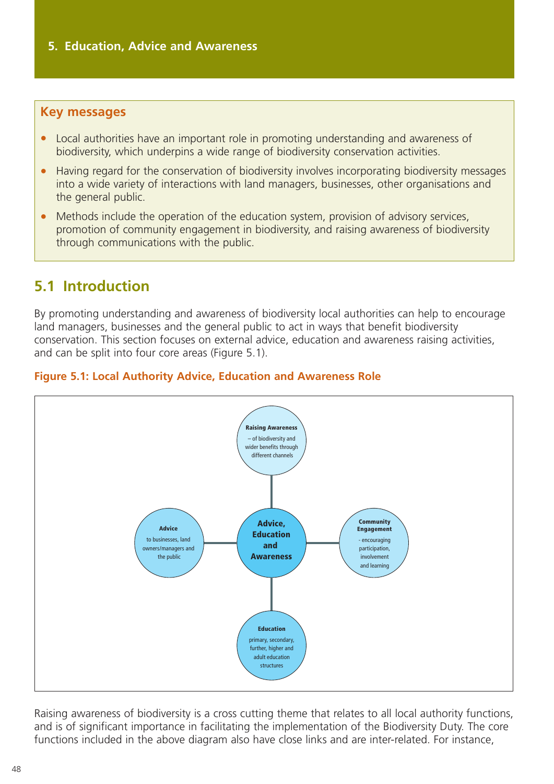#### **Key messages**

- Local authorities have an important role in promoting understanding and awareness of biodiversity, which underpins a wide range of biodiversity conservation activities.
- Having regard for the conservation of biodiversity involves incorporating biodiversity messages into a wide variety of interactions with land managers, businesses, other organisations and the general public.
- Methods include the operation of the education system, provision of advisory services, promotion of community engagement in biodiversity, and raising awareness of biodiversity through communications with the public.

# **5.1 Introduction**

By promoting understanding and awareness of biodiversity local authorities can help to encourage land managers, businesses and the general public to act in ways that benefit biodiversity conservation. This section focuses on external advice, education and awareness raising activities, and can be split into four core areas (Figure 5.1).





Raising awareness of biodiversity is a cross cutting theme that relates to all local authority functions, and is of significant importance in facilitating the implementation of the Biodiversity Duty. The core functions included in the above diagram also have close links and are inter-related. For instance,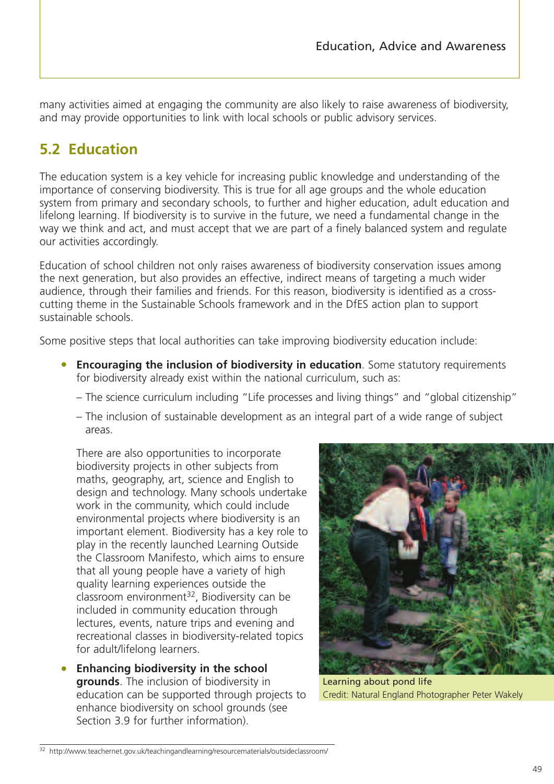many activities aimed at engaging the community are also likely to raise awareness of biodiversity, and may provide opportunities to link with local schools or public advisory services.

# **5.2 Education**

The education system is a key vehicle for increasing public knowledge and understanding of the importance of conserving biodiversity. This is true for all age groups and the whole education system from primary and secondary schools, to further and higher education, adult education and lifelong learning. If biodiversity is to survive in the future, we need a fundamental change in the way we think and act, and must accept that we are part of a finely balanced system and regulate our activities accordingly.

Education of school children not only raises awareness of biodiversity conservation issues among the next generation, but also provides an effective, indirect means of targeting a much wider audience, through their families and friends. For this reason, biodiversity is identified as a crosscutting theme in the Sustainable Schools framework and in the DfES action plan to support sustainable schools.

Some positive steps that local authorities can take improving biodiversity education include:

- **Encouraging the inclusion of biodiversity in education**. Some statutory requirements for biodiversity already exist within the national curriculum, such as:
	- The science curriculum including "Life processes and living things" and "global citizenship"
	- The inclusion of sustainable development as an integral part of a wide range of subject areas.

There are also opportunities to incorporate biodiversity projects in other subjects from maths, geography, art, science and English to design and technology. Many schools undertake work in the community, which could include environmental projects where biodiversity is an important element. Biodiversity has a key role to play in the recently launched Learning Outside the Classroom Manifesto, which aims to ensure that all young people have a variety of high quality learning experiences outside the classroom environment<sup>32</sup>, Biodiversity can be included in community education through lectures, events, nature trips and evening and recreational classes in biodiversity-related topics for adult/lifelong learners.

• **Enhancing biodiversity in the school grounds**. The inclusion of biodiversity in education can be supported through projects to enhance biodiversity on school grounds (see Section 3.9 for further information).



Learning about pond life Credit: Natural England Photographer Peter Wakely

<sup>32</sup> http://www.teachernet.gov.uk/teachingandlearning/resourcematerials/outsideclassroom/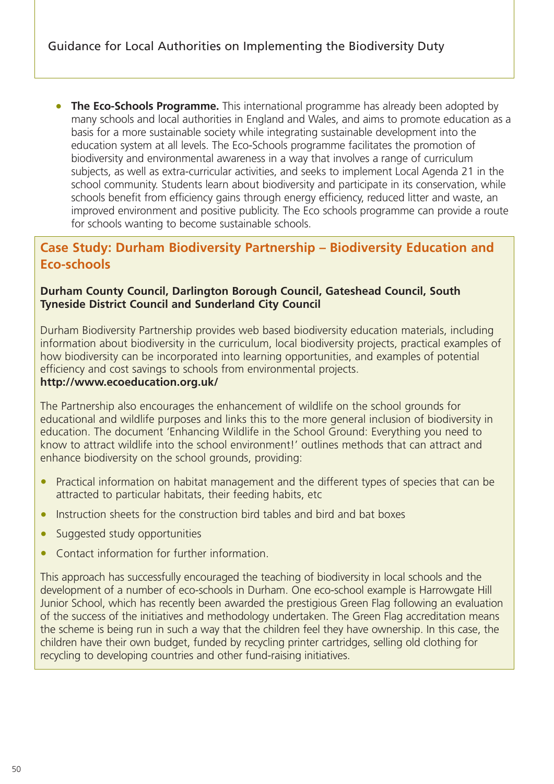• **The Eco-Schools Programme.** This international programme has already been adopted by many schools and local authorities in England and Wales, and aims to promote education as a basis for a more sustainable society while integrating sustainable development into the education system at all levels. The Eco-Schools programme facilitates the promotion of biodiversity and environmental awareness in a way that involves a range of curriculum subjects, as well as extra-curricular activities, and seeks to implement Local Agenda 21 in the school community. Students learn about biodiversity and participate in its conservation, while schools benefit from efficiency gains through energy efficiency, reduced litter and waste, an improved environment and positive publicity. The Eco schools programme can provide a route for schools wanting to become sustainable schools.

# **Case Study: Durham Biodiversity Partnership – Biodiversity Education and Eco-schools**

#### **Durham County Council, Darlington Borough Council, Gateshead Council, South Tyneside District Council and Sunderland City Council**

Durham Biodiversity Partnership provides web based biodiversity education materials, including information about biodiversity in the curriculum, local biodiversity projects, practical examples of how biodiversity can be incorporated into learning opportunities, and examples of potential efficiency and cost savings to schools from environmental projects.

#### **http://www.ecoeducation.org.uk/**

The Partnership also encourages the enhancement of wildlife on the school grounds for educational and wildlife purposes and links this to the more general inclusion of biodiversity in education. The document 'Enhancing Wildlife in the School Ground: Everything you need to know to attract wildlife into the school environment!' outlines methods that can attract and enhance biodiversity on the school grounds, providing:

- Practical information on habitat management and the different types of species that can be attracted to particular habitats, their feeding habits, etc
- Instruction sheets for the construction bird tables and bird and bat boxes
- Suggested study opportunities
- Contact information for further information.

This approach has successfully encouraged the teaching of biodiversity in local schools and the development of a number of eco-schools in Durham. One eco-school example is Harrowgate Hill Junior School, which has recently been awarded the prestigious Green Flag following an evaluation of the success of the initiatives and methodology undertaken. The Green Flag accreditation means the scheme is being run in such a way that the children feel they have ownership. In this case, the children have their own budget, funded by recycling printer cartridges, selling old clothing for recycling to developing countries and other fund-raising initiatives.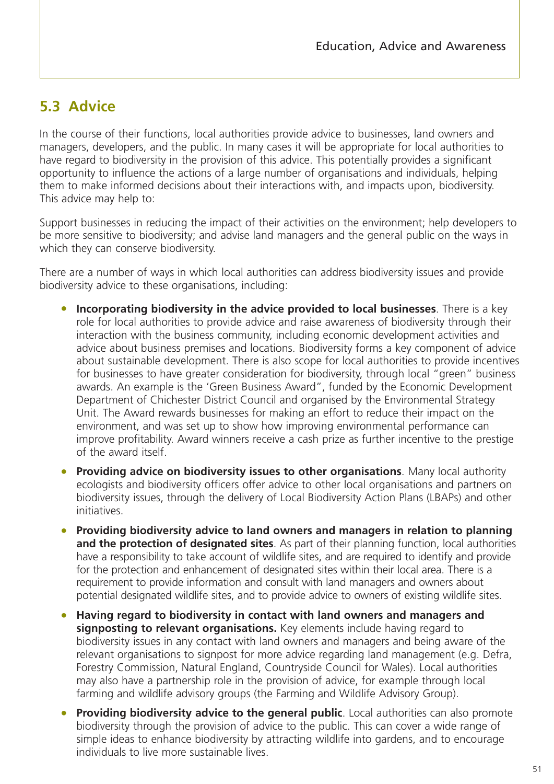# **5.3 Advice**

In the course of their functions, local authorities provide advice to businesses, land owners and managers, developers, and the public. In many cases it will be appropriate for local authorities to have regard to biodiversity in the provision of this advice. This potentially provides a significant opportunity to influence the actions of a large number of organisations and individuals, helping them to make informed decisions about their interactions with, and impacts upon, biodiversity. This advice may help to:

Support businesses in reducing the impact of their activities on the environment; help developers to be more sensitive to biodiversity; and advise land managers and the general public on the ways in which they can conserve biodiversity.

There are a number of ways in which local authorities can address biodiversity issues and provide biodiversity advice to these organisations, including:

- **Incorporating biodiversity in the advice provided to local businesses**. There is a key role for local authorities to provide advice and raise awareness of biodiversity through their interaction with the business community, including economic development activities and advice about business premises and locations. Biodiversity forms a key component of advice about sustainable development. There is also scope for local authorities to provide incentives for businesses to have greater consideration for biodiversity, through local "green" business awards. An example is the 'Green Business Award", funded by the Economic Development Department of Chichester District Council and organised by the Environmental Strategy Unit. The Award rewards businesses for making an effort to reduce their impact on the environment, and was set up to show how improving environmental performance can improve profitability. Award winners receive a cash prize as further incentive to the prestige of the award itself.
- **Providing advice on biodiversity issues to other organisations**. Many local authority ecologists and biodiversity officers offer advice to other local organisations and partners on biodiversity issues, through the delivery of Local Biodiversity Action Plans (LBAPs) and other initiatives.
- **Providing biodiversity advice to land owners and managers in relation to planning and the protection of designated sites**. As part of their planning function, local authorities have a responsibility to take account of wildlife sites, and are required to identify and provide for the protection and enhancement of designated sites within their local area. There is a requirement to provide information and consult with land managers and owners about potential designated wildlife sites, and to provide advice to owners of existing wildlife sites.
- **Having regard to biodiversity in contact with land owners and managers and signposting to relevant organisations.** Key elements include having regard to biodiversity issues in any contact with land owners and managers and being aware of the relevant organisations to signpost for more advice regarding land management (e.g. Defra, Forestry Commission, Natural England, Countryside Council for Wales). Local authorities may also have a partnership role in the provision of advice, for example through local farming and wildlife advisory groups (the Farming and Wildlife Advisory Group).
- **Providing biodiversity advice to the general public**. Local authorities can also promote biodiversity through the provision of advice to the public. This can cover a wide range of simple ideas to enhance biodiversity by attracting wildlife into gardens, and to encourage individuals to live more sustainable lives.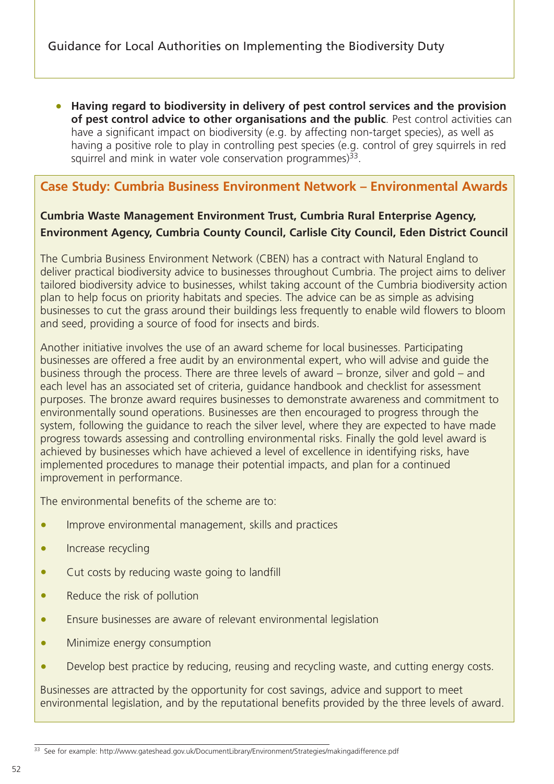• **Having regard to biodiversity in delivery of pest control services and the provision of pest control advice to other organisations and the public**. Pest control activities can have a significant impact on biodiversity (e.g. by affecting non-target species), as well as having a positive role to play in controlling pest species (e.g. control of grey squirrels in red squirrel and mink in water vole conservation programmes) $^{33}$ .

# **Case Study: Cumbria Business Environment Network – Environmental Awards**

### **Cumbria Waste Management Environment Trust, Cumbria Rural Enterprise Agency, Environment Agency, Cumbria County Council, Carlisle City Council, Eden District Council**

The Cumbria Business Environment Network (CBEN) has a contract with Natural England to deliver practical biodiversity advice to businesses throughout Cumbria. The project aims to deliver tailored biodiversity advice to businesses, whilst taking account of the Cumbria biodiversity action plan to help focus on priority habitats and species. The advice can be as simple as advising businesses to cut the grass around their buildings less frequently to enable wild flowers to bloom and seed, providing a source of food for insects and birds.

Another initiative involves the use of an award scheme for local businesses. Participating businesses are offered a free audit by an environmental expert, who will advise and guide the business through the process. There are three levels of award – bronze, silver and gold – and each level has an associated set of criteria, guidance handbook and checklist for assessment purposes. The bronze award requires businesses to demonstrate awareness and commitment to environmentally sound operations. Businesses are then encouraged to progress through the system, following the guidance to reach the silver level, where they are expected to have made progress towards assessing and controlling environmental risks. Finally the gold level award is achieved by businesses which have achieved a level of excellence in identifying risks, have implemented procedures to manage their potential impacts, and plan for a continued improvement in performance.

The environmental benefits of the scheme are to:

- Improve environmental management, skills and practices
- Increase recycling
- Cut costs by reducing waste going to landfill
- Reduce the risk of pollution
- Ensure businesses are aware of relevant environmental legislation
- Minimize energy consumption
- Develop best practice by reducing, reusing and recycling waste, and cutting energy costs.

Businesses are attracted by the opportunity for cost savings, advice and support to meet environmental legislation, and by the reputational benefits provided by the three levels of award.

<sup>33</sup> See for example: http://www.gateshead.gov.uk/DocumentLibrary/Environment/Strategies/makingadifference.pdf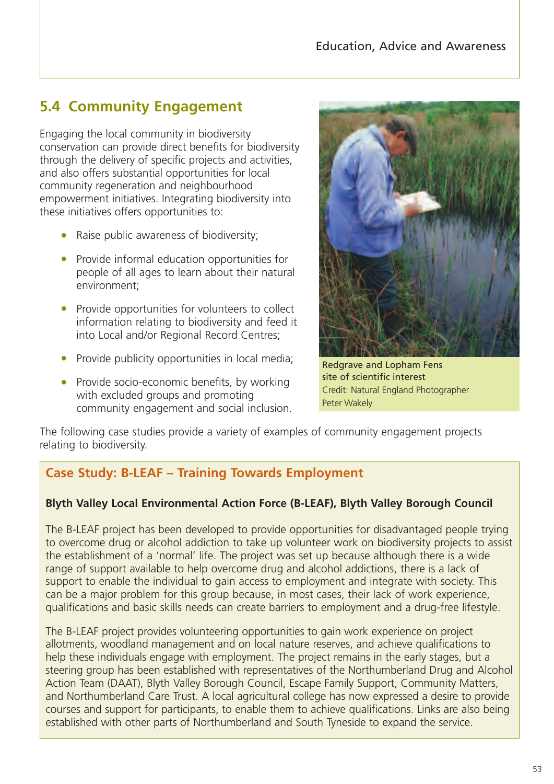# **5.4 Community Engagement**

Engaging the local community in biodiversity conservation can provide direct benefits for biodiversity through the delivery of specific projects and activities, and also offers substantial opportunities for local community regeneration and neighbourhood empowerment initiatives. Integrating biodiversity into these initiatives offers opportunities to:

- Raise public awareness of biodiversity;
- Provide informal education opportunities for people of all ages to learn about their natural environment;
- Provide opportunities for volunteers to collect information relating to biodiversity and feed it into Local and/or Regional Record Centres;
- Provide publicity opportunities in local media;
- Provide socio-economic benefits, by working with excluded groups and promoting community engagement and social inclusion.



Redgrave and Lopham Fens site of scientific interest Credit: Natural England Photographer Peter Wakely

The following case studies provide a variety of examples of community engagement projects relating to biodiversity.

# **Case Study: B-LEAF – Training Towards Employment**

#### **Blyth Valley Local Environmental Action Force (B-LEAF), Blyth Valley Borough Council**

The B-LEAF project has been developed to provide opportunities for disadvantaged people trying to overcome drug or alcohol addiction to take up volunteer work on biodiversity projects to assist the establishment of a 'normal' life. The project was set up because although there is a wide range of support available to help overcome drug and alcohol addictions, there is a lack of support to enable the individual to gain access to employment and integrate with society. This can be a major problem for this group because, in most cases, their lack of work experience, qualifications and basic skills needs can create barriers to employment and a drug-free lifestyle.

The B-LEAF project provides volunteering opportunities to gain work experience on project allotments, woodland management and on local nature reserves, and achieve qualifications to help these individuals engage with employment. The project remains in the early stages, but a steering group has been established with representatives of the Northumberland Drug and Alcohol Action Team (DAAT), Blyth Valley Borough Council, Escape Family Support, Community Matters, and Northumberland Care Trust. A local agricultural college has now expressed a desire to provide courses and support for participants, to enable them to achieve qualifications. Links are also being established with other parts of Northumberland and South Tyneside to expand the service.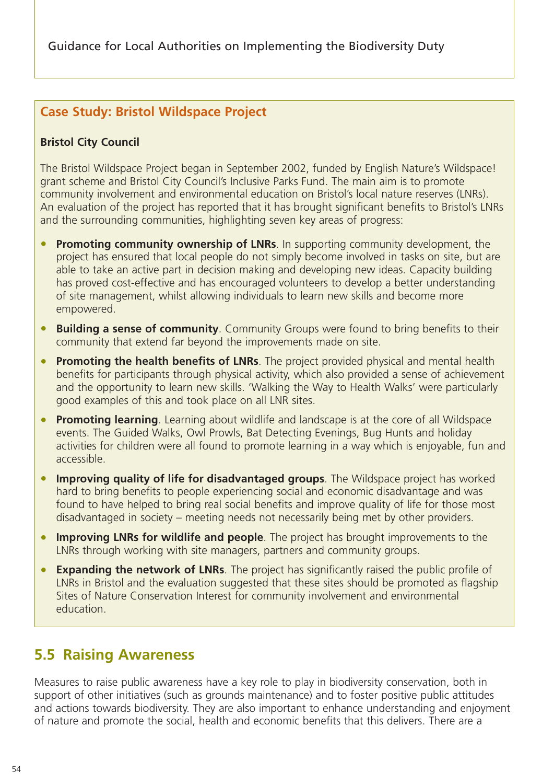# **Case Study: Bristol Wildspace Project**

#### **Bristol City Council**

The Bristol Wildspace Project began in September 2002, funded by English Nature's Wildspace! grant scheme and Bristol City Council's Inclusive Parks Fund. The main aim is to promote community involvement and environmental education on Bristol's local nature reserves (LNRs). An evaluation of the project has reported that it has brought significant benefits to Bristol's LNRs and the surrounding communities, highlighting seven key areas of progress:

- **Promoting community ownership of LNRs**. In supporting community development, the project has ensured that local people do not simply become involved in tasks on site, but are able to take an active part in decision making and developing new ideas. Capacity building has proved cost-effective and has encouraged volunteers to develop a better understanding of site management, whilst allowing individuals to learn new skills and become more empowered.
- **Building a sense of community**. Community Groups were found to bring benefits to their community that extend far beyond the improvements made on site.
- **Promoting the health benefits of LNRs**. The project provided physical and mental health benefits for participants through physical activity, which also provided a sense of achievement and the opportunity to learn new skills. 'Walking the Way to Health Walks' were particularly good examples of this and took place on all LNR sites.
- **Promoting learning**. Learning about wildlife and landscape is at the core of all Wildspace events. The Guided Walks, Owl Prowls, Bat Detecting Evenings, Bug Hunts and holiday activities for children were all found to promote learning in a way which is enjoyable, fun and accessible.
- **Improving quality of life for disadvantaged groups**. The Wildspace project has worked hard to bring benefits to people experiencing social and economic disadvantage and was found to have helped to bring real social benefits and improve quality of life for those most disadvantaged in society – meeting needs not necessarily being met by other providers.
- **Improving LNRs for wildlife and people**. The project has brought improvements to the LNRs through working with site managers, partners and community groups.
- **Expanding the network of LNRs**. The project has significantly raised the public profile of LNRs in Bristol and the evaluation suggested that these sites should be promoted as flagship Sites of Nature Conservation Interest for community involvement and environmental education.

# **5.5 Raising Awareness**

Measures to raise public awareness have a key role to play in biodiversity conservation, both in support of other initiatives (such as grounds maintenance) and to foster positive public attitudes and actions towards biodiversity. They are also important to enhance understanding and enjoyment of nature and promote the social, health and economic benefits that this delivers. There are a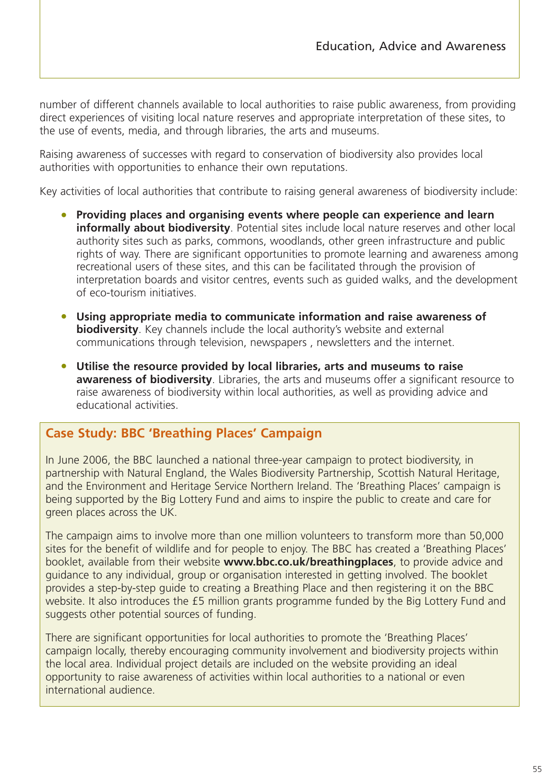number of different channels available to local authorities to raise public awareness, from providing direct experiences of visiting local nature reserves and appropriate interpretation of these sites, to the use of events, media, and through libraries, the arts and museums.

Raising awareness of successes with regard to conservation of biodiversity also provides local authorities with opportunities to enhance their own reputations.

Key activities of local authorities that contribute to raising general awareness of biodiversity include:

- **Providing places and organising events where people can experience and learn informally about biodiversity**. Potential sites include local nature reserves and other local authority sites such as parks, commons, woodlands, other green infrastructure and public rights of way. There are significant opportunities to promote learning and awareness among recreational users of these sites, and this can be facilitated through the provision of interpretation boards and visitor centres, events such as guided walks, and the development of eco-tourism initiatives.
- **Using appropriate media to communicate information and raise awareness of biodiversity**. Key channels include the local authority's website and external communications through television, newspapers , newsletters and the internet.
- **Utilise the resource provided by local libraries, arts and museums to raise awareness of biodiversity**. Libraries, the arts and museums offer a significant resource to raise awareness of biodiversity within local authorities, as well as providing advice and educational activities.

### **Case Study: BBC 'Breathing Places' Campaign**

In June 2006, the BBC launched a national three-year campaign to protect biodiversity, in partnership with Natural England, the Wales Biodiversity Partnership, Scottish Natural Heritage, and the Environment and Heritage Service Northern Ireland. The 'Breathing Places' campaign is being supported by the Big Lottery Fund and aims to inspire the public to create and care for green places across the UK.

The campaign aims to involve more than one million volunteers to transform more than 50,000 sites for the benefit of wildlife and for people to enjoy. The BBC has created a 'Breathing Places' booklet, available from their website **www.bbc.co.uk/breathingplaces**, to provide advice and guidance to any individual, group or organisation interested in getting involved. The booklet provides a step-by-step guide to creating a Breathing Place and then registering it on the BBC website. It also introduces the £5 million grants programme funded by the Big Lottery Fund and suggests other potential sources of funding.

There are significant opportunities for local authorities to promote the 'Breathing Places' campaign locally, thereby encouraging community involvement and biodiversity projects within the local area. Individual project details are included on the website providing an ideal opportunity to raise awareness of activities within local authorities to a national or even international audience.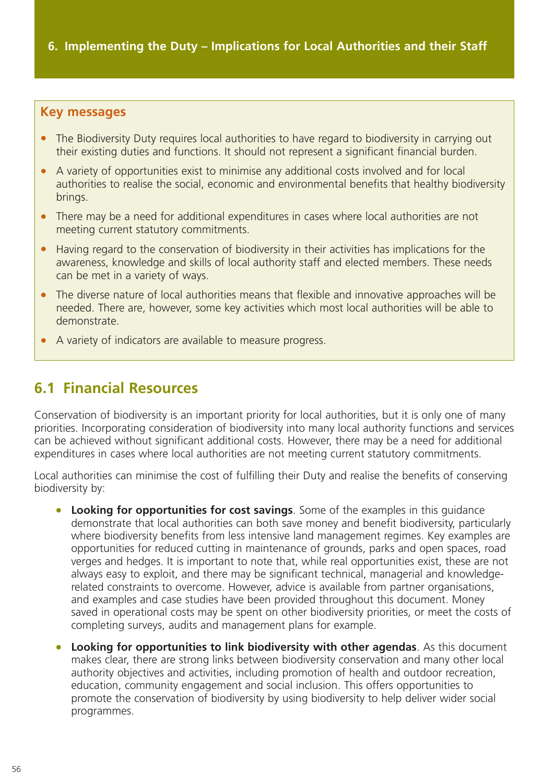#### **Key messages**

- The Biodiversity Duty requires local authorities to have regard to biodiversity in carrying out their existing duties and functions. It should not represent a significant financial burden.
- A variety of opportunities exist to minimise any additional costs involved and for local authorities to realise the social, economic and environmental benefits that healthy biodiversity brings.
- There may be a need for additional expenditures in cases where local authorities are not meeting current statutory commitments.
- Having regard to the conservation of biodiversity in their activities has implications for the awareness, knowledge and skills of local authority staff and elected members. These needs can be met in a variety of ways.
- The diverse nature of local authorities means that flexible and innovative approaches will be needed. There are, however, some key activities which most local authorities will be able to demonstrate.
- A variety of indicators are available to measure progress.

# **6.1 Financial Resources**

Conservation of biodiversity is an important priority for local authorities, but it is only one of many priorities. Incorporating consideration of biodiversity into many local authority functions and services can be achieved without significant additional costs. However, there may be a need for additional expenditures in cases where local authorities are not meeting current statutory commitments.

Local authorities can minimise the cost of fulfilling their Duty and realise the benefits of conserving biodiversity by:

- **Looking for opportunities for cost savings**. Some of the examples in this quidance demonstrate that local authorities can both save money and benefit biodiversity, particularly where biodiversity benefits from less intensive land management regimes. Key examples are opportunities for reduced cutting in maintenance of grounds, parks and open spaces, road verges and hedges. It is important to note that, while real opportunities exist, these are not always easy to exploit, and there may be significant technical, managerial and knowledgerelated constraints to overcome. However, advice is available from partner organisations, and examples and case studies have been provided throughout this document. Money saved in operational costs may be spent on other biodiversity priorities, or meet the costs of completing surveys, audits and management plans for example.
- **Looking for opportunities to link biodiversity with other agendas**. As this document makes clear, there are strong links between biodiversity conservation and many other local authority objectives and activities, including promotion of health and outdoor recreation, education, community engagement and social inclusion. This offers opportunities to promote the conservation of biodiversity by using biodiversity to help deliver wider social programmes.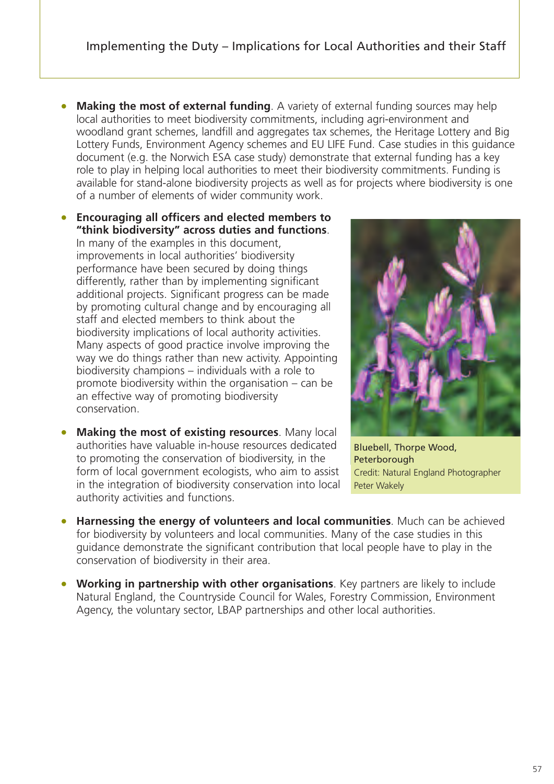- **Making the most of external funding**. A variety of external funding sources may help local authorities to meet biodiversity commitments, including agri-environment and woodland grant schemes, landfill and aggregates tax schemes, the Heritage Lottery and Big Lottery Funds, Environment Agency schemes and EU LIFE Fund. Case studies in this guidance document (e.g. the Norwich ESA case study) demonstrate that external funding has a key role to play in helping local authorities to meet their biodiversity commitments. Funding is available for stand-alone biodiversity projects as well as for projects where biodiversity is one of a number of elements of wider community work.
- **Encouraging all officers and elected members to "think biodiversity" across duties and functions**. In many of the examples in this document, improvements in local authorities' biodiversity performance have been secured by doing things differently, rather than by implementing significant additional projects. Significant progress can be made by promoting cultural change and by encouraging all staff and elected members to think about the biodiversity implications of local authority activities. Many aspects of good practice involve improving the way we do things rather than new activity. Appointing biodiversity champions – individuals with a role to promote biodiversity within the organisation – can be an effective way of promoting biodiversity conservation.
- **Making the most of existing resources**. Many local authorities have valuable in-house resources dedicated to promoting the conservation of biodiversity, in the form of local government ecologists, who aim to assist in the integration of biodiversity conservation into local authority activities and functions.



Bluebell, Thorpe Wood, Peterborough Credit: Natural England Photographer Peter Wakely

- **Harnessing the energy of volunteers and local communities**. Much can be achieved for biodiversity by volunteers and local communities. Many of the case studies in this guidance demonstrate the significant contribution that local people have to play in the conservation of biodiversity in their area.
- **Working in partnership with other organisations**. Key partners are likely to include Natural England, the Countryside Council for Wales, Forestry Commission, Environment Agency, the voluntary sector, LBAP partnerships and other local authorities.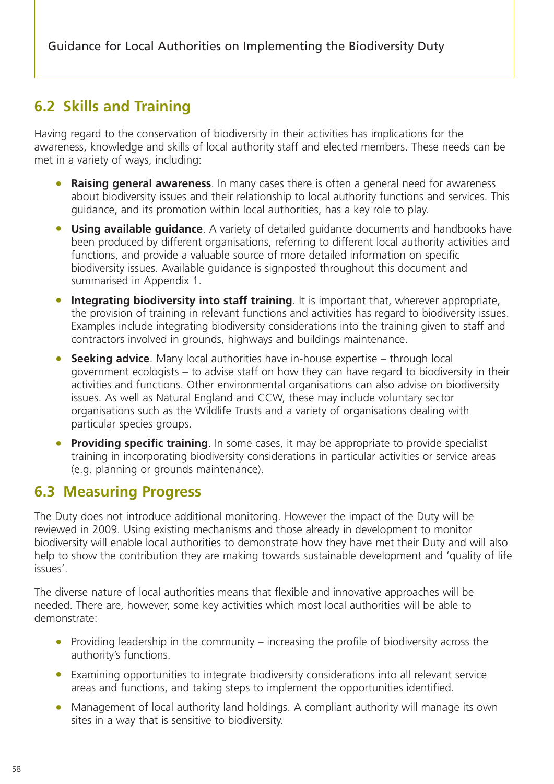# **6.2 Skills and Training**

Having regard to the conservation of biodiversity in their activities has implications for the awareness, knowledge and skills of local authority staff and elected members. These needs can be met in a variety of ways, including:

- **Raising general awareness**. In many cases there is often a general need for awareness about biodiversity issues and their relationship to local authority functions and services. This guidance, and its promotion within local authorities, has a key role to play.
- **Using available guidance**. A variety of detailed guidance documents and handbooks have been produced by different organisations, referring to different local authority activities and functions, and provide a valuable source of more detailed information on specific biodiversity issues. Available guidance is signposted throughout this document and summarised in Appendix 1.
- **Integrating biodiversity into staff training**. It is important that, wherever appropriate, the provision of training in relevant functions and activities has regard to biodiversity issues. Examples include integrating biodiversity considerations into the training given to staff and contractors involved in grounds, highways and buildings maintenance.
- **Seeking advice**. Many local authorities have in-house expertise through local government ecologists – to advise staff on how they can have regard to biodiversity in their activities and functions. Other environmental organisations can also advise on biodiversity issues. As well as Natural England and CCW, these may include voluntary sector organisations such as the Wildlife Trusts and a variety of organisations dealing with particular species groups.
- **Providing specific training**. In some cases, it may be appropriate to provide specialist training in incorporating biodiversity considerations in particular activities or service areas (e.g. planning or grounds maintenance).

# **6.3 Measuring Progress**

The Duty does not introduce additional monitoring. However the impact of the Duty will be reviewed in 2009. Using existing mechanisms and those already in development to monitor biodiversity will enable local authorities to demonstrate how they have met their Duty and will also help to show the contribution they are making towards sustainable development and 'quality of life issues'.

The diverse nature of local authorities means that flexible and innovative approaches will be needed. There are, however, some key activities which most local authorities will be able to demonstrate:

- Providing leadership in the community increasing the profile of biodiversity across the authority's functions.
- Examining opportunities to integrate biodiversity considerations into all relevant service areas and functions, and taking steps to implement the opportunities identified.
- Management of local authority land holdings. A compliant authority will manage its own sites in a way that is sensitive to biodiversity.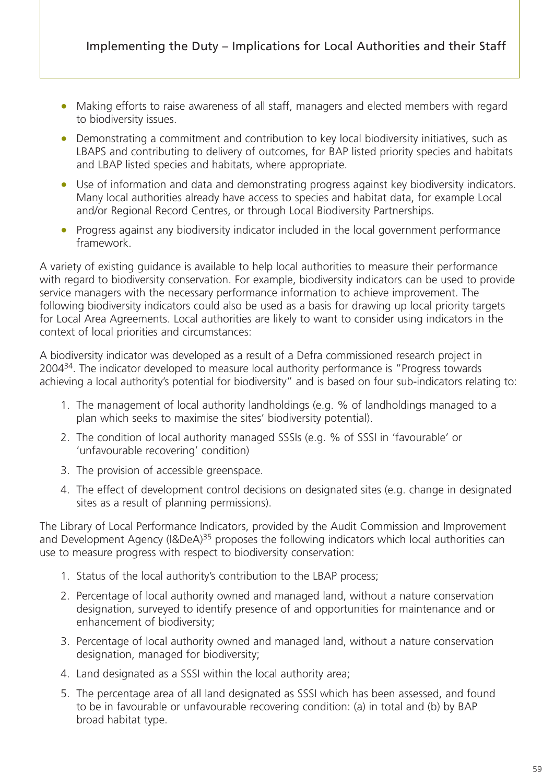- Making efforts to raise awareness of all staff, managers and elected members with regard to biodiversity issues.
- Demonstrating a commitment and contribution to key local biodiversity initiatives, such as LBAPS and contributing to delivery of outcomes, for BAP listed priority species and habitats and LBAP listed species and habitats, where appropriate.
- Use of information and data and demonstrating progress against key biodiversity indicators. Many local authorities already have access to species and habitat data, for example Local and/or Regional Record Centres, or through Local Biodiversity Partnerships.
- Progress against any biodiversity indicator included in the local government performance framework.

A variety of existing guidance is available to help local authorities to measure their performance with regard to biodiversity conservation. For example, biodiversity indicators can be used to provide service managers with the necessary performance information to achieve improvement. The following biodiversity indicators could also be used as a basis for drawing up local priority targets for Local Area Agreements. Local authorities are likely to want to consider using indicators in the context of local priorities and circumstances:

A biodiversity indicator was developed as a result of a Defra commissioned research project in 2004<sup>34</sup>. The indicator developed to measure local authority performance is "Progress towards achieving a local authority's potential for biodiversity" and is based on four sub-indicators relating to:

- 1. The management of local authority landholdings (e.g. % of landholdings managed to a plan which seeks to maximise the sites' biodiversity potential).
- 2. The condition of local authority managed SSSIs (e.g. % of SSSI in 'favourable' or 'unfavourable recovering' condition)
- 3. The provision of accessible greenspace.
- 4. The effect of development control decisions on designated sites (e.g. change in designated sites as a result of planning permissions).

The Library of Local Performance Indicators, provided by the Audit Commission and Improvement and Development Agency (I&DeA)<sup>35</sup> proposes the following indicators which local authorities can use to measure progress with respect to biodiversity conservation:

- 1. Status of the local authority's contribution to the LBAP process;
- 2. Percentage of local authority owned and managed land, without a nature conservation designation, surveyed to identify presence of and opportunities for maintenance and or enhancement of biodiversity;
- 3. Percentage of local authority owned and managed land, without a nature conservation designation, managed for biodiversity;
- 4. Land designated as a SSSI within the local authority area;
- 5. The percentage area of all land designated as SSSI which has been assessed, and found to be in favourable or unfavourable recovering condition: (a) in total and (b) by BAP broad habitat type.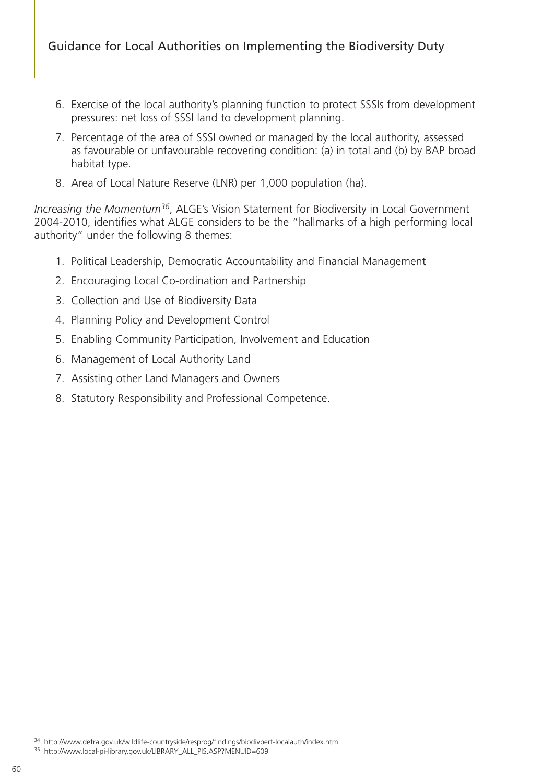- 6. Exercise of the local authority's planning function to protect SSSIs from development pressures: net loss of SSSI land to development planning.
- 7. Percentage of the area of SSSI owned or managed by the local authority, assessed as favourable or unfavourable recovering condition: (a) in total and (b) by BAP broad habitat type.
- 8. Area of Local Nature Reserve (LNR) per 1,000 population (ha).

*Increasing the Momentum36*, ALGE's Vision Statement for Biodiversity in Local Government 2004-2010, identifies what ALGE considers to be the "hallmarks of a high performing local authority" under the following 8 themes:

- 1. Political Leadership, Democratic Accountability and Financial Management
- 2. Encouraging Local Co-ordination and Partnership
- 3. Collection and Use of Biodiversity Data
- 4. Planning Policy and Development Control
- 5. Enabling Community Participation, Involvement and Education
- 6. Management of Local Authority Land
- 7. Assisting other Land Managers and Owners
- 8. Statutory Responsibility and Professional Competence.

<sup>34</sup> http://www.defra.gov.uk/wildlife-countryside/resprog/findings/biodivperf-localauth/index.htm

<sup>35</sup> http://www.local-pi-library.gov.uk/LIBRARY\_ALL\_PIS.ASP?MENUID=609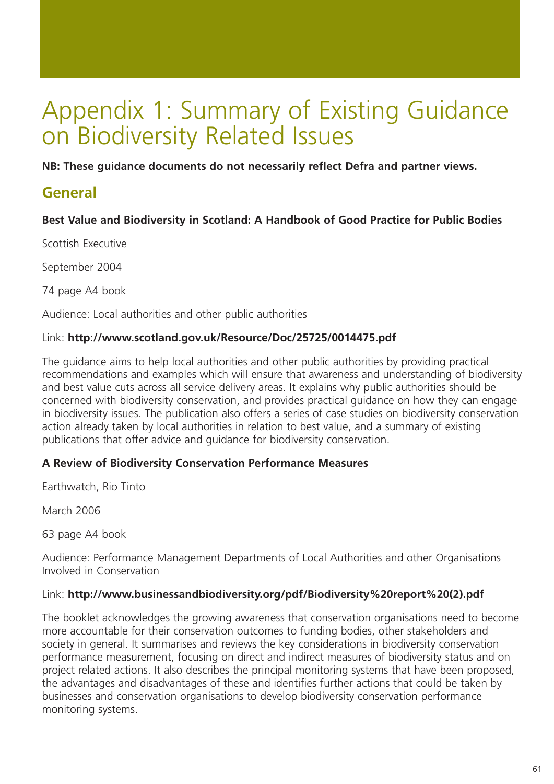# Appendix 1: Summary of Existing Guidance on Biodiversity Related Issues

**NB: These guidance documents do not necessarily reflect Defra and partner views.**

# **General**

#### **Best Value and Biodiversity in Scotland: A Handbook of Good Practice for Public Bodies**

Scottish Executive

September 2004

74 page A4 book

Audience: Local authorities and other public authorities

#### Link: **http://www.scotland.gov.uk/Resource/Doc/25725/0014475.pdf**

The guidance aims to help local authorities and other public authorities by providing practical recommendations and examples which will ensure that awareness and understanding of biodiversity and best value cuts across all service delivery areas. It explains why public authorities should be concerned with biodiversity conservation, and provides practical guidance on how they can engage in biodiversity issues. The publication also offers a series of case studies on biodiversity conservation action already taken by local authorities in relation to best value, and a summary of existing publications that offer advice and guidance for biodiversity conservation.

#### **A Review of Biodiversity Conservation Performance Measures**

Earthwatch, Rio Tinto

March 2006

63 page A4 book

Audience: Performance Management Departments of Local Authorities and other Organisations Involved in Conservation

#### Link: **http://www.businessandbiodiversity.org/pdf/Biodiversity%20report%20(2).pdf**

The booklet acknowledges the growing awareness that conservation organisations need to become more accountable for their conservation outcomes to funding bodies, other stakeholders and society in general. It summarises and reviews the key considerations in biodiversity conservation performance measurement, focusing on direct and indirect measures of biodiversity status and on project related actions. It also describes the principal monitoring systems that have been proposed, the advantages and disadvantages of these and identifies further actions that could be taken by businesses and conservation organisations to develop biodiversity conservation performance monitoring systems.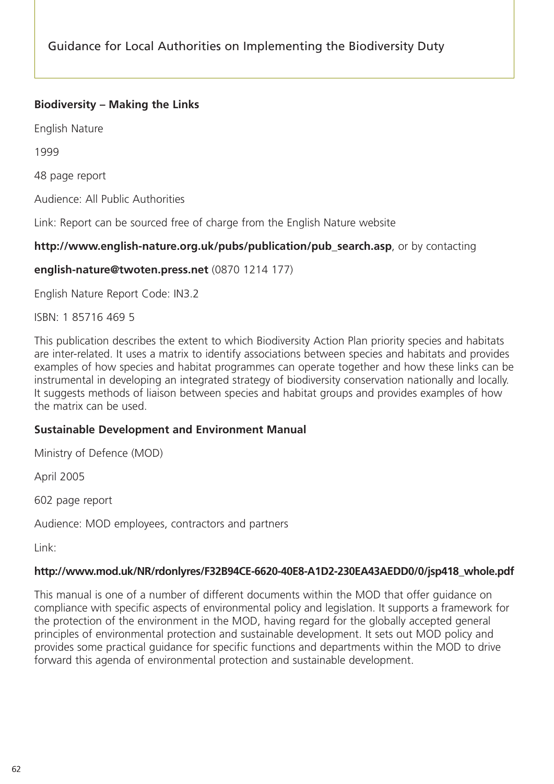### **Biodiversity – Making the Links**

English Nature

1999

48 page report

Audience: All Public Authorities

Link: Report can be sourced free of charge from the English Nature website

#### **http://www.english-nature.org.uk/pubs/publication/pub\_search.asp**, or by contacting

#### **english-nature@twoten.press.net** (0870 1214 177)

English Nature Report Code: IN3.2

ISBN: 1 85716 469 5

This publication describes the extent to which Biodiversity Action Plan priority species and habitats are inter-related. It uses a matrix to identify associations between species and habitats and provides examples of how species and habitat programmes can operate together and how these links can be instrumental in developing an integrated strategy of biodiversity conservation nationally and locally. It suggests methods of liaison between species and habitat groups and provides examples of how the matrix can be used.

#### **Sustainable Development and Environment Manual**

Ministry of Defence (MOD)

April 2005

602 page report

Audience: MOD employees, contractors and partners

Link:

#### **http://www.mod.uk/NR/rdonlyres/F32B94CE-6620-40E8-A1D2-230EA43AEDD0/0/jsp418\_whole.pdf**

This manual is one of a number of different documents within the MOD that offer guidance on compliance with specific aspects of environmental policy and legislation. It supports a framework for the protection of the environment in the MOD, having regard for the globally accepted general principles of environmental protection and sustainable development. It sets out MOD policy and provides some practical guidance for specific functions and departments within the MOD to drive forward this agenda of environmental protection and sustainable development.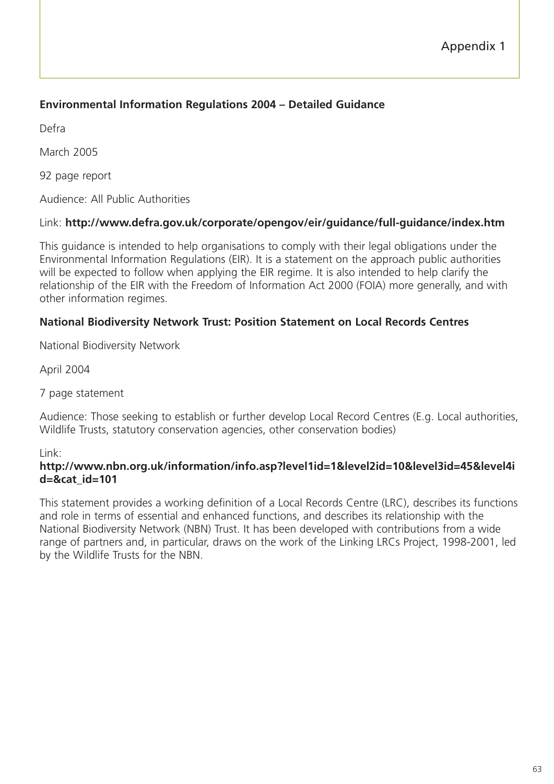### **Environmental Information Regulations 2004 – Detailed Guidance**

Defra

March 2005

92 page report

Audience: All Public Authorities

#### Link: **http://www.defra.gov.uk/corporate/opengov/eir/guidance/full-guidance/index.htm**

This guidance is intended to help organisations to comply with their legal obligations under the Environmental Information Regulations (EIR). It is a statement on the approach public authorities will be expected to follow when applying the EIR regime. It is also intended to help clarify the relationship of the EIR with the Freedom of Information Act 2000 (FOIA) more generally, and with other information regimes.

#### **National Biodiversity Network Trust: Position Statement on Local Records Centres**

National Biodiversity Network

April 2004

7 page statement

Audience: Those seeking to establish or further develop Local Record Centres (E.g. Local authorities, Wildlife Trusts, statutory conservation agencies, other conservation bodies)

#### Link:

#### **http://www.nbn.org.uk/information/info.asp?level1id=1&level2id=10&level3id=45&level4i d=&cat\_id=101**

This statement provides a working definition of a Local Records Centre (LRC), describes its functions and role in terms of essential and enhanced functions, and describes its relationship with the National Biodiversity Network (NBN) Trust. It has been developed with contributions from a wide range of partners and, in particular, draws on the work of the Linking LRCs Project, 1998-2001, led by the Wildlife Trusts for the NBN.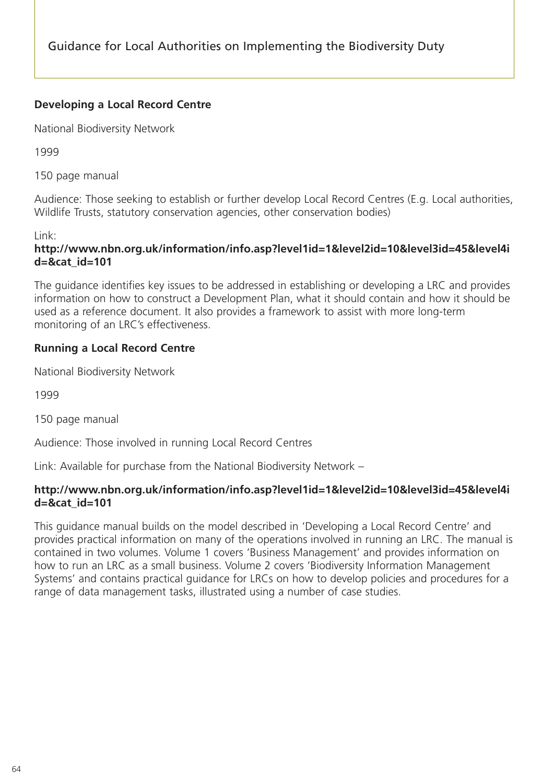### **Developing a Local Record Centre**

National Biodiversity Network

1999

150 page manual

Audience: Those seeking to establish or further develop Local Record Centres (E.g. Local authorities, Wildlife Trusts, statutory conservation agencies, other conservation bodies)

Link:

#### **http://www.nbn.org.uk/information/info.asp?level1id=1&level2id=10&level3id=45&level4i d=&cat\_id=101**

The guidance identifies key issues to be addressed in establishing or developing a LRC and provides information on how to construct a Development Plan, what it should contain and how it should be used as a reference document. It also provides a framework to assist with more long-term monitoring of an LRC's effectiveness.

### **Running a Local Record Centre**

National Biodiversity Network

1999

150 page manual

Audience: Those involved in running Local Record Centres

Link: Available for purchase from the National Biodiversity Network –

#### **http://www.nbn.org.uk/information/info.asp?level1id=1&level2id=10&level3id=45&level4i d=&cat\_id=101**

This guidance manual builds on the model described in 'Developing a Local Record Centre' and provides practical information on many of the operations involved in running an LRC. The manual is contained in two volumes. Volume 1 covers 'Business Management' and provides information on how to run an LRC as a small business. Volume 2 covers 'Biodiversity Information Management Systems' and contains practical guidance for LRCs on how to develop policies and procedures for a range of data management tasks, illustrated using a number of case studies.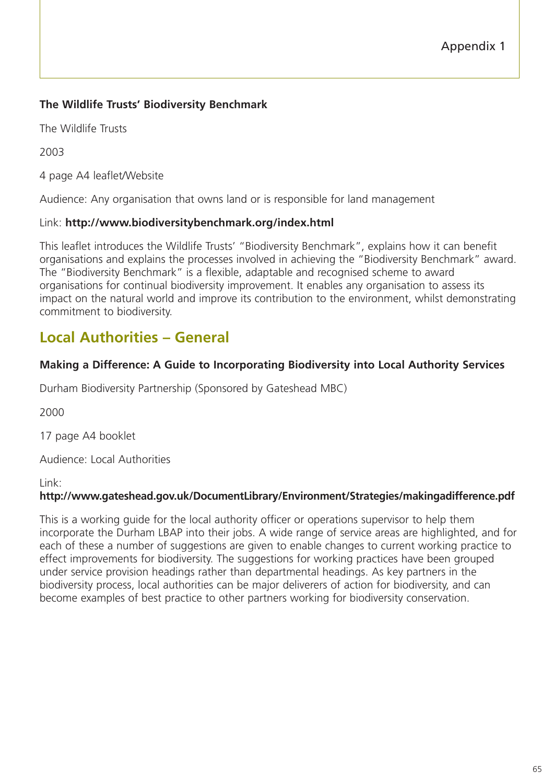### **The Wildlife Trusts' Biodiversity Benchmark**

The Wildlife Trusts

2003

4 page A4 leaflet/Website

Audience: Any organisation that owns land or is responsible for land management

#### Link: **http://www.biodiversitybenchmark.org/index.html**

This leaflet introduces the Wildlife Trusts' "Biodiversity Benchmark", explains how it can benefit organisations and explains the processes involved in achieving the "Biodiversity Benchmark" award. The "Biodiversity Benchmark" is a flexible, adaptable and recognised scheme to award organisations for continual biodiversity improvement. It enables any organisation to assess its impact on the natural world and improve its contribution to the environment, whilst demonstrating commitment to biodiversity.

# **Local Authorities – General**

#### **Making a Difference: A Guide to Incorporating Biodiversity into Local Authority Services**

Durham Biodiversity Partnership (Sponsored by Gateshead MBC)

2000

17 page A4 booklet

Audience: Local Authorities

Link:

#### **http://www.gateshead.gov.uk/DocumentLibrary/Environment/Strategies/makingadifference.pdf**

This is a working guide for the local authority officer or operations supervisor to help them incorporate the Durham LBAP into their jobs. A wide range of service areas are highlighted, and for each of these a number of suggestions are given to enable changes to current working practice to effect improvements for biodiversity. The suggestions for working practices have been grouped under service provision headings rather than departmental headings. As key partners in the biodiversity process, local authorities can be major deliverers of action for biodiversity, and can become examples of best practice to other partners working for biodiversity conservation.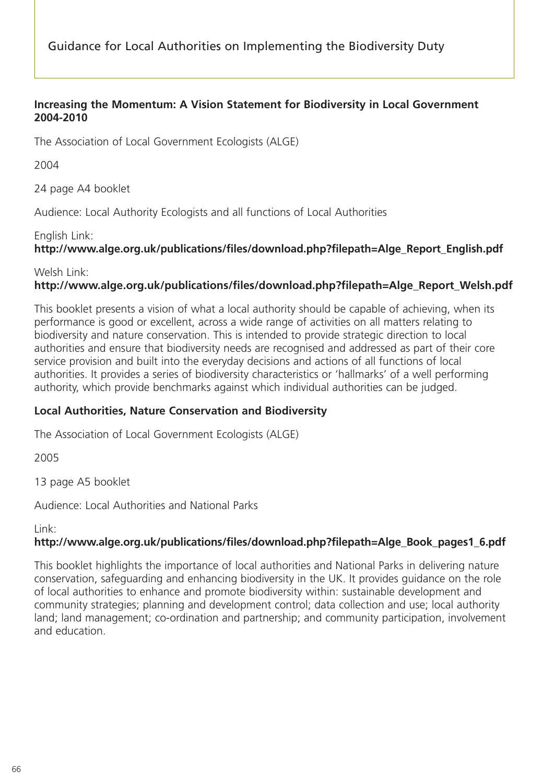Guidance for Local Authorities on Implementing the Biodiversity Duty

#### **Increasing the Momentum: A Vision Statement for Biodiversity in Local Government 2004-2010**

The Association of Local Government Ecologists (ALGE)

2004

24 page A4 booklet

Audience: Local Authority Ecologists and all functions of Local Authorities

#### English Link:

### **http://www.alge.org.uk/publications/files/download.php?filepath=Alge\_Report\_English.pdf**

Welsh Link:

### **http://www.alge.org.uk/publications/files/download.php?filepath=Alge\_Report\_Welsh.pdf**

This booklet presents a vision of what a local authority should be capable of achieving, when its performance is good or excellent, across a wide range of activities on all matters relating to biodiversity and nature conservation. This is intended to provide strategic direction to local authorities and ensure that biodiversity needs are recognised and addressed as part of their core service provision and built into the everyday decisions and actions of all functions of local authorities. It provides a series of biodiversity characteristics or 'hallmarks' of a well performing authority, which provide benchmarks against which individual authorities can be judged.

#### **Local Authorities, Nature Conservation and Biodiversity**

The Association of Local Government Ecologists (ALGE)

2005

13 page A5 booklet

Audience: Local Authorities and National Parks

Link:

#### **http://www.alge.org.uk/publications/files/download.php?filepath=Alge\_Book\_pages1\_6.pdf**

This booklet highlights the importance of local authorities and National Parks in delivering nature conservation, safeguarding and enhancing biodiversity in the UK. It provides guidance on the role of local authorities to enhance and promote biodiversity within: sustainable development and community strategies; planning and development control; data collection and use; local authority land; land management; co-ordination and partnership; and community participation, involvement and education.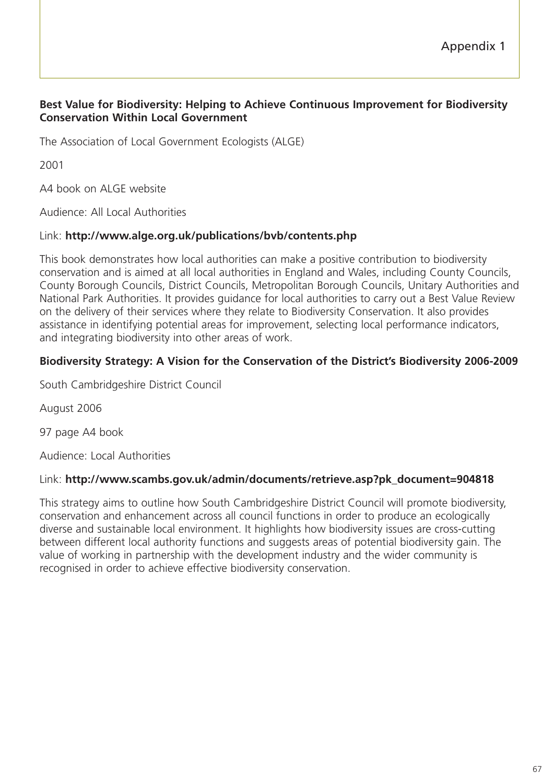#### **Best Value for Biodiversity: Helping to Achieve Continuous Improvement for Biodiversity Conservation Within Local Government**

The Association of Local Government Ecologists (ALGE)

2001

A4 book on ALGE website

Audience: All Local Authorities

#### Link: **http://www.alge.org.uk/publications/bvb/contents.php**

This book demonstrates how local authorities can make a positive contribution to biodiversity conservation and is aimed at all local authorities in England and Wales, including County Councils, County Borough Councils, District Councils, Metropolitan Borough Councils, Unitary Authorities and National Park Authorities. It provides guidance for local authorities to carry out a Best Value Review on the delivery of their services where they relate to Biodiversity Conservation. It also provides assistance in identifying potential areas for improvement, selecting local performance indicators, and integrating biodiversity into other areas of work.

#### **Biodiversity Strategy: A Vision for the Conservation of the District's Biodiversity 2006-2009**

South Cambridgeshire District Council

August 2006

97 page A4 book

Audience: Local Authorities

#### Link: **http://www.scambs.gov.uk/admin/documents/retrieve.asp?pk\_document=904818**

This strategy aims to outline how South Cambridgeshire District Council will promote biodiversity, conservation and enhancement across all council functions in order to produce an ecologically diverse and sustainable local environment. It highlights how biodiversity issues are cross-cutting between different local authority functions and suggests areas of potential biodiversity gain. The value of working in partnership with the development industry and the wider community is recognised in order to achieve effective biodiversity conservation.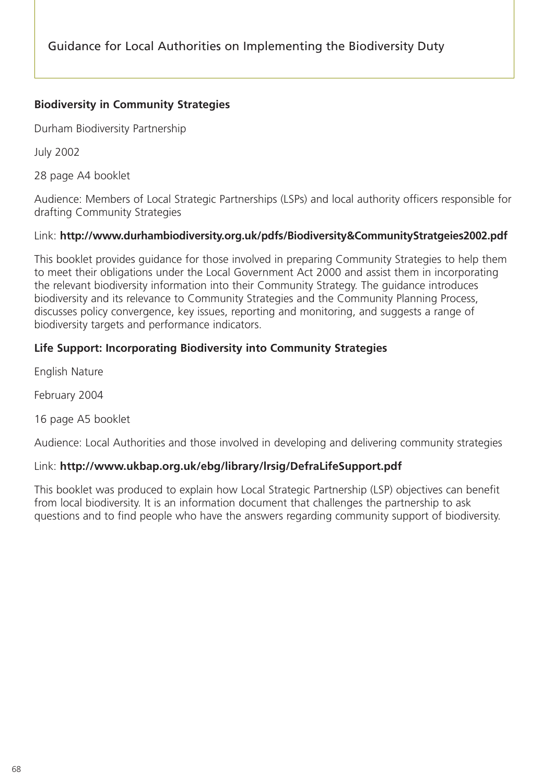#### **Biodiversity in Community Strategies**

Durham Biodiversity Partnership

July 2002

28 page A4 booklet

Audience: Members of Local Strategic Partnerships (LSPs) and local authority officers responsible for drafting Community Strategies

#### Link: **http://www.durhambiodiversity.org.uk/pdfs/Biodiversity&CommunityStratgeies2002.pdf**

This booklet provides guidance for those involved in preparing Community Strategies to help them to meet their obligations under the Local Government Act 2000 and assist them in incorporating the relevant biodiversity information into their Community Strategy. The guidance introduces biodiversity and its relevance to Community Strategies and the Community Planning Process, discusses policy convergence, key issues, reporting and monitoring, and suggests a range of biodiversity targets and performance indicators.

#### **Life Support: Incorporating Biodiversity into Community Strategies**

English Nature

February 2004

16 page A5 booklet

Audience: Local Authorities and those involved in developing and delivering community strategies

#### Link: **http://www.ukbap.org.uk/ebg/library/lrsig/DefraLifeSupport.pdf**

This booklet was produced to explain how Local Strategic Partnership (LSP) objectives can benefit from local biodiversity. It is an information document that challenges the partnership to ask questions and to find people who have the answers regarding community support of biodiversity.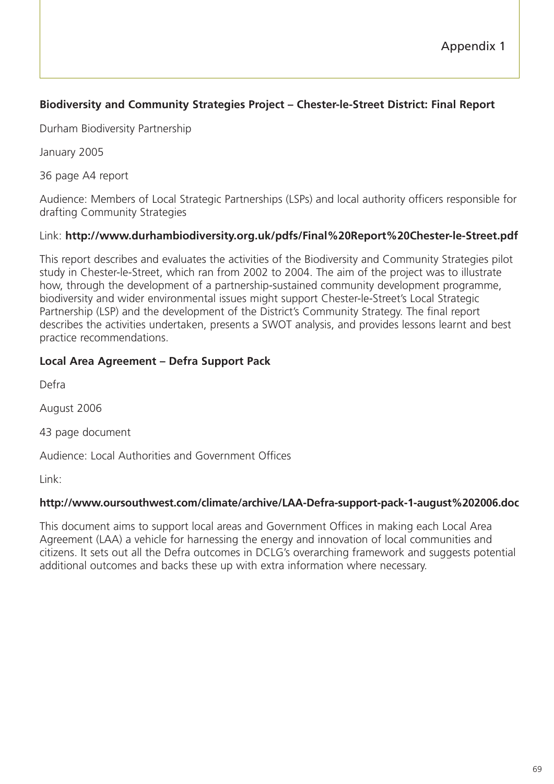### **Biodiversity and Community Strategies Project – Chester-le-Street District: Final Report**

Durham Biodiversity Partnership

January 2005

36 page A4 report

Audience: Members of Local Strategic Partnerships (LSPs) and local authority officers responsible for drafting Community Strategies

#### Link: **http://www.durhambiodiversity.org.uk/pdfs/Final%20Report%20Chester-le-Street.pdf**

This report describes and evaluates the activities of the Biodiversity and Community Strategies pilot study in Chester-le-Street, which ran from 2002 to 2004. The aim of the project was to illustrate how, through the development of a partnership-sustained community development programme, biodiversity and wider environmental issues might support Chester-le-Street's Local Strategic Partnership (LSP) and the development of the District's Community Strategy. The final report describes the activities undertaken, presents a SWOT analysis, and provides lessons learnt and best practice recommendations.

#### **Local Area Agreement – Defra Support Pack**

Defra

August 2006

43 page document

Audience: Local Authorities and Government Offices

Link:

#### **http://www.oursouthwest.com/climate/archive/LAA-Defra-support-pack-1-august%202006.doc**

This document aims to support local areas and Government Offices in making each Local Area Agreement (LAA) a vehicle for harnessing the energy and innovation of local communities and citizens. It sets out all the Defra outcomes in DCLG's overarching framework and suggests potential additional outcomes and backs these up with extra information where necessary.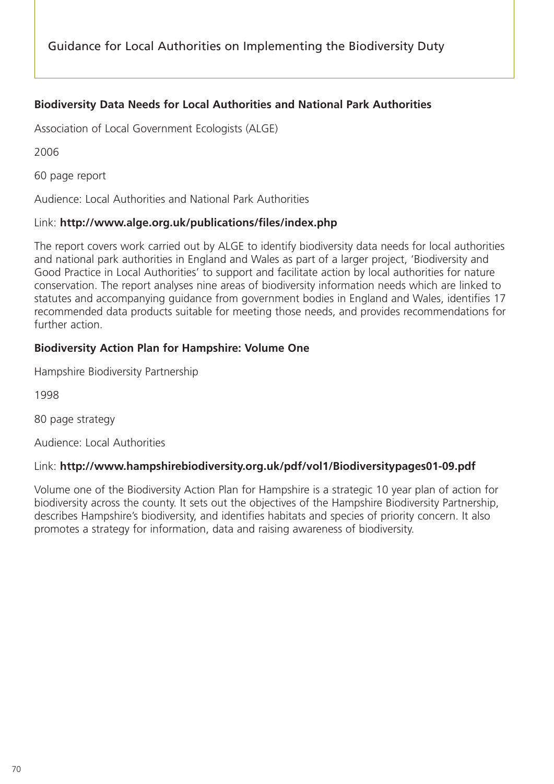# **Biodiversity Data Needs for Local Authorities and National Park Authorities**

Association of Local Government Ecologists (ALGE)

2006

60 page report

Audience: Local Authorities and National Park Authorities

#### Link: **http://www.alge.org.uk/publications/files/index.php**

The report covers work carried out by ALGE to identify biodiversity data needs for local authorities and national park authorities in England and Wales as part of a larger project, 'Biodiversity and Good Practice in Local Authorities' to support and facilitate action by local authorities for nature conservation. The report analyses nine areas of biodiversity information needs which are linked to statutes and accompanying guidance from government bodies in England and Wales, identifies 17 recommended data products suitable for meeting those needs, and provides recommendations for further action.

# **Biodiversity Action Plan for Hampshire: Volume One**

Hampshire Biodiversity Partnership

1998

80 page strategy

Audience: Local Authorities

# Link: **http://www.hampshirebiodiversity.org.uk/pdf/vol1/Biodiversitypages01-09.pdf**

Volume one of the Biodiversity Action Plan for Hampshire is a strategic 10 year plan of action for biodiversity across the county. It sets out the objectives of the Hampshire Biodiversity Partnership, describes Hampshire's biodiversity, and identifies habitats and species of priority concern. It also promotes a strategy for information, data and raising awareness of biodiversity.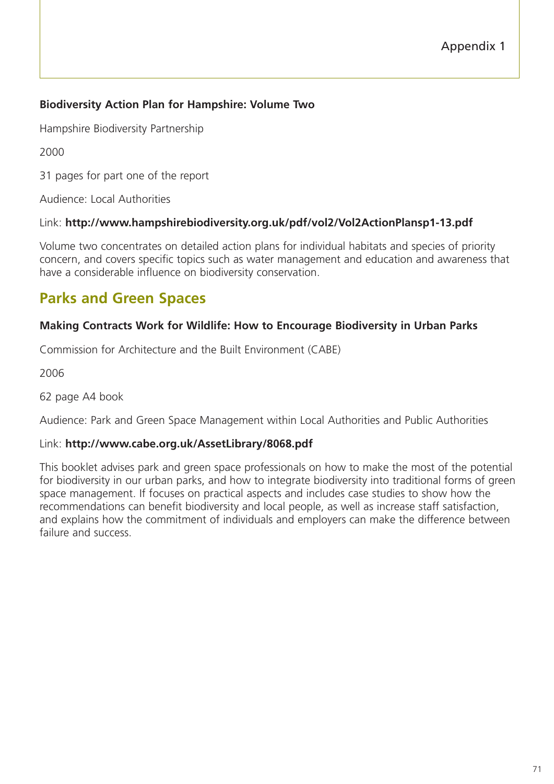# **Biodiversity Action Plan for Hampshire: Volume Two**

Hampshire Biodiversity Partnership

2000

31 pages for part one of the report

Audience: Local Authorities

# Link: **http://www.hampshirebiodiversity.org.uk/pdf/vol2/Vol2ActionPlansp1-13.pdf**

Volume two concentrates on detailed action plans for individual habitats and species of priority concern, and covers specific topics such as water management and education and awareness that have a considerable influence on biodiversity conservation.

# **Parks and Green Spaces**

# **Making Contracts Work for Wildlife: How to Encourage Biodiversity in Urban Parks**

Commission for Architecture and the Built Environment (CABE)

2006

62 page A4 book

Audience: Park and Green Space Management within Local Authorities and Public Authorities

# Link: **http://www.cabe.org.uk/AssetLibrary/8068.pdf**

This booklet advises park and green space professionals on how to make the most of the potential for biodiversity in our urban parks, and how to integrate biodiversity into traditional forms of green space management. If focuses on practical aspects and includes case studies to show how the recommendations can benefit biodiversity and local people, as well as increase staff satisfaction, and explains how the commitment of individuals and employers can make the difference between failure and success.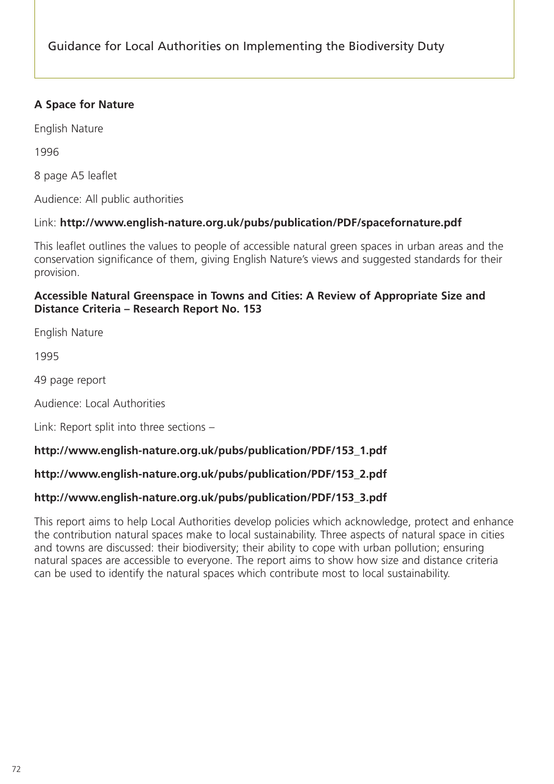# **A Space for Nature**

English Nature

1996

8 page A5 leaflet

Audience: All public authorities

# Link: **http://www.english-nature.org.uk/pubs/publication/PDF/spacefornature.pdf**

This leaflet outlines the values to people of accessible natural green spaces in urban areas and the conservation significance of them, giving English Nature's views and suggested standards for their provision.

#### **Accessible Natural Greenspace in Towns and Cities: A Review of Appropriate Size and Distance Criteria – Research Report No. 153**

English Nature

1995

49 page report

Audience: Local Authorities

Link: Report split into three sections –

# **http://www.english-nature.org.uk/pubs/publication/PDF/153\_1.pdf**

# **http://www.english-nature.org.uk/pubs/publication/PDF/153\_2.pdf**

# **http://www.english-nature.org.uk/pubs/publication/PDF/153\_3.pdf**

This report aims to help Local Authorities develop policies which acknowledge, protect and enhance the contribution natural spaces make to local sustainability. Three aspects of natural space in cities and towns are discussed: their biodiversity; their ability to cope with urban pollution; ensuring natural spaces are accessible to everyone. The report aims to show how size and distance criteria can be used to identify the natural spaces which contribute most to local sustainability.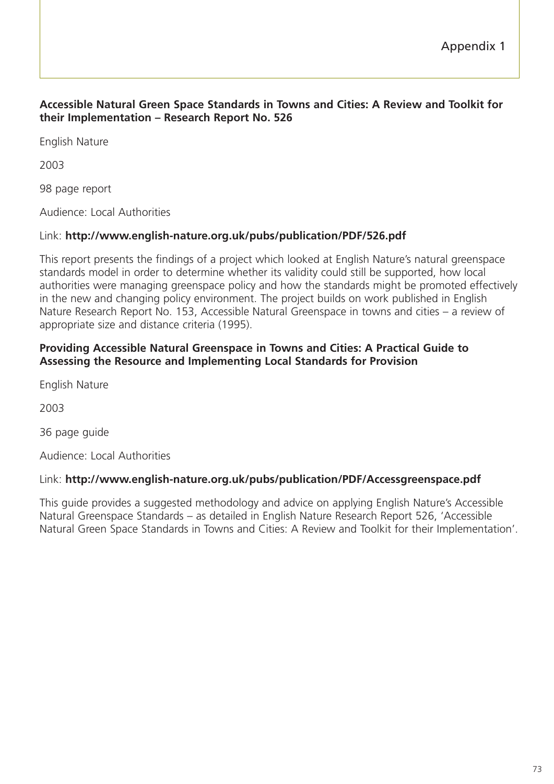#### **Accessible Natural Green Space Standards in Towns and Cities: A Review and Toolkit for their Implementation – Research Report No. 526**

English Nature

2003

98 page report

Audience: Local Authorities

# Link: **http://www.english-nature.org.uk/pubs/publication/PDF/526.pdf**

This report presents the findings of a project which looked at English Nature's natural greenspace standards model in order to determine whether its validity could still be supported, how local authorities were managing greenspace policy and how the standards might be promoted effectively in the new and changing policy environment. The project builds on work published in English Nature Research Report No. 153, Accessible Natural Greenspace in towns and cities – a review of appropriate size and distance criteria (1995).

#### **Providing Accessible Natural Greenspace in Towns and Cities: A Practical Guide to Assessing the Resource and Implementing Local Standards for Provision**

English Nature

2003

36 page guide

Audience: Local Authorities

# Link: **http://www.english-nature.org.uk/pubs/publication/PDF/Accessgreenspace.pdf**

This guide provides a suggested methodology and advice on applying English Nature's Accessible Natural Greenspace Standards – as detailed in English Nature Research Report 526, 'Accessible Natural Green Space Standards in Towns and Cities: A Review and Toolkit for their Implementation'.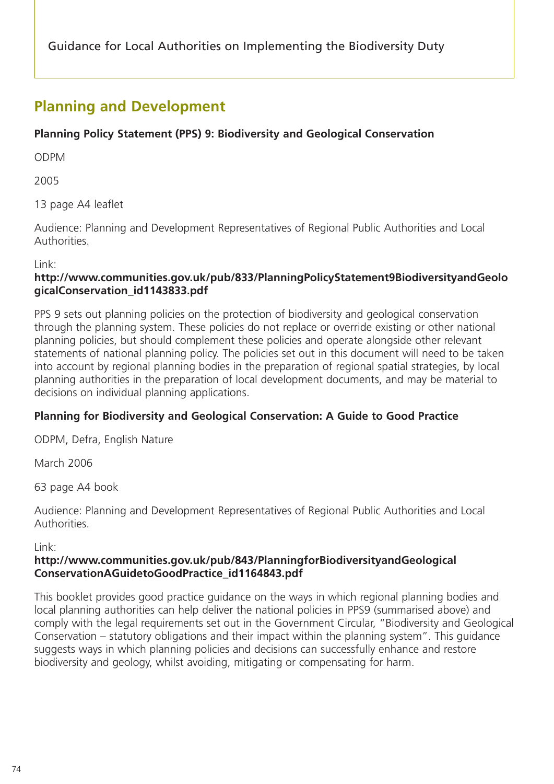# **Planning and Development**

# **Planning Policy Statement (PPS) 9: Biodiversity and Geological Conservation**

ODPM

2005

13 page A4 leaflet

Audience: Planning and Development Representatives of Regional Public Authorities and Local Authorities.

Link:

# **http://www.communities.gov.uk/pub/833/PlanningPolicyStatement9BiodiversityandGeolo gicalConservation\_id1143833.pdf**

PPS 9 sets out planning policies on the protection of biodiversity and geological conservation through the planning system. These policies do not replace or override existing or other national planning policies, but should complement these policies and operate alongside other relevant statements of national planning policy. The policies set out in this document will need to be taken into account by regional planning bodies in the preparation of regional spatial strategies, by local planning authorities in the preparation of local development documents, and may be material to decisions on individual planning applications.

# **Planning for Biodiversity and Geological Conservation: A Guide to Good Practice**

ODPM, Defra, English Nature

March 2006

63 page A4 book

Audience: Planning and Development Representatives of Regional Public Authorities and Local Authorities.

# Link:

# **http://www.communities.gov.uk/pub/843/PlanningforBiodiversityandGeological ConservationAGuidetoGoodPractice\_id1164843.pdf**

This booklet provides good practice guidance on the ways in which regional planning bodies and local planning authorities can help deliver the national policies in PPS9 (summarised above) and comply with the legal requirements set out in the Government Circular, "Biodiversity and Geological Conservation – statutory obligations and their impact within the planning system". This guidance suggests ways in which planning policies and decisions can successfully enhance and restore biodiversity and geology, whilst avoiding, mitigating or compensating for harm.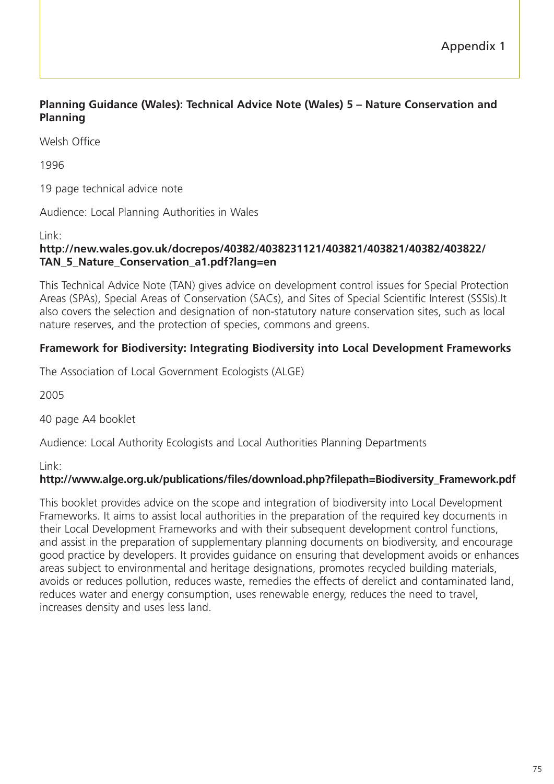# **Planning Guidance (Wales): Technical Advice Note (Wales) 5 – Nature Conservation and Planning**

Welsh Office

1996

19 page technical advice note

Audience: Local Planning Authorities in Wales

Link:

#### **http://new.wales.gov.uk/docrepos/40382/4038231121/403821/403821/40382/403822/ TAN\_5\_Nature\_Conservation\_a1.pdf?lang=en**

This Technical Advice Note (TAN) gives advice on development control issues for Special Protection Areas (SPAs), Special Areas of Conservation (SACs), and Sites of Special Scientific Interest (SSSIs).It also covers the selection and designation of non-statutory nature conservation sites, such as local nature reserves, and the protection of species, commons and greens.

# **Framework for Biodiversity: Integrating Biodiversity into Local Development Frameworks**

The Association of Local Government Ecologists (ALGE)

2005

40 page A4 booklet

Audience: Local Authority Ecologists and Local Authorities Planning Departments

Link:

#### **http://www.alge.org.uk/publications/files/download.php?filepath=Biodiversity\_Framework.pdf**

This booklet provides advice on the scope and integration of biodiversity into Local Development Frameworks. It aims to assist local authorities in the preparation of the required key documents in their Local Development Frameworks and with their subsequent development control functions, and assist in the preparation of supplementary planning documents on biodiversity, and encourage good practice by developers. It provides guidance on ensuring that development avoids or enhances areas subject to environmental and heritage designations, promotes recycled building materials, avoids or reduces pollution, reduces waste, remedies the effects of derelict and contaminated land, reduces water and energy consumption, uses renewable energy, reduces the need to travel, increases density and uses less land.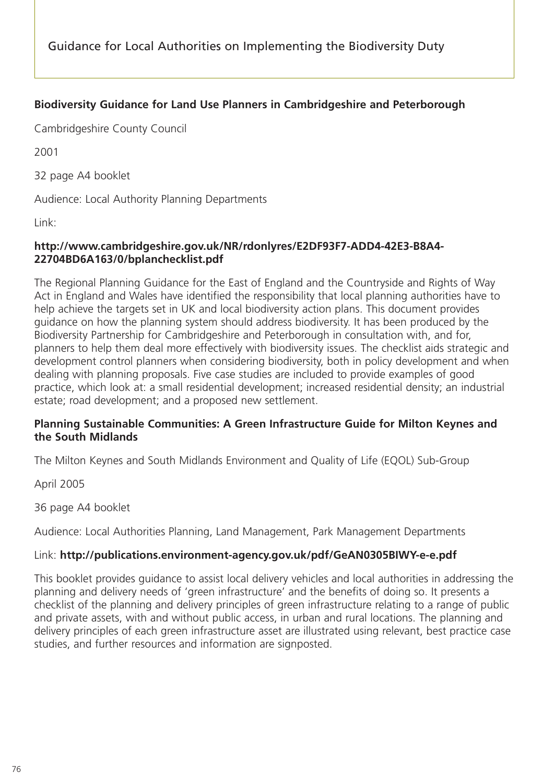# **Biodiversity Guidance for Land Use Planners in Cambridgeshire and Peterborough**

Cambridgeshire County Council

2001

32 page A4 booklet

Audience: Local Authority Planning Departments

Link:

# **http://www.cambridgeshire.gov.uk/NR/rdonlyres/E2DF93F7-ADD4-42E3-B8A4- 22704BD6A163/0/bplanchecklist.pdf**

The Regional Planning Guidance for the East of England and the Countryside and Rights of Way Act in England and Wales have identified the responsibility that local planning authorities have to help achieve the targets set in UK and local biodiversity action plans. This document provides guidance on how the planning system should address biodiversity. It has been produced by the Biodiversity Partnership for Cambridgeshire and Peterborough in consultation with, and for, planners to help them deal more effectively with biodiversity issues. The checklist aids strategic and development control planners when considering biodiversity, both in policy development and when dealing with planning proposals. Five case studies are included to provide examples of good practice, which look at: a small residential development; increased residential density; an industrial estate; road development; and a proposed new settlement.

# **Planning Sustainable Communities: A Green Infrastructure Guide for Milton Keynes and the South Midlands**

The Milton Keynes and South Midlands Environment and Quality of Life (EQOL) Sub-Group

April 2005

36 page A4 booklet

Audience: Local Authorities Planning, Land Management, Park Management Departments

# Link: **http://publications.environment-agency.gov.uk/pdf/GeAN0305BIWY-e-e.pdf**

This booklet provides guidance to assist local delivery vehicles and local authorities in addressing the planning and delivery needs of 'green infrastructure' and the benefits of doing so. It presents a checklist of the planning and delivery principles of green infrastructure relating to a range of public and private assets, with and without public access, in urban and rural locations. The planning and delivery principles of each green infrastructure asset are illustrated using relevant, best practice case studies, and further resources and information are signposted.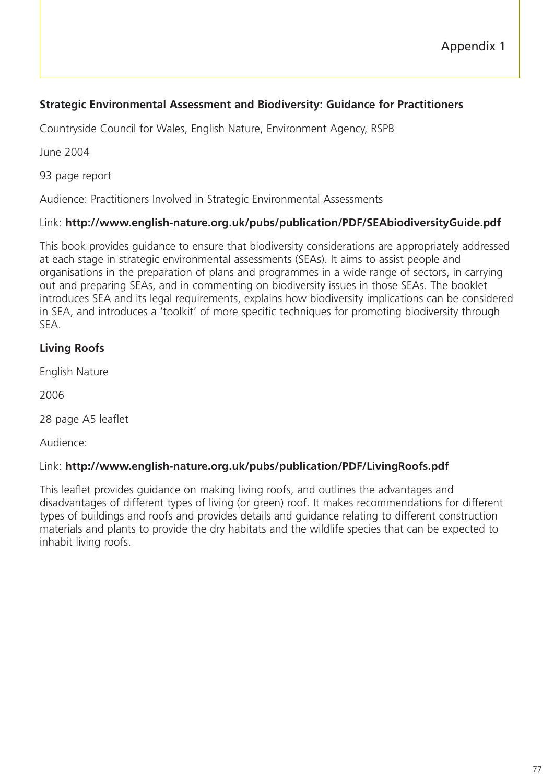# **Strategic Environmental Assessment and Biodiversity: Guidance for Practitioners**

Countryside Council for Wales, English Nature, Environment Agency, RSPB

June 2004

93 page report

Audience: Practitioners Involved in Strategic Environmental Assessments

# Link: **http://www.english-nature.org.uk/pubs/publication/PDF/SEAbiodiversityGuide.pdf**

This book provides guidance to ensure that biodiversity considerations are appropriately addressed at each stage in strategic environmental assessments (SEAs). It aims to assist people and organisations in the preparation of plans and programmes in a wide range of sectors, in carrying out and preparing SEAs, and in commenting on biodiversity issues in those SEAs. The booklet introduces SEA and its legal requirements, explains how biodiversity implications can be considered in SEA, and introduces a 'toolkit' of more specific techniques for promoting biodiversity through SEA.

# **Living Roofs**

English Nature

2006

28 page A5 leaflet

Audience:

# Link: **http://www.english-nature.org.uk/pubs/publication/PDF/LivingRoofs.pdf**

This leaflet provides guidance on making living roofs, and outlines the advantages and disadvantages of different types of living (or green) roof. It makes recommendations for different types of buildings and roofs and provides details and guidance relating to different construction materials and plants to provide the dry habitats and the wildlife species that can be expected to inhabit living roofs.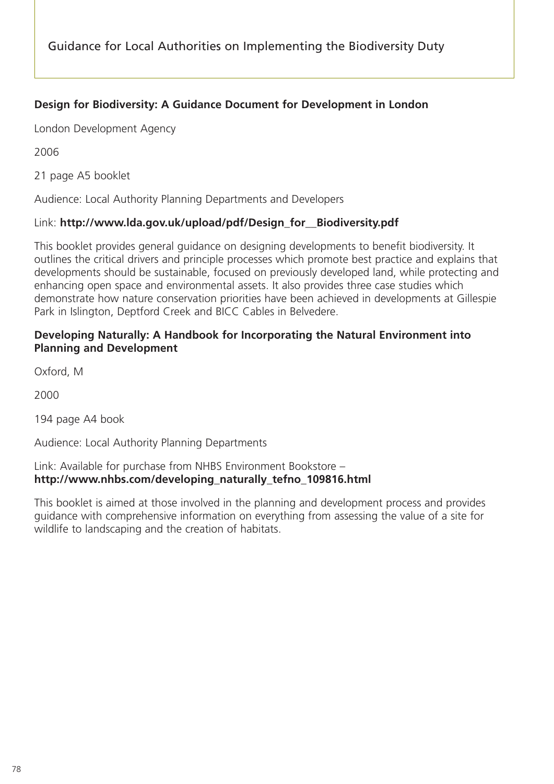# **Design for Biodiversity: A Guidance Document for Development in London**

London Development Agency

2006

21 page A5 booklet

Audience: Local Authority Planning Departments and Developers

#### Link: **http://www.lda.gov.uk/upload/pdf/Design\_for\_\_Biodiversity.pdf**

This booklet provides general guidance on designing developments to benefit biodiversity. It outlines the critical drivers and principle processes which promote best practice and explains that developments should be sustainable, focused on previously developed land, while protecting and enhancing open space and environmental assets. It also provides three case studies which demonstrate how nature conservation priorities have been achieved in developments at Gillespie Park in Islington, Deptford Creek and BICC Cables in Belvedere.

#### **Developing Naturally: A Handbook for Incorporating the Natural Environment into Planning and Development**

Oxford, M

2000

194 page A4 book

Audience: Local Authority Planning Departments

#### Link: Available for purchase from NHBS Environment Bookstore – **http://www.nhbs.com/developing\_naturally\_tefno\_109816.html**

This booklet is aimed at those involved in the planning and development process and provides guidance with comprehensive information on everything from assessing the value of a site for wildlife to landscaping and the creation of habitats.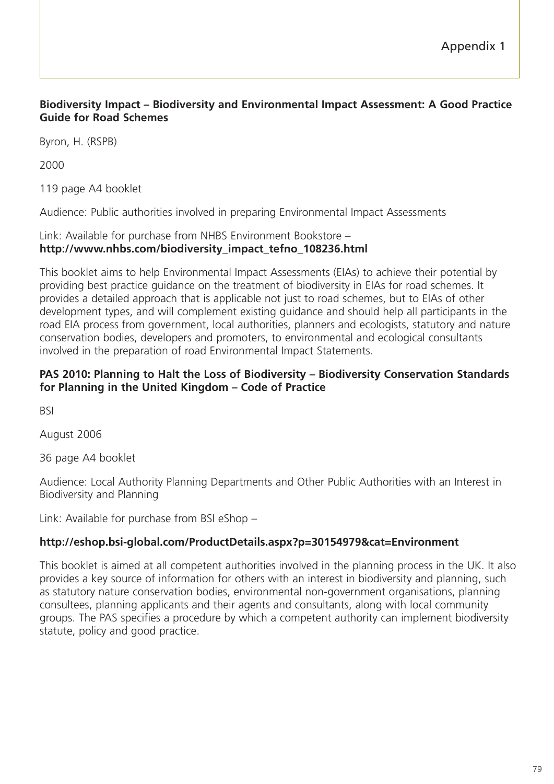# **Biodiversity Impact – Biodiversity and Environmental Impact Assessment: A Good Practice Guide for Road Schemes**

Byron, H. (RSPB)

2000

119 page A4 booklet

Audience: Public authorities involved in preparing Environmental Impact Assessments

# Link: Available for purchase from NHBS Environment Bookstore – **http://www.nhbs.com/biodiversity\_impact\_tefno\_108236.html**

This booklet aims to help Environmental Impact Assessments (EIAs) to achieve their potential by providing best practice guidance on the treatment of biodiversity in EIAs for road schemes. It provides a detailed approach that is applicable not just to road schemes, but to EIAs of other development types, and will complement existing guidance and should help all participants in the road EIA process from government, local authorities, planners and ecologists, statutory and nature conservation bodies, developers and promoters, to environmental and ecological consultants involved in the preparation of road Environmental Impact Statements.

#### **PAS 2010: Planning to Halt the Loss of Biodiversity – Biodiversity Conservation Standards for Planning in the United Kingdom – Code of Practice**

BSI

August 2006

36 page A4 booklet

Audience: Local Authority Planning Departments and Other Public Authorities with an Interest in Biodiversity and Planning

Link: Available for purchase from BSI eShop –

# **http://eshop.bsi-global.com/ProductDetails.aspx?p=30154979&cat=Environment**

This booklet is aimed at all competent authorities involved in the planning process in the UK. It also provides a key source of information for others with an interest in biodiversity and planning, such as statutory nature conservation bodies, environmental non-government organisations, planning consultees, planning applicants and their agents and consultants, along with local community groups. The PAS specifies a procedure by which a competent authority can implement biodiversity statute, policy and good practice.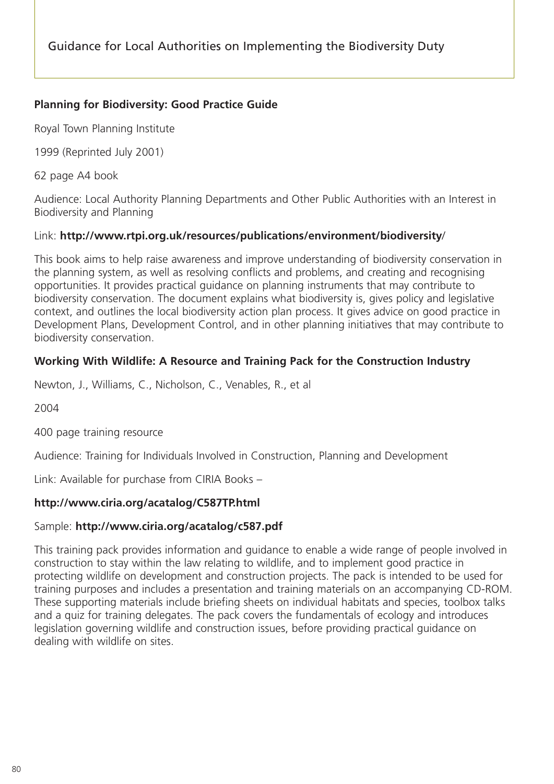# **Planning for Biodiversity: Good Practice Guide**

Royal Town Planning Institute

1999 (Reprinted July 2001)

62 page A4 book

Audience: Local Authority Planning Departments and Other Public Authorities with an Interest in Biodiversity and Planning

# Link: **http://www.rtpi.org.uk/resources/publications/environment/biodiversity**/

This book aims to help raise awareness and improve understanding of biodiversity conservation in the planning system, as well as resolving conflicts and problems, and creating and recognising opportunities. It provides practical guidance on planning instruments that may contribute to biodiversity conservation. The document explains what biodiversity is, gives policy and legislative context, and outlines the local biodiversity action plan process. It gives advice on good practice in Development Plans, Development Control, and in other planning initiatives that may contribute to biodiversity conservation.

# **Working With Wildlife: A Resource and Training Pack for the Construction Industry**

Newton, J., Williams, C., Nicholson, C., Venables, R., et al

2004

400 page training resource

Audience: Training for Individuals Involved in Construction, Planning and Development

Link: Available for purchase from CIRIA Books –

# **http://www.ciria.org/acatalog/C587TP.html**

# Sample: **http://www.ciria.org/acatalog/c587.pdf**

This training pack provides information and guidance to enable a wide range of people involved in construction to stay within the law relating to wildlife, and to implement good practice in protecting wildlife on development and construction projects. The pack is intended to be used for training purposes and includes a presentation and training materials on an accompanying CD-ROM. These supporting materials include briefing sheets on individual habitats and species, toolbox talks and a quiz for training delegates. The pack covers the fundamentals of ecology and introduces legislation governing wildlife and construction issues, before providing practical guidance on dealing with wildlife on sites.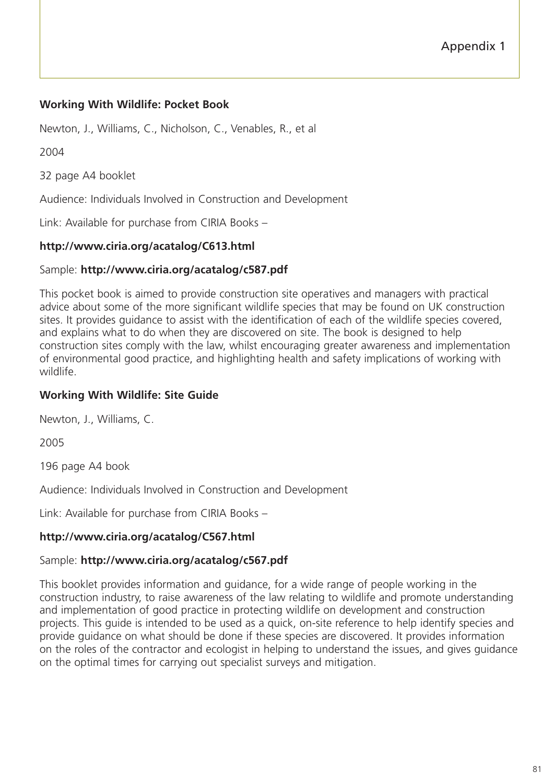# **Working With Wildlife: Pocket Book**

Newton, J., Williams, C., Nicholson, C., Venables, R., et al

2004

32 page A4 booklet

Audience: Individuals Involved in Construction and Development

Link: Available for purchase from CIRIA Books –

# **http://www.ciria.org/acatalog/C613.html**

# Sample: **http://www.ciria.org/acatalog/c587.pdf**

This pocket book is aimed to provide construction site operatives and managers with practical advice about some of the more significant wildlife species that may be found on UK construction sites. It provides guidance to assist with the identification of each of the wildlife species covered, and explains what to do when they are discovered on site. The book is designed to help construction sites comply with the law, whilst encouraging greater awareness and implementation of environmental good practice, and highlighting health and safety implications of working with wildlife.

# **Working With Wildlife: Site Guide**

Newton, J., Williams, C.

2005

196 page A4 book

Audience: Individuals Involved in Construction and Development

Link: Available for purchase from CIRIA Books –

# **http://www.ciria.org/acatalog/C567.html**

# Sample: **http://www.ciria.org/acatalog/c567.pdf**

This booklet provides information and guidance, for a wide range of people working in the construction industry, to raise awareness of the law relating to wildlife and promote understanding and implementation of good practice in protecting wildlife on development and construction projects. This guide is intended to be used as a quick, on-site reference to help identify species and provide guidance on what should be done if these species are discovered. It provides information on the roles of the contractor and ecologist in helping to understand the issues, and gives guidance on the optimal times for carrying out specialist surveys and mitigation.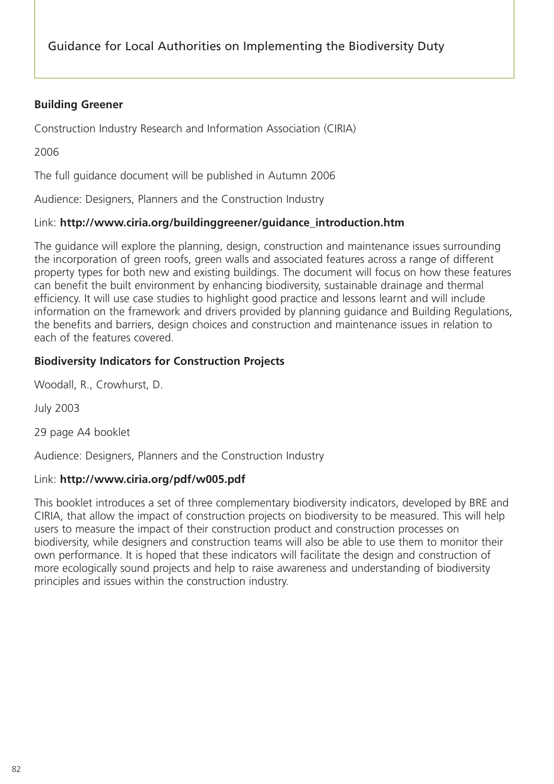# **Building Greener**

Construction Industry Research and Information Association (CIRIA)

2006

The full guidance document will be published in Autumn 2006

Audience: Designers, Planners and the Construction Industry

# Link: **http://www.ciria.org/buildinggreener/guidance\_introduction.htm**

The guidance will explore the planning, design, construction and maintenance issues surrounding the incorporation of green roofs, green walls and associated features across a range of different property types for both new and existing buildings. The document will focus on how these features can benefit the built environment by enhancing biodiversity, sustainable drainage and thermal efficiency. It will use case studies to highlight good practice and lessons learnt and will include information on the framework and drivers provided by planning guidance and Building Regulations, the benefits and barriers, design choices and construction and maintenance issues in relation to each of the features covered.

# **Biodiversity Indicators for Construction Projects**

Woodall, R., Crowhurst, D.

July 2003

29 page A4 booklet

Audience: Designers, Planners and the Construction Industry

# Link: **http://www.ciria.org/pdf/w005.pdf**

This booklet introduces a set of three complementary biodiversity indicators, developed by BRE and CIRIA, that allow the impact of construction projects on biodiversity to be measured. This will help users to measure the impact of their construction product and construction processes on biodiversity, while designers and construction teams will also be able to use them to monitor their own performance. It is hoped that these indicators will facilitate the design and construction of more ecologically sound projects and help to raise awareness and understanding of biodiversity principles and issues within the construction industry.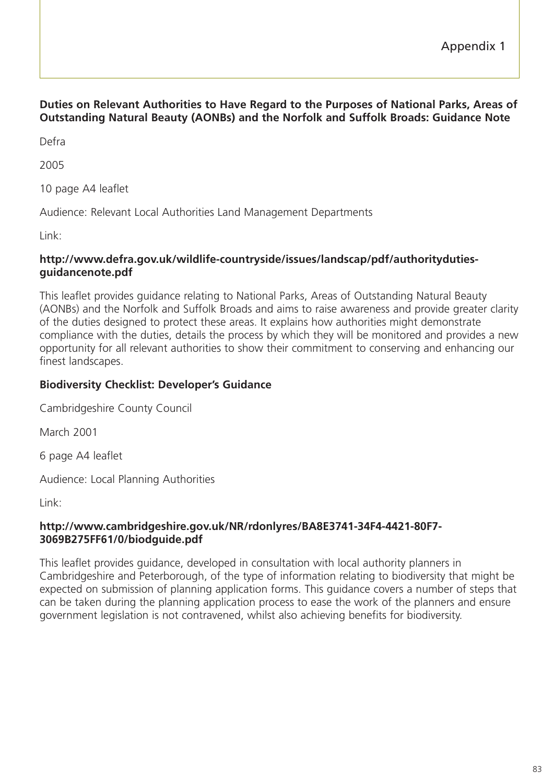# **Duties on Relevant Authorities to Have Regard to the Purposes of National Parks, Areas of Outstanding Natural Beauty (AONBs) and the Norfolk and Suffolk Broads: Guidance Note**

Defra

2005

10 page A4 leaflet

Audience: Relevant Local Authorities Land Management Departments

Link:

#### **http://www.defra.gov.uk/wildlife-countryside/issues/landscap/pdf/authoritydutiesguidancenote.pdf**

This leaflet provides guidance relating to National Parks, Areas of Outstanding Natural Beauty (AONBs) and the Norfolk and Suffolk Broads and aims to raise awareness and provide greater clarity of the duties designed to protect these areas. It explains how authorities might demonstrate compliance with the duties, details the process by which they will be monitored and provides a new opportunity for all relevant authorities to show their commitment to conserving and enhancing our finest landscapes.

# **Biodiversity Checklist: Developer's Guidance**

Cambridgeshire County Council

March 2001

6 page A4 leaflet

Audience: Local Planning Authorities

Link:

#### **http://www.cambridgeshire.gov.uk/NR/rdonlyres/BA8E3741-34F4-4421-80F7- 3069B275FF61/0/biodguide.pdf**

This leaflet provides guidance, developed in consultation with local authority planners in Cambridgeshire and Peterborough, of the type of information relating to biodiversity that might be expected on submission of planning application forms. This guidance covers a number of steps that can be taken during the planning application process to ease the work of the planners and ensure government legislation is not contravened, whilst also achieving benefits for biodiversity.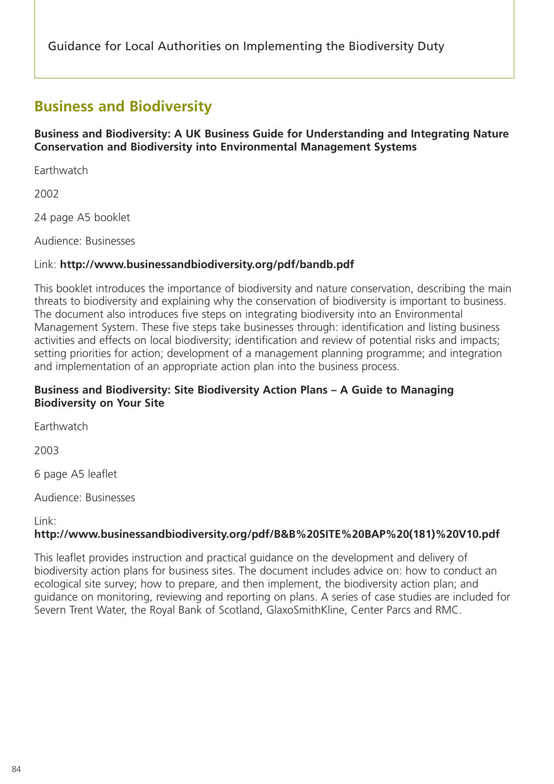# **Business and Biodiversity**

**Business and Biodiversity: A UK Business Guide for Understanding and Integrating Nature Conservation and Biodiversity into Environmental Management Systems**

**Earthwatch** 

2002

24 page A5 booklet

Audience: Businesses

# Link: **http://www.businessandbiodiversity.org/pdf/bandb.pdf**

This booklet introduces the importance of biodiversity and nature conservation, describing the main threats to biodiversity and explaining why the conservation of biodiversity is important to business. The document also introduces five steps on integrating biodiversity into an Environmental Management System. These five steps take businesses through: identification and listing business activities and effects on local biodiversity; identification and review of potential risks and impacts; setting priorities for action; development of a management planning programme; and integration and implementation of an appropriate action plan into the business process.

# **Business and Biodiversity: Site Biodiversity Action Plans – A Guide to Managing Biodiversity on Your Site**

**Earthwatch** 

2003

6 page A5 leaflet

Audience: Businesses

Link:

# **http://www.businessandbiodiversity.org/pdf/B&B%20SITE%20BAP%20(181)%20V10.pdf**

This leaflet provides instruction and practical guidance on the development and delivery of biodiversity action plans for business sites. The document includes advice on: how to conduct an ecological site survey; how to prepare, and then implement, the biodiversity action plan; and guidance on monitoring, reviewing and reporting on plans. A series of case studies are included for Severn Trent Water, the Royal Bank of Scotland, GlaxoSmithKline, Center Parcs and RMC.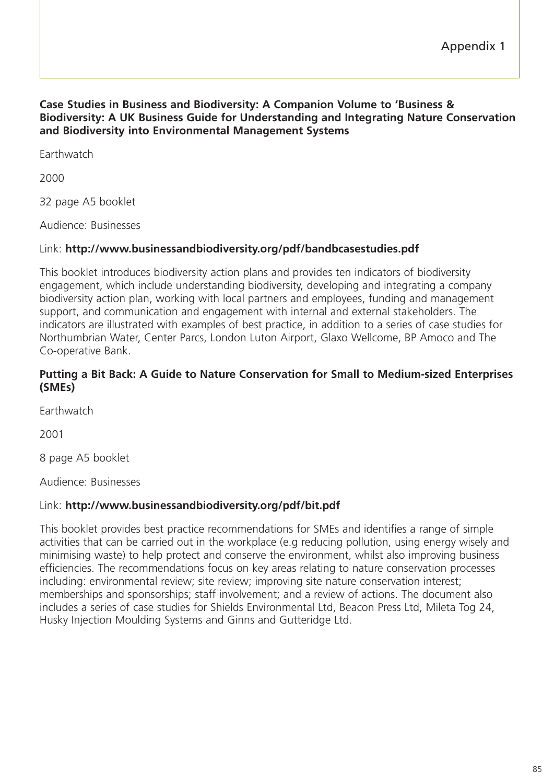#### **Case Studies in Business and Biodiversity: A Companion Volume to 'Business & Biodiversity: A UK Business Guide for Understanding and Integrating Nature Conservation and Biodiversity into Environmental Management Systems**

**Earthwatch** 

2000

32 page A5 booklet

Audience: Businesses

# Link: **http://www.businessandbiodiversity.org/pdf/bandbcasestudies.pdf**

This booklet introduces biodiversity action plans and provides ten indicators of biodiversity engagement, which include understanding biodiversity, developing and integrating a company biodiversity action plan, working with local partners and employees, funding and management support, and communication and engagement with internal and external stakeholders. The indicators are illustrated with examples of best practice, in addition to a series of case studies for Northumbrian Water, Center Parcs, London Luton Airport, Glaxo Wellcome, BP Amoco and The Co-operative Bank.

#### **Putting a Bit Back: A Guide to Nature Conservation for Small to Medium-sized Enterprises (SMEs)**

**Earthwatch** 

2001

8 page A5 booklet

Audience: Businesses

# Link: **http://www.businessandbiodiversity.org/pdf/bit.pdf**

This booklet provides best practice recommendations for SMEs and identifies a range of simple activities that can be carried out in the workplace (e.g reducing pollution, using energy wisely and minimising waste) to help protect and conserve the environment, whilst also improving business efficiencies. The recommendations focus on key areas relating to nature conservation processes including: environmental review; site review; improving site nature conservation interest; memberships and sponsorships; staff involvement; and a review of actions. The document also includes a series of case studies for Shields Environmental Ltd, Beacon Press Ltd, Mileta Tog 24, Husky Injection Moulding Systems and Ginns and Gutteridge Ltd.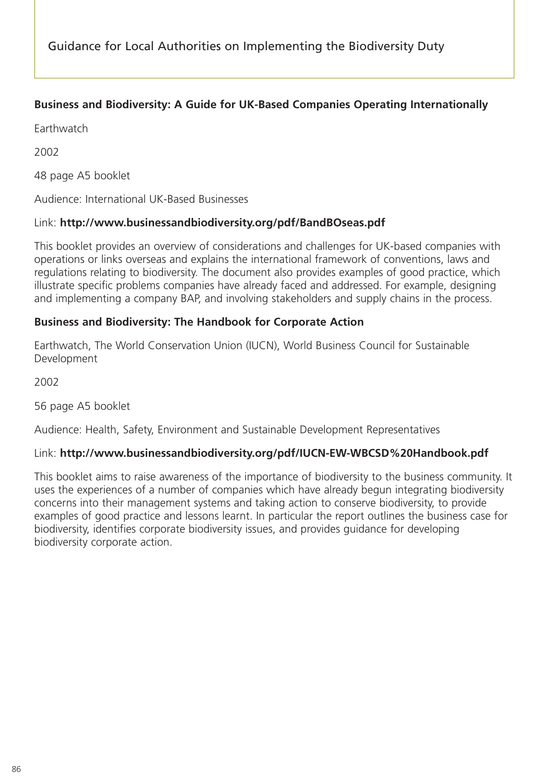# **Business and Biodiversity: A Guide for UK-Based Companies Operating Internationally**

**Earthwatch** 

2002

48 page A5 booklet

Audience: International UK-Based Businesses

# Link: **http://www.businessandbiodiversity.org/pdf/BandBOseas.pdf**

This booklet provides an overview of considerations and challenges for UK-based companies with operations or links overseas and explains the international framework of conventions, laws and regulations relating to biodiversity. The document also provides examples of good practice, which illustrate specific problems companies have already faced and addressed. For example, designing and implementing a company BAP, and involving stakeholders and supply chains in the process.

# **Business and Biodiversity: The Handbook for Corporate Action**

Earthwatch, The World Conservation Union (IUCN), World Business Council for Sustainable Development

2002

56 page A5 booklet

Audience: Health, Safety, Environment and Sustainable Development Representatives

# Link: **http://www.businessandbiodiversity.org/pdf/IUCN-EW-WBCSD%20Handbook.pdf**

This booklet aims to raise awareness of the importance of biodiversity to the business community. It uses the experiences of a number of companies which have already begun integrating biodiversity concerns into their management systems and taking action to conserve biodiversity, to provide examples of good practice and lessons learnt. In particular the report outlines the business case for biodiversity, identifies corporate biodiversity issues, and provides guidance for developing biodiversity corporate action.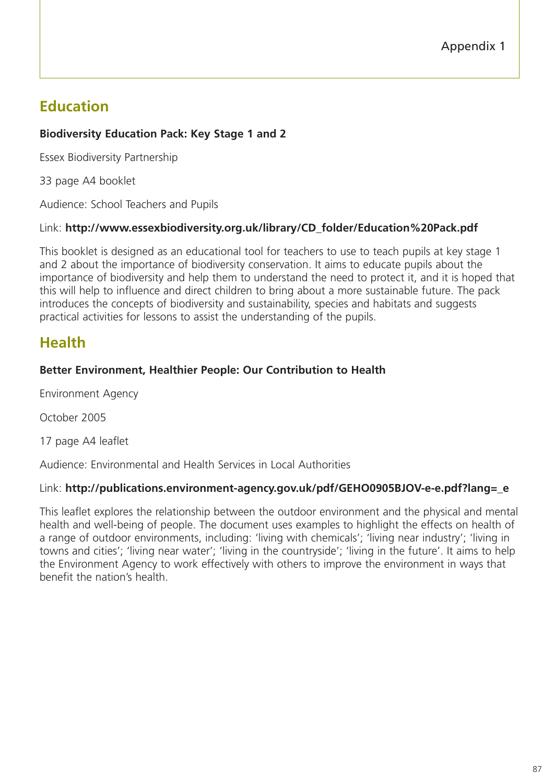# **Education**

# **Biodiversity Education Pack: Key Stage 1 and 2**

Essex Biodiversity Partnership

33 page A4 booklet

Audience: School Teachers and Pupils

# Link: **http://www.essexbiodiversity.org.uk/library/CD\_folder/Education%20Pack.pdf**

This booklet is designed as an educational tool for teachers to use to teach pupils at key stage 1 and 2 about the importance of biodiversity conservation. It aims to educate pupils about the importance of biodiversity and help them to understand the need to protect it, and it is hoped that this will help to influence and direct children to bring about a more sustainable future. The pack introduces the concepts of biodiversity and sustainability, species and habitats and suggests practical activities for lessons to assist the understanding of the pupils.

# **Health**

# **Better Environment, Healthier People: Our Contribution to Health**

Environment Agency

October 2005

17 page A4 leaflet

Audience: Environmental and Health Services in Local Authorities

# Link: **http://publications.environment-agency.gov.uk/pdf/GEHO0905BJOV-e-e.pdf?lang=\_e**

This leaflet explores the relationship between the outdoor environment and the physical and mental health and well-being of people. The document uses examples to highlight the effects on health of a range of outdoor environments, including: 'living with chemicals'; 'living near industry'; 'living in towns and cities'; 'living near water'; 'living in the countryside'; 'living in the future'. It aims to help the Environment Agency to work effectively with others to improve the environment in ways that benefit the nation's health.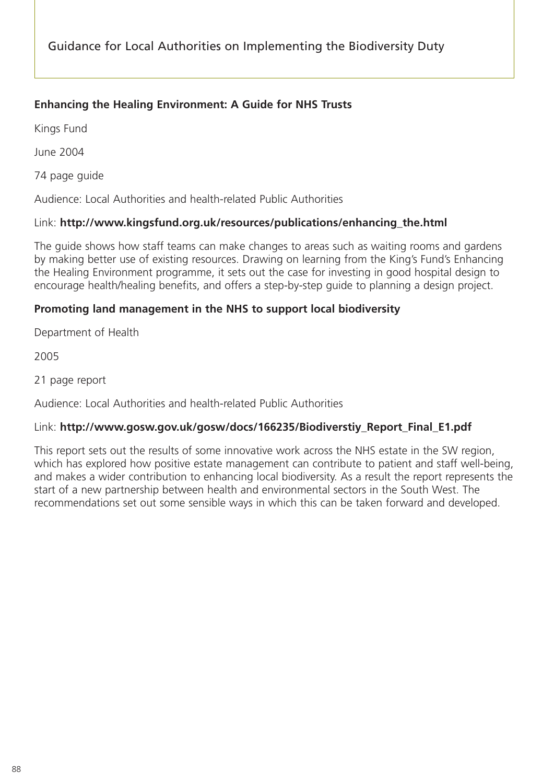# **Enhancing the Healing Environment: A Guide for NHS Trusts**

Kings Fund

June 2004

74 page guide

Audience: Local Authorities and health-related Public Authorities

# Link: **http://www.kingsfund.org.uk/resources/publications/enhancing\_the.html**

The guide shows how staff teams can make changes to areas such as waiting rooms and gardens by making better use of existing resources. Drawing on learning from the King's Fund's Enhancing the Healing Environment programme, it sets out the case for investing in good hospital design to encourage health/healing benefits, and offers a step-by-step guide to planning a design project.

# **Promoting land management in the NHS to support local biodiversity**

Department of Health

2005

21 page report

Audience: Local Authorities and health-related Public Authorities

# Link: **http://www.gosw.gov.uk/gosw/docs/166235/Biodiverstiy\_Report\_Final\_E1.pdf**

This report sets out the results of some innovative work across the NHS estate in the SW region, which has explored how positive estate management can contribute to patient and staff well-being, and makes a wider contribution to enhancing local biodiversity. As a result the report represents the start of a new partnership between health and environmental sectors in the South West. The recommendations set out some sensible ways in which this can be taken forward and developed.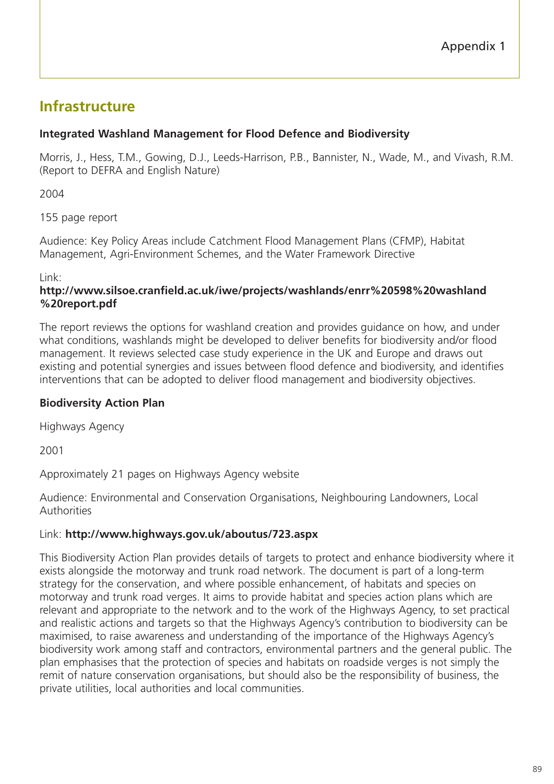# **Infrastructure**

# **Integrated Washland Management for Flood Defence and Biodiversity**

Morris, J., Hess, T.M., Gowing, D.J., Leeds-Harrison, P.B., Bannister, N., Wade, M., and Vivash, R.M. (Report to DEFRA and English Nature)

2004

155 page report

Audience: Key Policy Areas include Catchment Flood Management Plans (CFMP), Habitat Management, Agri-Environment Schemes, and the Water Framework Directive

Link:

# **http://www.silsoe.cranfield.ac.uk/iwe/projects/washlands/enrr%20598%20washland %20report.pdf**

The report reviews the options for washland creation and provides guidance on how, and under what conditions, washlands might be developed to deliver benefits for biodiversity and/or flood management. It reviews selected case study experience in the UK and Europe and draws out existing and potential synergies and issues between flood defence and biodiversity, and identifies interventions that can be adopted to deliver flood management and biodiversity objectives.

# **Biodiversity Action Plan**

Highways Agency

2001

Approximately 21 pages on Highways Agency website

Audience: Environmental and Conservation Organisations, Neighbouring Landowners, Local Authorities

# Link: **http://www.highways.gov.uk/aboutus/723.aspx**

This Biodiversity Action Plan provides details of targets to protect and enhance biodiversity where it exists alongside the motorway and trunk road network. The document is part of a long-term strategy for the conservation, and where possible enhancement, of habitats and species on motorway and trunk road verges. It aims to provide habitat and species action plans which are relevant and appropriate to the network and to the work of the Highways Agency, to set practical and realistic actions and targets so that the Highways Agency's contribution to biodiversity can be maximised, to raise awareness and understanding of the importance of the Highways Agency's biodiversity work among staff and contractors, environmental partners and the general public. The plan emphasises that the protection of species and habitats on roadside verges is not simply the remit of nature conservation organisations, but should also be the responsibility of business, the private utilities, local authorities and local communities.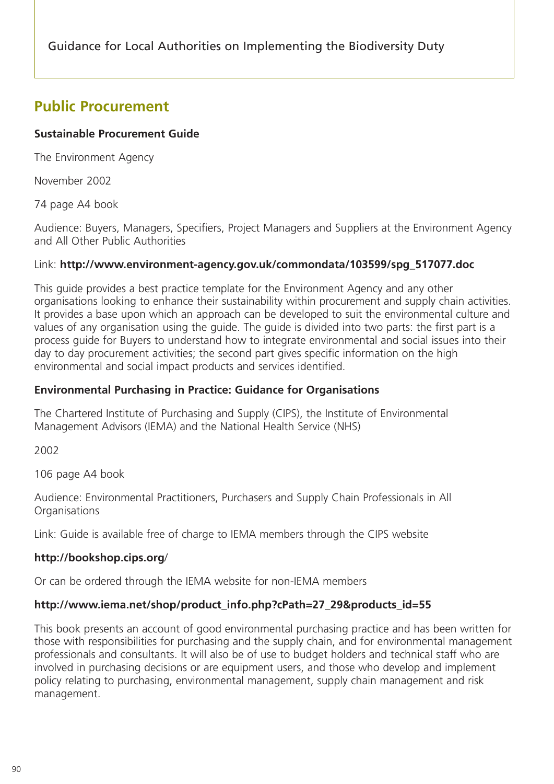# **Public Procurement**

# **Sustainable Procurement Guide**

The Environment Agency

November 2002

74 page A4 book

Audience: Buyers, Managers, Specifiers, Project Managers and Suppliers at the Environment Agency and All Other Public Authorities

# Link: **http://www.environment-agency.gov.uk/commondata/103599/spg\_517077.doc**

This guide provides a best practice template for the Environment Agency and any other organisations looking to enhance their sustainability within procurement and supply chain activities. It provides a base upon which an approach can be developed to suit the environmental culture and values of any organisation using the guide. The guide is divided into two parts: the first part is a process guide for Buyers to understand how to integrate environmental and social issues into their day to day procurement activities; the second part gives specific information on the high environmental and social impact products and services identified.

# **Environmental Purchasing in Practice: Guidance for Organisations**

The Chartered Institute of Purchasing and Supply (CIPS), the Institute of Environmental Management Advisors (IEMA) and the National Health Service (NHS)

2002

106 page A4 book

Audience: Environmental Practitioners, Purchasers and Supply Chain Professionals in All **Organisations** 

Link: Guide is available free of charge to IEMA members through the CIPS website

# **http://bookshop.cips.org**/

Or can be ordered through the IEMA website for non-IEMA members

# **http://www.iema.net/shop/product\_info.php?cPath=27\_29&products\_id=55**

This book presents an account of good environmental purchasing practice and has been written for those with responsibilities for purchasing and the supply chain, and for environmental management professionals and consultants. It will also be of use to budget holders and technical staff who are involved in purchasing decisions or are equipment users, and those who develop and implement policy relating to purchasing, environmental management, supply chain management and risk management.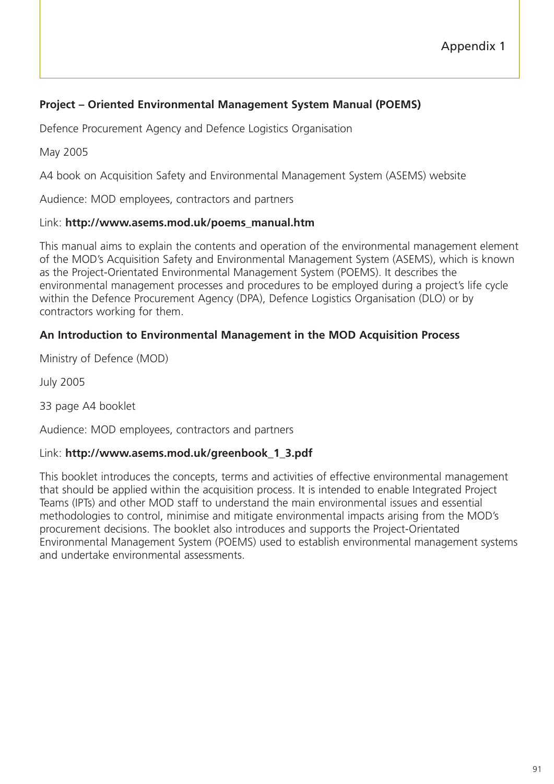# **Project – Oriented Environmental Management System Manual (POEMS)**

Defence Procurement Agency and Defence Logistics Organisation

May 2005

A4 book on Acquisition Safety and Environmental Management System (ASEMS) website

Audience: MOD employees, contractors and partners

#### Link: **http://www.asems.mod.uk/poems\_manual.htm**

This manual aims to explain the contents and operation of the environmental management element of the MOD's Acquisition Safety and Environmental Management System (ASEMS), which is known as the Project-Orientated Environmental Management System (POEMS). It describes the environmental management processes and procedures to be employed during a project's life cycle within the Defence Procurement Agency (DPA), Defence Logistics Organisation (DLO) or by contractors working for them.

# **An Introduction to Environmental Management in the MOD Acquisition Process**

Ministry of Defence (MOD)

July 2005

33 page A4 booklet

Audience: MOD employees, contractors and partners

#### Link: **http://www.asems.mod.uk/greenbook\_1\_3.pdf**

This booklet introduces the concepts, terms and activities of effective environmental management that should be applied within the acquisition process. It is intended to enable Integrated Project Teams (IPTs) and other MOD staff to understand the main environmental issues and essential methodologies to control, minimise and mitigate environmental impacts arising from the MOD's procurement decisions. The booklet also introduces and supports the Project-Orientated Environmental Management System (POEMS) used to establish environmental management systems and undertake environmental assessments.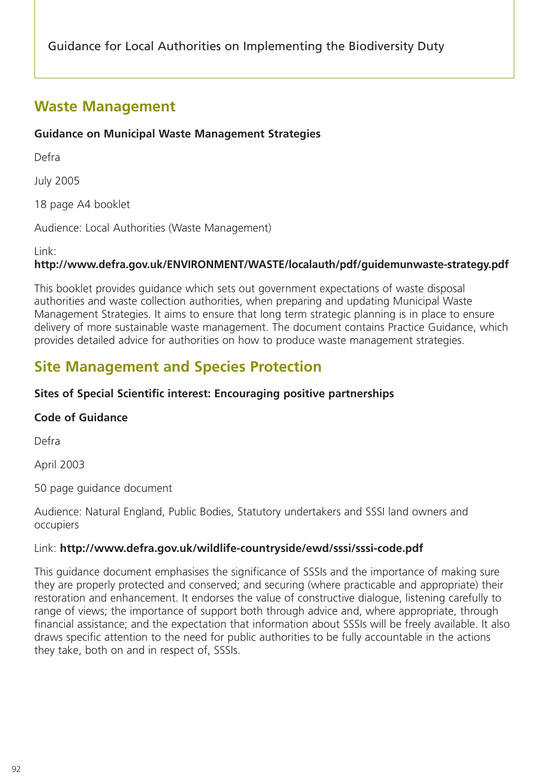# **Waste Management**

# **Guidance on Municipal Waste Management Strategies**

Defra

July 2005

18 page A4 booklet

Audience: Local Authorities (Waste Management)

Link:

# **http://www.defra.gov.uk/ENVIRONMENT/WASTE/localauth/pdf/guidemunwaste-strategy.pdf**

This booklet provides guidance which sets out government expectations of waste disposal authorities and waste collection authorities, when preparing and updating Municipal Waste Management Strategies. It aims to ensure that long term strategic planning is in place to ensure delivery of more sustainable waste management. The document contains Practice Guidance, which provides detailed advice for authorities on how to produce waste management strategies.

# **Site Management and Species Protection**

# **Sites of Special Scientific interest: Encouraging positive partnerships**

# **Code of Guidance**

Defra

April 2003

50 page guidance document

Audience: Natural England, Public Bodies, Statutory undertakers and SSSI land owners and occupiers

# Link: **http://www.defra.gov.uk/wildlife-countryside/ewd/sssi/sssi-code.pdf**

This guidance document emphasises the significance of SSSIs and the importance of making sure they are properly protected and conserved; and securing (where practicable and appropriate) their restoration and enhancement. It endorses the value of constructive dialogue, listening carefully to range of views; the importance of support both through advice and, where appropriate, through financial assistance; and the expectation that information about SSSIs will be freely available. It also draws specific attention to the need for public authorities to be fully accountable in the actions they take, both on and in respect of, SSSIs.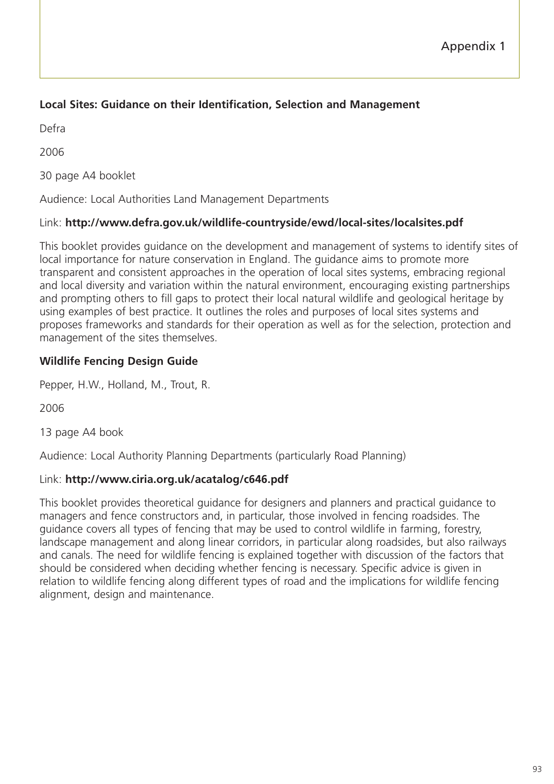# **Local Sites: Guidance on their Identification, Selection and Management**

Defra

2006

30 page A4 booklet

Audience: Local Authorities Land Management Departments

# Link: **http://www.defra.gov.uk/wildlife-countryside/ewd/local-sites/localsites.pdf**

This booklet provides guidance on the development and management of systems to identify sites of local importance for nature conservation in England. The guidance aims to promote more transparent and consistent approaches in the operation of local sites systems, embracing regional and local diversity and variation within the natural environment, encouraging existing partnerships and prompting others to fill gaps to protect their local natural wildlife and geological heritage by using examples of best practice. It outlines the roles and purposes of local sites systems and proposes frameworks and standards for their operation as well as for the selection, protection and management of the sites themselves.

# **Wildlife Fencing Design Guide**

Pepper, H.W., Holland, M., Trout, R.

2006

13 page A4 book

Audience: Local Authority Planning Departments (particularly Road Planning)

# Link: **http://www.ciria.org.uk/acatalog/c646.pdf**

This booklet provides theoretical guidance for designers and planners and practical guidance to managers and fence constructors and, in particular, those involved in fencing roadsides. The guidance covers all types of fencing that may be used to control wildlife in farming, forestry, landscape management and along linear corridors, in particular along roadsides, but also railways and canals. The need for wildlife fencing is explained together with discussion of the factors that should be considered when deciding whether fencing is necessary. Specific advice is given in relation to wildlife fencing along different types of road and the implications for wildlife fencing alignment, design and maintenance.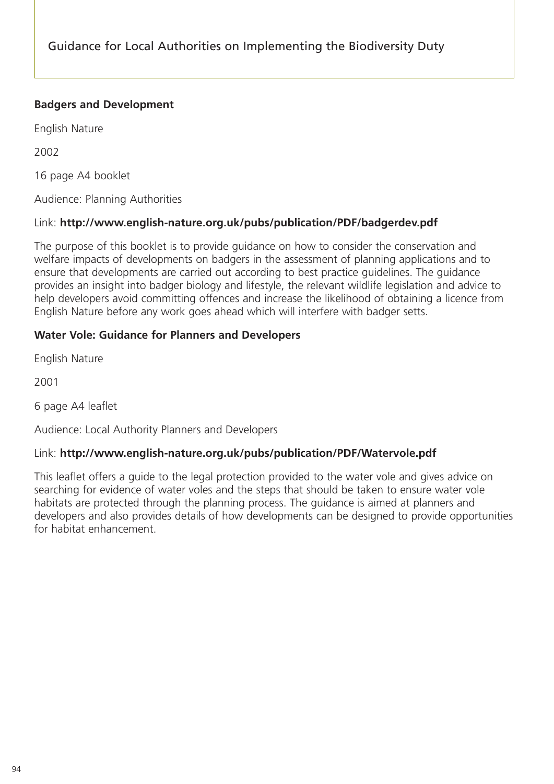# **Badgers and Development**

English Nature

2002

16 page A4 booklet

Audience: Planning Authorities

# Link: **http://www.english-nature.org.uk/pubs/publication/PDF/badgerdev.pdf**

The purpose of this booklet is to provide guidance on how to consider the conservation and welfare impacts of developments on badgers in the assessment of planning applications and to ensure that developments are carried out according to best practice guidelines. The guidance provides an insight into badger biology and lifestyle, the relevant wildlife legislation and advice to help developers avoid committing offences and increase the likelihood of obtaining a licence from English Nature before any work goes ahead which will interfere with badger setts.

# **Water Vole: Guidance for Planners and Developers**

English Nature

2001

6 page A4 leaflet

Audience: Local Authority Planners and Developers

# Link: **http://www.english-nature.org.uk/pubs/publication/PDF/Watervole.pdf**

This leaflet offers a guide to the legal protection provided to the water vole and gives advice on searching for evidence of water voles and the steps that should be taken to ensure water vole habitats are protected through the planning process. The guidance is aimed at planners and developers and also provides details of how developments can be designed to provide opportunities for habitat enhancement.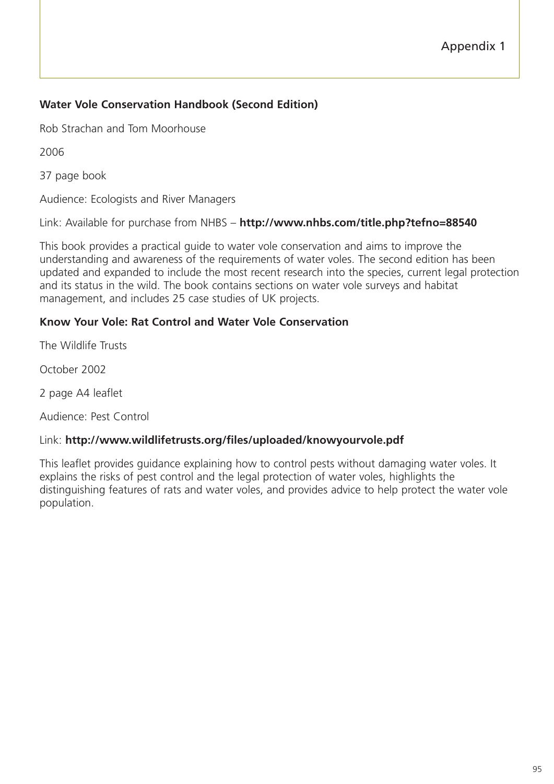# **Water Vole Conservation Handbook (Second Edition)**

Rob Strachan and Tom Moorhouse

2006

37 page book

Audience: Ecologists and River Managers

Link: Available for purchase from NHBS – **http://www.nhbs.com/title.php?tefno=88540**

This book provides a practical guide to water vole conservation and aims to improve the understanding and awareness of the requirements of water voles. The second edition has been updated and expanded to include the most recent research into the species, current legal protection and its status in the wild. The book contains sections on water vole surveys and habitat management, and includes 25 case studies of UK projects.

# **Know Your Vole: Rat Control and Water Vole Conservation**

The Wildlife Trusts

October 2002

2 page A4 leaflet

Audience: Pest Control

#### Link: **http://www.wildlifetrusts.org/files/uploaded/knowyourvole.pdf**

This leaflet provides guidance explaining how to control pests without damaging water voles. It explains the risks of pest control and the legal protection of water voles, highlights the distinguishing features of rats and water voles, and provides advice to help protect the water vole population.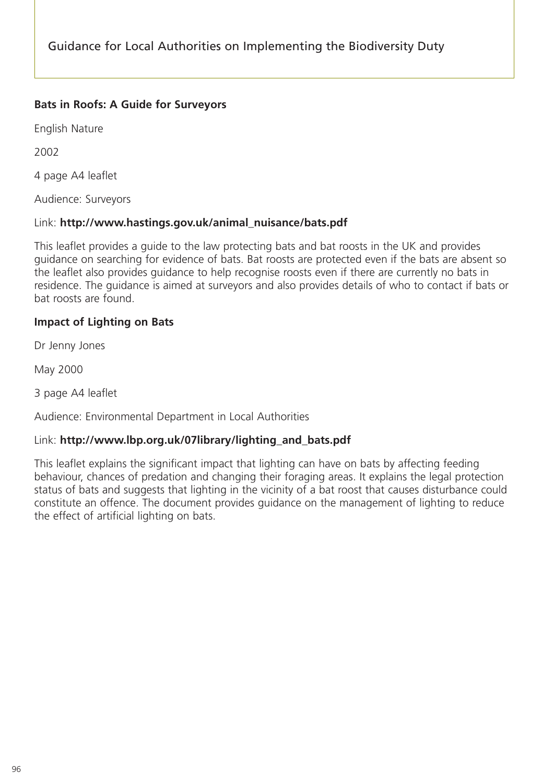# **Bats in Roofs: A Guide for Surveyors**

English Nature

2002

4 page A4 leaflet

Audience: Surveyors

# Link: **http://www.hastings.gov.uk/animal\_nuisance/bats.pdf**

This leaflet provides a guide to the law protecting bats and bat roosts in the UK and provides guidance on searching for evidence of bats. Bat roosts are protected even if the bats are absent so the leaflet also provides guidance to help recognise roosts even if there are currently no bats in residence. The guidance is aimed at surveyors and also provides details of who to contact if bats or bat roosts are found.

# **Impact of Lighting on Bats**

Dr Jenny Jones

May 2000

3 page A4 leaflet

Audience: Environmental Department in Local Authorities

# Link: **http://www.lbp.org.uk/07library/lighting\_and\_bats.pdf**

This leaflet explains the significant impact that lighting can have on bats by affecting feeding behaviour, chances of predation and changing their foraging areas. It explains the legal protection status of bats and suggests that lighting in the vicinity of a bat roost that causes disturbance could constitute an offence. The document provides guidance on the management of lighting to reduce the effect of artificial lighting on bats.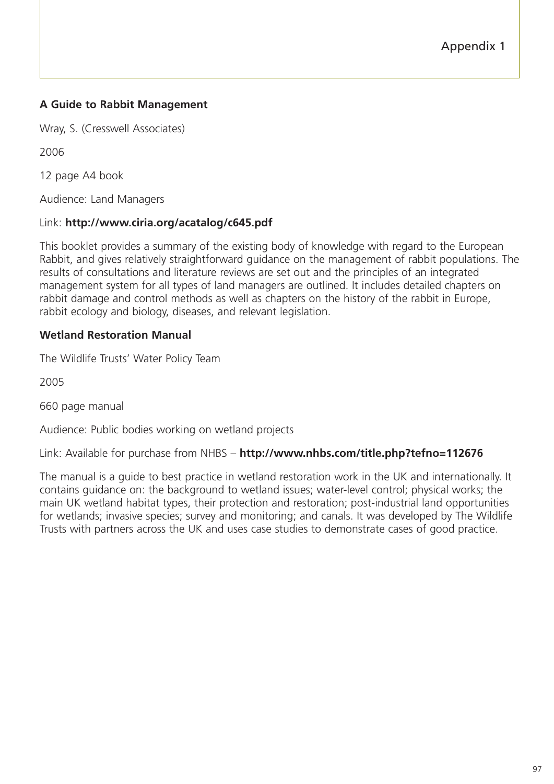# **A Guide to Rabbit Management**

Wray, S. (Cresswell Associates)

2006

12 page A4 book

Audience: Land Managers

#### Link: **http://www.ciria.org/acatalog/c645.pdf**

This booklet provides a summary of the existing body of knowledge with regard to the European Rabbit, and gives relatively straightforward guidance on the management of rabbit populations. The results of consultations and literature reviews are set out and the principles of an integrated management system for all types of land managers are outlined. It includes detailed chapters on rabbit damage and control methods as well as chapters on the history of the rabbit in Europe, rabbit ecology and biology, diseases, and relevant legislation.

# **Wetland Restoration Manual**

The Wildlife Trusts' Water Policy Team

2005

660 page manual

Audience: Public bodies working on wetland projects

Link: Available for purchase from NHBS – **http://www.nhbs.com/title.php?tefno=112676**

The manual is a guide to best practice in wetland restoration work in the UK and internationally. It contains guidance on: the background to wetland issues; water-level control; physical works; the main UK wetland habitat types, their protection and restoration; post-industrial land opportunities for wetlands; invasive species; survey and monitoring; and canals. It was developed by The Wildlife Trusts with partners across the UK and uses case studies to demonstrate cases of good practice.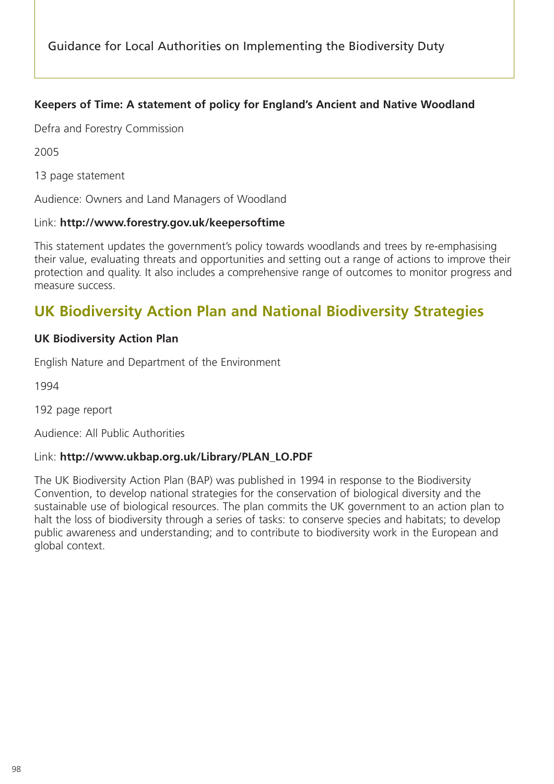# **Keepers of Time: A statement of policy for England's Ancient and Native Woodland**

Defra and Forestry Commission

2005

13 page statement

Audience: Owners and Land Managers of Woodland

#### Link: **http://www.forestry.gov.uk/keepersoftime**

This statement updates the government's policy towards woodlands and trees by re-emphasising their value, evaluating threats and opportunities and setting out a range of actions to improve their protection and quality. It also includes a comprehensive range of outcomes to monitor progress and measure success.

# **UK Biodiversity Action Plan and National Biodiversity Strategies**

# **UK Biodiversity Action Plan**

English Nature and Department of the Environment

1994

192 page report

Audience: All Public Authorities

#### Link: **http://www.ukbap.org.uk/Library/PLAN\_LO.PDF**

The UK Biodiversity Action Plan (BAP) was published in 1994 in response to the Biodiversity Convention, to develop national strategies for the conservation of biological diversity and the sustainable use of biological resources. The plan commits the UK government to an action plan to halt the loss of biodiversity through a series of tasks: to conserve species and habitats; to develop public awareness and understanding; and to contribute to biodiversity work in the European and global context.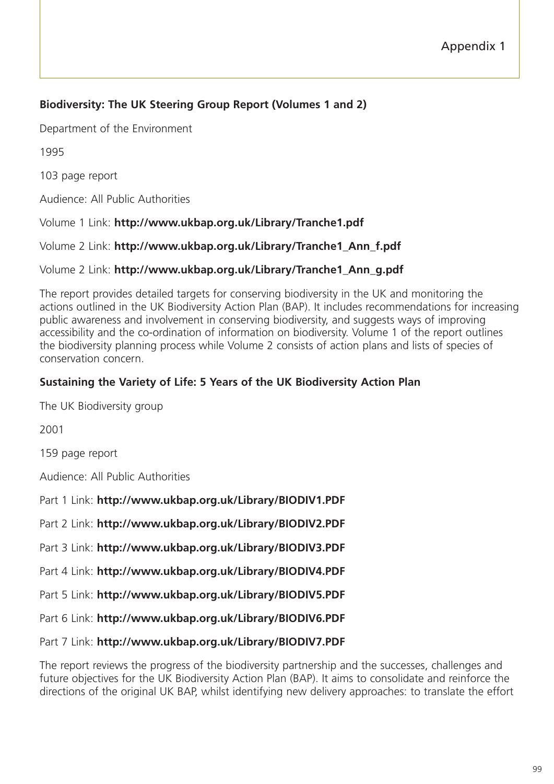# **Biodiversity: The UK Steering Group Report (Volumes 1 and 2)**

Department of the Environment

1995

103 page report

Audience: All Public Authorities

Volume 1 Link: **http://www.ukbap.org.uk/Library/Tranche1.pdf**

Volume 2 Link: **http://www.ukbap.org.uk/Library/Tranche1\_Ann\_f.pdf**

# Volume 2 Link: **http://www.ukbap.org.uk/Library/Tranche1\_Ann\_g.pdf**

The report provides detailed targets for conserving biodiversity in the UK and monitoring the actions outlined in the UK Biodiversity Action Plan (BAP). It includes recommendations for increasing public awareness and involvement in conserving biodiversity, and suggests ways of improving accessibility and the co-ordination of information on biodiversity. Volume 1 of the report outlines the biodiversity planning process while Volume 2 consists of action plans and lists of species of conservation concern.

# **Sustaining the Variety of Life: 5 Years of the UK Biodiversity Action Plan**

The UK Biodiversity group

2001

159 page report

Audience: All Public Authorities

Part 1 Link: **http://www.ukbap.org.uk/Library/BIODIV1.PDF**

Part 2 Link: **http://www.ukbap.org.uk/Library/BIODIV2.PDF**

Part 3 Link: **http://www.ukbap.org.uk/Library/BIODIV3.PDF**

Part 4 Link: **http://www.ukbap.org.uk/Library/BIODIV4.PDF**

Part 5 Link: **http://www.ukbap.org.uk/Library/BIODIV5.PDF**

Part 6 Link: **http://www.ukbap.org.uk/Library/BIODIV6.PDF**

Part 7 Link: **http://www.ukbap.org.uk/Library/BIODIV7.PDF**

The report reviews the progress of the biodiversity partnership and the successes, challenges and future objectives for the UK Biodiversity Action Plan (BAP). It aims to consolidate and reinforce the directions of the original UK BAP, whilst identifying new delivery approaches: to translate the effort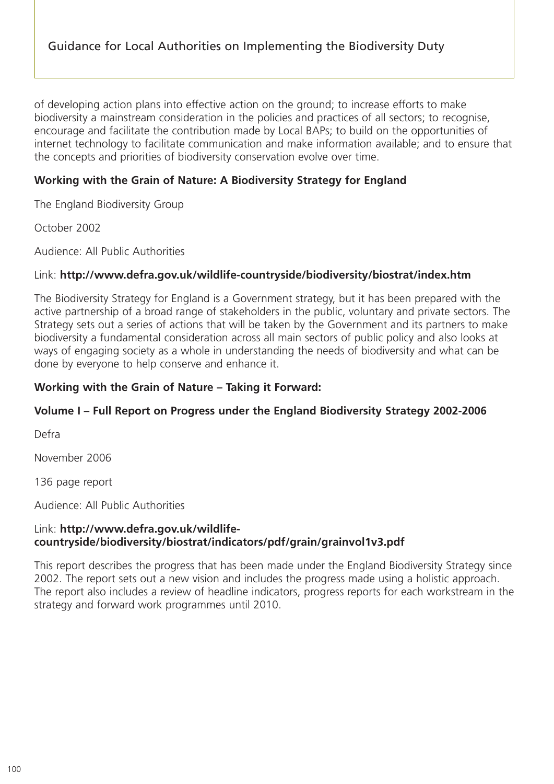of developing action plans into effective action on the ground; to increase efforts to make biodiversity a mainstream consideration in the policies and practices of all sectors; to recognise, encourage and facilitate the contribution made by Local BAPs; to build on the opportunities of internet technology to facilitate communication and make information available; and to ensure that the concepts and priorities of biodiversity conservation evolve over time.

# **Working with the Grain of Nature: A Biodiversity Strategy for England**

The England Biodiversity Group

October 2002

Audience: All Public Authorities

# Link: **http://www.defra.gov.uk/wildlife-countryside/biodiversity/biostrat/index.htm**

The Biodiversity Strategy for England is a Government strategy, but it has been prepared with the active partnership of a broad range of stakeholders in the public, voluntary and private sectors. The Strategy sets out a series of actions that will be taken by the Government and its partners to make biodiversity a fundamental consideration across all main sectors of public policy and also looks at ways of engaging society as a whole in understanding the needs of biodiversity and what can be done by everyone to help conserve and enhance it.

#### **Working with the Grain of Nature – Taking it Forward:**

# **Volume I – Full Report on Progress under the England Biodiversity Strategy 2002-2006**

Defra

November 2006

136 page report

Audience: All Public Authorities

# Link: **http://www.defra.gov.uk/wildlifecountryside/biodiversity/biostrat/indicators/pdf/grain/grainvol1v3.pdf**

This report describes the progress that has been made under the England Biodiversity Strategy since 2002. The report sets out a new vision and includes the progress made using a holistic approach. The report also includes a review of headline indicators, progress reports for each workstream in the strategy and forward work programmes until 2010.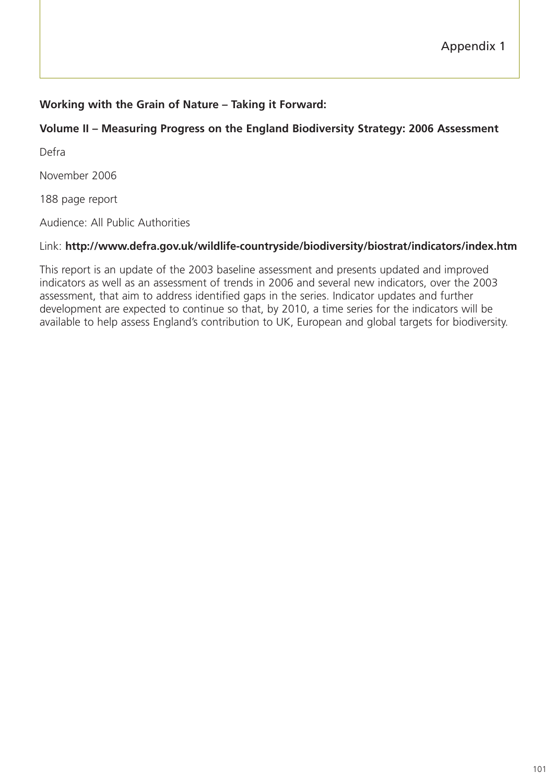# **Working with the Grain of Nature – Taking it Forward:**

# **Volume II – Measuring Progress on the England Biodiversity Strategy: 2006 Assessment**

Defra

November 2006

188 page report

Audience: All Public Authorities

#### Link: **http://www.defra.gov.uk/wildlife-countryside/biodiversity/biostrat/indicators/index.htm**

This report is an update of the 2003 baseline assessment and presents updated and improved indicators as well as an assessment of trends in 2006 and several new indicators, over the 2003 assessment, that aim to address identified gaps in the series. Indicator updates and further development are expected to continue so that, by 2010, a time series for the indicators will be available to help assess England's contribution to UK, European and global targets for biodiversity.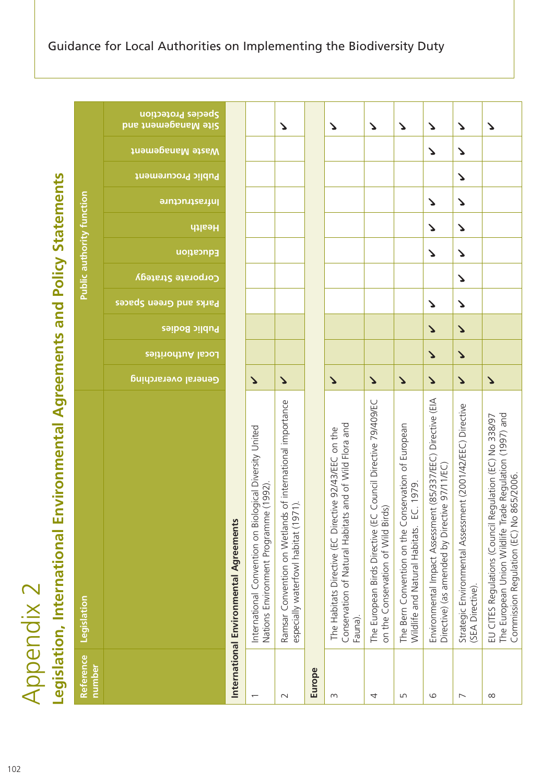| ι                                                                            |
|------------------------------------------------------------------------------|
| ì                                                                            |
| É                                                                            |
|                                                                              |
| נ                                                                            |
| ı                                                                            |
| ſ<br>J<br>I<br>Í<br>I<br>ł<br>Ì<br>ì<br>ï                                    |
| C<br>Ć<br>J<br>j<br>j<br>Ċ<br>÷<br>ū<br>הַ<br>ת<br>$\tilde{\mathbf{z}}$<br>Ū |

|                          | Legislation, International Environmental                                                                                                                      |                       |                                    |                       | <b>Agreements and Policy Statements</b>      |                                  |                       |                       |                           |                          |                                                         |
|--------------------------|---------------------------------------------------------------------------------------------------------------------------------------------------------------|-----------------------|------------------------------------|-----------------------|----------------------------------------------|----------------------------------|-----------------------|-----------------------|---------------------------|--------------------------|---------------------------------------------------------|
| Reference<br>number      | Legislation                                                                                                                                                   |                       |                                    |                       |                                              | <b>Public authority function</b> |                       |                       |                           |                          |                                                         |
|                          |                                                                                                                                                               | General overarching   | Public Bodies<br>Local Authorities |                       | Corporate Strategy<br>Parks and Green Spaces | Education                        | Health                | lnfrastructure        | <b>Public Procurement</b> | <b>Viaste Management</b> | <b>Species Protection</b><br><b>Site Management and</b> |
|                          | International Environmental Agreements                                                                                                                        |                       |                                    |                       |                                              |                                  |                       |                       |                           |                          |                                                         |
| $\overline{\phantom{0}}$ | International Convention on Biological Diversity United<br>Nations Environment Programme (1992).                                                              | $\blacktriangleright$ |                                    |                       |                                              |                                  |                       |                       |                           |                          |                                                         |
| $\sim$                   | Ramsar Convention on Wetlands of international importance<br>especially waterfowl habitat (1971).                                                             | $\blacktriangleright$ |                                    |                       |                                              |                                  |                       |                       |                           |                          | $\blacktriangleright$                                   |
| Europe                   |                                                                                                                                                               |                       |                                    |                       |                                              |                                  |                       |                       |                           |                          |                                                         |
| $\infty$                 | Conservation of Natural Habitats and of Wild Flora and<br>The Habitats Directive (EC Directive 92/43/EEC on the<br>Fauna).                                    | $\blacktriangleright$ |                                    |                       |                                              |                                  |                       |                       |                           |                          | ζ                                                       |
| 4                        | The European Birds Directive (EC Council Directive 79/409/EC<br>rds)<br>on the Conservation of Wild Bir                                                       | $\blacktriangleright$ |                                    |                       |                                              |                                  |                       |                       |                           |                          | $\blacktriangleright$                                   |
| Б                        | The Bern Convention on the Conservation of European<br>EC. 1979<br>Wildlife and Natural Habitats.                                                             | $\blacktriangleright$ |                                    |                       |                                              |                                  |                       |                       |                           |                          | $\blacktriangleright$                                   |
| 9                        | Environmental Impact Assessment (85/337/EEC) Directive (EIA<br>Directive) (as amended by Directive 97/11/EC)                                                  | $\blacktriangleright$ | $\blacktriangleright$              | $\blacktriangleright$ | ζ                                            | Δ                                | ζ                     | Δ                     |                           | Δ                        | ζ                                                       |
| $\overline{\phantom{0}}$ | Strategic Environmental Assessment (2001/42/EEC) Directive<br>(SEA Directive).                                                                                | $\blacktriangleright$ | $\blacktriangleright$              | $\blacktriangleright$ | Δ<br>$\blacktriangleright$                   | $\blacktriangleright$            | $\blacktriangleright$ | $\blacktriangleright$ | $\blacktriangleright$     | $\blacktriangleright$    | $\mathbf{\Delta}$                                       |
| $\infty$                 | The European Union Wildlife Trade Regulation (1997) and<br>EU CITES Regulations (Council Regulation (EC) No 338/97<br>Commission Regulation (EC) No 865/2006. | $\blacktriangleright$ |                                    |                       |                                              |                                  |                       |                       |                           |                          | Δ                                                       |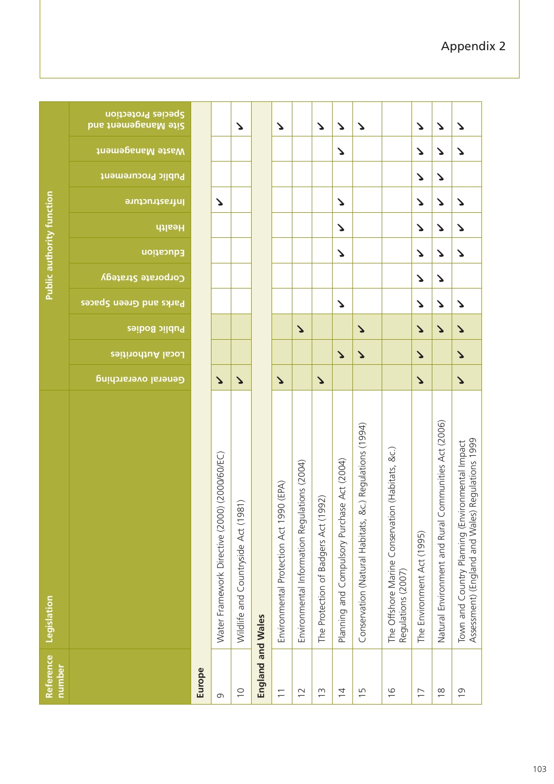| Reference<br>number      | Legislation                                                                                              |                       |                       |                       |                        |                    | <b>Public authority function</b> |                       |                |                                                       |                                                  |
|--------------------------|----------------------------------------------------------------------------------------------------------|-----------------------|-----------------------|-----------------------|------------------------|--------------------|----------------------------------|-----------------------|----------------|-------------------------------------------------------|--------------------------------------------------|
|                          |                                                                                                          | General overarching   | Local Authorities     | Public Bodies         | Parks and Green Spaces | Corporate Strategy | Education                        | Health                | lnfrastructure | <b>Viaste Management</b><br><b>Public Procurement</b> | Species Protection<br><b>Site Management and</b> |
| Europe                   |                                                                                                          |                       |                       |                       |                        |                    |                                  |                       |                |                                                       |                                                  |
| G                        | Water Framework Directive (2000) (2000/60/EC)                                                            | $\blacktriangleright$ |                       |                       |                        |                    |                                  |                       | ゝ              |                                                       |                                                  |
| $\supseteq$              | Wildlife and Countryside Act (1981)                                                                      | $\blacktriangleright$ |                       |                       |                        |                    |                                  |                       |                |                                                       | Δ                                                |
| England and Wales        |                                                                                                          |                       |                       |                       |                        |                    |                                  |                       |                |                                                       |                                                  |
| $\overline{\phantom{0}}$ | 990 (EPA)<br>Environmental Protection Act 1                                                              | $\blacktriangleright$ |                       |                       |                        |                    |                                  |                       |                |                                                       | $\blacktriangleright$                            |
| $\overline{1}$           | ulations (2004)<br>Environmental Information Reg                                                         |                       |                       | $\Delta$              |                        |                    |                                  |                       |                |                                                       |                                                  |
| $\frac{3}{2}$            | (1992)<br>The Protection of Badgers Act                                                                  | $\blacktriangleright$ |                       |                       |                        |                    |                                  |                       |                |                                                       | $\mathbf{r}$                                     |
| $\overline{4}$           | Planning and Compulsory Purchase Act (2004)                                                              |                       | $\blacktriangleright$ |                       | Δ                      |                    | Δ                                | Δ                     | Δ              | Δ                                                     | $\blacktriangleright$                            |
| $\overline{1}$           | &c.) Regulations (1994)<br>Conservation (Natural Habitats,                                               |                       | $\blacktriangleright$ | $\blacktriangleright$ |                        |                    |                                  |                       |                |                                                       | Δ                                                |
| $\frac{0}{1}$            | The Offshore Marine Conservation (Habitats, &c.)<br>Regulations (2007)                                   |                       |                       |                       |                        |                    |                                  |                       |                |                                                       |                                                  |
| $\overline{1}$           | The Environment Act (1995)                                                                               | $\blacktriangleright$ | $\blacktriangleright$ | $\blacktriangleright$ | Δ                      | ζ                  | Δ                                | $\blacktriangleright$ | ζ              | Δ<br>Δ                                                | Δ                                                |
| $\frac{8}{1}$            | Communities Act (2006)<br>Natural Environment and Rural                                                  |                       |                       | $\blacktriangleright$ | ゝ                      | Δ                  | ゝ                                | Δ                     | ゝ              | ゝ<br>Δ                                                | ζ                                                |
| $\overline{0}$           | Assessment) (England and Wales) Regulations 1999<br>ivironmental Impact<br>Town and Country Planning (En | $\blacktriangleright$ | $\blacktriangleright$ | $\blacktriangleright$ | Δ                      |                    | Δ                                | ↘<br>Δ                |                | $\blacktriangleright$                                 | ζ                                                |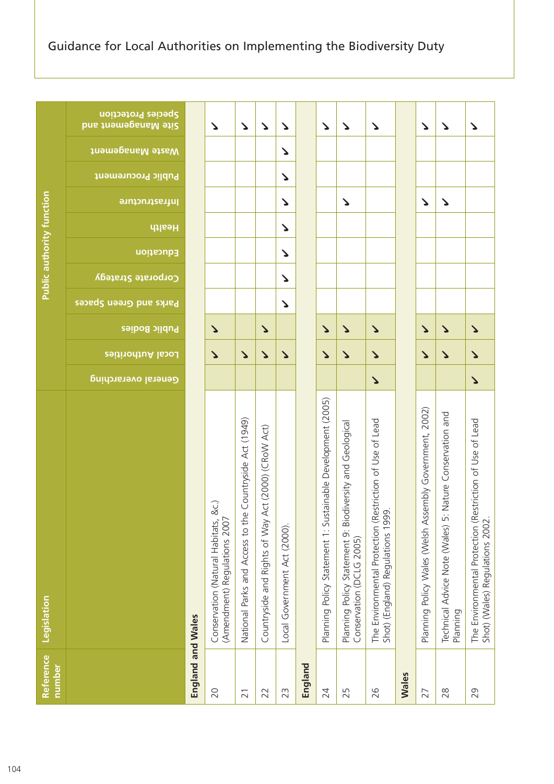|                                  | Species Protection<br><b>Site Management and</b><br><b>Jnamegana Manent</b><br><b>Public Procurement</b><br>lnfrastructure |                   | Δ                                                                       | $\mathbf{r}$                                            | $\Delta$                                               | ゝ<br>ゝ<br>ζ<br>ζ             |         | $\Delta$                                                        |                                                          | Δ<br>ζ                   | $\mathbf{r}$                                                                                      |              | ゝ<br>Δ                                                  | $\mathbf{v}$<br>$\blacktriangleright$                                |
|----------------------------------|----------------------------------------------------------------------------------------------------------------------------|-------------------|-------------------------------------------------------------------------|---------------------------------------------------------|--------------------------------------------------------|------------------------------|---------|-----------------------------------------------------------------|----------------------------------------------------------|--------------------------|---------------------------------------------------------------------------------------------------|--------------|---------------------------------------------------------|----------------------------------------------------------------------|
| <b>Public authority function</b> | Health<br>Education<br>Corporate Strategy<br>Parks and Green Spaces<br><b>Public Bodies</b>                                |                   | $\blacktriangleright$                                                   |                                                         | $\Delta$                                               | Δ<br>ζ<br>ζ<br>ζ             |         | $\blacktriangleright$                                           |                                                          | $\blacktriangleright$    | $\Delta$                                                                                          |              | $\blacktriangleright$                                   | $\mathbf{v}$                                                         |
|                                  | Local Authorities                                                                                                          |                   | $\blacktriangleright$                                                   | $\Delta$                                                | $\blacktriangleright$                                  | ゝ                            |         | $\blacktriangleright$                                           |                                                          | $\blacktriangleright$    | $\blacktriangleright$                                                                             |              | $\blacktriangleright$                                   | $\blacktriangleright$                                                |
|                                  | General overarching                                                                                                        |                   |                                                                         |                                                         |                                                        |                              |         |                                                                 |                                                          |                          | $\blacktriangleright$                                                                             |              |                                                         |                                                                      |
| Legislation                      |                                                                                                                            |                   | &c.)<br>(Amendment) Regulations 2007<br>Conservation (Natural Habitats, | National Parks and Access to the Countryside Act (1949) | Act (2000) (CRoW Act)<br>Countryside and Rights of Way | Local Government Act (2000). |         | stainable Development (2005)<br>Planning Policy Statement 1: Su | Planning Policy Statement 9: Biodiversity and Geological | Conservation (DCLG 2005) | The Environmental Protection (Restriction of Use of Lead<br>ğ,<br>Shot) (England) Regulations 199 |              | Planning Policy Wales (Welsh Assembly Government, 2002) | Technical Advice Note (Wales) 5: Nature Conservation and<br>Planning |
| Reference<br>number              |                                                                                                                            | England and Wales | 20                                                                      | $\overline{21}$                                         | 22                                                     | 23                           | England | 24                                                              | 25                                                       |                          | 26                                                                                                | <b>Wales</b> | 27                                                      | 28                                                                   |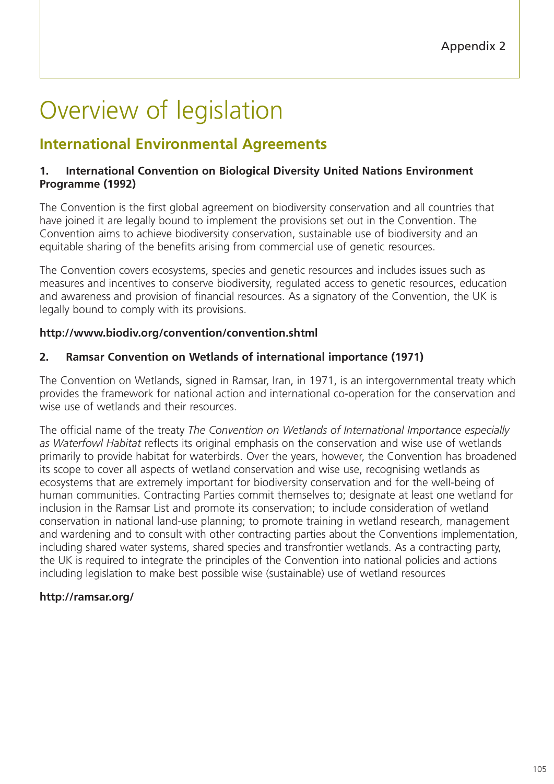# Overview of legislation

# **International Environmental Agreements**

# **1. International Convention on Biological Diversity United Nations Environment Programme (1992)**

The Convention is the first global agreement on biodiversity conservation and all countries that have joined it are legally bound to implement the provisions set out in the Convention. The Convention aims to achieve biodiversity conservation, sustainable use of biodiversity and an equitable sharing of the benefits arising from commercial use of genetic resources.

The Convention covers ecosystems, species and genetic resources and includes issues such as measures and incentives to conserve biodiversity, regulated access to genetic resources, education and awareness and provision of financial resources. As a signatory of the Convention, the UK is legally bound to comply with its provisions.

# **http://www.biodiv.org/convention/convention.shtml**

# **2. Ramsar Convention on Wetlands of international importance (1971)**

The Convention on Wetlands, signed in Ramsar, Iran, in 1971, is an intergovernmental treaty which provides the framework for national action and international co-operation for the conservation and wise use of wetlands and their resources.

The official name of the treaty *The Convention on Wetlands of International Importance especially as Waterfowl Habitat* reflects its original emphasis on the conservation and wise use of wetlands primarily to provide habitat for waterbirds. Over the years, however, the Convention has broadened its scope to cover all aspects of wetland conservation and wise use, recognising wetlands as ecosystems that are extremely important for biodiversity conservation and for the well-being of human communities. Contracting Parties commit themselves to; designate at least one wetland for inclusion in the Ramsar List and promote its conservation; to include consideration of wetland conservation in national land-use planning; to promote training in wetland research, management and wardening and to consult with other contracting parties about the Conventions implementation, including shared water systems, shared species and transfrontier wetlands. As a contracting party, the UK is required to integrate the principles of the Convention into national policies and actions including legislation to make best possible wise (sustainable) use of wetland resources

# **http://ramsar.org/**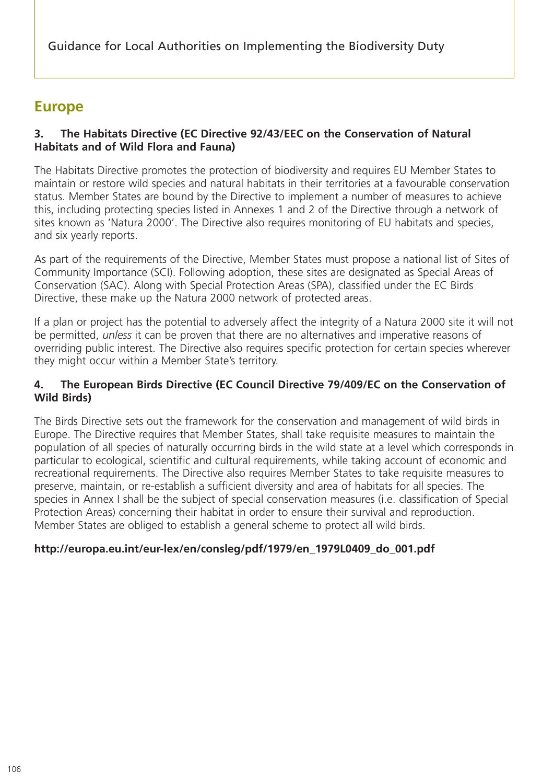Guidance for Local Authorities on Implementing the Biodiversity Duty

# **Europe**

## **3. The Habitats Directive (EC Directive 92/43/EEC on the Conservation of Natural Habitats and of Wild Flora and Fauna)**

The Habitats Directive promotes the protection of biodiversity and requires EU Member States to maintain or restore wild species and natural habitats in their territories at a favourable conservation status. Member States are bound by the Directive to implement a number of measures to achieve this, including protecting species listed in Annexes 1 and 2 of the Directive through a network of sites known as 'Natura 2000'. The Directive also requires monitoring of EU habitats and species, and six yearly reports.

As part of the requirements of the Directive, Member States must propose a national list of Sites of Community Importance (SCI). Following adoption, these sites are designated as Special Areas of Conservation (SAC). Along with Special Protection Areas (SPA), classified under the EC Birds Directive, these make up the Natura 2000 network of protected areas.

If a plan or project has the potential to adversely affect the integrity of a Natura 2000 site it will not be permitted, *unless* it can be proven that there are no alternatives and imperative reasons of overriding public interest. The Directive also requires specific protection for certain species wherever they might occur within a Member State's territory.

## **4. The European Birds Directive (EC Council Directive 79/409/EC on the Conservation of Wild Birds)**

The Birds Directive sets out the framework for the conservation and management of wild birds in Europe. The Directive requires that Member States, shall take requisite measures to maintain the population of all species of naturally occurring birds in the wild state at a level which corresponds in particular to ecological, scientific and cultural requirements, while taking account of economic and recreational requirements. The Directive also requires Member States to take requisite measures to preserve, maintain, or re-establish a sufficient diversity and area of habitats for all species. The species in Annex I shall be the subject of special conservation measures (i.e. classification of Special Protection Areas) concerning their habitat in order to ensure their survival and reproduction. Member States are obliged to establish a general scheme to protect all wild birds.

## **http://europa.eu.int/eur-lex/en/consleg/pdf/1979/en\_1979L0409\_do\_001.pdf**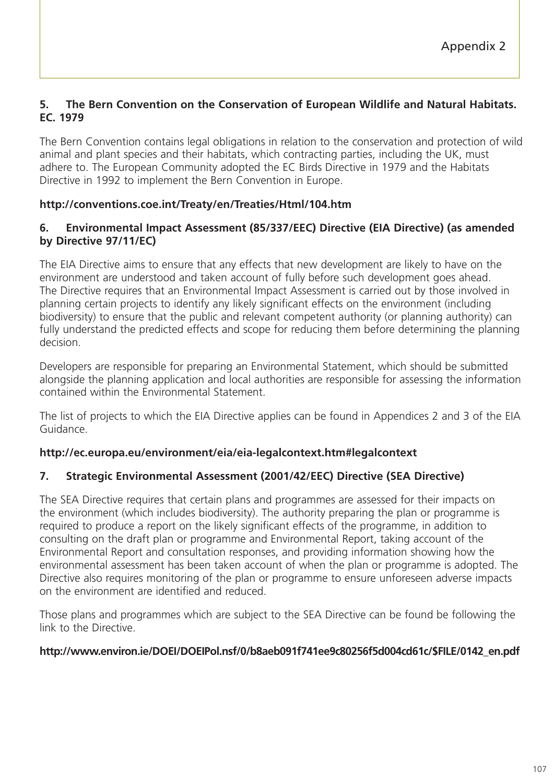## **5. The Bern Convention on the Conservation of European Wildlife and Natural Habitats. EC. 1979**

The Bern Convention contains legal obligations in relation to the conservation and protection of wild animal and plant species and their habitats, which contracting parties, including the UK, must adhere to. The European Community adopted the EC Birds Directive in 1979 and the Habitats Directive in 1992 to implement the Bern Convention in Europe.

## **http://conventions.coe.int/Treaty/en/Treaties/Html/104.htm**

## **6. Environmental Impact Assessment (85/337/EEC) Directive (EIA Directive) (as amended by Directive 97/11/EC)**

The EIA Directive aims to ensure that any effects that new development are likely to have on the environment are understood and taken account of fully before such development goes ahead. The Directive requires that an Environmental Impact Assessment is carried out by those involved in planning certain projects to identify any likely significant effects on the environment (including biodiversity) to ensure that the public and relevant competent authority (or planning authority) can fully understand the predicted effects and scope for reducing them before determining the planning decision.

Developers are responsible for preparing an Environmental Statement, which should be submitted alongside the planning application and local authorities are responsible for assessing the information contained within the Environmental Statement.

The list of projects to which the EIA Directive applies can be found in Appendices 2 and 3 of the EIA Guidance.

## **http://ec.europa.eu/environment/eia/eia-legalcontext.htm#legalcontext**

## **7. Strategic Environmental Assessment (2001/42/EEC) Directive (SEA Directive)**

The SEA Directive requires that certain plans and programmes are assessed for their impacts on the environment (which includes biodiversity). The authority preparing the plan or programme is required to produce a report on the likely significant effects of the programme, in addition to consulting on the draft plan or programme and Environmental Report, taking account of the Environmental Report and consultation responses, and providing information showing how the environmental assessment has been taken account of when the plan or programme is adopted. The Directive also requires monitoring of the plan or programme to ensure unforeseen adverse impacts on the environment are identified and reduced.

Those plans and programmes which are subject to the SEA Directive can be found be following the link to the Directive.

#### **http://www.environ.ie/DOEI/DOEIPol.nsf/0/b8aeb091f741ee9c80256f5d004cd61c/\$FILE/0142\_en.pdf**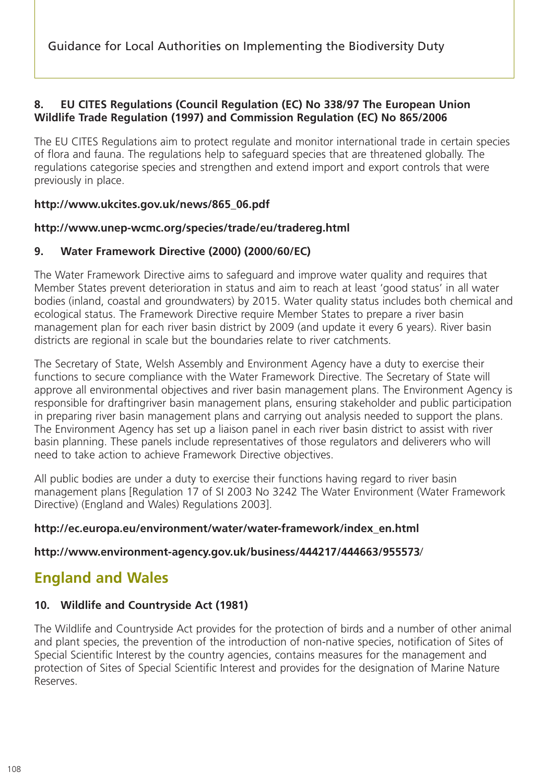Guidance for Local Authorities on Implementing the Biodiversity Duty

## **8. EU CITES Regulations (Council Regulation (EC) No 338/97 The European Union Wildlife Trade Regulation (1997) and Commission Regulation (EC) No 865/2006**

The EU CITES Regulations aim to protect regulate and monitor international trade in certain species of flora and fauna. The regulations help to safeguard species that are threatened globally. The regulations categorise species and strengthen and extend import and export controls that were previously in place.

#### **http://www.ukcites.gov.uk/news/865\_06.pdf**

#### **http://www.unep-wcmc.org/species/trade/eu/tradereg.html**

## **9. Water Framework Directive (2000) (2000/60/EC)**

The Water Framework Directive aims to safeguard and improve water quality and requires that Member States prevent deterioration in status and aim to reach at least 'good status' in all water bodies (inland, coastal and groundwaters) by 2015. Water quality status includes both chemical and ecological status. The Framework Directive require Member States to prepare a river basin management plan for each river basin district by 2009 (and update it every 6 years). River basin districts are regional in scale but the boundaries relate to river catchments.

The Secretary of State, Welsh Assembly and Environment Agency have a duty to exercise their functions to secure compliance with the Water Framework Directive. The Secretary of State will approve all environmental objectives and river basin management plans. The Environment Agency is responsible for draftingriver basin management plans, ensuring stakeholder and public participation in preparing river basin management plans and carrying out analysis needed to support the plans. The Environment Agency has set up a liaison panel in each river basin district to assist with river basin planning. These panels include representatives of those regulators and deliverers who will need to take action to achieve Framework Directive objectives.

All public bodies are under a duty to exercise their functions having regard to river basin management plans [Regulation 17 of SI 2003 No 3242 The Water Environment (Water Framework Directive) (England and Wales) Regulations 2003].

#### **http://ec.europa.eu/environment/water/water-framework/index\_en.html**

#### **http://www.environment-agency.gov.uk/business/444217/444663/955573**/

# **England and Wales**

## **10. Wildlife and Countryside Act (1981)**

The Wildlife and Countryside Act provides for the protection of birds and a number of other animal and plant species, the prevention of the introduction of non-native species, notification of Sites of Special Scientific Interest by the country agencies, contains measures for the management and protection of Sites of Special Scientific Interest and provides for the designation of Marine Nature Reserves.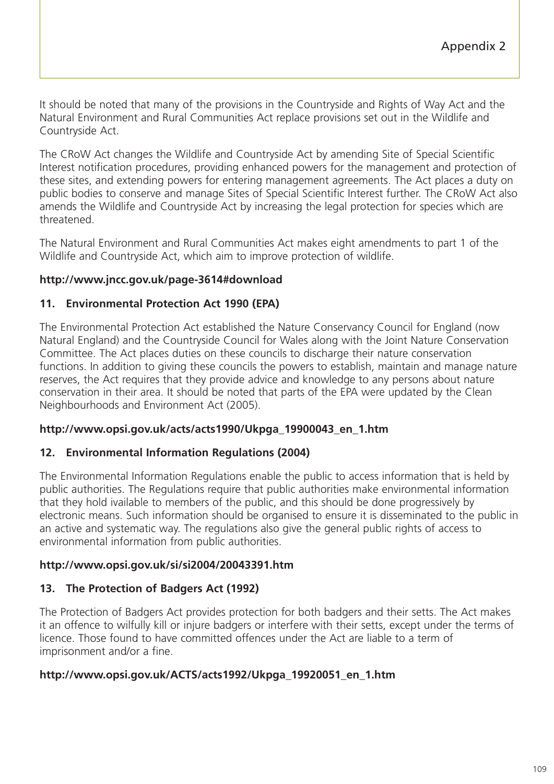It should be noted that many of the provisions in the Countryside and Rights of Way Act and the Natural Environment and Rural Communities Act replace provisions set out in the Wildlife and Countryside Act.

The CRoW Act changes the Wildlife and Countryside Act by amending Site of Special Scientific Interest notification procedures, providing enhanced powers for the management and protection of these sites, and extending powers for entering management agreements. The Act places a duty on public bodies to conserve and manage Sites of Special Scientific Interest further. The CRoW Act also amends the Wildlife and Countryside Act by increasing the legal protection for species which are threatened.

The Natural Environment and Rural Communities Act makes eight amendments to part 1 of the Wildlife and Countryside Act, which aim to improve protection of wildlife.

## **http://www.jncc.gov.uk/page-3614#download**

## **11. Environmental Protection Act 1990 (EPA)**

The Environmental Protection Act established the Nature Conservancy Council for England (now Natural England) and the Countryside Council for Wales along with the Joint Nature Conservation Committee. The Act places duties on these councils to discharge their nature conservation functions. In addition to giving these councils the powers to establish, maintain and manage nature reserves, the Act requires that they provide advice and knowledge to any persons about nature conservation in their area. It should be noted that parts of the EPA were updated by the Clean Neighbourhoods and Environment Act (2005).

## **http://www.opsi.gov.uk/acts/acts1990/Ukpga\_19900043\_en\_1.htm**

## **12. Environmental Information Regulations (2004)**

The Environmental Information Regulations enable the public to access information that is held by public authorities. The Regulations require that public authorities make environmental information that they hold ivailable to members of the public, and this should be done progressively by electronic means. Such information should be organised to ensure it is disseminated to the public in an active and systematic way. The regulations also give the general public rights of access to environmental information from public authorities.

## **http://www.opsi.gov.uk/si/si2004/20043391.htm**

# **13. The Protection of Badgers Act (1992)**

The Protection of Badgers Act provides protection for both badgers and their setts. The Act makes it an offence to wilfully kill or injure badgers or interfere with their setts, except under the terms of licence. Those found to have committed offences under the Act are liable to a term of imprisonment and/or a fine.

## **http://www.opsi.gov.uk/ACTS/acts1992/Ukpga\_19920051\_en\_1.htm**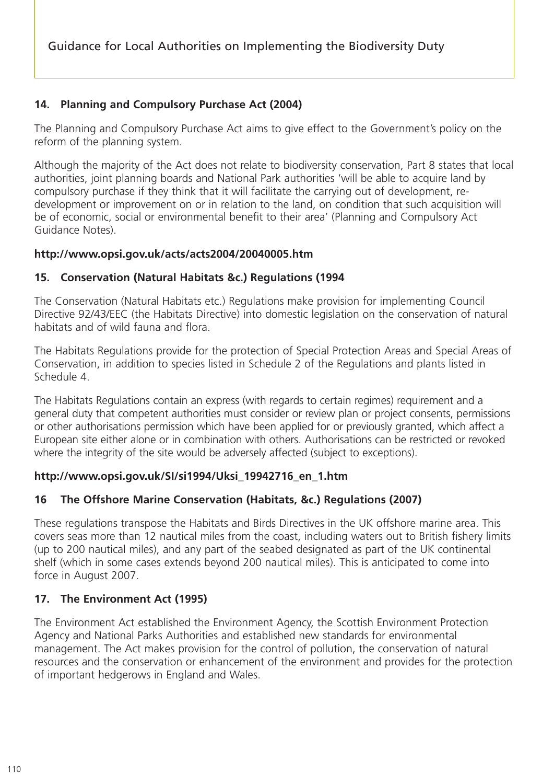## **14. Planning and Compulsory Purchase Act (2004)**

The Planning and Compulsory Purchase Act aims to give effect to the Government's policy on the reform of the planning system.

Although the majority of the Act does not relate to biodiversity conservation, Part 8 states that local authorities, joint planning boards and National Park authorities 'will be able to acquire land by compulsory purchase if they think that it will facilitate the carrying out of development, redevelopment or improvement on or in relation to the land, on condition that such acquisition will be of economic, social or environmental benefit to their area' (Planning and Compulsory Act Guidance Notes).

#### **http://www.opsi.gov.uk/acts/acts2004/20040005.htm**

## **15. Conservation (Natural Habitats &c.) Regulations (1994**

The Conservation (Natural Habitats etc.) Regulations make provision for implementing Council Directive 92/43/EEC (the Habitats Directive) into domestic legislation on the conservation of natural habitats and of wild fauna and flora.

The Habitats Regulations provide for the protection of Special Protection Areas and Special Areas of Conservation, in addition to species listed in Schedule 2 of the Regulations and plants listed in Schedule 4.

The Habitats Regulations contain an express (with regards to certain regimes) requirement and a general duty that competent authorities must consider or review plan or project consents, permissions or other authorisations permission which have been applied for or previously granted, which affect a European site either alone or in combination with others. Authorisations can be restricted or revoked where the integrity of the site would be adversely affected (subject to exceptions).

## **http://www.opsi.gov.uk/SI/si1994/Uksi\_19942716\_en\_1.htm**

## **16 The Offshore Marine Conservation (Habitats, &c.) Regulations (2007)**

These regulations transpose the Habitats and Birds Directives in the UK offshore marine area. This covers seas more than 12 nautical miles from the coast, including waters out to British fishery limits (up to 200 nautical miles), and any part of the seabed designated as part of the UK continental shelf (which in some cases extends beyond 200 nautical miles). This is anticipated to come into force in August 2007.

## **17. The Environment Act (1995)**

The Environment Act established the Environment Agency, the Scottish Environment Protection Agency and National Parks Authorities and established new standards for environmental management. The Act makes provision for the control of pollution, the conservation of natural resources and the conservation or enhancement of the environment and provides for the protection of important hedgerows in England and Wales.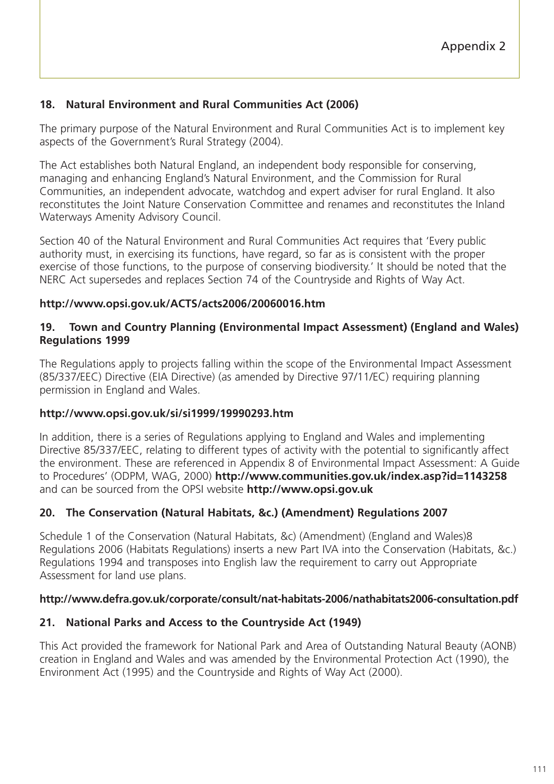## **18. Natural Environment and Rural Communities Act (2006)**

The primary purpose of the Natural Environment and Rural Communities Act is to implement key aspects of the Government's Rural Strategy (2004).

The Act establishes both Natural England, an independent body responsible for conserving, managing and enhancing England's Natural Environment, and the Commission for Rural Communities, an independent advocate, watchdog and expert adviser for rural England. It also reconstitutes the Joint Nature Conservation Committee and renames and reconstitutes the Inland Waterways Amenity Advisory Council.

Section 40 of the Natural Environment and Rural Communities Act requires that 'Every public authority must, in exercising its functions, have regard, so far as is consistent with the proper exercise of those functions, to the purpose of conserving biodiversity.' It should be noted that the NERC Act supersedes and replaces Section 74 of the Countryside and Rights of Way Act.

#### **http://www.opsi.gov.uk/ACTS/acts2006/20060016.htm**

#### **19. Town and Country Planning (Environmental Impact Assessment) (England and Wales) Regulations 1999**

The Regulations apply to projects falling within the scope of the Environmental Impact Assessment (85/337/EEC) Directive (EIA Directive) (as amended by Directive 97/11/EC) requiring planning permission in England and Wales.

#### **http://www.opsi.gov.uk/si/si1999/19990293.htm**

In addition, there is a series of Regulations applying to England and Wales and implementing Directive 85/337/EEC, relating to different types of activity with the potential to significantly affect the environment. These are referenced in Appendix 8 of Environmental Impact Assessment: A Guide to Procedures' (ODPM, WAG, 2000) **http://www.communities.gov.uk/index.asp?id=1143258** and can be sourced from the OPSI website **http://www.opsi.gov.uk**

## **20. The Conservation (Natural Habitats, &c.) (Amendment) Regulations 2007**

Schedule 1 of the Conservation (Natural Habitats, &c) (Amendment) (England and Wales)8 Regulations 2006 (Habitats Regulations) inserts a new Part IVA into the Conservation (Habitats, &c.) Regulations 1994 and transposes into English law the requirement to carry out Appropriate Assessment for land use plans.

#### **http://www.defra.gov.uk/corporate/consult/nat-habitats-2006/nathabitats2006-consultation.pdf**

## **21. National Parks and Access to the Countryside Act (1949)**

This Act provided the framework for National Park and Area of Outstanding Natural Beauty (AONB) creation in England and Wales and was amended by the Environmental Protection Act (1990), the Environment Act (1995) and the Countryside and Rights of Way Act (2000).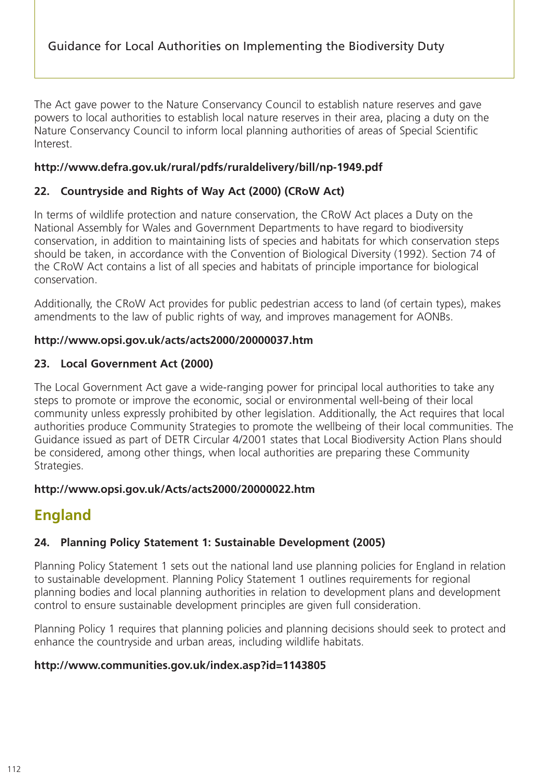The Act gave power to the Nature Conservancy Council to establish nature reserves and gave powers to local authorities to establish local nature reserves in their area, placing a duty on the Nature Conservancy Council to inform local planning authorities of areas of Special Scientific Interest.

## **http://www.defra.gov.uk/rural/pdfs/ruraldelivery/bill/np-1949.pdf**

## **22. Countryside and Rights of Way Act (2000) (CRoW Act)**

In terms of wildlife protection and nature conservation, the CRoW Act places a Duty on the National Assembly for Wales and Government Departments to have regard to biodiversity conservation, in addition to maintaining lists of species and habitats for which conservation steps should be taken, in accordance with the Convention of Biological Diversity (1992). Section 74 of the CRoW Act contains a list of all species and habitats of principle importance for biological conservation.

Additionally, the CRoW Act provides for public pedestrian access to land (of certain types), makes amendments to the law of public rights of way, and improves management for AONBs.

## **http://www.opsi.gov.uk/acts/acts2000/20000037.htm**

## **23. Local Government Act (2000)**

The Local Government Act gave a wide-ranging power for principal local authorities to take any steps to promote or improve the economic, social or environmental well-being of their local community unless expressly prohibited by other legislation. Additionally, the Act requires that local authorities produce Community Strategies to promote the wellbeing of their local communities. The Guidance issued as part of DETR Circular 4/2001 states that Local Biodiversity Action Plans should be considered, among other things, when local authorities are preparing these Community Strategies.

## **http://www.opsi.gov.uk/Acts/acts2000/20000022.htm**

# **England**

## **24. Planning Policy Statement 1: Sustainable Development (2005)**

Planning Policy Statement 1 sets out the national land use planning policies for England in relation to sustainable development. Planning Policy Statement 1 outlines requirements for regional planning bodies and local planning authorities in relation to development plans and development control to ensure sustainable development principles are given full consideration.

Planning Policy 1 requires that planning policies and planning decisions should seek to protect and enhance the countryside and urban areas, including wildlife habitats.

## **http://www.communities.gov.uk/index.asp?id=1143805**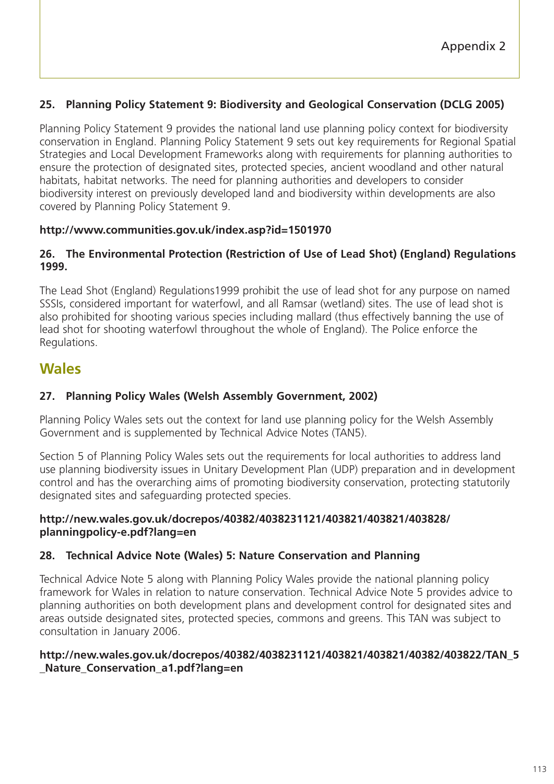## **25. Planning Policy Statement 9: Biodiversity and Geological Conservation (DCLG 2005)**

Planning Policy Statement 9 provides the national land use planning policy context for biodiversity conservation in England. Planning Policy Statement 9 sets out key requirements for Regional Spatial Strategies and Local Development Frameworks along with requirements for planning authorities to ensure the protection of designated sites, protected species, ancient woodland and other natural habitats, habitat networks. The need for planning authorities and developers to consider biodiversity interest on previously developed land and biodiversity within developments are also covered by Planning Policy Statement 9.

## **http://www.communities.gov.uk/index.asp?id=1501970**

## **26. The Environmental Protection (Restriction of Use of Lead Shot) (England) Regulations 1999.**

The Lead Shot (England) Regulations1999 prohibit the use of lead shot for any purpose on named SSSIs, considered important for waterfowl, and all Ramsar (wetland) sites. The use of lead shot is also prohibited for shooting various species including mallard (thus effectively banning the use of lead shot for shooting waterfowl throughout the whole of England). The Police enforce the Regulations.

# **Wales**

## **27. Planning Policy Wales (Welsh Assembly Government, 2002)**

Planning Policy Wales sets out the context for land use planning policy for the Welsh Assembly Government and is supplemented by Technical Advice Notes (TAN5).

Section 5 of Planning Policy Wales sets out the requirements for local authorities to address land use planning biodiversity issues in Unitary Development Plan (UDP) preparation and in development control and has the overarching aims of promoting biodiversity conservation, protecting statutorily designated sites and safeguarding protected species.

## **http://new.wales.gov.uk/docrepos/40382/4038231121/403821/403821/403828/ planningpolicy-e.pdf?lang=en**

## **28. Technical Advice Note (Wales) 5: Nature Conservation and Planning**

Technical Advice Note 5 along with Planning Policy Wales provide the national planning policy framework for Wales in relation to nature conservation. Technical Advice Note 5 provides advice to planning authorities on both development plans and development control for designated sites and areas outside designated sites, protected species, commons and greens. This TAN was subject to consultation in January 2006.

## **http://new.wales.gov.uk/docrepos/40382/4038231121/403821/403821/40382/403822/TAN\_5 \_Nature\_Conservation\_a1.pdf?lang=en**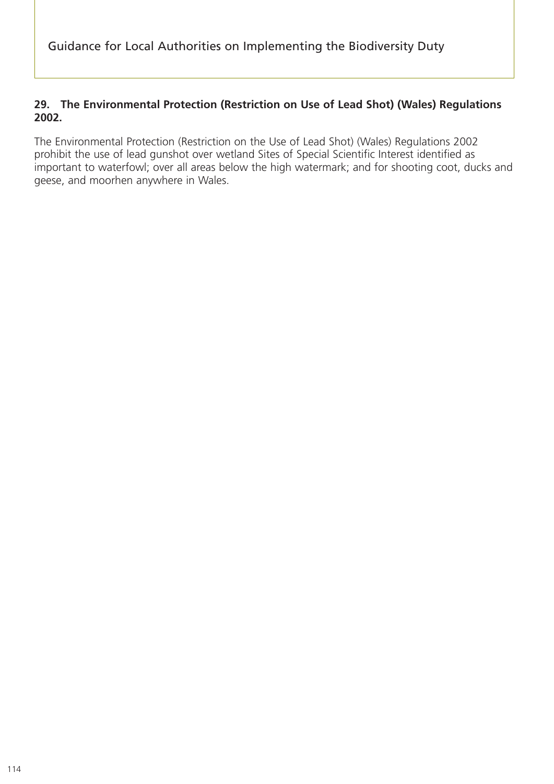## **29. The Environmental Protection (Restriction on Use of Lead Shot) (Wales) Regulations 2002.**

The Environmental Protection (Restriction on the Use of Lead Shot) (Wales) Regulations 2002 prohibit the use of lead gunshot over wetland Sites of Special Scientific Interest identified as important to waterfowl; over all areas below the high watermark; and for shooting coot, ducks and geese, and moorhen anywhere in Wales.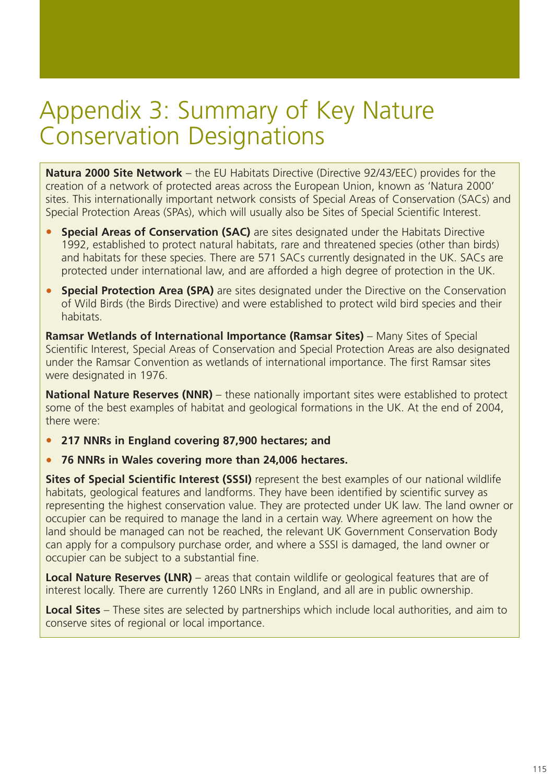# Appendix 3: Summary of Key Nature Conservation Designations

**Natura 2000 Site Network** – the EU Habitats Directive (Directive 92/43/EEC) provides for the creation of a network of protected areas across the European Union, known as 'Natura 2000' sites. This internationally important network consists of Special Areas of Conservation (SACs) and Special Protection Areas (SPAs), which will usually also be Sites of Special Scientific Interest.

- **Special Areas of Conservation (SAC)** are sites designated under the Habitats Directive 1992, established to protect natural habitats, rare and threatened species (other than birds) and habitats for these species. There are 571 SACs currently designated in the UK. SACs are protected under international law, and are afforded a high degree of protection in the UK.
- **Special Protection Area (SPA)** are sites designated under the Directive on the Conservation of Wild Birds (the Birds Directive) and were established to protect wild bird species and their habitats.

**Ramsar Wetlands of International Importance (Ramsar Sites)** – Many Sites of Special Scientific Interest, Special Areas of Conservation and Special Protection Areas are also designated under the Ramsar Convention as wetlands of international importance. The first Ramsar sites were designated in 1976.

**National Nature Reserves (NNR)** – these nationally important sites were established to protect some of the best examples of habitat and geological formations in the UK. At the end of 2004, there were:

- **217 NNRs in England covering 87,900 hectares; and**
- **76 NNRs in Wales covering more than 24,006 hectares.**

**Sites of Special Scientific Interest (SSSI)** represent the best examples of our national wildlife habitats, geological features and landforms. They have been identified by scientific survey as representing the highest conservation value. They are protected under UK law. The land owner or occupier can be required to manage the land in a certain way. Where agreement on how the land should be managed can not be reached, the relevant UK Government Conservation Body can apply for a compulsory purchase order, and where a SSSI is damaged, the land owner or occupier can be subject to a substantial fine.

**Local Nature Reserves (LNR)** – areas that contain wildlife or geological features that are of interest locally. There are currently 1260 LNRs in England, and all are in public ownership.

**Local Sites** – These sites are selected by partnerships which include local authorities, and aim to conserve sites of regional or local importance.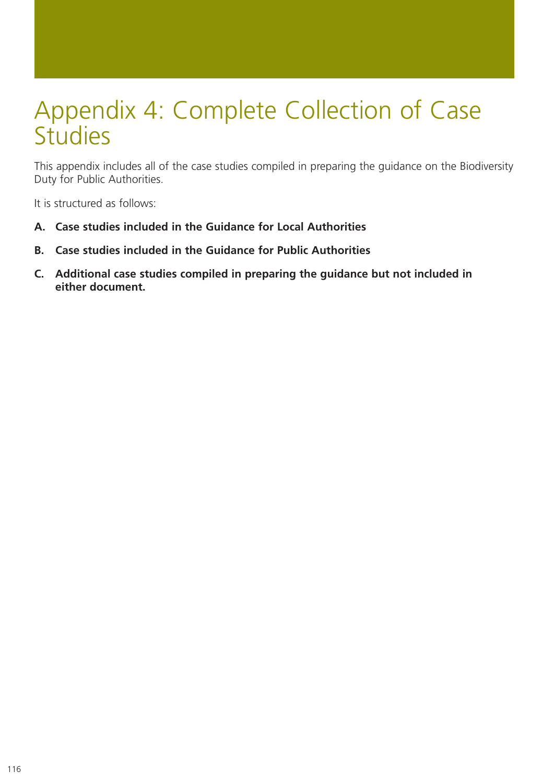# Appendix 4: Complete Collection of Case **Studies**

This appendix includes all of the case studies compiled in preparing the guidance on the Biodiversity Duty for Public Authorities.

It is structured as follows:

- **A. Case studies included in the Guidance for Local Authorities**
- **B. Case studies included in the Guidance for Public Authorities**
- **C. Additional case studies compiled in preparing the guidance but not included in either document.**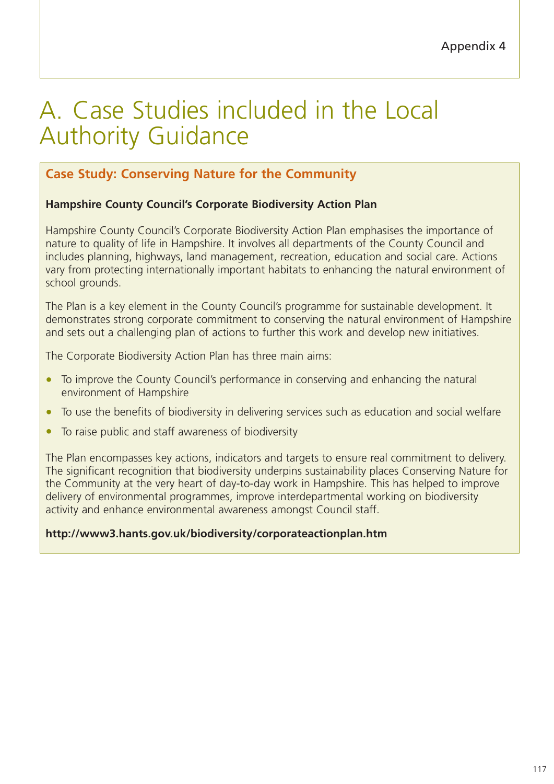# A. Case Studies included in the Local Authority Guidance

# **Case Study: Conserving Nature for the Community**

## **Hampshire County Council's Corporate Biodiversity Action Plan**

Hampshire County Council's Corporate Biodiversity Action Plan emphasises the importance of nature to quality of life in Hampshire. It involves all departments of the County Council and includes planning, highways, land management, recreation, education and social care. Actions vary from protecting internationally important habitats to enhancing the natural environment of school grounds.

The Plan is a key element in the County Council's programme for sustainable development. It demonstrates strong corporate commitment to conserving the natural environment of Hampshire and sets out a challenging plan of actions to further this work and develop new initiatives.

The Corporate Biodiversity Action Plan has three main aims:

- To improve the County Council's performance in conserving and enhancing the natural environment of Hampshire
- To use the benefits of biodiversity in delivering services such as education and social welfare
- To raise public and staff awareness of biodiversity

The Plan encompasses key actions, indicators and targets to ensure real commitment to delivery. The significant recognition that biodiversity underpins sustainability places Conserving Nature for the Community at the very heart of day-to-day work in Hampshire. This has helped to improve delivery of environmental programmes, improve interdepartmental working on biodiversity activity and enhance environmental awareness amongst Council staff.

## **http://www3.hants.gov.uk/biodiversity/corporateactionplan.htm**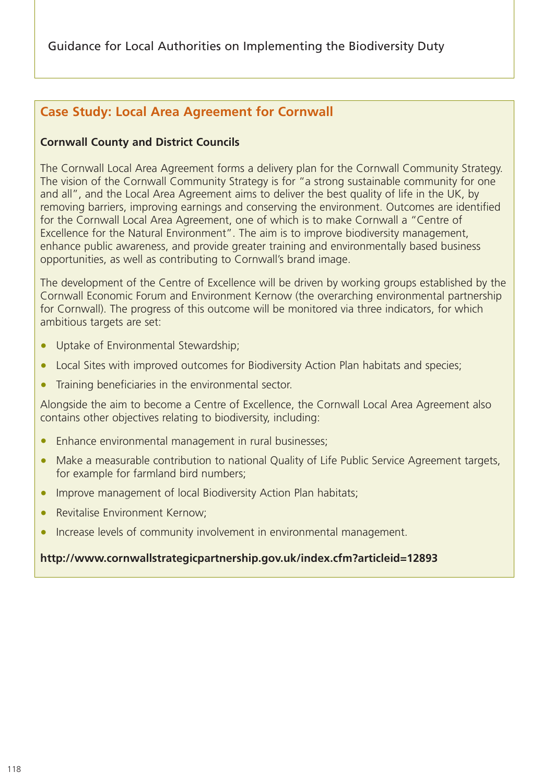# **Case Study: Local Area Agreement for Cornwall**

## **Cornwall County and District Councils**

The Cornwall Local Area Agreement forms a delivery plan for the Cornwall Community Strategy. The vision of the Cornwall Community Strategy is for "a strong sustainable community for one and all", and the Local Area Agreement aims to deliver the best quality of life in the UK, by removing barriers, improving earnings and conserving the environment. Outcomes are identified for the Cornwall Local Area Agreement, one of which is to make Cornwall a "Centre of Excellence for the Natural Environment". The aim is to improve biodiversity management, enhance public awareness, and provide greater training and environmentally based business opportunities, as well as contributing to Cornwall's brand image.

The development of the Centre of Excellence will be driven by working groups established by the Cornwall Economic Forum and Environment Kernow (the overarching environmental partnership for Cornwall). The progress of this outcome will be monitored via three indicators, for which ambitious targets are set:

- Uptake of Environmental Stewardship;
- Local Sites with improved outcomes for Biodiversity Action Plan habitats and species;
- Training beneficiaries in the environmental sector.

Alongside the aim to become a Centre of Excellence, the Cornwall Local Area Agreement also contains other objectives relating to biodiversity, including:

- Enhance environmental management in rural businesses;
- Make a measurable contribution to national Quality of Life Public Service Agreement targets, for example for farmland bird numbers;
- Improve management of local Biodiversity Action Plan habitats;
- Revitalise Environment Kernow;
- Increase levels of community involvement in environmental management.

## **http://www.cornwallstrategicpartnership.gov.uk/index.cfm?articleid=12893**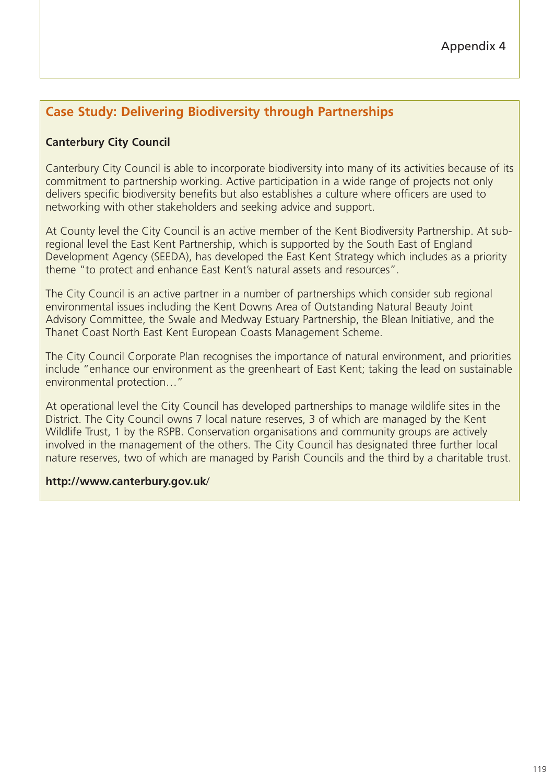# **Case Study: Delivering Biodiversity through Partnerships**

## **Canterbury City Council**

Canterbury City Council is able to incorporate biodiversity into many of its activities because of its commitment to partnership working. Active participation in a wide range of projects not only delivers specific biodiversity benefits but also establishes a culture where officers are used to networking with other stakeholders and seeking advice and support.

At County level the City Council is an active member of the Kent Biodiversity Partnership. At subregional level the East Kent Partnership, which is supported by the South East of England Development Agency (SEEDA), has developed the East Kent Strategy which includes as a priority theme "to protect and enhance East Kent's natural assets and resources".

The City Council is an active partner in a number of partnerships which consider sub regional environmental issues including the Kent Downs Area of Outstanding Natural Beauty Joint Advisory Committee, the Swale and Medway Estuary Partnership, the Blean Initiative, and the Thanet Coast North East Kent European Coasts Management Scheme.

The City Council Corporate Plan recognises the importance of natural environment, and priorities include "enhance our environment as the greenheart of East Kent; taking the lead on sustainable environmental protection…"

At operational level the City Council has developed partnerships to manage wildlife sites in the District. The City Council owns 7 local nature reserves, 3 of which are managed by the Kent Wildlife Trust, 1 by the RSPB. Conservation organisations and community groups are actively involved in the management of the others. The City Council has designated three further local nature reserves, two of which are managed by Parish Councils and the third by a charitable trust.

## **http://www.canterbury.gov.uk**/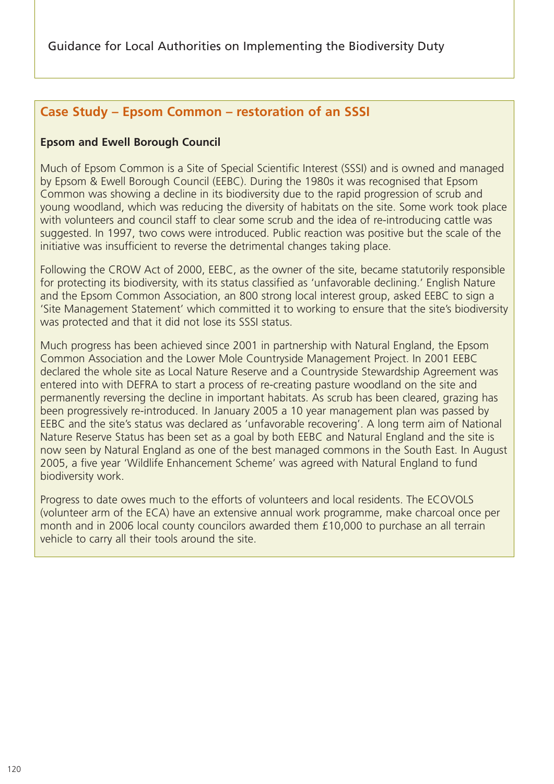## **Case Study – Epsom Common – restoration of an SSSI**

#### **Epsom and Ewell Borough Council**

Much of Epsom Common is a Site of Special Scientific Interest (SSSI) and is owned and managed by Epsom & Ewell Borough Council (EEBC). During the 1980s it was recognised that Epsom Common was showing a decline in its biodiversity due to the rapid progression of scrub and young woodland, which was reducing the diversity of habitats on the site. Some work took place with volunteers and council staff to clear some scrub and the idea of re-introducing cattle was suggested. In 1997, two cows were introduced. Public reaction was positive but the scale of the initiative was insufficient to reverse the detrimental changes taking place.

Following the CROW Act of 2000, EEBC, as the owner of the site, became statutorily responsible for protecting its biodiversity, with its status classified as 'unfavorable declining.' English Nature and the Epsom Common Association, an 800 strong local interest group, asked EEBC to sign a 'Site Management Statement' which committed it to working to ensure that the site's biodiversity was protected and that it did not lose its SSSI status.

Much progress has been achieved since 2001 in partnership with Natural England, the Epsom Common Association and the Lower Mole Countryside Management Project. In 2001 EEBC declared the whole site as Local Nature Reserve and a Countryside Stewardship Agreement was entered into with DEFRA to start a process of re-creating pasture woodland on the site and permanently reversing the decline in important habitats. As scrub has been cleared, grazing has been progressively re-introduced. In January 2005 a 10 year management plan was passed by EEBC and the site's status was declared as 'unfavorable recovering'. A long term aim of National Nature Reserve Status has been set as a goal by both EEBC and Natural England and the site is now seen by Natural England as one of the best managed commons in the South East. In August 2005, a five year 'Wildlife Enhancement Scheme' was agreed with Natural England to fund biodiversity work.

Progress to date owes much to the efforts of volunteers and local residents. The ECOVOLS (volunteer arm of the ECA) have an extensive annual work programme, make charcoal once per month and in 2006 local county councilors awarded them £10,000 to purchase an all terrain vehicle to carry all their tools around the site.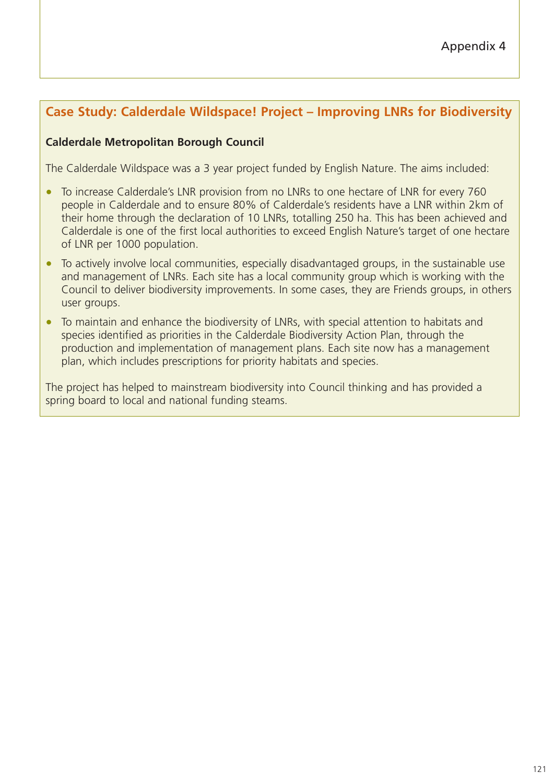# **Case Study: Calderdale Wildspace! Project – Improving LNRs for Biodiversity**

## **Calderdale Metropolitan Borough Council**

The Calderdale Wildspace was a 3 year project funded by English Nature. The aims included:

- To increase Calderdale's LNR provision from no LNRs to one hectare of LNR for every 760 people in Calderdale and to ensure 80% of Calderdale's residents have a LNR within 2km of their home through the declaration of 10 LNRs, totalling 250 ha. This has been achieved and Calderdale is one of the first local authorities to exceed English Nature's target of one hectare of LNR per 1000 population.
- To actively involve local communities, especially disadvantaged groups, in the sustainable use and management of LNRs. Each site has a local community group which is working with the Council to deliver biodiversity improvements. In some cases, they are Friends groups, in others user groups.
- To maintain and enhance the biodiversity of LNRs, with special attention to habitats and species identified as priorities in the Calderdale Biodiversity Action Plan, through the production and implementation of management plans. Each site now has a management plan, which includes prescriptions for priority habitats and species.

The project has helped to mainstream biodiversity into Council thinking and has provided a spring board to local and national funding steams.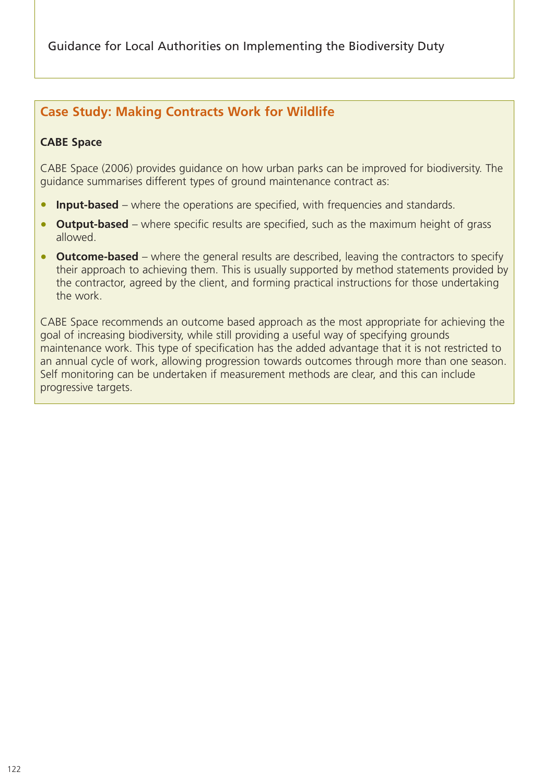Guidance for Local Authorities on Implementing the Biodiversity Duty

## **Case Study: Making Contracts Work for Wildlife**

## **CABE Space**

CABE Space (2006) provides guidance on how urban parks can be improved for biodiversity. The guidance summarises different types of ground maintenance contract as:

- **Input-based** where the operations are specified, with frequencies and standards.
- **Output-based** where specific results are specified, such as the maximum height of grass allowed.
- **Outcome-based** where the general results are described, leaving the contractors to specify their approach to achieving them. This is usually supported by method statements provided by the contractor, agreed by the client, and forming practical instructions for those undertaking the work.

CABE Space recommends an outcome based approach as the most appropriate for achieving the goal of increasing biodiversity, while still providing a useful way of specifying grounds maintenance work. This type of specification has the added advantage that it is not restricted to an annual cycle of work, allowing progression towards outcomes through more than one season. Self monitoring can be undertaken if measurement methods are clear, and this can include progressive targets.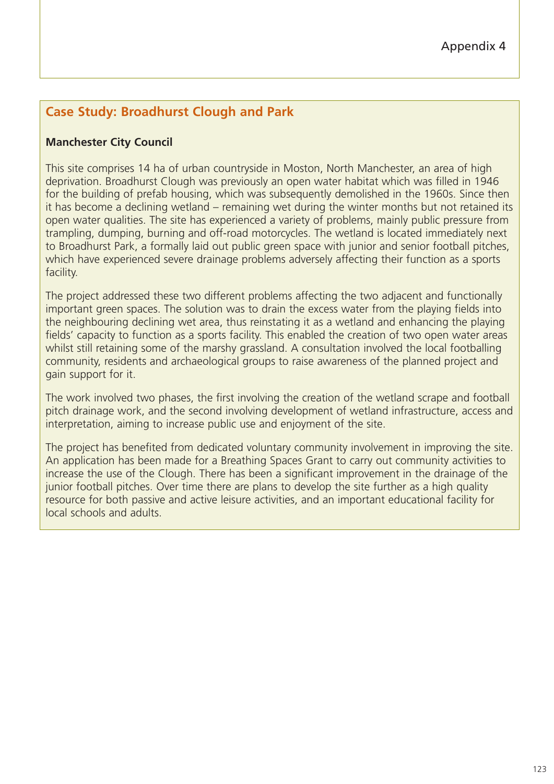# **Case Study: Broadhurst Clough and Park**

## **Manchester City Council**

This site comprises 14 ha of urban countryside in Moston, North Manchester, an area of high deprivation. Broadhurst Clough was previously an open water habitat which was filled in 1946 for the building of prefab housing, which was subsequently demolished in the 1960s. Since then it has become a declining wetland – remaining wet during the winter months but not retained its open water qualities. The site has experienced a variety of problems, mainly public pressure from trampling, dumping, burning and off-road motorcycles. The wetland is located immediately next to Broadhurst Park, a formally laid out public green space with junior and senior football pitches, which have experienced severe drainage problems adversely affecting their function as a sports facility.

The project addressed these two different problems affecting the two adjacent and functionally important green spaces. The solution was to drain the excess water from the playing fields into the neighbouring declining wet area, thus reinstating it as a wetland and enhancing the playing fields' capacity to function as a sports facility. This enabled the creation of two open water areas whilst still retaining some of the marshy grassland. A consultation involved the local footballing community, residents and archaeological groups to raise awareness of the planned project and gain support for it.

The work involved two phases, the first involving the creation of the wetland scrape and football pitch drainage work, and the second involving development of wetland infrastructure, access and interpretation, aiming to increase public use and enjoyment of the site.

The project has benefited from dedicated voluntary community involvement in improving the site. An application has been made for a Breathing Spaces Grant to carry out community activities to increase the use of the Clough. There has been a significant improvement in the drainage of the junior football pitches. Over time there are plans to develop the site further as a high quality resource for both passive and active leisure activities, and an important educational facility for local schools and adults.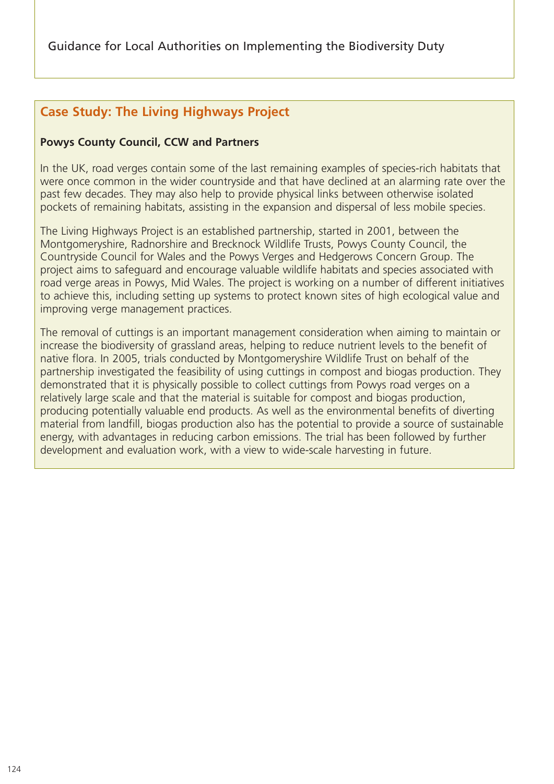# **Case Study: The Living Highways Project**

## **Powys County Council, CCW and Partners**

In the UK, road verges contain some of the last remaining examples of species-rich habitats that were once common in the wider countryside and that have declined at an alarming rate over the past few decades. They may also help to provide physical links between otherwise isolated pockets of remaining habitats, assisting in the expansion and dispersal of less mobile species.

The Living Highways Project is an established partnership, started in 2001, between the Montgomeryshire, Radnorshire and Brecknock Wildlife Trusts, Powys County Council, the Countryside Council for Wales and the Powys Verges and Hedgerows Concern Group. The project aims to safeguard and encourage valuable wildlife habitats and species associated with road verge areas in Powys, Mid Wales. The project is working on a number of different initiatives to achieve this, including setting up systems to protect known sites of high ecological value and improving verge management practices.

The removal of cuttings is an important management consideration when aiming to maintain or increase the biodiversity of grassland areas, helping to reduce nutrient levels to the benefit of native flora. In 2005, trials conducted by Montgomeryshire Wildlife Trust on behalf of the partnership investigated the feasibility of using cuttings in compost and biogas production. They demonstrated that it is physically possible to collect cuttings from Powys road verges on a relatively large scale and that the material is suitable for compost and biogas production, producing potentially valuable end products. As well as the environmental benefits of diverting material from landfill, biogas production also has the potential to provide a source of sustainable energy, with advantages in reducing carbon emissions. The trial has been followed by further development and evaluation work, with a view to wide-scale harvesting in future.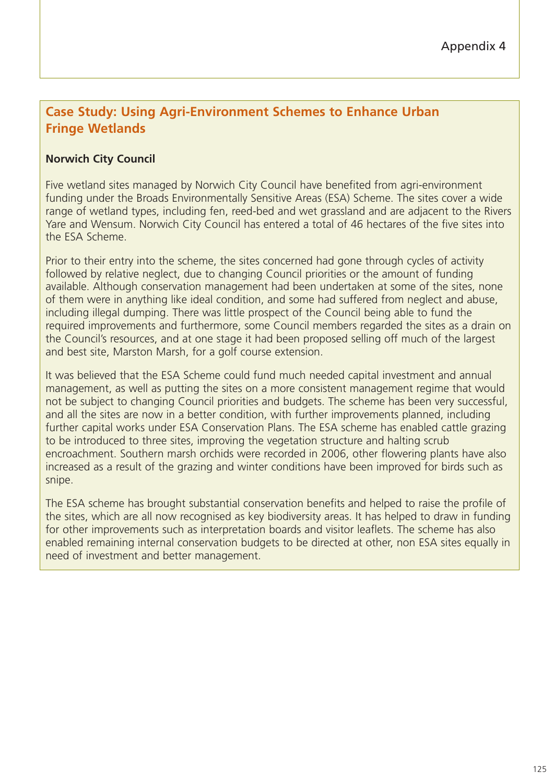## **Case Study: Using Agri-Environment Schemes to Enhance Urban Fringe Wetlands**

## **Norwich City Council**

Five wetland sites managed by Norwich City Council have benefited from agri-environment funding under the Broads Environmentally Sensitive Areas (ESA) Scheme. The sites cover a wide range of wetland types, including fen, reed-bed and wet grassland and are adjacent to the Rivers Yare and Wensum. Norwich City Council has entered a total of 46 hectares of the five sites into the ESA Scheme.

Prior to their entry into the scheme, the sites concerned had gone through cycles of activity followed by relative neglect, due to changing Council priorities or the amount of funding available. Although conservation management had been undertaken at some of the sites, none of them were in anything like ideal condition, and some had suffered from neglect and abuse, including illegal dumping. There was little prospect of the Council being able to fund the required improvements and furthermore, some Council members regarded the sites as a drain on the Council's resources, and at one stage it had been proposed selling off much of the largest and best site, Marston Marsh, for a golf course extension.

It was believed that the ESA Scheme could fund much needed capital investment and annual management, as well as putting the sites on a more consistent management regime that would not be subject to changing Council priorities and budgets. The scheme has been very successful, and all the sites are now in a better condition, with further improvements planned, including further capital works under ESA Conservation Plans. The ESA scheme has enabled cattle grazing to be introduced to three sites, improving the vegetation structure and halting scrub encroachment. Southern marsh orchids were recorded in 2006, other flowering plants have also increased as a result of the grazing and winter conditions have been improved for birds such as snipe.

The ESA scheme has brought substantial conservation benefits and helped to raise the profile of the sites, which are all now recognised as key biodiversity areas. It has helped to draw in funding for other improvements such as interpretation boards and visitor leaflets. The scheme has also enabled remaining internal conservation budgets to be directed at other, non ESA sites equally in need of investment and better management.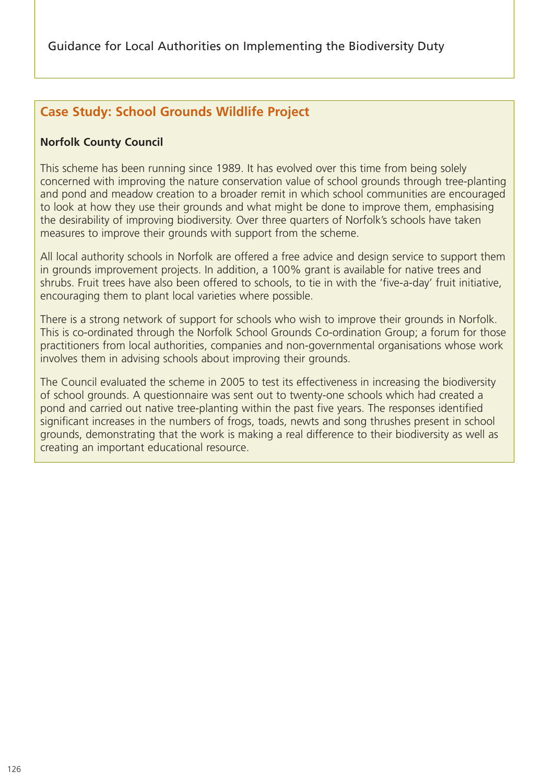# **Case Study: School Grounds Wildlife Project**

## **Norfolk County Council**

This scheme has been running since 1989. It has evolved over this time from being solely concerned with improving the nature conservation value of school grounds through tree-planting and pond and meadow creation to a broader remit in which school communities are encouraged to look at how they use their grounds and what might be done to improve them, emphasising the desirability of improving biodiversity. Over three quarters of Norfolk's schools have taken measures to improve their grounds with support from the scheme.

All local authority schools in Norfolk are offered a free advice and design service to support them in grounds improvement projects. In addition, a 100% grant is available for native trees and shrubs. Fruit trees have also been offered to schools, to tie in with the 'five-a-day' fruit initiative, encouraging them to plant local varieties where possible.

There is a strong network of support for schools who wish to improve their grounds in Norfolk. This is co-ordinated through the Norfolk School Grounds Co-ordination Group; a forum for those practitioners from local authorities, companies and non-governmental organisations whose work involves them in advising schools about improving their grounds.

The Council evaluated the scheme in 2005 to test its effectiveness in increasing the biodiversity of school grounds. A questionnaire was sent out to twenty-one schools which had created a pond and carried out native tree-planting within the past five years. The responses identified significant increases in the numbers of frogs, toads, newts and song thrushes present in school grounds, demonstrating that the work is making a real difference to their biodiversity as well as creating an important educational resource.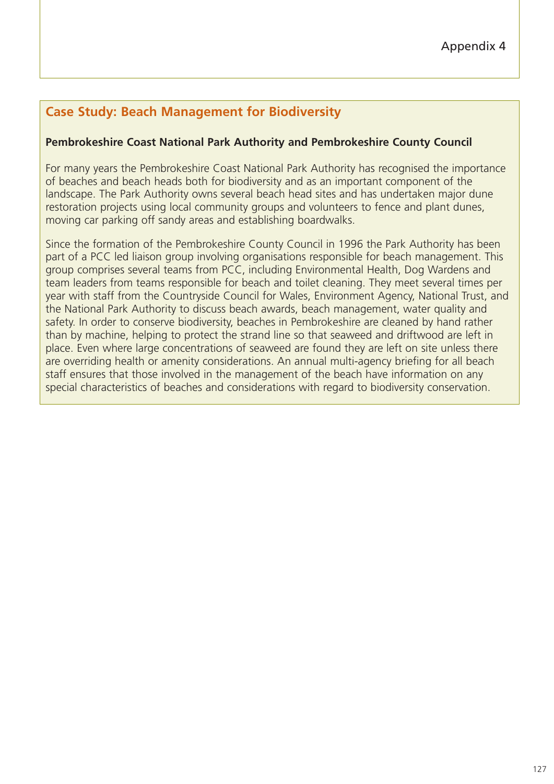# **Case Study: Beach Management for Biodiversity**

## **Pembrokeshire Coast National Park Authority and Pembrokeshire County Council**

For many years the Pembrokeshire Coast National Park Authority has recognised the importance of beaches and beach heads both for biodiversity and as an important component of the landscape. The Park Authority owns several beach head sites and has undertaken major dune restoration projects using local community groups and volunteers to fence and plant dunes, moving car parking off sandy areas and establishing boardwalks.

Since the formation of the Pembrokeshire County Council in 1996 the Park Authority has been part of a PCC led liaison group involving organisations responsible for beach management. This group comprises several teams from PCC, including Environmental Health, Dog Wardens and team leaders from teams responsible for beach and toilet cleaning. They meet several times per year with staff from the Countryside Council for Wales, Environment Agency, National Trust, and the National Park Authority to discuss beach awards, beach management, water quality and safety. In order to conserve biodiversity, beaches in Pembrokeshire are cleaned by hand rather than by machine, helping to protect the strand line so that seaweed and driftwood are left in place. Even where large concentrations of seaweed are found they are left on site unless there are overriding health or amenity considerations. An annual multi-agency briefing for all beach staff ensures that those involved in the management of the beach have information on any special characteristics of beaches and considerations with regard to biodiversity conservation.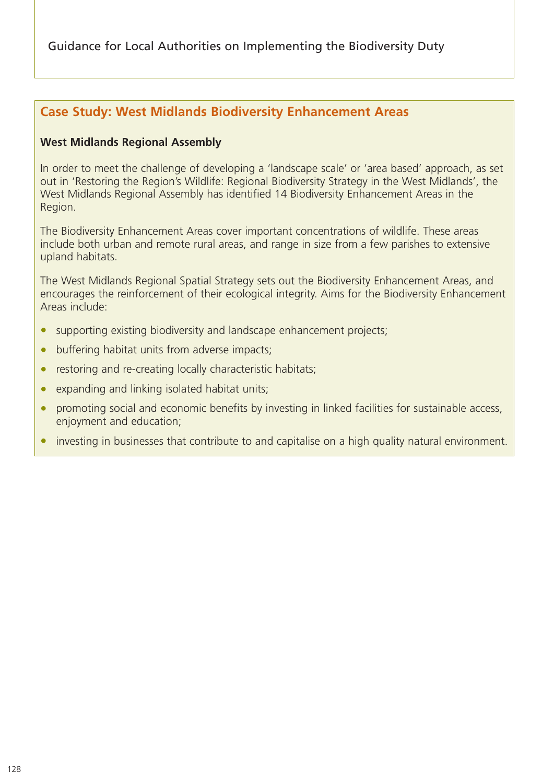Guidance for Local Authorities on Implementing the Biodiversity Duty

## **Case Study: West Midlands Biodiversity Enhancement Areas**

#### **West Midlands Regional Assembly**

In order to meet the challenge of developing a 'landscape scale' or 'area based' approach, as set out in 'Restoring the Region's Wildlife: Regional Biodiversity Strategy in the West Midlands', the West Midlands Regional Assembly has identified 14 Biodiversity Enhancement Areas in the Region.

The Biodiversity Enhancement Areas cover important concentrations of wildlife. These areas include both urban and remote rural areas, and range in size from a few parishes to extensive upland habitats.

The West Midlands Regional Spatial Strategy sets out the Biodiversity Enhancement Areas, and encourages the reinforcement of their ecological integrity. Aims for the Biodiversity Enhancement Areas include:

- supporting existing biodiversity and landscape enhancement projects;
- buffering habitat units from adverse impacts;
- restoring and re-creating locally characteristic habitats;
- expanding and linking isolated habitat units;
- promoting social and economic benefits by investing in linked facilities for sustainable access, enjoyment and education;
- investing in businesses that contribute to and capitalise on a high quality natural environment.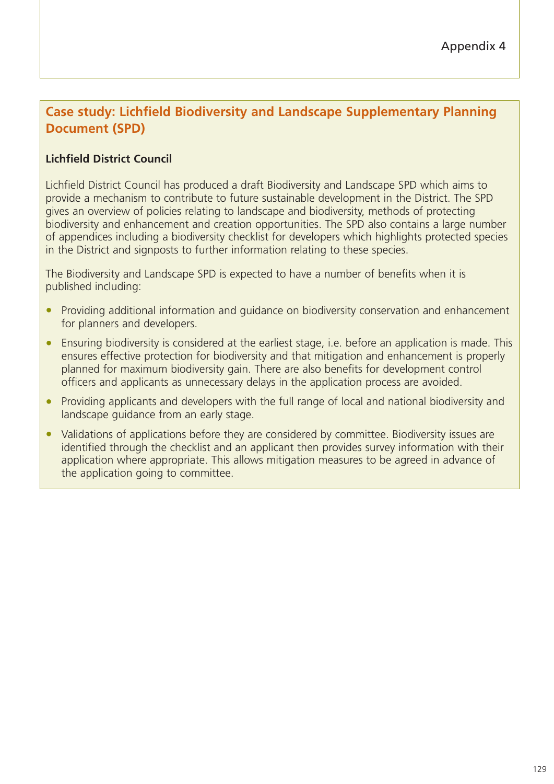# **Case study: Lichfield Biodiversity and Landscape Supplementary Planning Document (SPD)**

## **Lichfield District Council**

Lichfield District Council has produced a draft Biodiversity and Landscape SPD which aims to provide a mechanism to contribute to future sustainable development in the District. The SPD gives an overview of policies relating to landscape and biodiversity, methods of protecting biodiversity and enhancement and creation opportunities. The SPD also contains a large number of appendices including a biodiversity checklist for developers which highlights protected species in the District and signposts to further information relating to these species.

The Biodiversity and Landscape SPD is expected to have a number of benefits when it is published including:

- Providing additional information and quidance on biodiversity conservation and enhancement for planners and developers.
- Ensuring biodiversity is considered at the earliest stage, i.e. before an application is made. This ensures effective protection for biodiversity and that mitigation and enhancement is properly planned for maximum biodiversity gain. There are also benefits for development control officers and applicants as unnecessary delays in the application process are avoided.
- Providing applicants and developers with the full range of local and national biodiversity and landscape guidance from an early stage.
- Validations of applications before they are considered by committee. Biodiversity issues are identified through the checklist and an applicant then provides survey information with their application where appropriate. This allows mitigation measures to be agreed in advance of the application going to committee.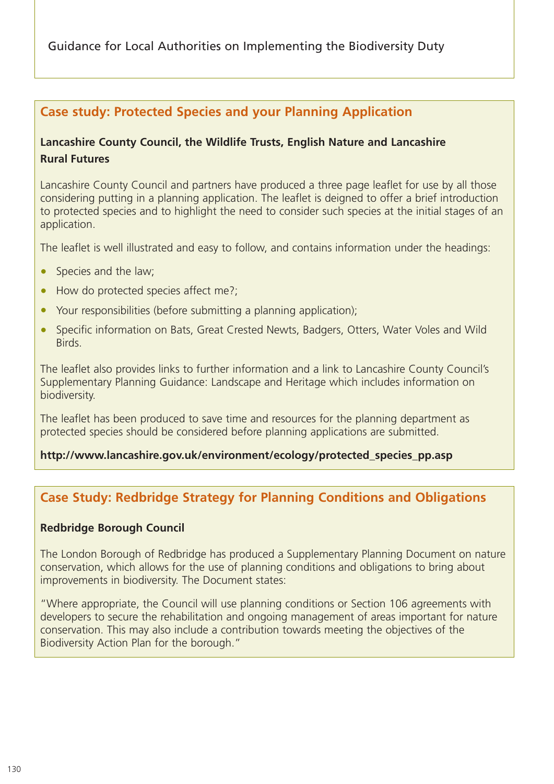Guidance for Local Authorities on Implementing the Biodiversity Duty

## **Case study: Protected Species and your Planning Application**

## **Lancashire County Council, the Wildlife Trusts, English Nature and Lancashire Rural Futures**

Lancashire County Council and partners have produced a three page leaflet for use by all those considering putting in a planning application. The leaflet is deigned to offer a brief introduction to protected species and to highlight the need to consider such species at the initial stages of an application.

The leaflet is well illustrated and easy to follow, and contains information under the headings:

- Species and the law;
- How do protected species affect me?;
- Your responsibilities (before submitting a planning application);
- Specific information on Bats, Great Crested Newts, Badgers, Otters, Water Voles and Wild Birds.

The leaflet also provides links to further information and a link to Lancashire County Council's Supplementary Planning Guidance: Landscape and Heritage which includes information on biodiversity.

The leaflet has been produced to save time and resources for the planning department as protected species should be considered before planning applications are submitted.

## **http://www.lancashire.gov.uk/environment/ecology/protected\_species\_pp.asp**

# **Case Study: Redbridge Strategy for Planning Conditions and Obligations**

## **Redbridge Borough Council**

The London Borough of Redbridge has produced a Supplementary Planning Document on nature conservation, which allows for the use of planning conditions and obligations to bring about improvements in biodiversity. The Document states:

"Where appropriate, the Council will use planning conditions or Section 106 agreements with developers to secure the rehabilitation and ongoing management of areas important for nature conservation. This may also include a contribution towards meeting the objectives of the Biodiversity Action Plan for the borough."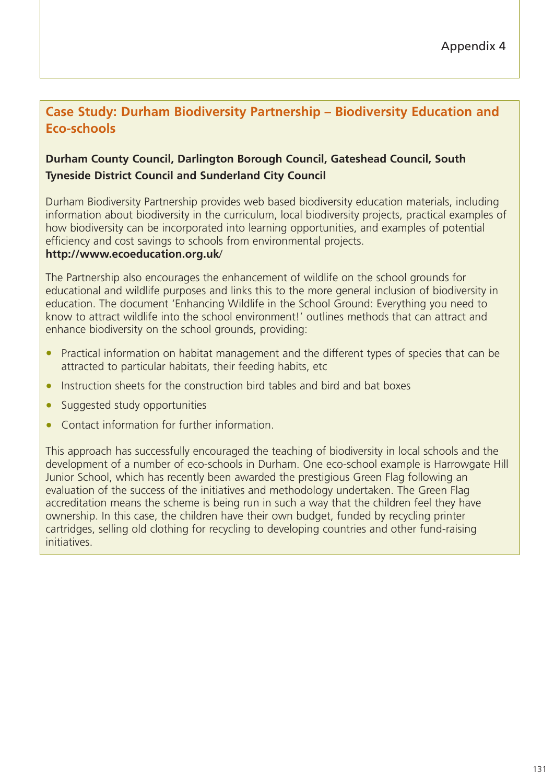# **Case Study: Durham Biodiversity Partnership – Biodiversity Education and Eco-schools**

## **Durham County Council, Darlington Borough Council, Gateshead Council, South Tyneside District Council and Sunderland City Council**

Durham Biodiversity Partnership provides web based biodiversity education materials, including information about biodiversity in the curriculum, local biodiversity projects, practical examples of how biodiversity can be incorporated into learning opportunities, and examples of potential efficiency and cost savings to schools from environmental projects.

#### **http://www.ecoeducation.org.uk**/

The Partnership also encourages the enhancement of wildlife on the school grounds for educational and wildlife purposes and links this to the more general inclusion of biodiversity in education. The document 'Enhancing Wildlife in the School Ground: Everything you need to know to attract wildlife into the school environment!' outlines methods that can attract and enhance biodiversity on the school grounds, providing:

- Practical information on habitat management and the different types of species that can be attracted to particular habitats, their feeding habits, etc
- Instruction sheets for the construction bird tables and bird and bat boxes
- Suggested study opportunities
- Contact information for further information.

This approach has successfully encouraged the teaching of biodiversity in local schools and the development of a number of eco-schools in Durham. One eco-school example is Harrowgate Hill Junior School, which has recently been awarded the prestigious Green Flag following an evaluation of the success of the initiatives and methodology undertaken. The Green Flag accreditation means the scheme is being run in such a way that the children feel they have ownership. In this case, the children have their own budget, funded by recycling printer cartridges, selling old clothing for recycling to developing countries and other fund-raising initiatives.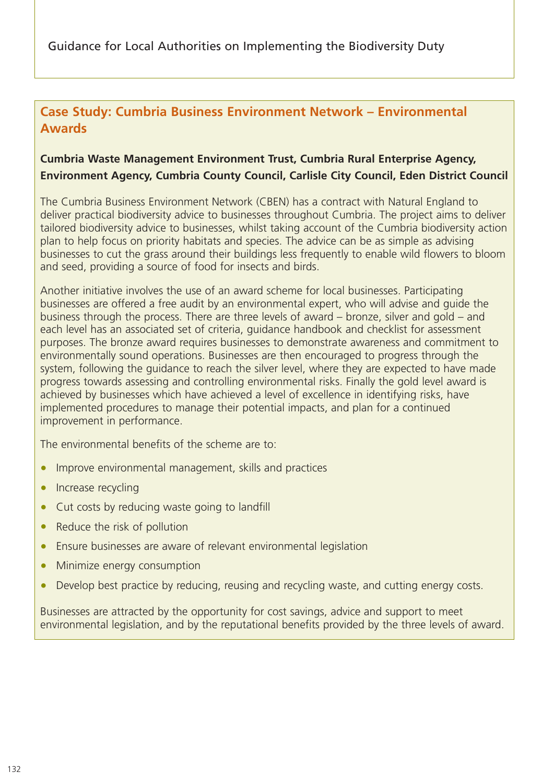## **Case Study: Cumbria Business Environment Network – Environmental Awards**

## **Cumbria Waste Management Environment Trust, Cumbria Rural Enterprise Agency, Environment Agency, Cumbria County Council, Carlisle City Council, Eden District Council**

The Cumbria Business Environment Network (CBEN) has a contract with Natural England to deliver practical biodiversity advice to businesses throughout Cumbria. The project aims to deliver tailored biodiversity advice to businesses, whilst taking account of the Cumbria biodiversity action plan to help focus on priority habitats and species. The advice can be as simple as advising businesses to cut the grass around their buildings less frequently to enable wild flowers to bloom and seed, providing a source of food for insects and birds.

Another initiative involves the use of an award scheme for local businesses. Participating businesses are offered a free audit by an environmental expert, who will advise and guide the business through the process. There are three levels of award – bronze, silver and gold – and each level has an associated set of criteria, guidance handbook and checklist for assessment purposes. The bronze award requires businesses to demonstrate awareness and commitment to environmentally sound operations. Businesses are then encouraged to progress through the system, following the guidance to reach the silver level, where they are expected to have made progress towards assessing and controlling environmental risks. Finally the gold level award is achieved by businesses which have achieved a level of excellence in identifying risks, have implemented procedures to manage their potential impacts, and plan for a continued improvement in performance.

The environmental benefits of the scheme are to:

- Improve environmental management, skills and practices
- Increase recycling
- Cut costs by reducing waste going to landfill
- Reduce the risk of pollution
- Ensure businesses are aware of relevant environmental legislation
- Minimize energy consumption
- Develop best practice by reducing, reusing and recycling waste, and cutting energy costs.

Businesses are attracted by the opportunity for cost savings, advice and support to meet environmental legislation, and by the reputational benefits provided by the three levels of award.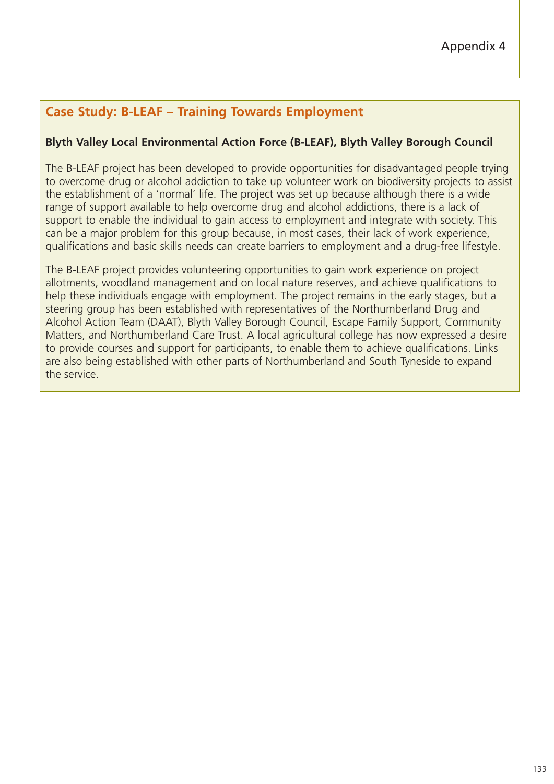# **Case Study: B-LEAF – Training Towards Employment**

## **Blyth Valley Local Environmental Action Force (B-LEAF), Blyth Valley Borough Council**

The B-LEAF project has been developed to provide opportunities for disadvantaged people trying to overcome drug or alcohol addiction to take up volunteer work on biodiversity projects to assist the establishment of a 'normal' life. The project was set up because although there is a wide range of support available to help overcome drug and alcohol addictions, there is a lack of support to enable the individual to gain access to employment and integrate with society. This can be a major problem for this group because, in most cases, their lack of work experience, qualifications and basic skills needs can create barriers to employment and a drug-free lifestyle.

The B-LEAF project provides volunteering opportunities to gain work experience on project allotments, woodland management and on local nature reserves, and achieve qualifications to help these individuals engage with employment. The project remains in the early stages, but a steering group has been established with representatives of the Northumberland Drug and Alcohol Action Team (DAAT), Blyth Valley Borough Council, Escape Family Support, Community Matters, and Northumberland Care Trust. A local agricultural college has now expressed a desire to provide courses and support for participants, to enable them to achieve qualifications. Links are also being established with other parts of Northumberland and South Tyneside to expand the service.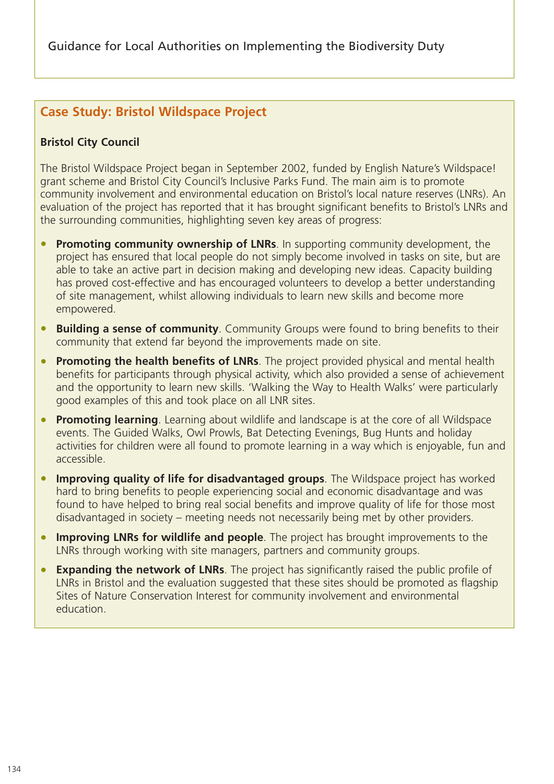# **Case Study: Bristol Wildspace Project**

## **Bristol City Council**

The Bristol Wildspace Project began in September 2002, funded by English Nature's Wildspace! grant scheme and Bristol City Council's Inclusive Parks Fund. The main aim is to promote community involvement and environmental education on Bristol's local nature reserves (LNRs). An evaluation of the project has reported that it has brought significant benefits to Bristol's LNRs and the surrounding communities, highlighting seven key areas of progress:

- **Promoting community ownership of LNRs**. In supporting community development, the project has ensured that local people do not simply become involved in tasks on site, but are able to take an active part in decision making and developing new ideas. Capacity building has proved cost-effective and has encouraged volunteers to develop a better understanding of site management, whilst allowing individuals to learn new skills and become more empowered.
- **Building a sense of community**. Community Groups were found to bring benefits to their community that extend far beyond the improvements made on site.
- **Promoting the health benefits of LNRs**. The project provided physical and mental health benefits for participants through physical activity, which also provided a sense of achievement and the opportunity to learn new skills. 'Walking the Way to Health Walks' were particularly good examples of this and took place on all LNR sites.
- **Promoting learning**. Learning about wildlife and landscape is at the core of all Wildspace events. The Guided Walks, Owl Prowls, Bat Detecting Evenings, Bug Hunts and holiday activities for children were all found to promote learning in a way which is enjoyable, fun and accessible.
- **Improving quality of life for disadvantaged groups**. The Wildspace project has worked hard to bring benefits to people experiencing social and economic disadvantage and was found to have helped to bring real social benefits and improve quality of life for those most disadvantaged in society – meeting needs not necessarily being met by other providers.
- **Improving LNRs for wildlife and people**. The project has brought improvements to the LNRs through working with site managers, partners and community groups.
- **Expanding the network of LNRs**. The project has significantly raised the public profile of LNRs in Bristol and the evaluation suggested that these sites should be promoted as flagship Sites of Nature Conservation Interest for community involvement and environmental education.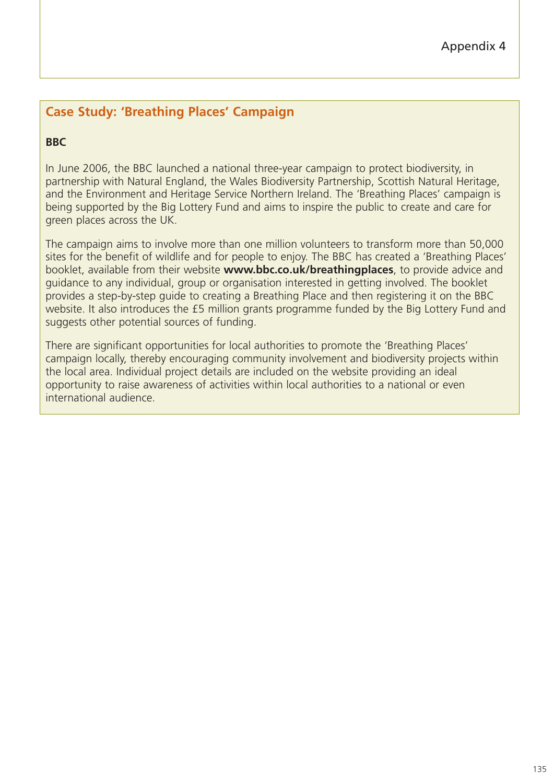# **Case Study: 'Breathing Places' Campaign**

## **BBC**

In June 2006, the BBC launched a national three-year campaign to protect biodiversity, in partnership with Natural England, the Wales Biodiversity Partnership, Scottish Natural Heritage, and the Environment and Heritage Service Northern Ireland. The 'Breathing Places' campaign is being supported by the Big Lottery Fund and aims to inspire the public to create and care for green places across the UK.

The campaign aims to involve more than one million volunteers to transform more than 50,000 sites for the benefit of wildlife and for people to enjoy. The BBC has created a 'Breathing Places' booklet, available from their website **www.bbc.co.uk/breathingplaces**, to provide advice and guidance to any individual, group or organisation interested in getting involved. The booklet provides a step-by-step guide to creating a Breathing Place and then registering it on the BBC website. It also introduces the £5 million grants programme funded by the Big Lottery Fund and suggests other potential sources of funding.

There are significant opportunities for local authorities to promote the 'Breathing Places' campaign locally, thereby encouraging community involvement and biodiversity projects within the local area. Individual project details are included on the website providing an ideal opportunity to raise awareness of activities within local authorities to a national or even international audience.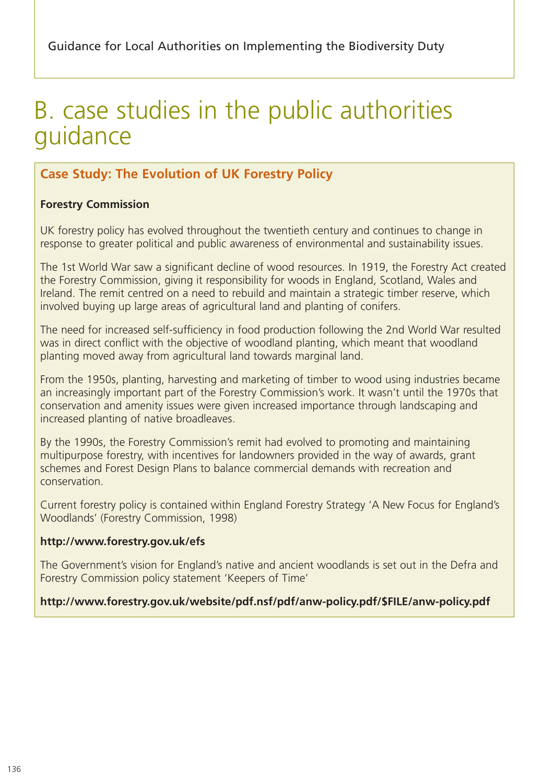# B. case studies in the public authorities guidance

# **Case Study: The Evolution of UK Forestry Policy**

## **Forestry Commission**

UK forestry policy has evolved throughout the twentieth century and continues to change in response to greater political and public awareness of environmental and sustainability issues.

The 1st World War saw a significant decline of wood resources. In 1919, the Forestry Act created the Forestry Commission, giving it responsibility for woods in England, Scotland, Wales and Ireland. The remit centred on a need to rebuild and maintain a strategic timber reserve, which involved buying up large areas of agricultural land and planting of conifers.

The need for increased self-sufficiency in food production following the 2nd World War resulted was in direct conflict with the objective of woodland planting, which meant that woodland planting moved away from agricultural land towards marginal land.

From the 1950s, planting, harvesting and marketing of timber to wood using industries became an increasingly important part of the Forestry Commission's work. It wasn't until the 1970s that conservation and amenity issues were given increased importance through landscaping and increased planting of native broadleaves.

By the 1990s, the Forestry Commission's remit had evolved to promoting and maintaining multipurpose forestry, with incentives for landowners provided in the way of awards, grant schemes and Forest Design Plans to balance commercial demands with recreation and conservation.

Current forestry policy is contained within England Forestry Strategy 'A New Focus for England's Woodlands' (Forestry Commission, 1998)

## **http://www.forestry.gov.uk/efs**

The Government's vision for England's native and ancient woodlands is set out in the Defra and Forestry Commission policy statement 'Keepers of Time'

## **http://www.forestry.gov.uk/website/pdf.nsf/pdf/anw-policy.pdf/\$FILE/anw-policy.pdf**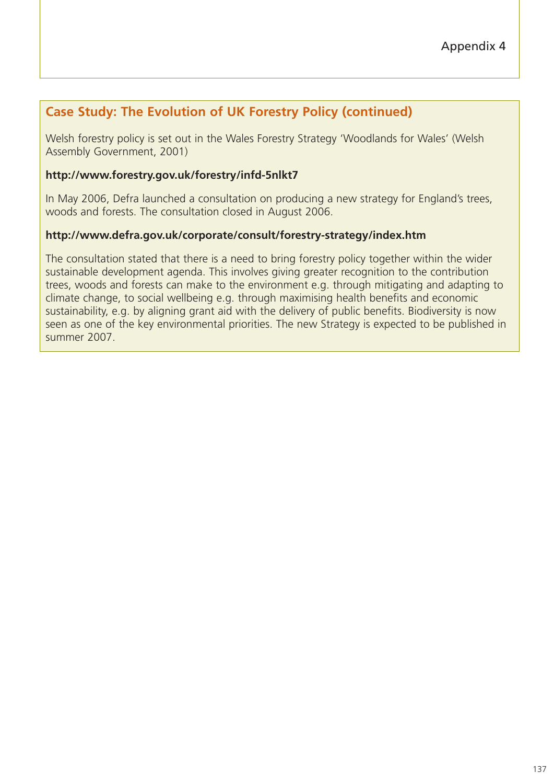## **Case Study: The Evolution of UK Forestry Policy (continued)**

Welsh forestry policy is set out in the Wales Forestry Strategy 'Woodlands for Wales' (Welsh Assembly Government, 2001)

## **http://www.forestry.gov.uk/forestry/infd-5nlkt7**

In May 2006, Defra launched a consultation on producing a new strategy for England's trees, woods and forests. The consultation closed in August 2006.

## **http://www.defra.gov.uk/corporate/consult/forestry-strategy/index.htm**

The consultation stated that there is a need to bring forestry policy together within the wider sustainable development agenda. This involves giving greater recognition to the contribution trees, woods and forests can make to the environment e.g. through mitigating and adapting to climate change, to social wellbeing e.g. through maximising health benefits and economic sustainability, e.g. by aligning grant aid with the delivery of public benefits. Biodiversity is now seen as one of the key environmental priorities. The new Strategy is expected to be published in summer 2007.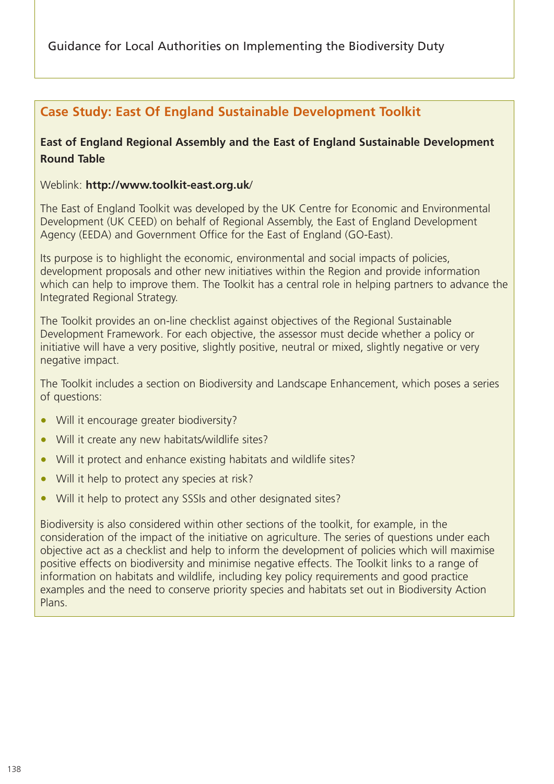Guidance for Local Authorities on Implementing the Biodiversity Duty

# **Case Study: East Of England Sustainable Development Toolkit**

## **East of England Regional Assembly and the East of England Sustainable Development Round Table**

Weblink: **http://www.toolkit-east.org.uk**/

The East of England Toolkit was developed by the UK Centre for Economic and Environmental Development (UK CEED) on behalf of Regional Assembly, the East of England Development Agency (EEDA) and Government Office for the East of England (GO-East).

Its purpose is to highlight the economic, environmental and social impacts of policies, development proposals and other new initiatives within the Region and provide information which can help to improve them. The Toolkit has a central role in helping partners to advance the Integrated Regional Strategy.

The Toolkit provides an on-line checklist against objectives of the Regional Sustainable Development Framework. For each objective, the assessor must decide whether a policy or initiative will have a very positive, slightly positive, neutral or mixed, slightly negative or very negative impact.

The Toolkit includes a section on Biodiversity and Landscape Enhancement, which poses a series of questions:

- Will it encourage greater biodiversity?
- Will it create any new habitats/wildlife sites?
- Will it protect and enhance existing habitats and wildlife sites?
- Will it help to protect any species at risk?
- Will it help to protect any SSSIs and other designated sites?

Biodiversity is also considered within other sections of the toolkit, for example, in the consideration of the impact of the initiative on agriculture. The series of questions under each objective act as a checklist and help to inform the development of policies which will maximise positive effects on biodiversity and minimise negative effects. The Toolkit links to a range of information on habitats and wildlife, including key policy requirements and good practice examples and the need to conserve priority species and habitats set out in Biodiversity Action Plans.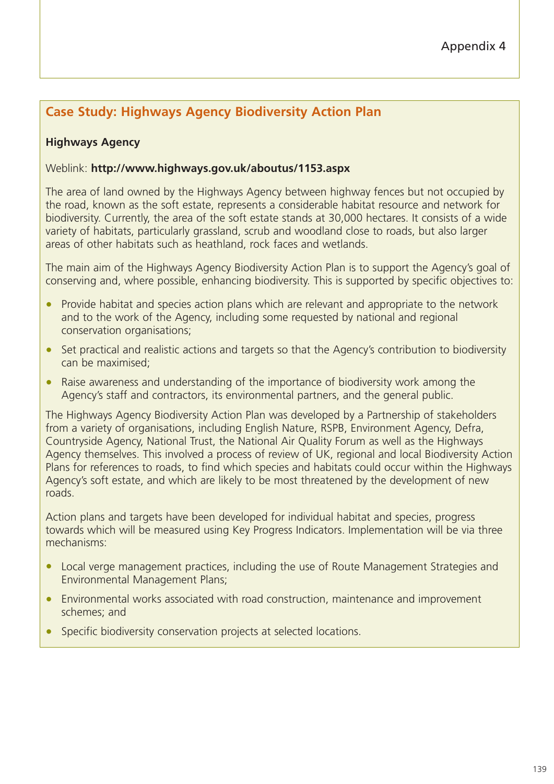# **Case Study: Highways Agency Biodiversity Action Plan**

## **Highways Agency**

#### Weblink: **http://www.highways.gov.uk/aboutus/1153.aspx**

The area of land owned by the Highways Agency between highway fences but not occupied by the road, known as the soft estate, represents a considerable habitat resource and network for biodiversity. Currently, the area of the soft estate stands at 30,000 hectares. It consists of a wide variety of habitats, particularly grassland, scrub and woodland close to roads, but also larger areas of other habitats such as heathland, rock faces and wetlands.

The main aim of the Highways Agency Biodiversity Action Plan is to support the Agency's goal of conserving and, where possible, enhancing biodiversity. This is supported by specific objectives to:

- Provide habitat and species action plans which are relevant and appropriate to the network and to the work of the Agency, including some requested by national and regional conservation organisations;
- Set practical and realistic actions and targets so that the Agency's contribution to biodiversity can be maximised;
- Raise awareness and understanding of the importance of biodiversity work among the Agency's staff and contractors, its environmental partners, and the general public.

The Highways Agency Biodiversity Action Plan was developed by a Partnership of stakeholders from a variety of organisations, including English Nature, RSPB, Environment Agency, Defra, Countryside Agency, National Trust, the National Air Quality Forum as well as the Highways Agency themselves. This involved a process of review of UK, regional and local Biodiversity Action Plans for references to roads, to find which species and habitats could occur within the Highways Agency's soft estate, and which are likely to be most threatened by the development of new roads.

Action plans and targets have been developed for individual habitat and species, progress towards which will be measured using Key Progress Indicators. Implementation will be via three mechanisms:

- Local verge management practices, including the use of Route Management Strategies and Environmental Management Plans;
- Environmental works associated with road construction, maintenance and improvement schemes; and
- Specific biodiversity conservation projects at selected locations.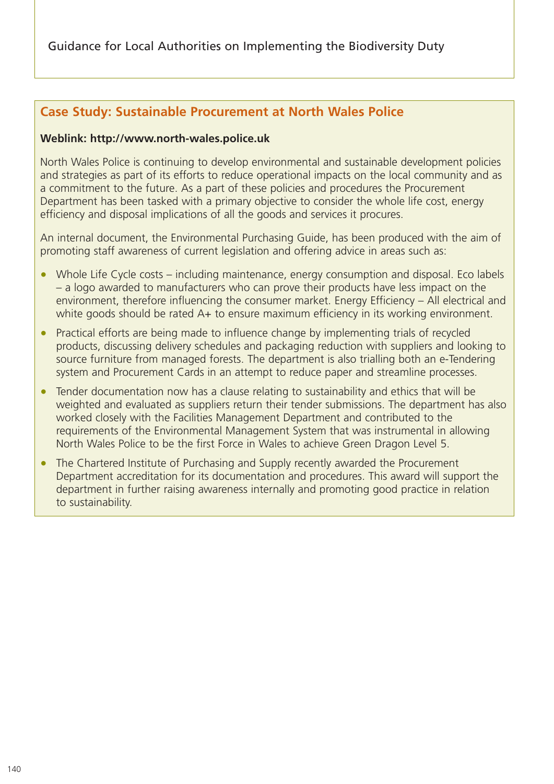Guidance for Local Authorities on Implementing the Biodiversity Duty

## **Case Study: Sustainable Procurement at North Wales Police**

#### **Weblink: http://www.north-wales.police.uk**

North Wales Police is continuing to develop environmental and sustainable development policies and strategies as part of its efforts to reduce operational impacts on the local community and as a commitment to the future. As a part of these policies and procedures the Procurement Department has been tasked with a primary objective to consider the whole life cost, energy efficiency and disposal implications of all the goods and services it procures.

An internal document, the Environmental Purchasing Guide, has been produced with the aim of promoting staff awareness of current legislation and offering advice in areas such as:

- Whole Life Cycle costs including maintenance, energy consumption and disposal. Eco labels – a logo awarded to manufacturers who can prove their products have less impact on the environment, therefore influencing the consumer market. Energy Efficiency – All electrical and white goods should be rated A+ to ensure maximum efficiency in its working environment.
- Practical efforts are being made to influence change by implementing trials of recycled products, discussing delivery schedules and packaging reduction with suppliers and looking to source furniture from managed forests. The department is also trialling both an e-Tendering system and Procurement Cards in an attempt to reduce paper and streamline processes.
- Tender documentation now has a clause relating to sustainability and ethics that will be weighted and evaluated as suppliers return their tender submissions. The department has also worked closely with the Facilities Management Department and contributed to the requirements of the Environmental Management System that was instrumental in allowing North Wales Police to be the first Force in Wales to achieve Green Dragon Level 5.
- The Chartered Institute of Purchasing and Supply recently awarded the Procurement Department accreditation for its documentation and procedures. This award will support the department in further raising awareness internally and promoting good practice in relation to sustainability.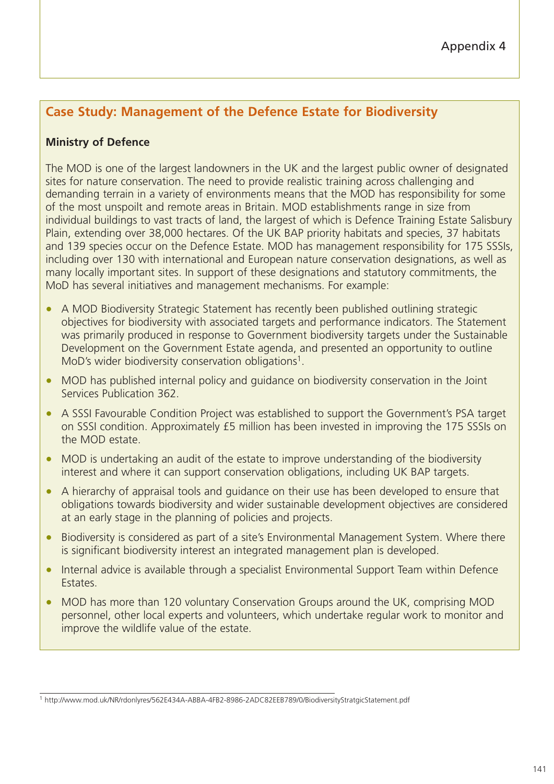# **Case Study: Management of the Defence Estate for Biodiversity**

## **Ministry of Defence**

The MOD is one of the largest landowners in the UK and the largest public owner of designated sites for nature conservation. The need to provide realistic training across challenging and demanding terrain in a variety of environments means that the MOD has responsibility for some of the most unspoilt and remote areas in Britain. MOD establishments range in size from individual buildings to vast tracts of land, the largest of which is Defence Training Estate Salisbury Plain, extending over 38,000 hectares. Of the UK BAP priority habitats and species, 37 habitats and 139 species occur on the Defence Estate. MOD has management responsibility for 175 SSSIs, including over 130 with international and European nature conservation designations, as well as many locally important sites. In support of these designations and statutory commitments, the MoD has several initiatives and management mechanisms. For example:

- A MOD Biodiversity Strategic Statement has recently been published outlining strategic objectives for biodiversity with associated targets and performance indicators. The Statement was primarily produced in response to Government biodiversity targets under the Sustainable Development on the Government Estate agenda, and presented an opportunity to outline MoD's wider biodiversity conservation obligations<sup>1</sup>.
- MOD has published internal policy and guidance on biodiversity conservation in the Joint Services Publication 362.
- A SSSI Favourable Condition Project was established to support the Government's PSA target on SSSI condition. Approximately £5 million has been invested in improving the 175 SSSIs on the MOD estate.
- MOD is undertaking an audit of the estate to improve understanding of the biodiversity interest and where it can support conservation obligations, including UK BAP targets.
- A hierarchy of appraisal tools and guidance on their use has been developed to ensure that obligations towards biodiversity and wider sustainable development objectives are considered at an early stage in the planning of policies and projects.
- Biodiversity is considered as part of a site's Environmental Management System. Where there is significant biodiversity interest an integrated management plan is developed.
- Internal advice is available through a specialist Environmental Support Team within Defence Estates.
- MOD has more than 120 voluntary Conservation Groups around the UK, comprising MOD personnel, other local experts and volunteers, which undertake regular work to monitor and improve the wildlife value of the estate.

<sup>1</sup> http://www.mod.uk/NR/rdonlyres/562E434A-ABBA-4FB2-8986-2ADC82EEB789/0/BiodiversityStratgicStatement.pdf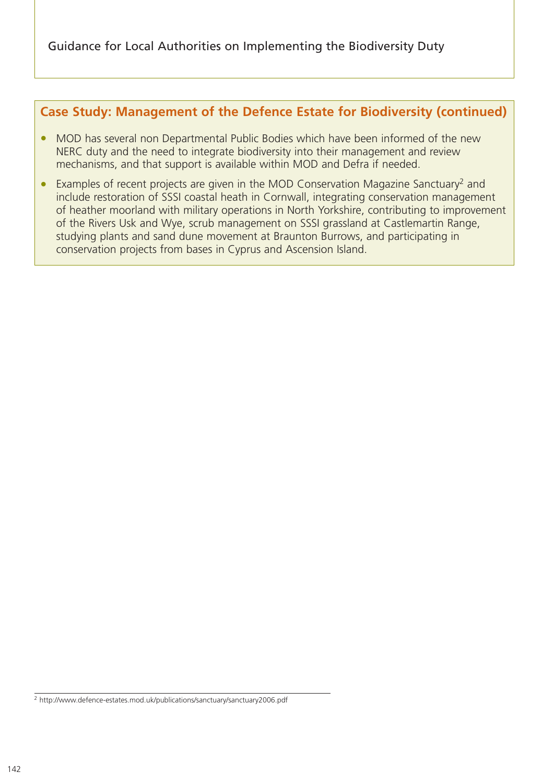## **Case Study: Management of the Defence Estate for Biodiversity (continued)**

- MOD has several non Departmental Public Bodies which have been informed of the new NERC duty and the need to integrate biodiversity into their management and review mechanisms, and that support is available within MOD and Defra if needed.
- Examples of recent projects are given in the MOD Conservation Magazine Sanctuary<sup>2</sup> and include restoration of SSSI coastal heath in Cornwall, integrating conservation management of heather moorland with military operations in North Yorkshire, contributing to improvement of the Rivers Usk and Wye, scrub management on SSSI grassland at Castlemartin Range, studying plants and sand dune movement at Braunton Burrows, and participating in conservation projects from bases in Cyprus and Ascension Island.

<sup>2</sup> http://www.defence-estates.mod.uk/publications/sanctuary/sanctuary2006.pdf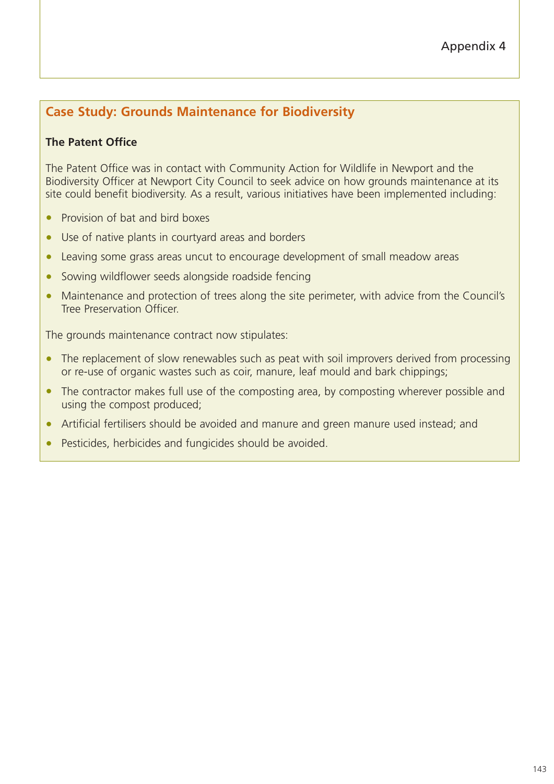# **Case Study: Grounds Maintenance for Biodiversity**

## **The Patent Office**

The Patent Office was in contact with Community Action for Wildlife in Newport and the Biodiversity Officer at Newport City Council to seek advice on how grounds maintenance at its site could benefit biodiversity. As a result, various initiatives have been implemented including:

- Provision of bat and bird boxes
- Use of native plants in courtyard areas and borders
- Leaving some grass areas uncut to encourage development of small meadow areas
- Sowing wildflower seeds alongside roadside fencing
- Maintenance and protection of trees along the site perimeter, with advice from the Council's Tree Preservation Officer.

The grounds maintenance contract now stipulates:

- The replacement of slow renewables such as peat with soil improvers derived from processing or re-use of organic wastes such as coir, manure, leaf mould and bark chippings;
- The contractor makes full use of the composting area, by composting wherever possible and using the compost produced;
- Artificial fertilisers should be avoided and manure and green manure used instead; and
- Pesticides, herbicides and fungicides should be avoided.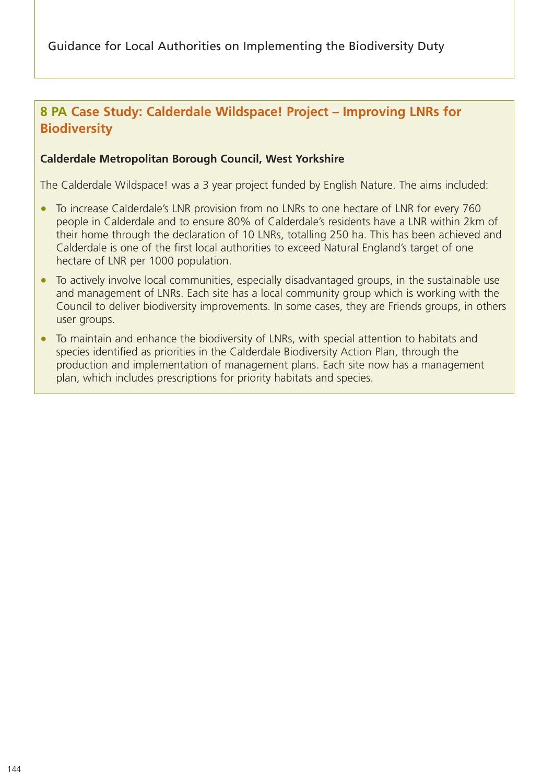# **8 PA Case Study: Calderdale Wildspace! Project – Improving LNRs for Biodiversity**

#### **Calderdale Metropolitan Borough Council, West Yorkshire**

The Calderdale Wildspace! was a 3 year project funded by English Nature. The aims included:

- To increase Calderdale's LNR provision from no LNRs to one hectare of LNR for every 760 people in Calderdale and to ensure 80% of Calderdale's residents have a LNR within 2km of their home through the declaration of 10 LNRs, totalling 250 ha. This has been achieved and Calderdale is one of the first local authorities to exceed Natural England's target of one hectare of LNR per 1000 population.
- To actively involve local communities, especially disadvantaged groups, in the sustainable use and management of LNRs. Each site has a local community group which is working with the Council to deliver biodiversity improvements. In some cases, they are Friends groups, in others user groups.
- To maintain and enhance the biodiversity of LNRs, with special attention to habitats and species identified as priorities in the Calderdale Biodiversity Action Plan, through the production and implementation of management plans. Each site now has a management plan, which includes prescriptions for priority habitats and species.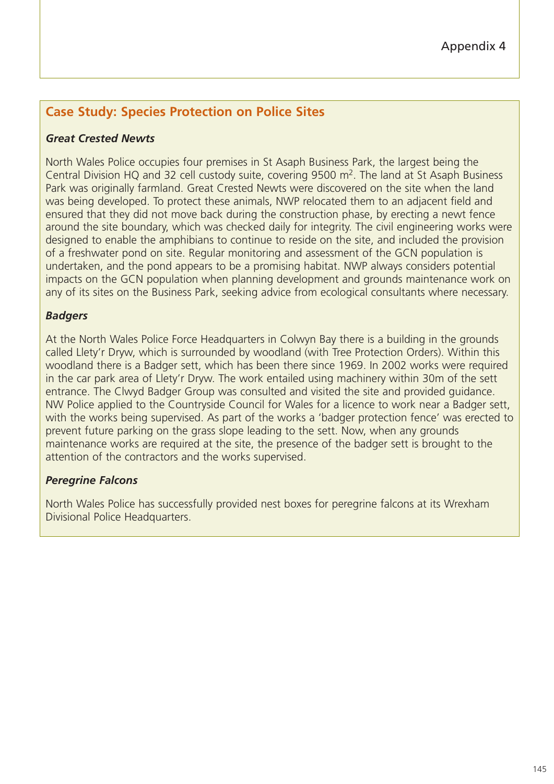## **Case Study: Species Protection on Police Sites**

#### *Great Crested Newts*

North Wales Police occupies four premises in St Asaph Business Park, the largest being the Central Division HQ and 32 cell custody suite, covering  $9500$  m<sup>2</sup>. The land at St Asaph Business Park was originally farmland. Great Crested Newts were discovered on the site when the land was being developed. To protect these animals, NWP relocated them to an adjacent field and ensured that they did not move back during the construction phase, by erecting a newt fence around the site boundary, which was checked daily for integrity. The civil engineering works were designed to enable the amphibians to continue to reside on the site, and included the provision of a freshwater pond on site. Regular monitoring and assessment of the GCN population is undertaken, and the pond appears to be a promising habitat. NWP always considers potential impacts on the GCN population when planning development and grounds maintenance work on any of its sites on the Business Park, seeking advice from ecological consultants where necessary.

#### *Badgers*

At the North Wales Police Force Headquarters in Colwyn Bay there is a building in the grounds called Llety'r Dryw, which is surrounded by woodland (with Tree Protection Orders). Within this woodland there is a Badger sett, which has been there since 1969. In 2002 works were required in the car park area of Llety'r Dryw. The work entailed using machinery within 30m of the sett entrance. The Clwyd Badger Group was consulted and visited the site and provided guidance. NW Police applied to the Countryside Council for Wales for a licence to work near a Badger sett, with the works being supervised. As part of the works a 'badger protection fence' was erected to prevent future parking on the grass slope leading to the sett. Now, when any grounds maintenance works are required at the site, the presence of the badger sett is brought to the attention of the contractors and the works supervised.

## *Peregrine Falcons*

North Wales Police has successfully provided nest boxes for peregrine falcons at its Wrexham Divisional Police Headquarters.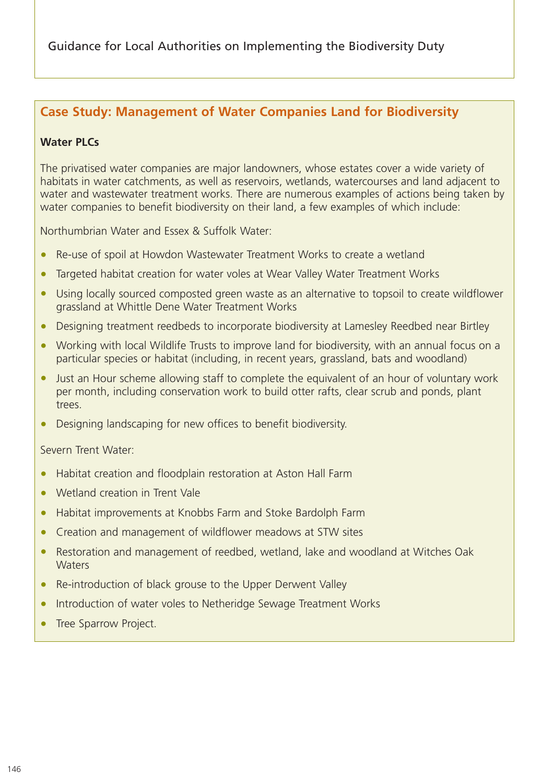## **Case Study: Management of Water Companies Land for Biodiversity**

#### **Water PLCs**

The privatised water companies are major landowners, whose estates cover a wide variety of habitats in water catchments, as well as reservoirs, wetlands, watercourses and land adjacent to water and wastewater treatment works. There are numerous examples of actions being taken by water companies to benefit biodiversity on their land, a few examples of which include:

Northumbrian Water and Essex & Suffolk Water:

- Re-use of spoil at Howdon Wastewater Treatment Works to create a wetland
- Targeted habitat creation for water voles at Wear Valley Water Treatment Works
- Using locally sourced composted green waste as an alternative to topsoil to create wildflower grassland at Whittle Dene Water Treatment Works
- Designing treatment reedbeds to incorporate biodiversity at Lamesley Reedbed near Birtley
- Working with local Wildlife Trusts to improve land for biodiversity, with an annual focus on a particular species or habitat (including, in recent years, grassland, bats and woodland)
- Just an Hour scheme allowing staff to complete the equivalent of an hour of voluntary work per month, including conservation work to build otter rafts, clear scrub and ponds, plant trees.
- Designing landscaping for new offices to benefit biodiversity.

Severn Trent Water:

- Habitat creation and floodplain restoration at Aston Hall Farm
- Wetland creation in Trent Vale
- Habitat improvements at Knobbs Farm and Stoke Bardolph Farm
- Creation and management of wildflower meadows at STW sites
- Restoration and management of reedbed, wetland, lake and woodland at Witches Oak **Waters**
- Re-introduction of black grouse to the Upper Derwent Valley
- Introduction of water voles to Netheridge Sewage Treatment Works
- Tree Sparrow Project.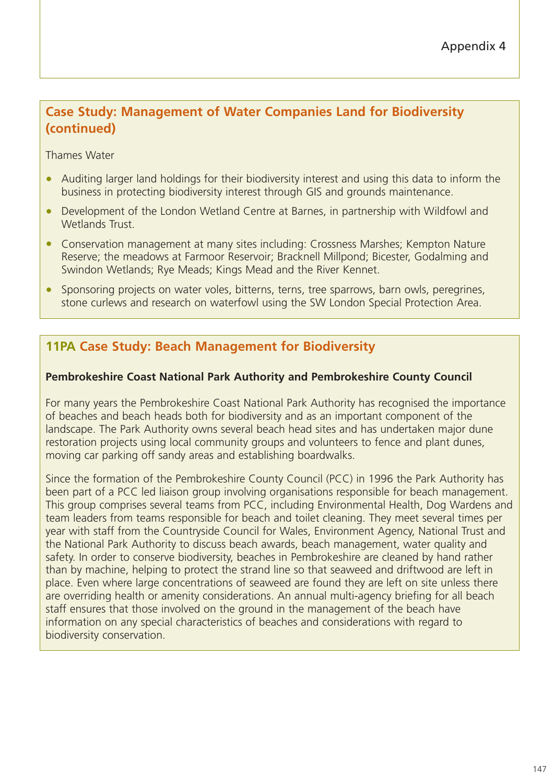# **Case Study: Management of Water Companies Land for Biodiversity (continued)**

Thames Water

- Auditing larger land holdings for their biodiversity interest and using this data to inform the business in protecting biodiversity interest through GIS and grounds maintenance.
- Development of the London Wetland Centre at Barnes, in partnership with Wildfowl and Wetlands Trust.
- Conservation management at many sites including: Crossness Marshes; Kempton Nature Reserve; the meadows at Farmoor Reservoir; Bracknell Millpond; Bicester, Godalming and Swindon Wetlands; Rye Meads; Kings Mead and the River Kennet.
- Sponsoring projects on water voles, bitterns, terns, tree sparrows, barn owls, peregrines, stone curlews and research on waterfowl using the SW London Special Protection Area.

## **11PA Case Study: Beach Management for Biodiversity**

#### **Pembrokeshire Coast National Park Authority and Pembrokeshire County Council**

For many years the Pembrokeshire Coast National Park Authority has recognised the importance of beaches and beach heads both for biodiversity and as an important component of the landscape. The Park Authority owns several beach head sites and has undertaken major dune restoration projects using local community groups and volunteers to fence and plant dunes, moving car parking off sandy areas and establishing boardwalks.

Since the formation of the Pembrokeshire County Council (PCC) in 1996 the Park Authority has been part of a PCC led liaison group involving organisations responsible for beach management. This group comprises several teams from PCC, including Environmental Health, Dog Wardens and team leaders from teams responsible for beach and toilet cleaning. They meet several times per year with staff from the Countryside Council for Wales, Environment Agency, National Trust and the National Park Authority to discuss beach awards, beach management, water quality and safety. In order to conserve biodiversity, beaches in Pembrokeshire are cleaned by hand rather than by machine, helping to protect the strand line so that seaweed and driftwood are left in place. Even where large concentrations of seaweed are found they are left on site unless there are overriding health or amenity considerations. An annual multi-agency briefing for all beach staff ensures that those involved on the ground in the management of the beach have information on any special characteristics of beaches and considerations with regard to biodiversity conservation.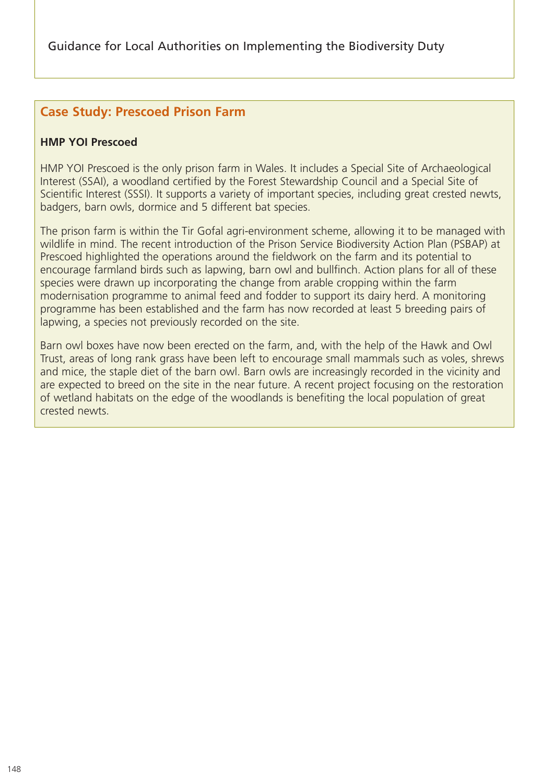## **Case Study: Prescoed Prison Farm**

#### **HMP YOI Prescoed**

HMP YOI Prescoed is the only prison farm in Wales. It includes a Special Site of Archaeological Interest (SSAI), a woodland certified by the Forest Stewardship Council and a Special Site of Scientific Interest (SSSI). It supports a variety of important species, including great crested newts, badgers, barn owls, dormice and 5 different bat species.

The prison farm is within the Tir Gofal agri-environment scheme, allowing it to be managed with wildlife in mind. The recent introduction of the Prison Service Biodiversity Action Plan (PSBAP) at Prescoed highlighted the operations around the fieldwork on the farm and its potential to encourage farmland birds such as lapwing, barn owl and bullfinch. Action plans for all of these species were drawn up incorporating the change from arable cropping within the farm modernisation programme to animal feed and fodder to support its dairy herd. A monitoring programme has been established and the farm has now recorded at least 5 breeding pairs of lapwing, a species not previously recorded on the site.

Barn owl boxes have now been erected on the farm, and, with the help of the Hawk and Owl Trust, areas of long rank grass have been left to encourage small mammals such as voles, shrews and mice, the staple diet of the barn owl. Barn owls are increasingly recorded in the vicinity and are expected to breed on the site in the near future. A recent project focusing on the restoration of wetland habitats on the edge of the woodlands is benefiting the local population of great crested newts.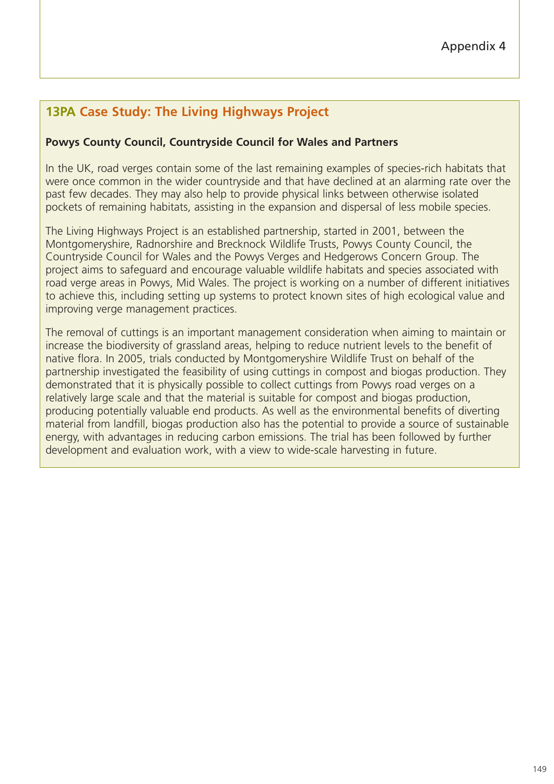# **13PA Case Study: The Living Highways Project**

#### **Powys County Council, Countryside Council for Wales and Partners**

In the UK, road verges contain some of the last remaining examples of species-rich habitats that were once common in the wider countryside and that have declined at an alarming rate over the past few decades. They may also help to provide physical links between otherwise isolated pockets of remaining habitats, assisting in the expansion and dispersal of less mobile species.

The Living Highways Project is an established partnership, started in 2001, between the Montgomeryshire, Radnorshire and Brecknock Wildlife Trusts, Powys County Council, the Countryside Council for Wales and the Powys Verges and Hedgerows Concern Group. The project aims to safeguard and encourage valuable wildlife habitats and species associated with road verge areas in Powys, Mid Wales. The project is working on a number of different initiatives to achieve this, including setting up systems to protect known sites of high ecological value and improving verge management practices.

The removal of cuttings is an important management consideration when aiming to maintain or increase the biodiversity of grassland areas, helping to reduce nutrient levels to the benefit of native flora. In 2005, trials conducted by Montgomeryshire Wildlife Trust on behalf of the partnership investigated the feasibility of using cuttings in compost and biogas production. They demonstrated that it is physically possible to collect cuttings from Powys road verges on a relatively large scale and that the material is suitable for compost and biogas production, producing potentially valuable end products. As well as the environmental benefits of diverting material from landfill, biogas production also has the potential to provide a source of sustainable energy, with advantages in reducing carbon emissions. The trial has been followed by further development and evaluation work, with a view to wide-scale harvesting in future.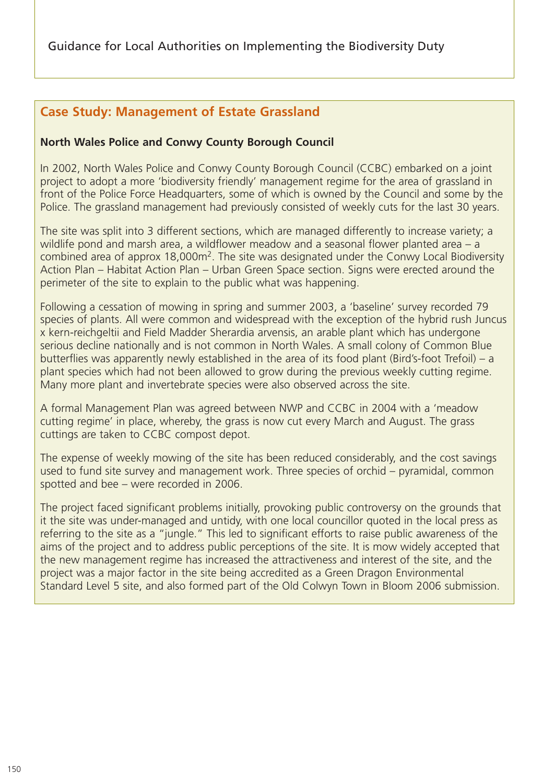## **Case Study: Management of Estate Grassland**

#### **North Wales Police and Conwy County Borough Council**

In 2002, North Wales Police and Conwy County Borough Council (CCBC) embarked on a joint project to adopt a more 'biodiversity friendly' management regime for the area of grassland in front of the Police Force Headquarters, some of which is owned by the Council and some by the Police. The grassland management had previously consisted of weekly cuts for the last 30 years.

The site was split into 3 different sections, which are managed differently to increase variety; a wildlife pond and marsh area, a wildflower meadow and a seasonal flower planted area – a combined area of approx 18,000m2. The site was designated under the Conwy Local Biodiversity Action Plan – Habitat Action Plan – Urban Green Space section. Signs were erected around the perimeter of the site to explain to the public what was happening.

Following a cessation of mowing in spring and summer 2003, a 'baseline' survey recorded 79 species of plants. All were common and widespread with the exception of the hybrid rush Juncus x kern-reichgeltii and Field Madder Sherardia arvensis, an arable plant which has undergone serious decline nationally and is not common in North Wales. A small colony of Common Blue butterflies was apparently newly established in the area of its food plant (Bird's-foot Trefoil) – a plant species which had not been allowed to grow during the previous weekly cutting regime. Many more plant and invertebrate species were also observed across the site.

A formal Management Plan was agreed between NWP and CCBC in 2004 with a 'meadow cutting regime' in place, whereby, the grass is now cut every March and August. The grass cuttings are taken to CCBC compost depot.

The expense of weekly mowing of the site has been reduced considerably, and the cost savings used to fund site survey and management work. Three species of orchid – pyramidal, common spotted and bee – were recorded in 2006.

The project faced significant problems initially, provoking public controversy on the grounds that it the site was under-managed and untidy, with one local councillor quoted in the local press as referring to the site as a "jungle." This led to significant efforts to raise public awareness of the aims of the project and to address public perceptions of the site. It is mow widely accepted that the new management regime has increased the attractiveness and interest of the site, and the project was a major factor in the site being accredited as a Green Dragon Environmental Standard Level 5 site, and also formed part of the Old Colwyn Town in Bloom 2006 submission.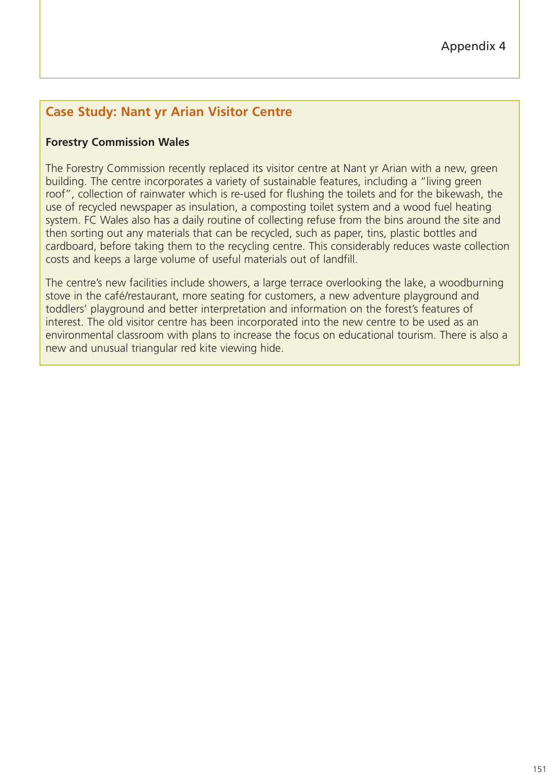# **Case Study: Nant yr Arian Visitor Centre**

#### **Forestry Commission Wales**

The Forestry Commission recently replaced its visitor centre at Nant yr Arian with a new, green building. The centre incorporates a variety of sustainable features, including a "living green roof", collection of rainwater which is re-used for flushing the toilets and for the bikewash, the use of recycled newspaper as insulation, a composting toilet system and a wood fuel heating system. FC Wales also has a daily routine of collecting refuse from the bins around the site and then sorting out any materials that can be recycled, such as paper, tins, plastic bottles and cardboard, before taking them to the recycling centre. This considerably reduces waste collection costs and keeps a large volume of useful materials out of landfill.

The centre's new facilities include showers, a large terrace overlooking the lake, a woodburning stove in the café/restaurant, more seating for customers, a new adventure playground and toddlers' playground and better interpretation and information on the forest's features of interest. The old visitor centre has been incorporated into the new centre to be used as an environmental classroom with plans to increase the focus on educational tourism. There is also a new and unusual triangular red kite viewing hide.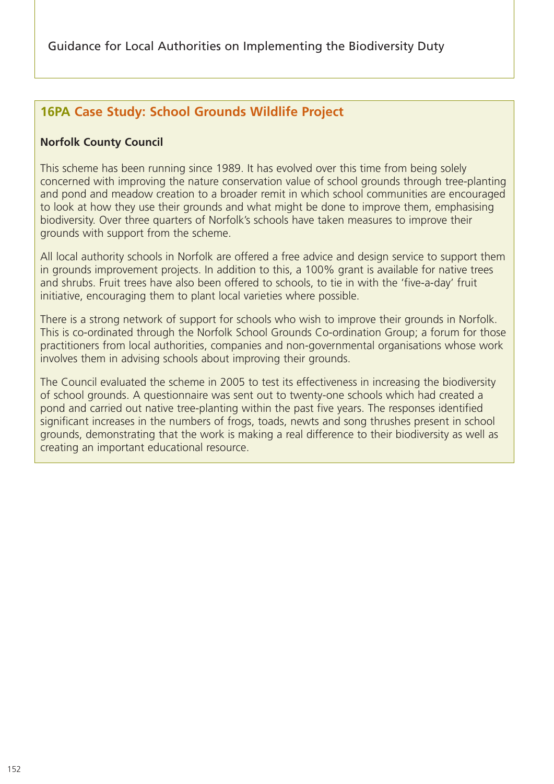# **16PA Case Study: School Grounds Wildlife Project**

## **Norfolk County Council**

This scheme has been running since 1989. It has evolved over this time from being solely concerned with improving the nature conservation value of school grounds through tree-planting and pond and meadow creation to a broader remit in which school communities are encouraged to look at how they use their grounds and what might be done to improve them, emphasising biodiversity. Over three quarters of Norfolk's schools have taken measures to improve their grounds with support from the scheme.

All local authority schools in Norfolk are offered a free advice and design service to support them in grounds improvement projects. In addition to this, a 100% grant is available for native trees and shrubs. Fruit trees have also been offered to schools, to tie in with the 'five-a-day' fruit initiative, encouraging them to plant local varieties where possible.

There is a strong network of support for schools who wish to improve their grounds in Norfolk. This is co-ordinated through the Norfolk School Grounds Co-ordination Group; a forum for those practitioners from local authorities, companies and non-governmental organisations whose work involves them in advising schools about improving their grounds.

The Council evaluated the scheme in 2005 to test its effectiveness in increasing the biodiversity of school grounds. A questionnaire was sent out to twenty-one schools which had created a pond and carried out native tree-planting within the past five years. The responses identified significant increases in the numbers of frogs, toads, newts and song thrushes present in school grounds, demonstrating that the work is making a real difference to their biodiversity as well as creating an important educational resource.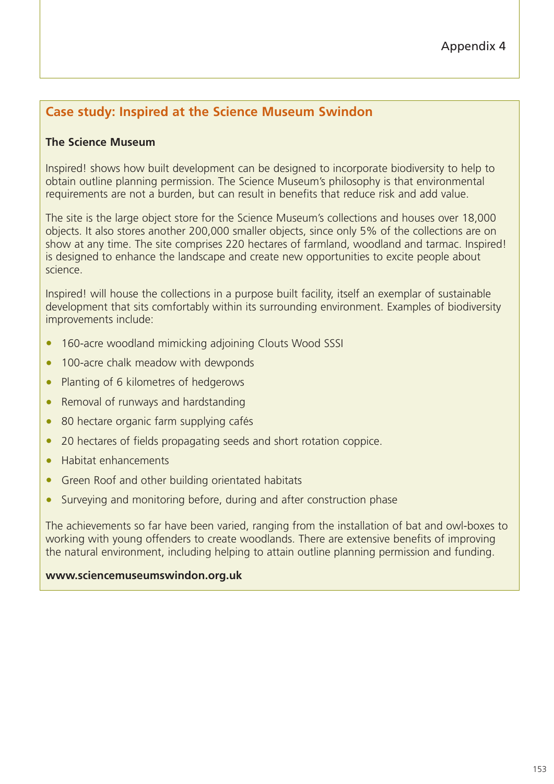## Appendix 4

## **Case study: Inspired at the Science Museum Swindon**

#### **The Science Museum**

Inspired! shows how built development can be designed to incorporate biodiversity to help to obtain outline planning permission. The Science Museum's philosophy is that environmental requirements are not a burden, but can result in benefits that reduce risk and add value.

The site is the large object store for the Science Museum's collections and houses over 18,000 objects. It also stores another 200,000 smaller objects, since only 5% of the collections are on show at any time. The site comprises 220 hectares of farmland, woodland and tarmac. Inspired! is designed to enhance the landscape and create new opportunities to excite people about science.

Inspired! will house the collections in a purpose built facility, itself an exemplar of sustainable development that sits comfortably within its surrounding environment. Examples of biodiversity improvements include:

- 160-acre woodland mimicking adjoining Clouts Wood SSSI
- 100-acre chalk meadow with dewponds
- Planting of 6 kilometres of hedgerows
- Removal of runways and hardstanding
- 80 hectare organic farm supplying cafés
- 20 hectares of fields propagating seeds and short rotation coppice.
- Habitat enhancements
- Green Roof and other building orientated habitats
- Surveying and monitoring before, during and after construction phase

The achievements so far have been varied, ranging from the installation of bat and owl-boxes to working with young offenders to create woodlands. There are extensive benefits of improving the natural environment, including helping to attain outline planning permission and funding.

#### **www.sciencemuseumswindon.org.uk**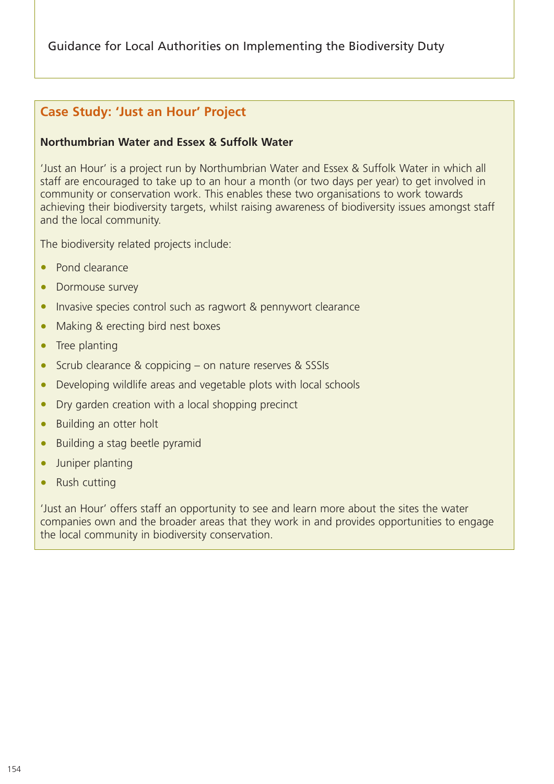## **Case Study: 'Just an Hour' Project**

#### **Northumbrian Water and Essex & Suffolk Water**

'Just an Hour' is a project run by Northumbrian Water and Essex & Suffolk Water in which all staff are encouraged to take up to an hour a month (or two days per year) to get involved in community or conservation work. This enables these two organisations to work towards achieving their biodiversity targets, whilst raising awareness of biodiversity issues amongst staff and the local community.

The biodiversity related projects include:

- Pond clearance
- Dormouse survey
- Invasive species control such as ragwort & pennywort clearance
- Making & erecting bird nest boxes
- Tree planting
- Scrub clearance & coppicing on nature reserves & SSSIs
- Developing wildlife areas and vegetable plots with local schools
- Dry garden creation with a local shopping precinct
- Building an otter holt
- Building a stag beetle pyramid
- Juniper planting
- Rush cutting

'Just an Hour' offers staff an opportunity to see and learn more about the sites the water companies own and the broader areas that they work in and provides opportunities to engage the local community in biodiversity conservation.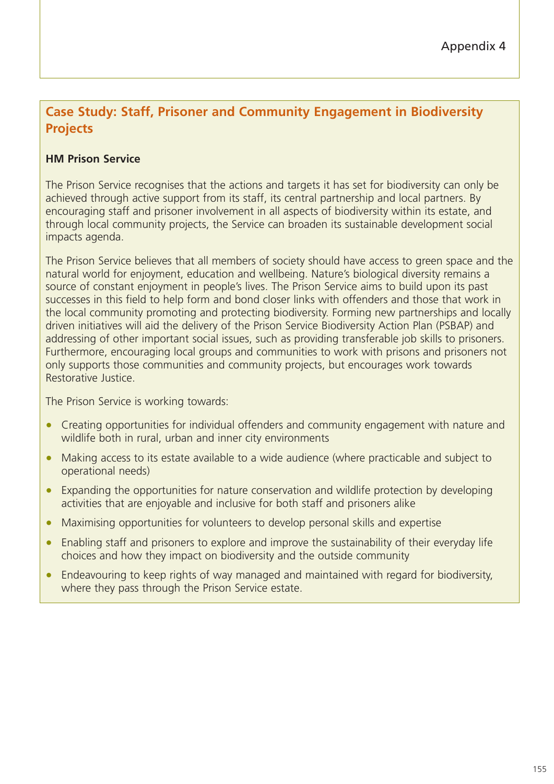# **Case Study: Staff, Prisoner and Community Engagement in Biodiversity Projects**

## **HM Prison Service**

The Prison Service recognises that the actions and targets it has set for biodiversity can only be achieved through active support from its staff, its central partnership and local partners. By encouraging staff and prisoner involvement in all aspects of biodiversity within its estate, and through local community projects, the Service can broaden its sustainable development social impacts agenda.

The Prison Service believes that all members of society should have access to green space and the natural world for enjoyment, education and wellbeing. Nature's biological diversity remains a source of constant enjoyment in people's lives. The Prison Service aims to build upon its past successes in this field to help form and bond closer links with offenders and those that work in the local community promoting and protecting biodiversity. Forming new partnerships and locally driven initiatives will aid the delivery of the Prison Service Biodiversity Action Plan (PSBAP) and addressing of other important social issues, such as providing transferable job skills to prisoners. Furthermore, encouraging local groups and communities to work with prisons and prisoners not only supports those communities and community projects, but encourages work towards Restorative Justice.

The Prison Service is working towards:

- Creating opportunities for individual offenders and community engagement with nature and wildlife both in rural, urban and inner city environments
- Making access to its estate available to a wide audience (where practicable and subject to operational needs)
- Expanding the opportunities for nature conservation and wildlife protection by developing activities that are enjoyable and inclusive for both staff and prisoners alike
- Maximising opportunities for volunteers to develop personal skills and expertise
- Enabling staff and prisoners to explore and improve the sustainability of their everyday life choices and how they impact on biodiversity and the outside community
- Endeavouring to keep rights of way managed and maintained with regard for biodiversity, where they pass through the Prison Service estate.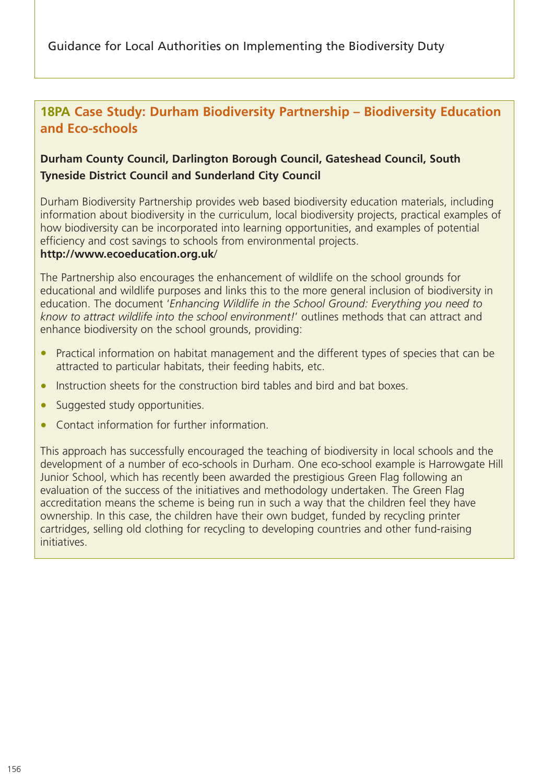# **18PA Case Study: Durham Biodiversity Partnership – Biodiversity Education and Eco-schools**

## **Durham County Council, Darlington Borough Council, Gateshead Council, South Tyneside District Council and Sunderland City Council**

Durham Biodiversity Partnership provides web based biodiversity education materials, including information about biodiversity in the curriculum, local biodiversity projects, practical examples of how biodiversity can be incorporated into learning opportunities, and examples of potential efficiency and cost savings to schools from environmental projects.

#### **http://www.ecoeducation.org.uk**/

The Partnership also encourages the enhancement of wildlife on the school grounds for educational and wildlife purposes and links this to the more general inclusion of biodiversity in education. The document '*Enhancing Wildlife in the School Ground: Everything you need to know to attract wildlife into the school environment!*' outlines methods that can attract and enhance biodiversity on the school grounds, providing:

- Practical information on habitat management and the different types of species that can be attracted to particular habitats, their feeding habits, etc.
- Instruction sheets for the construction bird tables and bird and bat boxes.
- Suggested study opportunities.
- Contact information for further information.

This approach has successfully encouraged the teaching of biodiversity in local schools and the development of a number of eco-schools in Durham. One eco-school example is Harrowgate Hill Junior School, which has recently been awarded the prestigious Green Flag following an evaluation of the success of the initiatives and methodology undertaken. The Green Flag accreditation means the scheme is being run in such a way that the children feel they have ownership. In this case, the children have their own budget, funded by recycling printer cartridges, selling old clothing for recycling to developing countries and other fund-raising initiatives.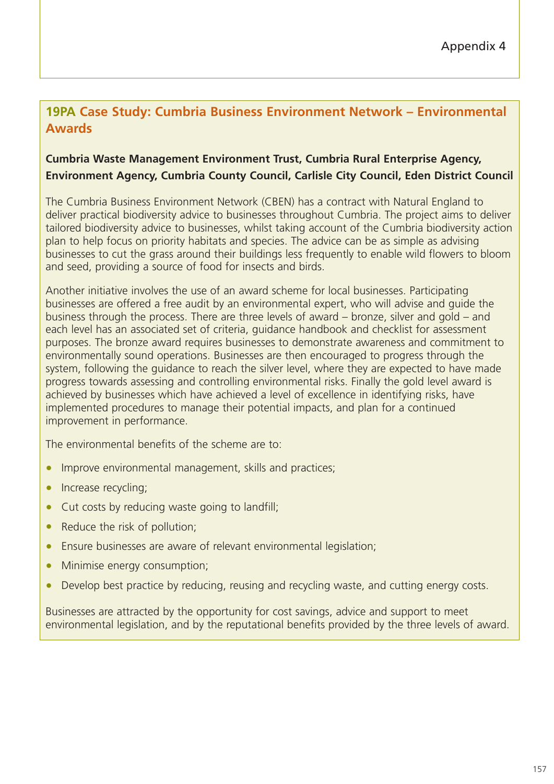# **19PA Case Study: Cumbria Business Environment Network – Environmental Awards**

## **Cumbria Waste Management Environment Trust, Cumbria Rural Enterprise Agency, Environment Agency, Cumbria County Council, Carlisle City Council, Eden District Council**

The Cumbria Business Environment Network (CBEN) has a contract with Natural England to deliver practical biodiversity advice to businesses throughout Cumbria. The project aims to deliver tailored biodiversity advice to businesses, whilst taking account of the Cumbria biodiversity action plan to help focus on priority habitats and species. The advice can be as simple as advising businesses to cut the grass around their buildings less frequently to enable wild flowers to bloom and seed, providing a source of food for insects and birds.

Another initiative involves the use of an award scheme for local businesses. Participating businesses are offered a free audit by an environmental expert, who will advise and guide the business through the process. There are three levels of award – bronze, silver and gold – and each level has an associated set of criteria, guidance handbook and checklist for assessment purposes. The bronze award requires businesses to demonstrate awareness and commitment to environmentally sound operations. Businesses are then encouraged to progress through the system, following the guidance to reach the silver level, where they are expected to have made progress towards assessing and controlling environmental risks. Finally the gold level award is achieved by businesses which have achieved a level of excellence in identifying risks, have implemented procedures to manage their potential impacts, and plan for a continued improvement in performance.

The environmental benefits of the scheme are to:

- Improve environmental management, skills and practices;
- Increase recycling;
- Cut costs by reducing waste going to landfill;
- Reduce the risk of pollution;
- Ensure businesses are aware of relevant environmental legislation;
- Minimise energy consumption;
- Develop best practice by reducing, reusing and recycling waste, and cutting energy costs.

Businesses are attracted by the opportunity for cost savings, advice and support to meet environmental legislation, and by the reputational benefits provided by the three levels of award.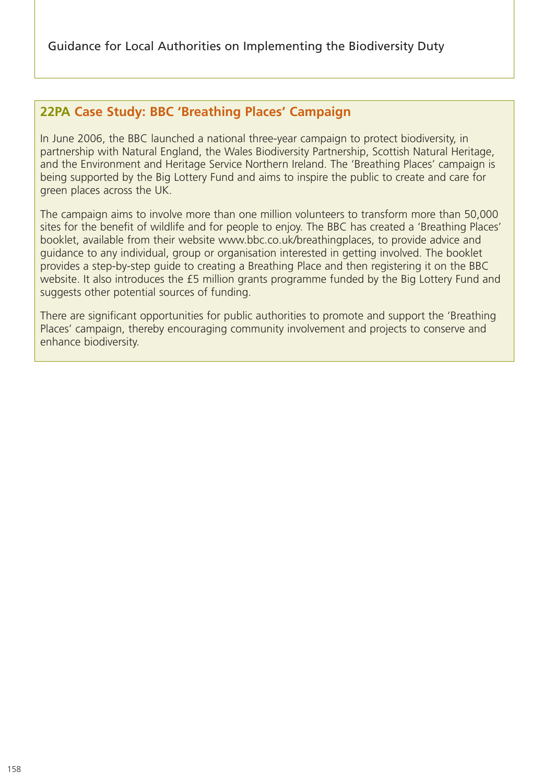## **22PA Case Study: BBC 'Breathing Places' Campaign**

In June 2006, the BBC launched a national three-year campaign to protect biodiversity, in partnership with Natural England, the Wales Biodiversity Partnership, Scottish Natural Heritage, and the Environment and Heritage Service Northern Ireland. The 'Breathing Places' campaign is being supported by the Big Lottery Fund and aims to inspire the public to create and care for green places across the UK.

The campaign aims to involve more than one million volunteers to transform more than 50,000 sites for the benefit of wildlife and for people to enjoy. The BBC has created a 'Breathing Places' booklet, available from their website www.bbc.co.uk/breathingplaces, to provide advice and guidance to any individual, group or organisation interested in getting involved. The booklet provides a step-by-step guide to creating a Breathing Place and then registering it on the BBC website. It also introduces the £5 million grants programme funded by the Big Lottery Fund and suggests other potential sources of funding.

There are significant opportunities for public authorities to promote and support the 'Breathing Places' campaign, thereby encouraging community involvement and projects to conserve and enhance biodiversity.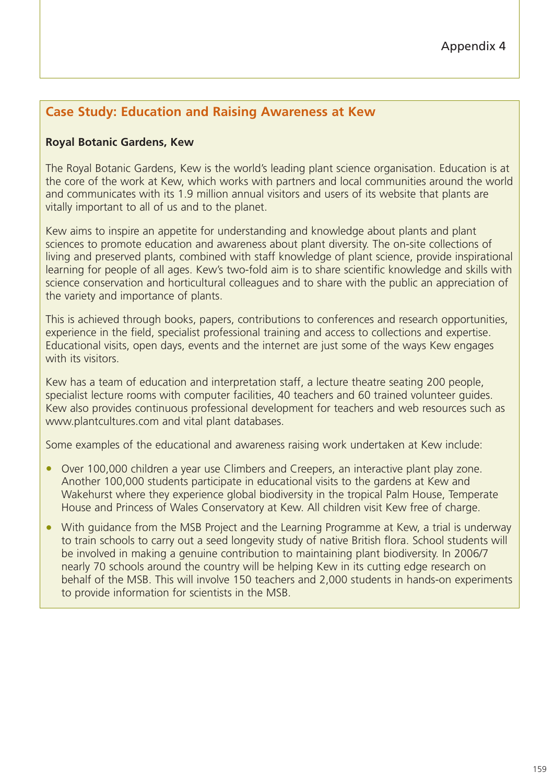## **Case Study: Education and Raising Awareness at Kew**

#### **Royal Botanic Gardens, Kew**

The Royal Botanic Gardens, Kew is the world's leading plant science organisation. Education is at the core of the work at Kew, which works with partners and local communities around the world and communicates with its 1.9 million annual visitors and users of its website that plants are vitally important to all of us and to the planet.

Kew aims to inspire an appetite for understanding and knowledge about plants and plant sciences to promote education and awareness about plant diversity. The on-site collections of living and preserved plants, combined with staff knowledge of plant science, provide inspirational learning for people of all ages. Kew's two-fold aim is to share scientific knowledge and skills with science conservation and horticultural colleagues and to share with the public an appreciation of the variety and importance of plants.

This is achieved through books, papers, contributions to conferences and research opportunities, experience in the field, specialist professional training and access to collections and expertise. Educational visits, open days, events and the internet are just some of the ways Kew engages with its visitors

Kew has a team of education and interpretation staff, a lecture theatre seating 200 people, specialist lecture rooms with computer facilities, 40 teachers and 60 trained volunteer guides. Kew also provides continuous professional development for teachers and web resources such as www.plantcultures.com and vital plant databases.

Some examples of the educational and awareness raising work undertaken at Kew include:

- Over 100,000 children a year use Climbers and Creepers, an interactive plant play zone. Another 100,000 students participate in educational visits to the gardens at Kew and Wakehurst where they experience global biodiversity in the tropical Palm House, Temperate House and Princess of Wales Conservatory at Kew. All children visit Kew free of charge.
- With quidance from the MSB Project and the Learning Programme at Kew, a trial is underway to train schools to carry out a seed longevity study of native British flora. School students will be involved in making a genuine contribution to maintaining plant biodiversity. In 2006/7 nearly 70 schools around the country will be helping Kew in its cutting edge research on behalf of the MSB. This will involve 150 teachers and 2,000 students in hands-on experiments to provide information for scientists in the MSB.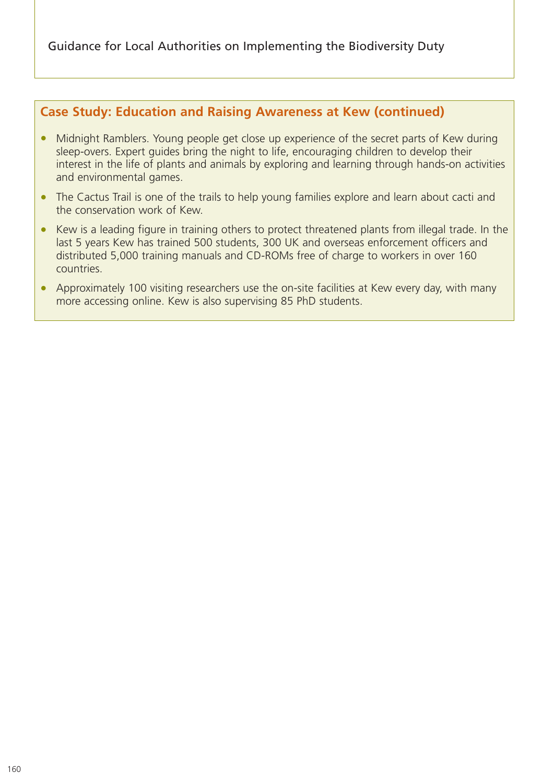## **Case Study: Education and Raising Awareness at Kew (continued)**

- Midnight Ramblers. Young people get close up experience of the secret parts of Kew during sleep-overs. Expert guides bring the night to life, encouraging children to develop their interest in the life of plants and animals by exploring and learning through hands-on activities and environmental games.
- The Cactus Trail is one of the trails to help young families explore and learn about cacti and the conservation work of Kew.
- Kew is a leading figure in training others to protect threatened plants from illegal trade. In the last 5 years Kew has trained 500 students, 300 UK and overseas enforcement officers and distributed 5,000 training manuals and CD-ROMs free of charge to workers in over 160 countries.
- Approximately 100 visiting researchers use the on-site facilities at Kew every day, with many more accessing online. Kew is also supervising 85 PhD students.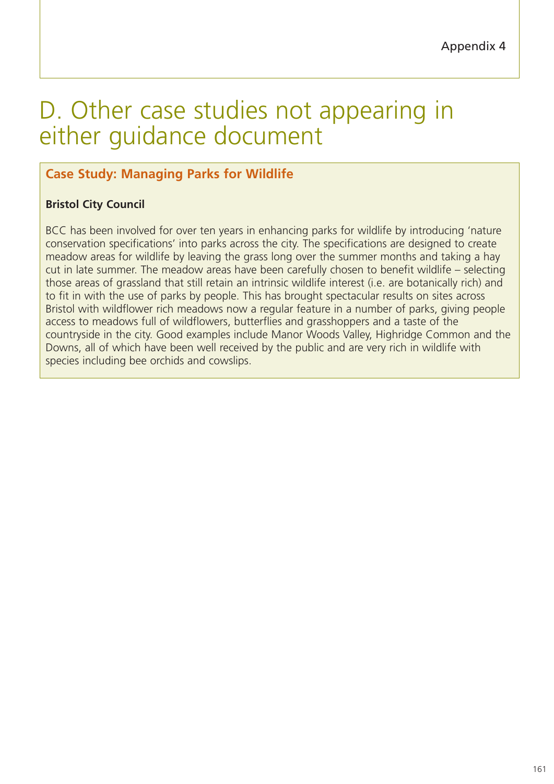# D. Other case studies not appearing in either guidance document

# **Case Study: Managing Parks for Wildlife**

## **Bristol City Council**

BCC has been involved for over ten years in enhancing parks for wildlife by introducing 'nature conservation specifications' into parks across the city. The specifications are designed to create meadow areas for wildlife by leaving the grass long over the summer months and taking a hay cut in late summer. The meadow areas have been carefully chosen to benefit wildlife – selecting those areas of grassland that still retain an intrinsic wildlife interest (i.e. are botanically rich) and to fit in with the use of parks by people. This has brought spectacular results on sites across Bristol with wildflower rich meadows now a regular feature in a number of parks, giving people access to meadows full of wildflowers, butterflies and grasshoppers and a taste of the countryside in the city. Good examples include Manor Woods Valley, Highridge Common and the Downs, all of which have been well received by the public and are very rich in wildlife with species including bee orchids and cowslips.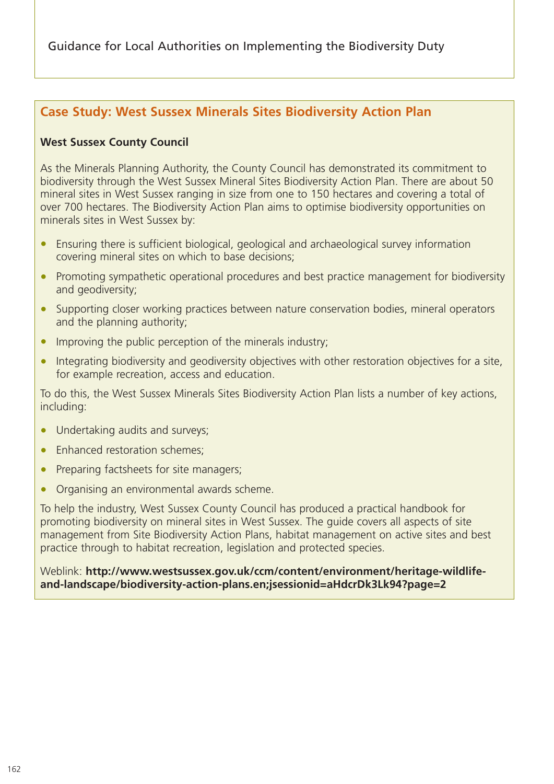## **Case Study: West Sussex Minerals Sites Biodiversity Action Plan**

#### **West Sussex County Council**

As the Minerals Planning Authority, the County Council has demonstrated its commitment to biodiversity through the West Sussex Mineral Sites Biodiversity Action Plan. There are about 50 mineral sites in West Sussex ranging in size from one to 150 hectares and covering a total of over 700 hectares. The Biodiversity Action Plan aims to optimise biodiversity opportunities on minerals sites in West Sussex by:

- Ensuring there is sufficient biological, geological and archaeological survey information covering mineral sites on which to base decisions;
- Promoting sympathetic operational procedures and best practice management for biodiversity and geodiversity;
- Supporting closer working practices between nature conservation bodies, mineral operators and the planning authority;
- Improving the public perception of the minerals industry;
- Integrating biodiversity and geodiversity objectives with other restoration objectives for a site, for example recreation, access and education.

To do this, the West Sussex Minerals Sites Biodiversity Action Plan lists a number of key actions, including:

- Undertaking audits and surveys;
- Enhanced restoration schemes;
- Preparing factsheets for site managers;
- Organising an environmental awards scheme.

To help the industry, West Sussex County Council has produced a practical handbook for promoting biodiversity on mineral sites in West Sussex. The guide covers all aspects of site management from Site Biodiversity Action Plans, habitat management on active sites and best practice through to habitat recreation, legislation and protected species.

Weblink: **http://www.westsussex.gov.uk/ccm/content/environment/heritage-wildlifeand-landscape/biodiversity-action-plans.en;jsessionid=aHdcrDk3Lk94?page=2**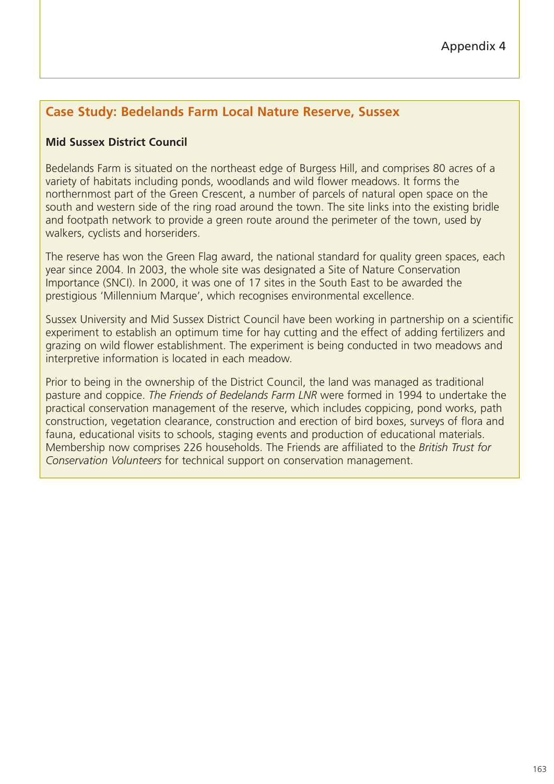# **Case Study: Bedelands Farm Local Nature Reserve, Sussex**

## **Mid Sussex District Council**

Bedelands Farm is situated on the northeast edge of Burgess Hill, and comprises 80 acres of a variety of habitats including ponds, woodlands and wild flower meadows. It forms the northernmost part of the Green Crescent, a number of parcels of natural open space on the south and western side of the ring road around the town. The site links into the existing bridle and footpath network to provide a green route around the perimeter of the town, used by walkers, cyclists and horseriders.

The reserve has won the Green Flag award, the national standard for quality green spaces, each year since 2004. In 2003, the whole site was designated a Site of Nature Conservation Importance (SNCI). In 2000, it was one of 17 sites in the South East to be awarded the prestigious 'Millennium Marque', which recognises environmental excellence.

Sussex University and Mid Sussex District Council have been working in partnership on a scientific experiment to establish an optimum time for hay cutting and the effect of adding fertilizers and grazing on wild flower establishment. The experiment is being conducted in two meadows and interpretive information is located in each meadow.

Prior to being in the ownership of the District Council, the land was managed as traditional pasture and coppice. *The Friends of Bedelands Farm LNR* were formed in 1994 to undertake the practical conservation management of the reserve, which includes coppicing, pond works, path construction, vegetation clearance, construction and erection of bird boxes, surveys of flora and fauna, educational visits to schools, staging events and production of educational materials. Membership now comprises 226 households. The Friends are affiliated to the *British Trust for Conservation Volunteers* for technical support on conservation management.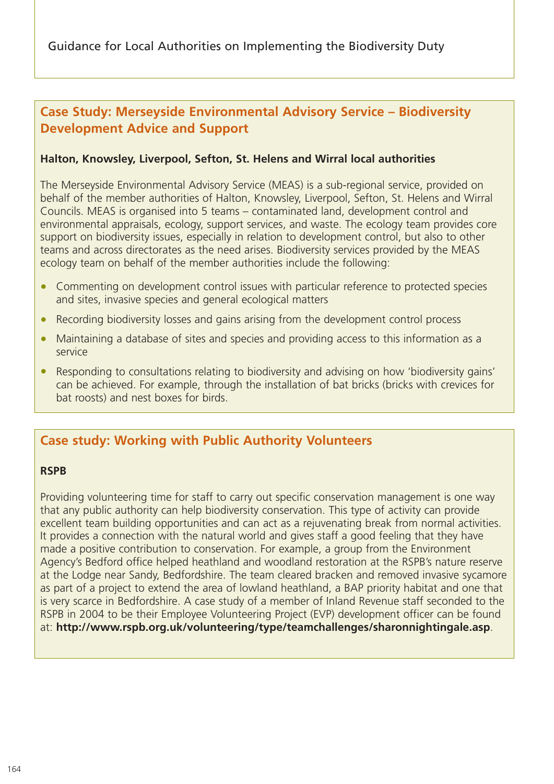## **Case Study: Merseyside Environmental Advisory Service – Biodiversity Development Advice and Support**

#### **Halton, Knowsley, Liverpool, Sefton, St. Helens and Wirral local authorities**

The Merseyside Environmental Advisory Service (MEAS) is a sub-regional service, provided on behalf of the member authorities of Halton, Knowsley, Liverpool, Sefton, St. Helens and Wirral Councils. MEAS is organised into 5 teams – contaminated land, development control and environmental appraisals, ecology, support services, and waste. The ecology team provides core support on biodiversity issues, especially in relation to development control, but also to other teams and across directorates as the need arises. Biodiversity services provided by the MEAS ecology team on behalf of the member authorities include the following:

- Commenting on development control issues with particular reference to protected species and sites, invasive species and general ecological matters
- Recording biodiversity losses and gains arising from the development control process
- Maintaining a database of sites and species and providing access to this information as a service
- Responding to consultations relating to biodiversity and advising on how 'biodiversity gains' can be achieved. For example, through the installation of bat bricks (bricks with crevices for bat roosts) and nest boxes for birds.

## **Case study: Working with Public Authority Volunteers**

#### **RSPB**

Providing volunteering time for staff to carry out specific conservation management is one way that any public authority can help biodiversity conservation. This type of activity can provide excellent team building opportunities and can act as a rejuvenating break from normal activities. It provides a connection with the natural world and gives staff a good feeling that they have made a positive contribution to conservation. For example, a group from the Environment Agency's Bedford office helped heathland and woodland restoration at the RSPB's nature reserve at the Lodge near Sandy, Bedfordshire. The team cleared bracken and removed invasive sycamore as part of a project to extend the area of lowland heathland, a BAP priority habitat and one that is very scarce in Bedfordshire. A case study of a member of Inland Revenue staff seconded to the RSPB in 2004 to be their Employee Volunteering Project (EVP) development officer can be found at: **http://www.rspb.org.uk/volunteering/type/teamchallenges/sharonnightingale.asp**.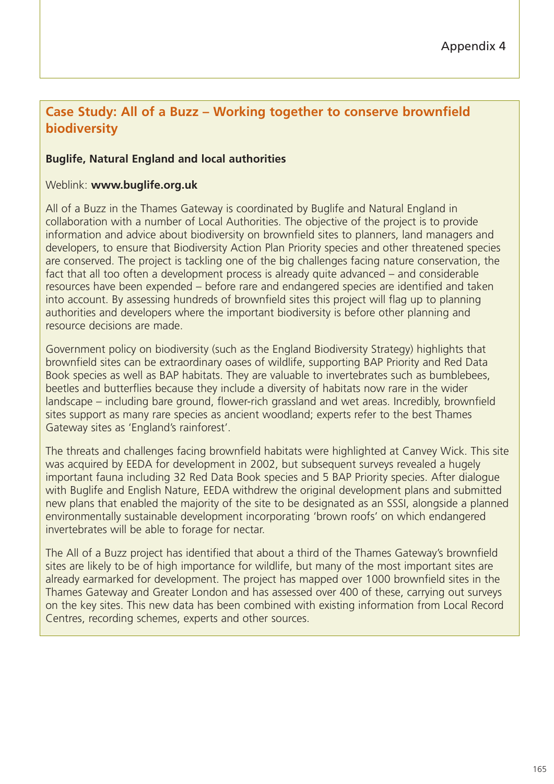## **Case Study: All of a Buzz – Working together to conserve brownfield biodiversity**

#### **Buglife, Natural England and local authorities**

#### Weblink: **www.buglife.org.uk**

All of a Buzz in the Thames Gateway is coordinated by Buglife and Natural England in collaboration with a number of Local Authorities. The objective of the project is to provide information and advice about biodiversity on brownfield sites to planners, land managers and developers, to ensure that Biodiversity Action Plan Priority species and other threatened species are conserved. The project is tackling one of the big challenges facing nature conservation, the fact that all too often a development process is already quite advanced – and considerable resources have been expended – before rare and endangered species are identified and taken into account. By assessing hundreds of brownfield sites this project will flag up to planning authorities and developers where the important biodiversity is before other planning and resource decisions are made.

Government policy on biodiversity (such as the England Biodiversity Strategy) highlights that brownfield sites can be extraordinary oases of wildlife, supporting BAP Priority and Red Data Book species as well as BAP habitats. They are valuable to invertebrates such as bumblebees, beetles and butterflies because they include a diversity of habitats now rare in the wider landscape – including bare ground, flower-rich grassland and wet areas. Incredibly, brownfield sites support as many rare species as ancient woodland; experts refer to the best Thames Gateway sites as 'England's rainforest'.

The threats and challenges facing brownfield habitats were highlighted at Canvey Wick. This site was acquired by EEDA for development in 2002, but subsequent surveys revealed a hugely important fauna including 32 Red Data Book species and 5 BAP Priority species. After dialogue with Buglife and English Nature, EEDA withdrew the original development plans and submitted new plans that enabled the majority of the site to be designated as an SSSI, alongside a planned environmentally sustainable development incorporating 'brown roofs' on which endangered invertebrates will be able to forage for nectar.

The All of a Buzz project has identified that about a third of the Thames Gateway's brownfield sites are likely to be of high importance for wildlife, but many of the most important sites are already earmarked for development. The project has mapped over 1000 brownfield sites in the Thames Gateway and Greater London and has assessed over 400 of these, carrying out surveys on the key sites. This new data has been combined with existing information from Local Record Centres, recording schemes, experts and other sources.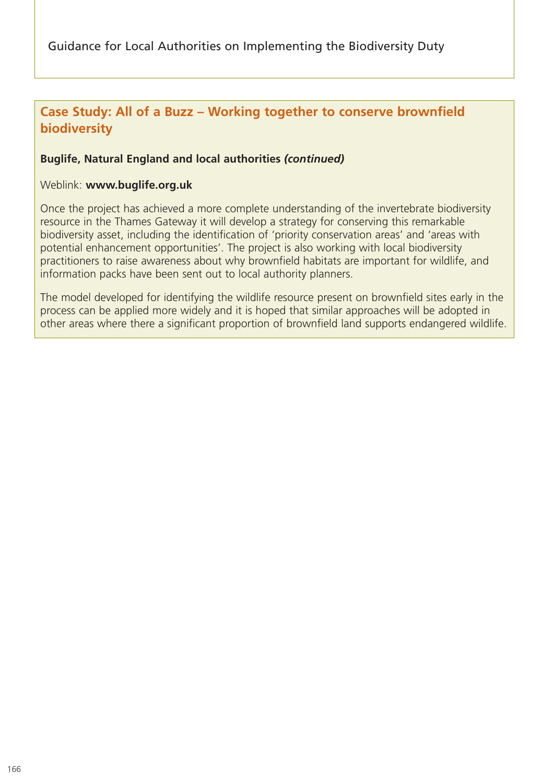## **Case Study: All of a Buzz – Working together to conserve brownfield biodiversity**

#### **Buglife, Natural England and local authorities** *(continued)*

#### Weblink: **www.buglife.org.uk**

Once the project has achieved a more complete understanding of the invertebrate biodiversity resource in the Thames Gateway it will develop a strategy for conserving this remarkable biodiversity asset, including the identification of 'priority conservation areas' and 'areas with potential enhancement opportunities'. The project is also working with local biodiversity practitioners to raise awareness about why brownfield habitats are important for wildlife, and information packs have been sent out to local authority planners.

The model developed for identifying the wildlife resource present on brownfield sites early in the process can be applied more widely and it is hoped that similar approaches will be adopted in other areas where there a significant proportion of brownfield land supports endangered wildlife.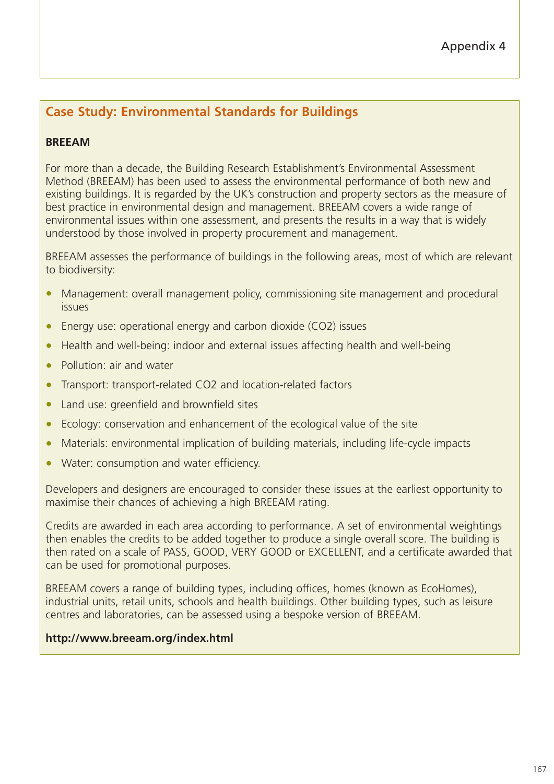# **Case Study: Environmental Standards for Buildings**

## **BREEAM**

For more than a decade, the Building Research Establishment's Environmental Assessment Method (BREEAM) has been used to assess the environmental performance of both new and existing buildings. It is regarded by the UK's construction and property sectors as the measure of best practice in environmental design and management. BREEAM covers a wide range of environmental issues within one assessment, and presents the results in a way that is widely understood by those involved in property procurement and management.

BREEAM assesses the performance of buildings in the following areas, most of which are relevant to biodiversity:

- Management: overall management policy, commissioning site management and procedural issues
- Energy use: operational energy and carbon dioxide (CO2) issues
- Health and well-being: indoor and external issues affecting health and well-being
- Pollution: air and water
- Transport: transport-related CO2 and location-related factors
- Land use: greenfield and brownfield sites
- Ecology: conservation and enhancement of the ecological value of the site
- Materials: environmental implication of building materials, including life-cycle impacts
- Water: consumption and water efficiency.

Developers and designers are encouraged to consider these issues at the earliest opportunity to maximise their chances of achieving a high BREEAM rating.

Credits are awarded in each area according to performance. A set of environmental weightings then enables the credits to be added together to produce a single overall score. The building is then rated on a scale of PASS, GOOD, VERY GOOD or EXCELLENT, and a certificate awarded that can be used for promotional purposes.

BREEAM covers a range of building types, including offices, homes (known as EcoHomes), industrial units, retail units, schools and health buildings. Other building types, such as leisure centres and laboratories, can be assessed using a bespoke version of BREEAM.

#### **http://www.breeam.org/index.html**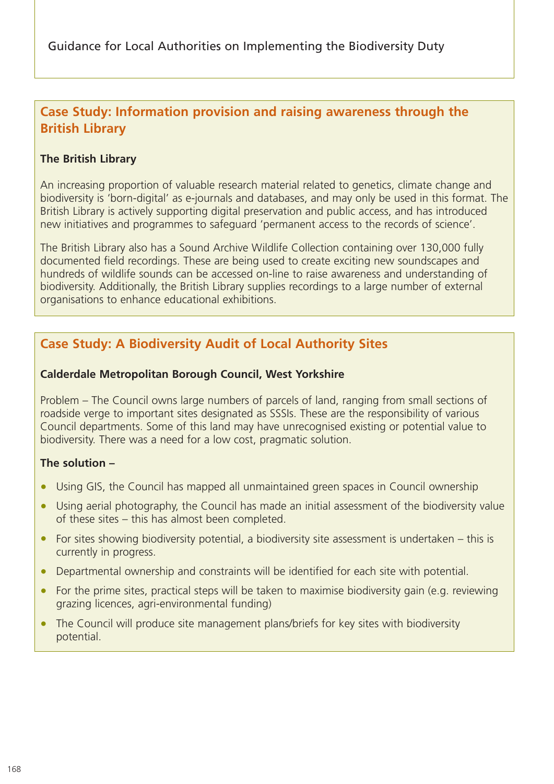# **Case Study: Information provision and raising awareness through the British Library**

## **The British Library**

An increasing proportion of valuable research material related to genetics, climate change and biodiversity is 'born-digital' as e-journals and databases, and may only be used in this format. The British Library is actively supporting digital preservation and public access, and has introduced new initiatives and programmes to safeguard 'permanent access to the records of science'.

The British Library also has a Sound Archive Wildlife Collection containing over 130,000 fully documented field recordings. These are being used to create exciting new soundscapes and hundreds of wildlife sounds can be accessed on-line to raise awareness and understanding of biodiversity. Additionally, the British Library supplies recordings to a large number of external organisations to enhance educational exhibitions.

# **Case Study: A Biodiversity Audit of Local Authority Sites**

#### **Calderdale Metropolitan Borough Council, West Yorkshire**

Problem – The Council owns large numbers of parcels of land, ranging from small sections of roadside verge to important sites designated as SSSIs. These are the responsibility of various Council departments. Some of this land may have unrecognised existing or potential value to biodiversity. There was a need for a low cost, pragmatic solution.

#### **The solution –**

- Using GIS, the Council has mapped all unmaintained green spaces in Council ownership
- Using aerial photography, the Council has made an initial assessment of the biodiversity value of these sites – this has almost been completed.
- For sites showing biodiversity potential, a biodiversity site assessment is undertaken this is currently in progress.
- Departmental ownership and constraints will be identified for each site with potential.
- For the prime sites, practical steps will be taken to maximise biodiversity gain (e.g. reviewing grazing licences, agri-environmental funding)
- The Council will produce site management plans/briefs for key sites with biodiversity potential.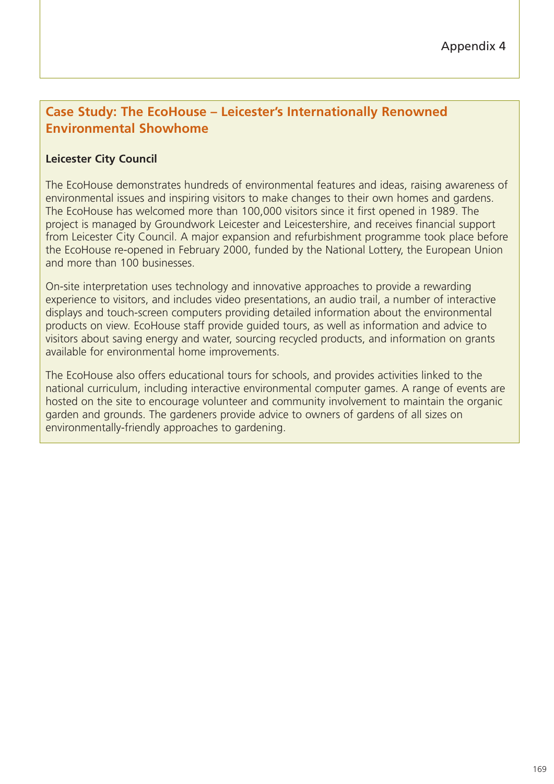## **Case Study: The EcoHouse – Leicester's Internationally Renowned Environmental Showhome**

#### **Leicester City Council**

The EcoHouse demonstrates hundreds of environmental features and ideas, raising awareness of environmental issues and inspiring visitors to make changes to their own homes and gardens. The EcoHouse has welcomed more than 100,000 visitors since it first opened in 1989. The project is managed by Groundwork Leicester and Leicestershire, and receives financial support from Leicester City Council. A major expansion and refurbishment programme took place before the EcoHouse re-opened in February 2000, funded by the National Lottery, the European Union and more than 100 businesses.

On-site interpretation uses technology and innovative approaches to provide a rewarding experience to visitors, and includes video presentations, an audio trail, a number of interactive displays and touch-screen computers providing detailed information about the environmental products on view. EcoHouse staff provide guided tours, as well as information and advice to visitors about saving energy and water, sourcing recycled products, and information on grants available for environmental home improvements.

The EcoHouse also offers educational tours for schools, and provides activities linked to the national curriculum, including interactive environmental computer games. A range of events are hosted on the site to encourage volunteer and community involvement to maintain the organic garden and grounds. The gardeners provide advice to owners of gardens of all sizes on environmentally-friendly approaches to gardening.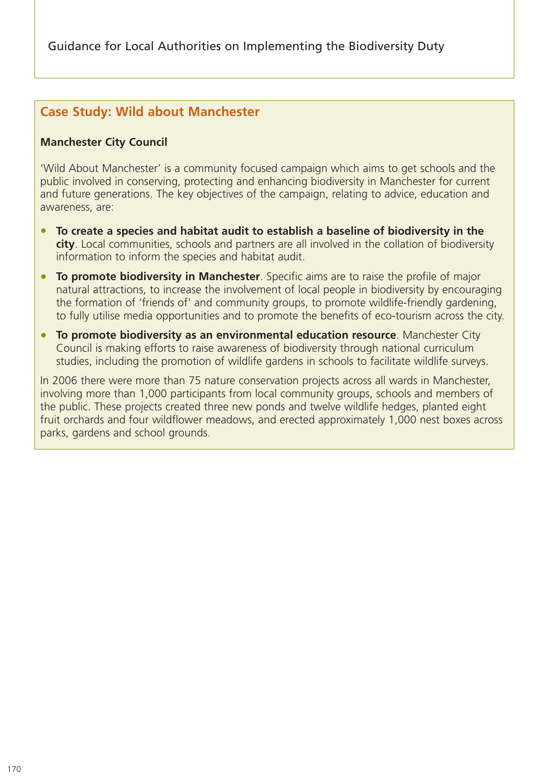## **Case Study: Wild about Manchester**

#### **Manchester City Council**

'Wild About Manchester' is a community focused campaign which aims to get schools and the public involved in conserving, protecting and enhancing biodiversity in Manchester for current and future generations. The key objectives of the campaign, relating to advice, education and awareness, are:

- **To create a species and habitat audit to establish a baseline of biodiversity in the city**. Local communities, schools and partners are all involved in the collation of biodiversity information to inform the species and habitat audit.
- **To promote biodiversity in Manchester**. Specific aims are to raise the profile of major natural attractions, to increase the involvement of local people in biodiversity by encouraging the formation of 'friends of' and community groups, to promote wildlife-friendly gardening, to fully utilise media opportunities and to promote the benefits of eco-tourism across the city.
- **To promote biodiversity as an environmental education resource**. Manchester City Council is making efforts to raise awareness of biodiversity through national curriculum studies, including the promotion of wildlife gardens in schools to facilitate wildlife surveys.

In 2006 there were more than 75 nature conservation projects across all wards in Manchester, involving more than 1,000 participants from local community groups, schools and members of the public. These projects created three new ponds and twelve wildlife hedges, planted eight fruit orchards and four wildflower meadows, and erected approximately 1,000 nest boxes across parks, gardens and school grounds.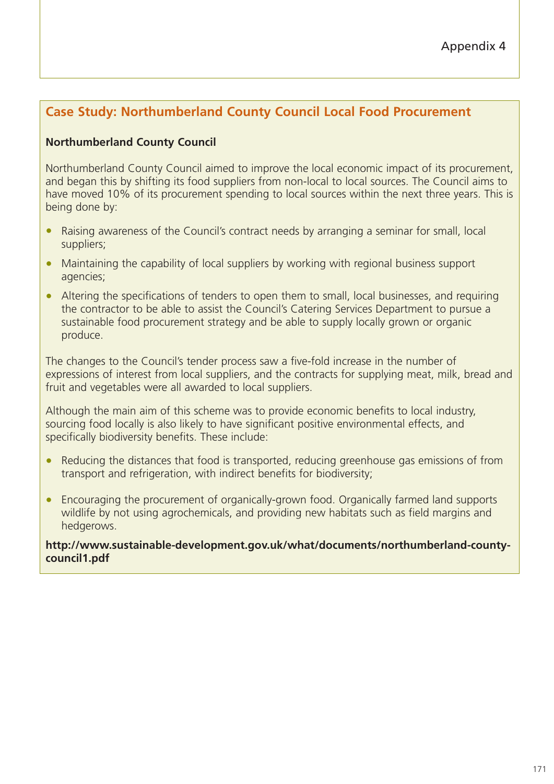# **Case Study: Northumberland County Council Local Food Procurement**

## **Northumberland County Council**

Northumberland County Council aimed to improve the local economic impact of its procurement, and began this by shifting its food suppliers from non-local to local sources. The Council aims to have moved 10% of its procurement spending to local sources within the next three years. This is being done by:

- Raising awareness of the Council's contract needs by arranging a seminar for small, local suppliers;
- Maintaining the capability of local suppliers by working with regional business support agencies;
- Altering the specifications of tenders to open them to small, local businesses, and requiring the contractor to be able to assist the Council's Catering Services Department to pursue a sustainable food procurement strategy and be able to supply locally grown or organic produce.

The changes to the Council's tender process saw a five-fold increase in the number of expressions of interest from local suppliers, and the contracts for supplying meat, milk, bread and fruit and vegetables were all awarded to local suppliers.

Although the main aim of this scheme was to provide economic benefits to local industry, sourcing food locally is also likely to have significant positive environmental effects, and specifically biodiversity benefits. These include:

- Reducing the distances that food is transported, reducing greenhouse gas emissions of from transport and refrigeration, with indirect benefits for biodiversity;
- Encouraging the procurement of organically-grown food. Organically farmed land supports wildlife by not using agrochemicals, and providing new habitats such as field margins and hedgerows.

**http://www.sustainable-development.gov.uk/what/documents/northumberland-countycouncil1.pdf**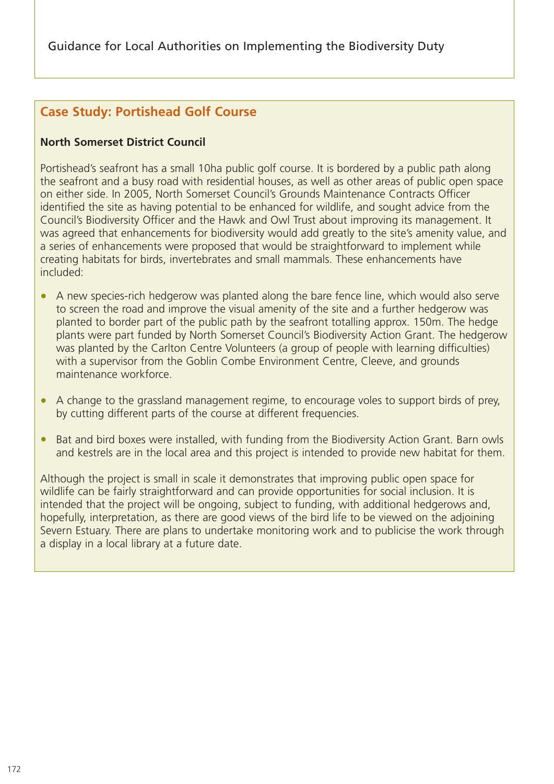# **Case Study: Portishead Golf Course**

## **North Somerset District Council**

Portishead's seafront has a small 10ha public golf course. It is bordered by a public path along the seafront and a busy road with residential houses, as well as other areas of public open space on either side. In 2005, North Somerset Council's Grounds Maintenance Contracts Officer identified the site as having potential to be enhanced for wildlife, and sought advice from the Council's Biodiversity Officer and the Hawk and Owl Trust about improving its management. It was agreed that enhancements for biodiversity would add greatly to the site's amenity value, and a series of enhancements were proposed that would be straightforward to implement while creating habitats for birds, invertebrates and small mammals. These enhancements have included:

- A new species-rich hedgerow was planted along the bare fence line, which would also serve to screen the road and improve the visual amenity of the site and a further hedgerow was planted to border part of the public path by the seafront totalling approx. 150m. The hedge plants were part funded by North Somerset Council's Biodiversity Action Grant. The hedgerow was planted by the Carlton Centre Volunteers (a group of people with learning difficulties) with a supervisor from the Goblin Combe Environment Centre, Cleeve, and grounds maintenance workforce.
- A change to the grassland management regime, to encourage voles to support birds of prey, by cutting different parts of the course at different frequencies.
- Bat and bird boxes were installed, with funding from the Biodiversity Action Grant. Barn owls and kestrels are in the local area and this project is intended to provide new habitat for them.

Although the project is small in scale it demonstrates that improving public open space for wildlife can be fairly straightforward and can provide opportunities for social inclusion. It is intended that the project will be ongoing, subject to funding, with additional hedgerows and, hopefully, interpretation, as there are good views of the bird life to be viewed on the adjoining Severn Estuary. There are plans to undertake monitoring work and to publicise the work through a display in a local library at a future date.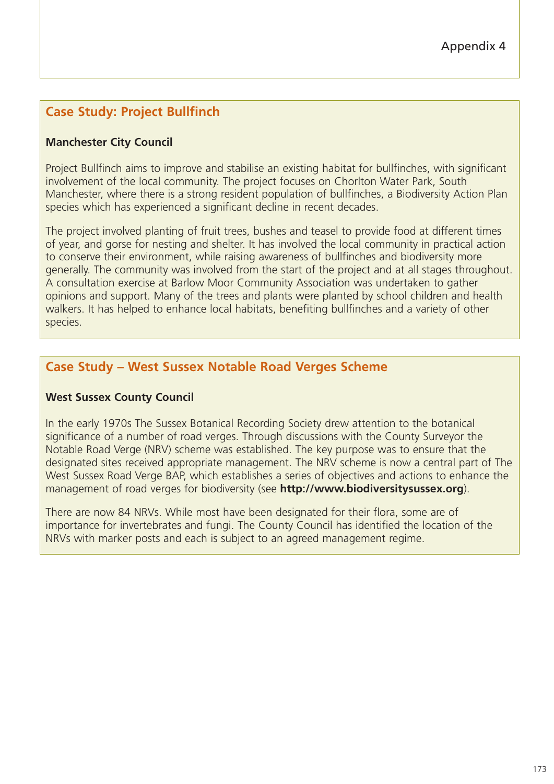# **Case Study: Project Bullfinch**

## **Manchester City Council**

Project Bullfinch aims to improve and stabilise an existing habitat for bullfinches, with significant involvement of the local community. The project focuses on Chorlton Water Park, South Manchester, where there is a strong resident population of bullfinches, a Biodiversity Action Plan species which has experienced a significant decline in recent decades.

The project involved planting of fruit trees, bushes and teasel to provide food at different times of year, and gorse for nesting and shelter. It has involved the local community in practical action to conserve their environment, while raising awareness of bullfinches and biodiversity more generally. The community was involved from the start of the project and at all stages throughout. A consultation exercise at Barlow Moor Community Association was undertaken to gather opinions and support. Many of the trees and plants were planted by school children and health walkers. It has helped to enhance local habitats, benefiting bullfinches and a variety of other species.

# **Case Study – West Sussex Notable Road Verges Scheme**

#### **West Sussex County Council**

In the early 1970s The Sussex Botanical Recording Society drew attention to the botanical significance of a number of road verges. Through discussions with the County Surveyor the Notable Road Verge (NRV) scheme was established. The key purpose was to ensure that the designated sites received appropriate management. The NRV scheme is now a central part of The West Sussex Road Verge BAP, which establishes a series of objectives and actions to enhance the management of road verges for biodiversity (see **http://www.biodiversitysussex.org**).

There are now 84 NRVs. While most have been designated for their flora, some are of importance for invertebrates and fungi. The County Council has identified the location of the NRVs with marker posts and each is subject to an agreed management regime.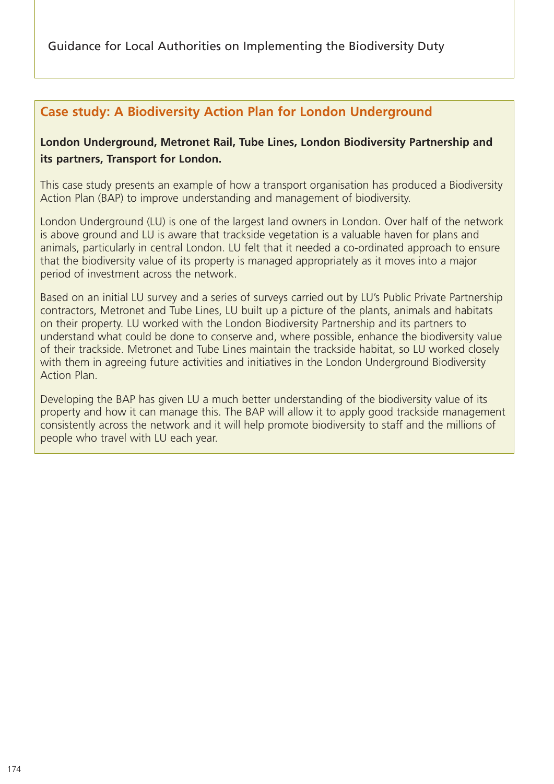# **Case study: A Biodiversity Action Plan for London Underground**

## **London Underground, Metronet Rail, Tube Lines, London Biodiversity Partnership and its partners, Transport for London.**

This case study presents an example of how a transport organisation has produced a Biodiversity Action Plan (BAP) to improve understanding and management of biodiversity.

London Underground (LU) is one of the largest land owners in London. Over half of the network is above ground and LU is aware that trackside vegetation is a valuable haven for plans and animals, particularly in central London. LU felt that it needed a co-ordinated approach to ensure that the biodiversity value of its property is managed appropriately as it moves into a major period of investment across the network.

Based on an initial LU survey and a series of surveys carried out by LU's Public Private Partnership contractors, Metronet and Tube Lines, LU built up a picture of the plants, animals and habitats on their property. LU worked with the London Biodiversity Partnership and its partners to understand what could be done to conserve and, where possible, enhance the biodiversity value of their trackside. Metronet and Tube Lines maintain the trackside habitat, so LU worked closely with them in agreeing future activities and initiatives in the London Underground Biodiversity Action Plan.

Developing the BAP has given LU a much better understanding of the biodiversity value of its property and how it can manage this. The BAP will allow it to apply good trackside management consistently across the network and it will help promote biodiversity to staff and the millions of people who travel with LU each year.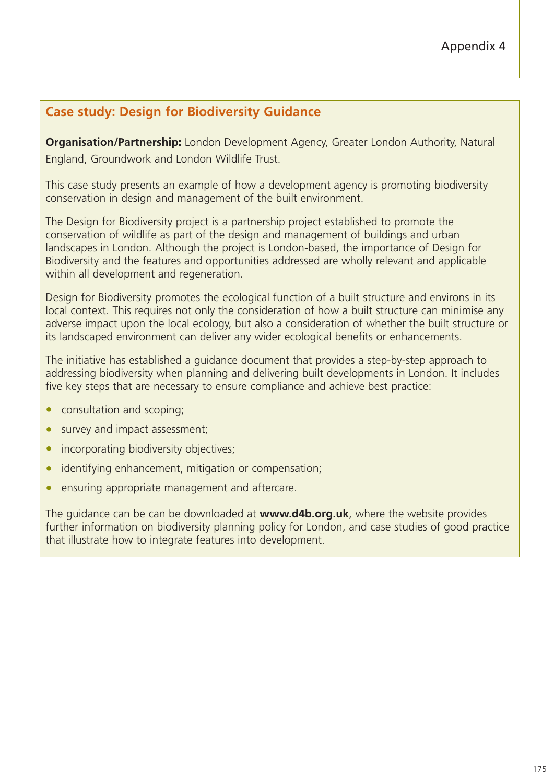# **Case study: Design for Biodiversity Guidance**

**Organisation/Partnership:** London Development Agency, Greater London Authority, Natural England, Groundwork and London Wildlife Trust.

This case study presents an example of how a development agency is promoting biodiversity conservation in design and management of the built environment.

The Design for Biodiversity project is a partnership project established to promote the conservation of wildlife as part of the design and management of buildings and urban landscapes in London. Although the project is London-based, the importance of Design for Biodiversity and the features and opportunities addressed are wholly relevant and applicable within all development and regeneration.

Design for Biodiversity promotes the ecological function of a built structure and environs in its local context. This requires not only the consideration of how a built structure can minimise any adverse impact upon the local ecology, but also a consideration of whether the built structure or its landscaped environment can deliver any wider ecological benefits or enhancements.

The initiative has established a guidance document that provides a step-by-step approach to addressing biodiversity when planning and delivering built developments in London. It includes five key steps that are necessary to ensure compliance and achieve best practice:

- consultation and scoping;
- survey and impact assessment;
- incorporating biodiversity objectives;
- identifying enhancement, mitigation or compensation;
- ensuring appropriate management and aftercare.

The guidance can be can be downloaded at **www.d4b.org.uk**, where the website provides further information on biodiversity planning policy for London, and case studies of good practice that illustrate how to integrate features into development.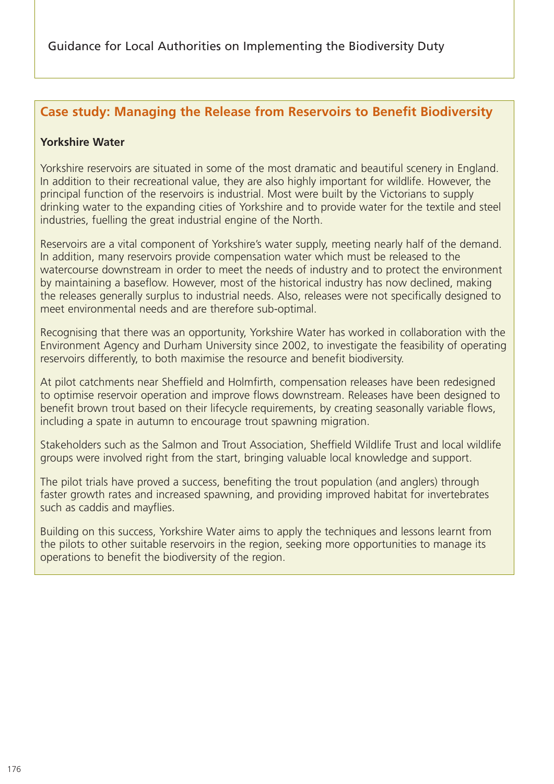## **Case study: Managing the Release from Reservoirs to Benefit Biodiversity**

#### **Yorkshire Water**

Yorkshire reservoirs are situated in some of the most dramatic and beautiful scenery in England. In addition to their recreational value, they are also highly important for wildlife. However, the principal function of the reservoirs is industrial. Most were built by the Victorians to supply drinking water to the expanding cities of Yorkshire and to provide water for the textile and steel industries, fuelling the great industrial engine of the North.

Reservoirs are a vital component of Yorkshire's water supply, meeting nearly half of the demand. In addition, many reservoirs provide compensation water which must be released to the watercourse downstream in order to meet the needs of industry and to protect the environment by maintaining a baseflow. However, most of the historical industry has now declined, making the releases generally surplus to industrial needs. Also, releases were not specifically designed to meet environmental needs and are therefore sub-optimal.

Recognising that there was an opportunity, Yorkshire Water has worked in collaboration with the Environment Agency and Durham University since 2002, to investigate the feasibility of operating reservoirs differently, to both maximise the resource and benefit biodiversity.

At pilot catchments near Sheffield and Holmfirth, compensation releases have been redesigned to optimise reservoir operation and improve flows downstream. Releases have been designed to benefit brown trout based on their lifecycle requirements, by creating seasonally variable flows, including a spate in autumn to encourage trout spawning migration.

Stakeholders such as the Salmon and Trout Association, Sheffield Wildlife Trust and local wildlife groups were involved right from the start, bringing valuable local knowledge and support.

The pilot trials have proved a success, benefiting the trout population (and anglers) through faster growth rates and increased spawning, and providing improved habitat for invertebrates such as caddis and mayflies.

Building on this success, Yorkshire Water aims to apply the techniques and lessons learnt from the pilots to other suitable reservoirs in the region, seeking more opportunities to manage its operations to benefit the biodiversity of the region.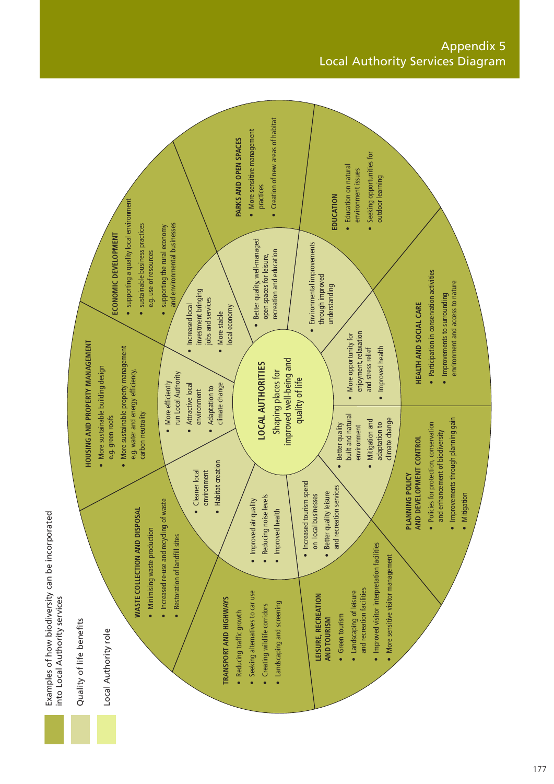